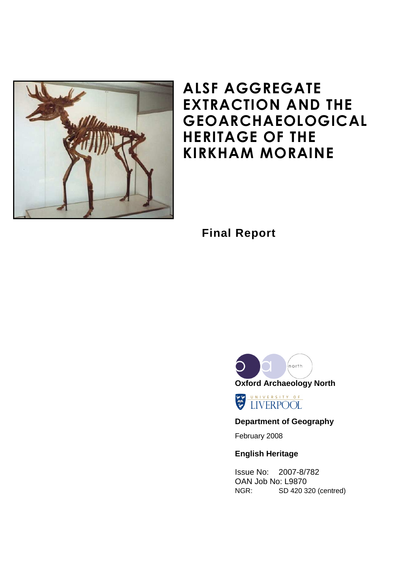

# ALSF AGGREGATE EXTRACTION AND THE GEOARCHAEOLOGICAL HERITAGE OF THE KIRKHAM MORAINE

**Final Report**



UNIVERSITY OF

# **Department of Geography**

February 2008

# **English Heritage**

Issue No: 2007-8/782 OAN Job No: L9870 NGR: SD 420 320 (centred)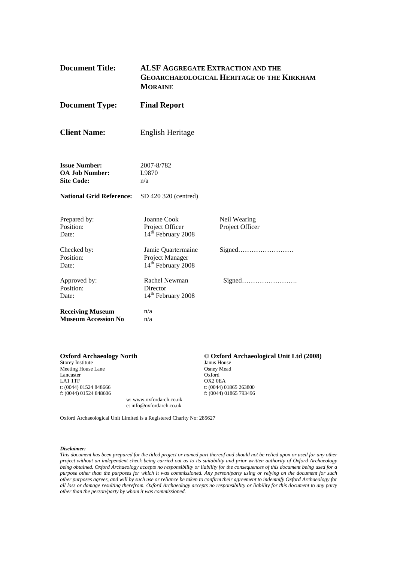| <b>Document Title:</b>                                             | <b>MORAINE</b>                                                          | <b>ALSF AGGREGATE EXTRACTION AND THE</b><br><b>GEOARCHAEOLOGICAL HERITAGE OF THE KIRKHAM</b> |  |
|--------------------------------------------------------------------|-------------------------------------------------------------------------|----------------------------------------------------------------------------------------------|--|
| <b>Document Type:</b>                                              | <b>Final Report</b>                                                     |                                                                                              |  |
| <b>Client Name:</b>                                                | English Heritage                                                        |                                                                                              |  |
| <b>Issue Number:</b><br><b>OA Job Number:</b><br><b>Site Code:</b> | 2007-8/782<br>L9870<br>n/a                                              |                                                                                              |  |
| <b>National Grid Reference:</b>                                    | SD 420 320 (centred)                                                    |                                                                                              |  |
| Prepared by:<br>Position:<br>Date:                                 | Joanne Cook<br>Project Officer<br>14 <sup>th</sup> February 2008        | Neil Wearing<br>Project Officer                                                              |  |
| Checked by:<br>Position:<br>Date:                                  | Jamie Quartermaine<br>Project Manager<br>14 <sup>th</sup> February 2008 |                                                                                              |  |
| Approved by:<br>Position:<br>Date:                                 | Rachel Newman<br>Director<br>14 <sup>th</sup> February 2008             |                                                                                              |  |
| <b>Receiving Museum</b><br><b>Museum Accession No</b>              | n/a<br>n/a                                                              |                                                                                              |  |

| <b>Oxford Archaeology North</b> | © Oxfoi       |
|---------------------------------|---------------|
| Storey Institute                | Janus Hou     |
| Meeting House Lane              | Osney Me      |
| Lancaster                       | Oxford        |
| <b>LA1 1TF</b>                  | $OX2$ OEA     |
| t: $(0044)$ 01524 848666        | t: $(0044)$ 0 |

#### © Oxford Archaeological Unit Ltd (2008)

Janus House Osney Mead Oxford t: (0044) 01524 848666 t: (0044) 01865 263800 f: (0044) 01524 848666 f: (0044) 01524 848606 f: (0044) 01865 793496

Oxford Archaeological Unit Limited is a Registered Charity No: 285627

w: www.oxfordarch.co.uk e: info@oxfordarch.co.uk

#### *Disclaimer:*

*This document has been prepared for the titled project or named part thereof and should not be relied upon or used for any other project without an independent check being carried out as to its suitability and prior written authority of Oxford Archaeology being obtained. Oxford Archaeology accepts no responsibility or liability for the consequences of this document being used for a purpose other than the purposes for which it was commissioned. Any person/party using or relying on the document for such other purposes agrees, and will by such use or reliance be taken to confirm their agreement to indemnify Oxford Archaeology for all loss or damage resulting therefrom. Oxford Archaeology accepts no responsibility or liability for this document to any party other than the person/party by whom it was commissioned.*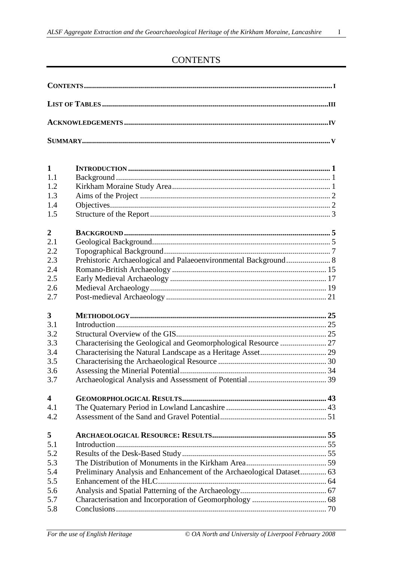# **CONTENTS**

| $\mathbf{1}$            |                                                                       |  |  |  |  |
|-------------------------|-----------------------------------------------------------------------|--|--|--|--|
| 1.1                     |                                                                       |  |  |  |  |
| 1.2                     |                                                                       |  |  |  |  |
| 1.3                     |                                                                       |  |  |  |  |
| 1.4                     |                                                                       |  |  |  |  |
| 1.5                     |                                                                       |  |  |  |  |
| $\overline{2}$          |                                                                       |  |  |  |  |
| 2.1                     |                                                                       |  |  |  |  |
| 2.2                     |                                                                       |  |  |  |  |
| 2.3                     |                                                                       |  |  |  |  |
| 2.4                     |                                                                       |  |  |  |  |
| 2.5                     |                                                                       |  |  |  |  |
| 2.6                     |                                                                       |  |  |  |  |
| 2.7                     |                                                                       |  |  |  |  |
| 3                       |                                                                       |  |  |  |  |
| 3.1                     |                                                                       |  |  |  |  |
| 3.2                     |                                                                       |  |  |  |  |
| 3.3                     |                                                                       |  |  |  |  |
| 3.4                     |                                                                       |  |  |  |  |
| 3.5                     |                                                                       |  |  |  |  |
| 3.6                     |                                                                       |  |  |  |  |
| 3.7                     |                                                                       |  |  |  |  |
| $\overline{\mathbf{4}}$ |                                                                       |  |  |  |  |
| 4.1                     |                                                                       |  |  |  |  |
| 4.2                     |                                                                       |  |  |  |  |
| 5                       |                                                                       |  |  |  |  |
| 5.1                     |                                                                       |  |  |  |  |
| 5.2                     |                                                                       |  |  |  |  |
| 5.3                     |                                                                       |  |  |  |  |
| 5.4                     | Preliminary Analysis and Enhancement of the Archaeological Dataset 63 |  |  |  |  |
| 5.5                     | Enhancement of the HLC.                                               |  |  |  |  |
| 5.6                     |                                                                       |  |  |  |  |
| 5.7                     |                                                                       |  |  |  |  |
| 5.8                     |                                                                       |  |  |  |  |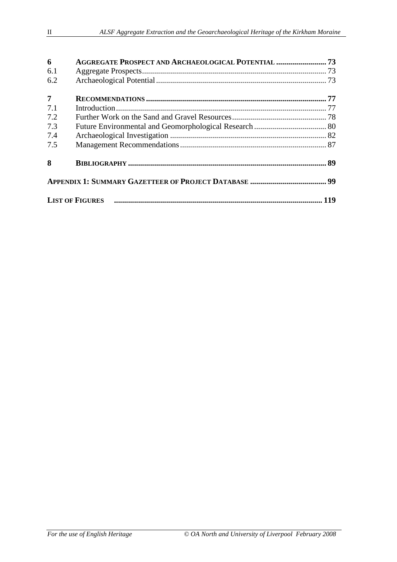| 6              | AGGREGATE PROSPECT AND ARCHAEOLOGICAL POTENTIAL 73 |  |  |
|----------------|----------------------------------------------------|--|--|
| 6.1            |                                                    |  |  |
| 6.2            |                                                    |  |  |
| $\overline{7}$ |                                                    |  |  |
| 7.1            |                                                    |  |  |
| 7.2            |                                                    |  |  |
| 7.3            |                                                    |  |  |
| 7.4            |                                                    |  |  |
| 7.5            |                                                    |  |  |
| 8              |                                                    |  |  |
|                |                                                    |  |  |
|                |                                                    |  |  |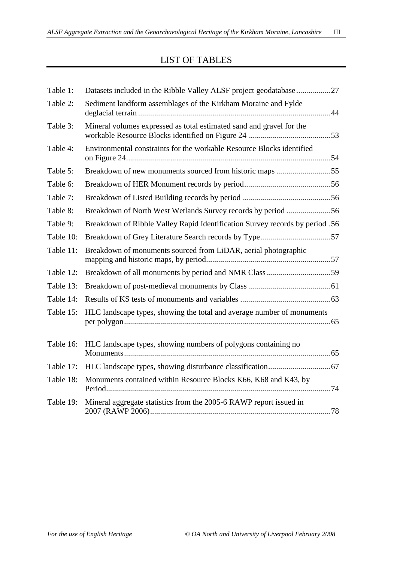# LIST OF TABLES

| Table 1:  | Datasets included in the Ribble Valley ALSF project geodatabase  27          |
|-----------|------------------------------------------------------------------------------|
| Table 2:  | Sediment landform assemblages of the Kirkham Moraine and Fylde               |
| Table 3:  | Mineral volumes expressed as total estimated sand and gravel for the         |
| Table 4:  | Environmental constraints for the workable Resource Blocks identified        |
| Table 5:  | Breakdown of new monuments sourced from historic maps 55                     |
| Table 6:  |                                                                              |
| Table 7:  |                                                                              |
| Table 8:  | Breakdown of North West Wetlands Survey records by period 56                 |
| Table 9:  | Breakdown of Ribble Valley Rapid Identification Survey records by period .56 |
| Table 10: |                                                                              |
| Table 11: | Breakdown of monuments sourced from LiDAR, aerial photographic               |
| Table 12: |                                                                              |
| Table 13: |                                                                              |
| Table 14: |                                                                              |
| Table 15: | HLC landscape types, showing the total and average number of monuments       |
| Table 16: | HLC landscape types, showing numbers of polygons containing no               |
| Table 17: |                                                                              |
| Table 18: | Monuments contained within Resource Blocks K66, K68 and K43, by              |
| Table 19: | Mineral aggregate statistics from the 2005-6 RAWP report issued in           |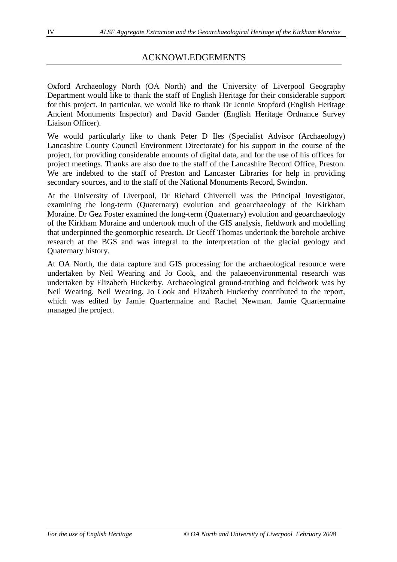# ACKNOWLEDGEMENTS

Oxford Archaeology North (OA North) and the University of Liverpool Geography Department would like to thank the staff of English Heritage for their considerable support for this project. In particular, we would like to thank Dr Jennie Stopford (English Heritage Ancient Monuments Inspector) and David Gander (English Heritage Ordnance Survey Liaison Officer).

We would particularly like to thank Peter D Iles (Specialist Advisor (Archaeology) Lancashire County Council Environment Directorate) for his support in the course of the project, for providing considerable amounts of digital data, and for the use of his offices for project meetings. Thanks are also due to the staff of the Lancashire Record Office, Preston. We are indebted to the staff of Preston and Lancaster Libraries for help in providing secondary sources, and to the staff of the National Monuments Record, Swindon.

At the University of Liverpool, Dr Richard Chiverrell was the Principal Investigator, examining the long-term (Quaternary) evolution and geoarchaeology of the Kirkham Moraine. Dr Gez Foster examined the long-term (Quaternary) evolution and geoarchaeology of the Kirkham Moraine and undertook much of the GIS analysis, fieldwork and modelling that underpinned the geomorphic research. Dr Geoff Thomas undertook the borehole archive research at the BGS and was integral to the interpretation of the glacial geology and Quaternary history.

At OA North, the data capture and GIS processing for the archaeological resource were undertaken by Neil Wearing and Jo Cook, and the palaeoenvironmental research was undertaken by Elizabeth Huckerby. Archaeological ground-truthing and fieldwork was by Neil Wearing. Neil Wearing, Jo Cook and Elizabeth Huckerby contributed to the report, which was edited by Jamie Quartermaine and Rachel Newman. Jamie Quartermaine managed the project.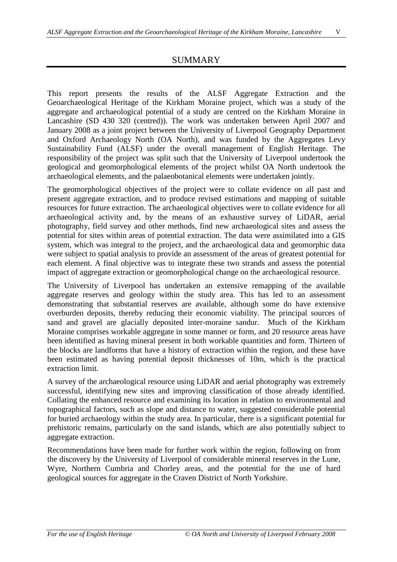## SUMMARY

This report presents the results of the ALSF Aggregate Extraction and the Geoarchaeological Heritage of the Kirkham Moraine project, which was a study of the aggregate and archaeological potential of a study are centred on the Kirkham Moraine in Lancashire (SD 430 320 (centred)). The work was undertaken between April 2007 and January 2008 as a joint project between the University of Liverpool Geography Department and Oxford Archaeology North (OA North), and was funded by the Aggregates Levy Sustainability Fund (ALSF) under the overall management of English Heritage. The responsibility of the project was split such that the University of Liverpool undertook the geological and geomorphological elements of the project whilst OA North undertook the archaeological elements, and the palaeobotanical elements were undertaken jointly.

The geomorphological objectives of the project were to collate evidence on all past and present aggregate extraction, and to produce revised estimations and mapping of suitable resources for future extraction. The archaeological objectives were to collate evidence for all archaeological activity and, by the means of an exhaustive survey of LiDAR, aerial photography, field survey and other methods, find new archaeological sites and assess the potential for sites within areas of potential extraction. The data were assimilated into a GIS system, which was integral to the project, and the archaeological data and geomorphic data were subject to spatial analysis to provide an assessment of the areas of greatest potential for each element. A final objective was to integrate these two strands and assess the potential impact of aggregate extraction or geomorphological change on the archaeological resource.

The University of Liverpool has undertaken an extensive remapping of the available aggregate reserves and geology within the study area. This has led to an assessment demonstrating that substantial reserves are available, although some do have extensive overburden deposits, thereby reducing their economic viability. The principal sources of sand and gravel are glacially deposited inter-moraine sandur. Much of the Kirkham Moraine comprises workable aggregate in some manner or form, and 20 resource areas have been identified as having mineral present in both workable quantities and form. Thirteen of the blocks are landforms that have a history of extraction within the region, and these have been estimated as having potential deposit thicknesses of 10m, which is the practical extraction limit.

A survey of the archaeological resource using LiDAR and aerial photography was extremely successful, identifying new sites and improving classification of those already identified. Collating the enhanced resource and examining its location in relation to environmental and topographical factors, such as slope and distance to water, suggested considerable potential for buried archaeology within the study area. In particular, there is a significant potential for prehistoric remains, particularly on the sand islands, which are also potentially subject to aggregate extraction.

Recommendations have been made for further work within the region, following on from the discovery by the University of Liverpool of considerable mineral reserves in the Lune, Wyre, Northern Cumbria and Chorley areas, and the potential for the use of hard geological sources for aggregate in the Craven District of North Yorkshire.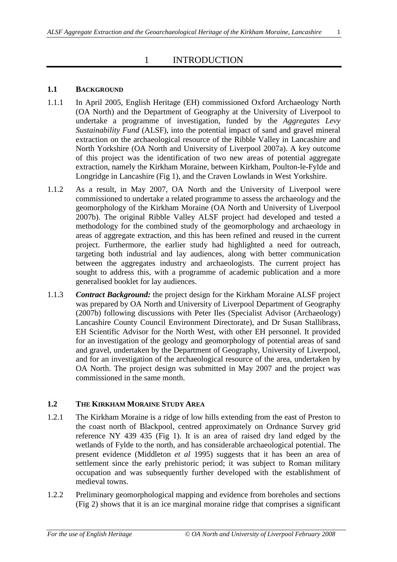# 1 INTRODUCTION

# **1.1 BACKGROUND**

- 1.1.1 In April 2005, English Heritage (EH) commissioned Oxford Archaeology North (OA North) and the Department of Geography at the University of Liverpool to undertake a programme of investigation, funded by the *Aggregates Levy Sustainability Fund* (ALSF), into the potential impact of sand and gravel mineral extraction on the archaeological resource of the Ribble Valley in Lancashire and North Yorkshire (OA North and University of Liverpool 2007a). A key outcome of this project was the identification of two new areas of potential aggregate extraction, namely the Kirkham Moraine, between Kirkham, Poulton-le-Fylde and Longridge in Lancashire (Fig 1), and the Craven Lowlands in West Yorkshire.
- 1.1.2 As a result, in May 2007, OA North and the University of Liverpool were commissioned to undertake a related programme to assess the archaeology and the geomorphology of the Kirkham Moraine (OA North and University of Liverpool 2007b). The original Ribble Valley ALSF project had developed and tested a methodology for the combined study of the geomorphology and archaeology in areas of aggregate extraction, and this has been refined and reused in the current project. Furthermore, the earlier study had highlighted a need for outreach, targeting both industrial and lay audiences, along with better communication between the aggregates industry and archaeologists. The current project has sought to address this, with a programme of academic publication and a more generalised booklet for lay audiences.
- 1.1.3 *Contract Background:* the project design for the Kirkham Moraine ALSF project was prepared by OA North and University of Liverpool Department of Geography (2007b) following discussions with Peter Iles (Specialist Advisor (Archaeology) Lancashire County Council Environment Directorate), and Dr Susan Stallibrass, EH Scientific Advisor for the North West, with other EH personnel. It provided for an investigation of the geology and geomorphology of potential areas of sand and gravel, undertaken by the Department of Geography, University of Liverpool, and for an investigation of the archaeological resource of the area, undertaken by OA North. The project design was submitted in May 2007 and the project was commissioned in the same month.

# **1.2 THE KIRKHAM MORAINE STUDY AREA**

- 1.2.1 The Kirkham Moraine is a ridge of low hills extending from the east of Preston to the coast north of Blackpool, centred approximately on Ordnance Survey grid reference NY 439 435 (Fig 1). It is an area of raised dry land edged by the wetlands of Fylde to the north, and has considerable archaeological potential. The present evidence (Middleton *et al* 1995) suggests that it has been an area of settlement since the early prehistoric period; it was subject to Roman military occupation and was subsequently further developed with the establishment of medieval towns.
- 1.2.2 Preliminary geomorphological mapping and evidence from boreholes and sections (Fig 2) shows that it is an ice marginal moraine ridge that comprises a significant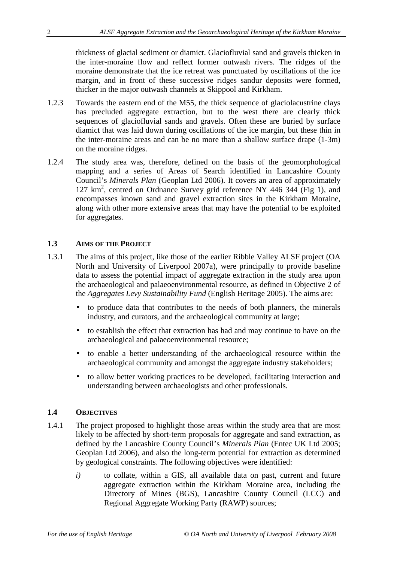thickness of glacial sediment or diamict. Glaciofluvial sand and gravels thicken in the inter-moraine flow and reflect former outwash rivers. The ridges of the moraine demonstrate that the ice retreat was punctuated by oscillations of the ice margin, and in front of these successive ridges sandur deposits were formed, thicker in the major outwash channels at Skippool and Kirkham.

- 1.2.3 Towards the eastern end of the M55, the thick sequence of glaciolacustrine clays has precluded aggregate extraction, but to the west there are clearly thick sequences of glaciofluvial sands and gravels. Often these are buried by surface diamict that was laid down during oscillations of the ice margin, but these thin in the inter-moraine areas and can be no more than a shallow surface drape (1-3m) on the moraine ridges.
- 1.2.4 The study area was, therefore, defined on the basis of the geomorphological mapping and a series of Areas of Search identified in Lancashire County Council's *Minerals Plan* (Geoplan Ltd 2006). It covers an area of approximately 127 km<sup>2</sup>, centred on Ordnance Survey grid reference NY 446 344 (Fig 1), and encompasses known sand and gravel extraction sites in the Kirkham Moraine, along with other more extensive areas that may have the potential to be exploited for aggregates.

#### **1.3 AIMS OF THE PROJECT**

- 1.3.1 The aims of this project, like those of the earlier Ribble Valley ALSF project (OA North and University of Liverpool 2007a), were principally to provide baseline data to assess the potential impact of aggregate extraction in the study area upon the archaeological and palaeoenvironmental resource, as defined in Objective 2 of the *Aggregates Levy Sustainability Fund* (English Heritage 2005). The aims are:
	- to produce data that contributes to the needs of both planners, the minerals industry, and curators, and the archaeological community at large;
	- to establish the effect that extraction has had and may continue to have on the archaeological and palaeoenvironmental resource;
	- to enable a better understanding of the archaeological resource within the archaeological community and amongst the aggregate industry stakeholders;
	- to allow better working practices to be developed, facilitating interaction and understanding between archaeologists and other professionals.

#### **1.4 OBJECTIVES**

- 1.4.1 The project proposed to highlight those areas within the study area that are most likely to be affected by short-term proposals for aggregate and sand extraction, as defined by the Lancashire County Council's *Minerals Plan* (Entec UK Ltd 2005; Geoplan Ltd 2006), and also the long-term potential for extraction as determined by geological constraints. The following objectives were identified:
	- *i)* to collate, within a GIS, all available data on past, current and future aggregate extraction within the Kirkham Moraine area, including the Directory of Mines (BGS), Lancashire County Council (LCC) and Regional Aggregate Working Party (RAWP) sources;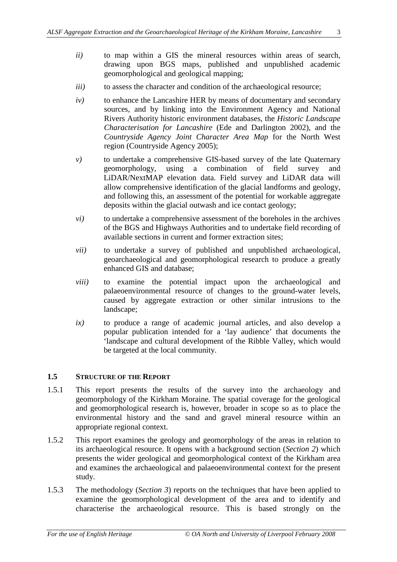- *ii)* to map within a GIS the mineral resources within areas of search, drawing upon BGS maps, published and unpublished academic geomorphological and geological mapping;
- *iii*) to assess the character and condition of the archaeological resource;
- *iv)* to enhance the Lancashire HER by means of documentary and secondary sources, and by linking into the Environment Agency and National Rivers Authority historic environment databases, the *Historic Landscape Characterisation for Lancashire* (Ede and Darlington 2002), and the *Countryside Agency Joint Character Area Map* for the North West region (Countryside Agency 2005);
- *v)* to undertake a comprehensive GIS-based survey of the late Quaternary geomorphology, using a combination of field survey and LiDAR/NextMAP elevation data. Field survey and LiDAR data will allow comprehensive identification of the glacial landforms and geology, and following this, an assessment of the potential for workable aggregate deposits within the glacial outwash and ice contact geology;
- *vi)* to undertake a comprehensive assessment of the boreholes in the archives of the BGS and Highways Authorities and to undertake field recording of available sections in current and former extraction sites;
- *vii)* to undertake a survey of published and unpublished archaeological, geoarchaeological and geomorphological research to produce a greatly enhanced GIS and database;
- *viii)* to examine the potential impact upon the archaeological and palaeoenvironmental resource of changes to the ground-water levels, caused by aggregate extraction or other similar intrusions to the landscape;
- *ix)* to produce a range of academic journal articles, and also develop a popular publication intended for a 'lay audience' that documents the 'landscape and cultural development of the Ribble Valley, which would be targeted at the local community.

#### **1.5 STRUCTURE OF THE REPORT**

- 1.5.1 This report presents the results of the survey into the archaeology and geomorphology of the Kirkham Moraine. The spatial coverage for the geological and geomorphological research is, however, broader in scope so as to place the environmental history and the sand and gravel mineral resource within an appropriate regional context.
- 1.5.2 This report examines the geology and geomorphology of the areas in relation to its archaeological resource. It opens with a background section (*Section 2*) which presents the wider geological and geomorphological context of the Kirkham area and examines the archaeological and palaeoenvironmental context for the present study.
- 1.5.3 The methodology (*Section 3*) reports on the techniques that have been applied to examine the geomorphological development of the area and to identify and characterise the archaeological resource. This is based strongly on the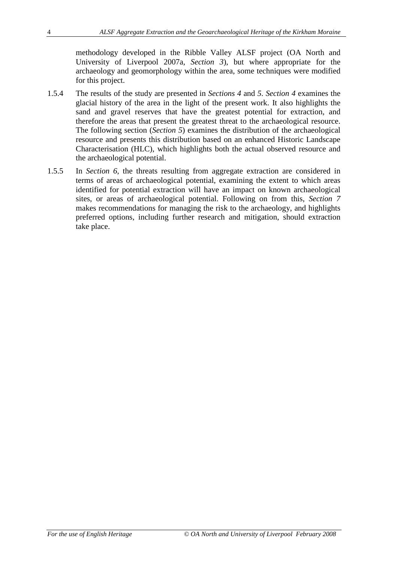methodology developed in the Ribble Valley ALSF project (OA North and University of Liverpool 2007a, *Section 3*), but where appropriate for the archaeology and geomorphology within the area, some techniques were modified for this project.

- 1.5.4 The results of the study are presented in *Sections 4* and *5*. *Section 4* examines the glacial history of the area in the light of the present work. It also highlights the sand and gravel reserves that have the greatest potential for extraction, and therefore the areas that present the greatest threat to the archaeological resource. The following section (*Section 5*) examines the distribution of the archaeological resource and presents this distribution based on an enhanced Historic Landscape Characterisation (HLC), which highlights both the actual observed resource and the archaeological potential.
- 1.5.5 In *Section 6*, the threats resulting from aggregate extraction are considered in terms of areas of archaeological potential, examining the extent to which areas identified for potential extraction will have an impact on known archaeological sites, or areas of archaeological potential. Following on from this, *Section 7* makes recommendations for managing the risk to the archaeology, and highlights preferred options, including further research and mitigation, should extraction take place.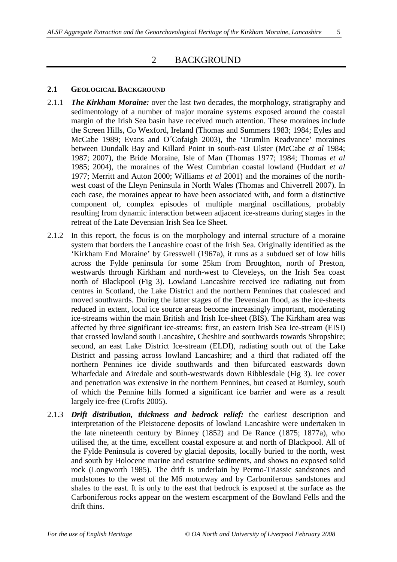## 2 BACKGROUND

### **2.1 GEOLOGICAL BACKGROUND**

- 2.1.1 *The Kirkham Moraine:* over the last two decades, the morphology, stratigraphy and sedimentology of a number of major moraine systems exposed around the coastal margin of the Irish Sea basin have received much attention. These moraines include the Screen Hills, Co Wexford, Ireland (Thomas and Summers 1983; 1984; Eyles and McCabe 1989; Evans and O´Cofaigh 2003), the 'Drumlin Readvance' moraines between Dundalk Bay and Killard Point in south-east Ulster (McCabe *et al* 1984; 1987; 2007), the Bride Moraine, Isle of Man (Thomas 1977; 1984; Thomas *et al* 1985; 2004), the moraines of the West Cumbrian coastal lowland (Huddart *et al* 1977; Merritt and Auton 2000; Williams *et al* 2001) and the moraines of the northwest coast of the Lleyn Peninsula in North Wales (Thomas and Chiverrell 2007). In each case, the moraines appear to have been associated with, and form a distinctive component of, complex episodes of multiple marginal oscillations, probably resulting from dynamic interaction between adjacent ice-streams during stages in the retreat of the Late Devensian Irish Sea Ice Sheet.
- 2.1.2 In this report, the focus is on the morphology and internal structure of a moraine system that borders the Lancashire coast of the Irish Sea. Originally identified as the 'Kirkham End Moraine' by Gresswell (1967a), it runs as a subdued set of low hills across the Fylde peninsula for some 25km from Broughton, north of Preston, westwards through Kirkham and north-west to Cleveleys, on the Irish Sea coast north of Blackpool (Fig 3). Lowland Lancashire received ice radiating out from centres in Scotland, the Lake District and the northern Pennines that coalesced and moved southwards. During the latter stages of the Devensian flood, as the ice-sheets reduced in extent, local ice source areas become increasingly important, moderating ice-streams within the main British and Irish Ice-sheet (BIS). The Kirkham area was affected by three significant ice-streams: first, an eastern Irish Sea Ice-stream (EISI) that crossed lowland south Lancashire, Cheshire and southwards towards Shropshire; second, an east Lake District Ice-stream (ELDI), radiating south out of the Lake District and passing across lowland Lancashire; and a third that radiated off the northern Pennines ice divide southwards and then bifurcated eastwards down Wharfedale and Airedale and south-westwards down Ribblesdale (Fig 3). Ice cover and penetration was extensive in the northern Pennines, but ceased at Burnley, south of which the Pennine hills formed a significant ice barrier and were as a result largely ice-free (Crofts 2005).
- 2.1.3 *Drift distribution, thickness and bedrock relief:* the earliest description and interpretation of the Pleistocene deposits of lowland Lancashire were undertaken in the late nineteenth century by Binney (1852) and De Rance (1875; 1877a), who utilised the, at the time, excellent coastal exposure at and north of Blackpool. All of the Fylde Peninsula is covered by glacial deposits, locally buried to the north, west and south by Holocene marine and estuarine sediments, and shows no exposed solid rock (Longworth 1985). The drift is underlain by Permo-Triassic sandstones and mudstones to the west of the M6 motorway and by Carboniferous sandstones and shales to the east. It is only to the east that bedrock is exposed at the surface as the Carboniferous rocks appear on the western escarpment of the Bowland Fells and the drift thins.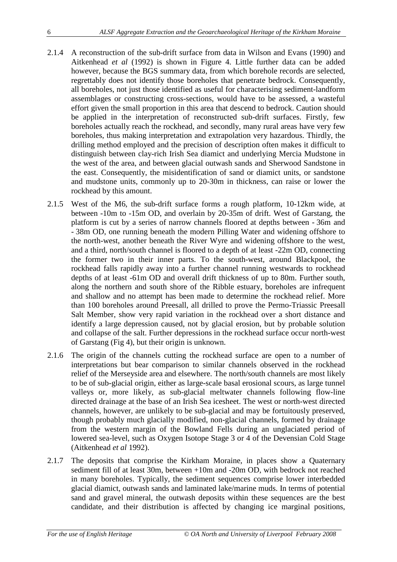- 2.1.4 A reconstruction of the sub-drift surface from data in Wilson and Evans (1990) and Aitkenhead *et al* (1992) is shown in Figure 4. Little further data can be added however, because the BGS summary data, from which borehole records are selected, regrettably does not identify those boreholes that penetrate bedrock. Consequently, all boreholes, not just those identified as useful for characterising sediment-landform assemblages or constructing cross-sections, would have to be assessed, a wasteful effort given the small proportion in this area that descend to bedrock. Caution should be applied in the interpretation of reconstructed sub-drift surfaces. Firstly, few boreholes actually reach the rockhead, and secondly, many rural areas have very few boreholes, thus making interpretation and extrapolation very hazardous. Thirdly, the drilling method employed and the precision of description often makes it difficult to distinguish between clay-rich Irish Sea diamict and underlying Mercia Mudstone in the west of the area, and between glacial outwash sands and Sherwood Sandstone in the east. Consequently, the misidentification of sand or diamict units, or sandstone and mudstone units, commonly up to 20-30m in thickness, can raise or lower the rockhead by this amount.
- 2.1.5 West of the M6, the sub-drift surface forms a rough platform, 10-12km wide, at between -10m to -15m OD, and overlain by 20-35m of drift. West of Garstang, the platform is cut by a series of narrow channels floored at depths between - 36m and - 38m OD, one running beneath the modern Pilling Water and widening offshore to the north-west, another beneath the River Wyre and widening offshore to the west, and a third, north/south channel is floored to a depth of at least -22m OD, connecting the former two in their inner parts. To the south-west, around Blackpool, the rockhead falls rapidly away into a further channel running westwards to rockhead depths of at least -61m OD and overall drift thickness of up to 80m. Further south, along the northern and south shore of the Ribble estuary, boreholes are infrequent and shallow and no attempt has been made to determine the rockhead relief. More than 100 boreholes around Preesall, all drilled to prove the Permo-Triassic Preesall Salt Member, show very rapid variation in the rockhead over a short distance and identify a large depression caused, not by glacial erosion, but by probable solution and collapse of the salt. Further depressions in the rockhead surface occur north-west of Garstang (Fig 4), but their origin is unknown.
- 2.1.6 The origin of the channels cutting the rockhead surface are open to a number of interpretations but bear comparison to similar channels observed in the rockhead relief of the Merseyside area and elsewhere. The north/south channels are most likely to be of sub-glacial origin, either as large-scale basal erosional scours, as large tunnel valleys or, more likely, as sub-glacial meltwater channels following flow-line directed drainage at the base of an Irish Sea icesheet. The west or north-west directed channels, however, are unlikely to be sub-glacial and may be fortuitously preserved, though probably much glacially modified, non-glacial channels, formed by drainage from the western margin of the Bowland Fells during an unglaciated period of lowered sea-level, such as Oxygen Isotope Stage 3 or 4 of the Devensian Cold Stage (Aitkenhead *et al* 1992).
- 2.1.7 The deposits that comprise the Kirkham Moraine, in places show a Quaternary sediment fill of at least 30m, between +10m and -20m OD, with bedrock not reached in many boreholes. Typically, the sediment sequences comprise lower interbedded glacial diamict, outwash sands and laminated lake/marine muds. In terms of potential sand and gravel mineral, the outwash deposits within these sequences are the best candidate, and their distribution is affected by changing ice marginal positions,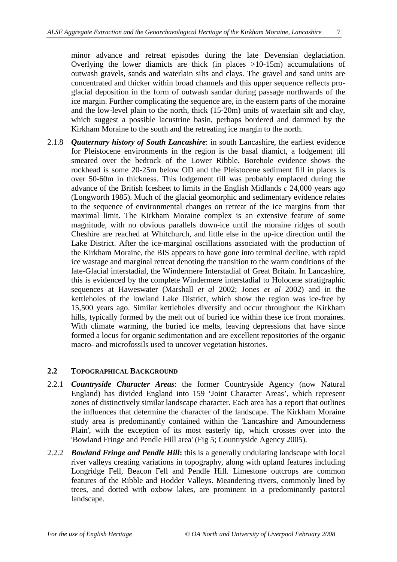minor advance and retreat episodes during the late Devensian deglaciation. Overlying the lower diamicts are thick (in places >10-15m) accumulations of outwash gravels, sands and waterlain silts and clays. The gravel and sand units are concentrated and thicker within broad channels and this upper sequence reflects proglacial deposition in the form of outwash sandar during passage northwards of the ice margin. Further complicating the sequence are, in the eastern parts of the moraine and the low-level plain to the north, thick (15-20m) units of waterlain silt and clay, which suggest a possible lacustrine basin, perhaps bordered and dammed by the Kirkham Moraine to the south and the retreating ice margin to the north.

2.1.8 *Quaternary history of South Lancashire*: in south Lancashire, the earliest evidence for Pleistocene environments in the region is the basal diamict, a lodgement till smeared over the bedrock of the Lower Ribble. Borehole evidence shows the rockhead is some 20-25m below OD and the Pleistocene sediment fill in places is over 50-60m in thickness. This lodgement till was probably emplaced during the advance of the British Icesheet to limits in the English Midlands *c* 24,000 years ago (Longworth 1985). Much of the glacial geomorphic and sedimentary evidence relates to the sequence of environmental changes on retreat of the ice margins from that maximal limit. The Kirkham Moraine complex is an extensive feature of some magnitude, with no obvious parallels down-ice until the moraine ridges of south Cheshire are reached at Whitchurch, and little else in the up-ice direction until the Lake District. After the ice-marginal oscillations associated with the production of the Kirkham Moraine, the BIS appears to have gone into terminal decline, with rapid ice wastage and marginal retreat denoting the transition to the warm conditions of the late-Glacial interstadial, the Windermere Interstadial of Great Britain. In Lancashire, this is evidenced by the complete Windermere interstadial to Holocene stratigraphic sequences at Haweswater (Marshall *et al* 2002; Jones *et al* 2002) and in the kettleholes of the lowland Lake District, which show the region was ice-free by 15,500 years ago. Similar kettleholes diversify and occur throughout the Kirkham hills, typically formed by the melt out of buried ice within these ice front moraines. With climate warming, the buried ice melts, leaving depressions that have since formed a locus for organic sedimentation and are excellent repositories of the organic macro- and microfossils used to uncover vegetation histories.

#### **2.2 TOPOGRAPHICAL BACKGROUND**

- 2.2.1 *Countryside Character Areas*: the former Countryside Agency (now Natural England) has divided England into 159 'Joint Character Areas', which represent zones of distinctively similar landscape character. Each area has a report that outlines the influences that determine the character of the landscape. The Kirkham Moraine study area is predominantly contained within the 'Lancashire and Amounderness Plain', with the exception of its most easterly tip, which crosses over into the 'Bowland Fringe and Pendle Hill area' (Fig 5; Countryside Agency 2005).
- 2.2.2 *Bowland Fringe and Pendle Hill***:** this is a generally undulating landscape with local river valleys creating variations in topography, along with upland features including Longridge Fell, Beacon Fell and Pendle Hill. Limestone outcrops are common features of the Ribble and Hodder Valleys. Meandering rivers, commonly lined by trees, and dotted with oxbow lakes, are prominent in a predominantly pastoral landscape.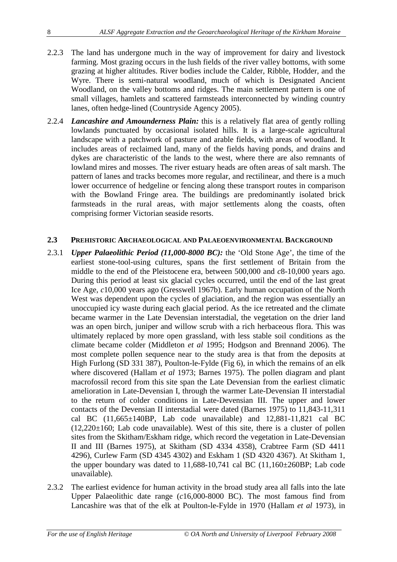- 2.2.3 The land has undergone much in the way of improvement for dairy and livestock farming. Most grazing occurs in the lush fields of the river valley bottoms, with some grazing at higher altitudes. River bodies include the Calder, Ribble, Hodder, and the Wyre. There is semi-natural woodland, much of which is Designated Ancient Woodland, on the valley bottoms and ridges. The main settlement pattern is one of small villages, hamlets and scattered farmsteads interconnected by winding country lanes, often hedge-lined (Countryside Agency 2005).
- 2.2.4 *Lancashire and Amounderness Plain:* this is a relatively flat area of gently rolling lowlands punctuated by occasional isolated hills. It is a large-scale agricultural landscape with a patchwork of pasture and arable fields, with areas of woodland. It includes areas of reclaimed land, many of the fields having ponds, and drains and dykes are characteristic of the lands to the west, where there are also remnants of lowland mires and mosses. The river estuary heads are often areas of salt marsh. The pattern of lanes and tracks becomes more regular, and rectilinear, and there is a much lower occurrence of hedgeline or fencing along these transport routes in comparison with the Bowland Fringe area. The buildings are predominantly isolated brick farmsteads in the rural areas, with major settlements along the coasts, often comprising former Victorian seaside resorts.

#### **2.3 PREHISTORIC ARCHAEOLOGICAL AND PALAEOENVIRONMENTAL BACKGROUND**

- 2.3.1 *Upper Palaeolithic Period (11,000-8000 BC):* the 'Old Stone Age', the time of the earliest stone-tool-using cultures, spans the first settlement of Britain from the middle to the end of the Pleistocene era, between 500,000 and *c*8-10,000 years ago. During this period at least six glacial cycles occurred, until the end of the last great Ice Age, *c*10,000 years ago (Gresswell 1967b). Early human occupation of the North West was dependent upon the cycles of glaciation, and the region was essentially an unoccupied icy waste during each glacial period. As the ice retreated and the climate became warmer in the Late Devensian interstadial, the vegetation on the drier land was an open birch, juniper and willow scrub with a rich herbaceous flora. This was ultimately replaced by more open grassland, with less stable soil conditions as the climate became colder (Middleton *et al* 1995; Hodgson and Brennand 2006). The most complete pollen sequence near to the study area is that from the deposits at High Furlong (SD 331 387), Poulton-le-Fylde (Fig 6), in which the remains of an elk where discovered (Hallam *et al* 1973; Barnes 1975). The pollen diagram and plant macrofossil record from this site span the Late Devensian from the earliest climatic amelioration in Late-Devensian I, through the warmer Late-Devensian II interstadial to the return of colder conditions in Late-Devensian III. The upper and lower contacts of the Devensian II interstadial were dated (Barnes 1975) to 11,843-11,311 cal BC  $(11,665\pm140BP)$ , Lab code unavailable) and  $12,881-11,821$  cal BC  $(12,220\pm160;$  Lab code unavailable). West of this site, there is a cluster of pollen sites from the Skitham/Eskham ridge, which record the vegetation in Late-Devensian II and III (Barnes 1975), at Skitham (SD 4334 4358), Crabtree Farm (SD 4411 4296), Curlew Farm (SD 4345 4302) and Eskham 1 (SD 4320 4367). At Skitham 1, the upper boundary was dated to  $11,688-10,741$  cal BC  $(11,160\pm260BP)$ ; Lab code unavailable).
- 2.3.2 The earliest evidence for human activity in the broad study area all falls into the late Upper Palaeolithic date range (*c*16,000-8000 BC). The most famous find from Lancashire was that of the elk at Poulton-le-Fylde in 1970 (Hallam *et al* 1973), in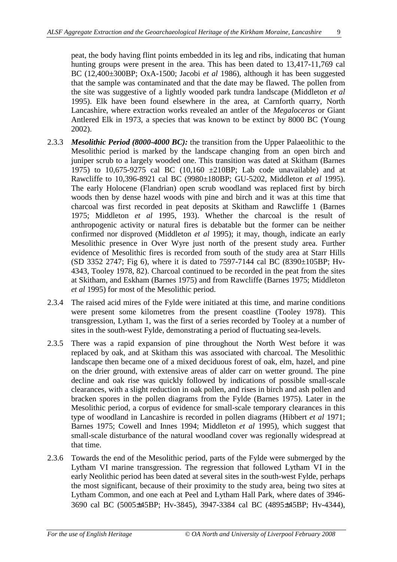peat, the body having flint points embedded in its leg and ribs, indicating that human hunting groups were present in the area. This has been dated to 13,417-11,769 cal BC (12,400±300BP; OxA-1500; Jacobi *et al* 1986), although it has been suggested that the sample was contaminated and that the date may be flawed. The pollen from the site was suggestive of a lightly wooded park tundra landscape (Middleton *et al* 1995). Elk have been found elsewhere in the area, at Carnforth quarry, North Lancashire, where extraction works revealed an antler of the *Megaloceros* or Giant Antlered Elk in 1973, a species that was known to be extinct by 8000 BC (Young 2002).

- 2.3.3 *Mesolithic Period (8000-4000 BC):* the transition from the Upper Palaeolithic to the Mesolithic period is marked by the landscape changing from an open birch and juniper scrub to a largely wooded one. This transition was dated at Skitham (Barnes 1975) to 10,675-9275 cal BC (10,160 ±210BP; Lab code unavailable) and at Rawcliffe to 10,396-8921 cal BC (9980±180BP; GU-5202, Middleton *et al* 1995). The early Holocene (Flandrian) open scrub woodland was replaced first by birch woods then by dense hazel woods with pine and birch and it was at this time that charcoal was first recorded in peat deposits at Skitham and Rawcliffe 1 (Barnes 1975; Middleton *et al* 1995, 193). Whether the charcoal is the result of anthropogenic activity or natural fires is debatable but the former can be neither confirmed nor disproved (Middleton *et al* 1995); it may, though, indicate an early Mesolithic presence in Over Wyre just north of the present study area. Further evidence of Mesolithic fires is recorded from south of the study area at Starr Hills (SD 3352 2747; Fig 6), where it is dated to 7597-7144 cal BC (8390±105BP; Hv-4343, Tooley 1978, 82). Charcoal continued to be recorded in the peat from the sites at Skitham, and Eskham (Barnes 1975) and from Rawcliffe (Barnes 1975; Middleton *et al* 1995) for most of the Mesolithic period.
- 2.3.4 The raised acid mires of the Fylde were initiated at this time, and marine conditions were present some kilometres from the present coastline (Tooley 1978). This transgression, Lytham 1, was the first of a series recorded by Tooley at a number of sites in the south-west Fylde, demonstrating a period of fluctuating sea-levels.
- 2.3.5 There was a rapid expansion of pine throughout the North West before it was replaced by oak, and at Skitham this was associated with charcoal. The Mesolithic landscape then became one of a mixed deciduous forest of oak, elm, hazel, and pine on the drier ground, with extensive areas of alder carr on wetter ground. The pine decline and oak rise was quickly followed by indications of possible small-scale clearances, with a slight reduction in oak pollen, and rises in birch and ash pollen and bracken spores in the pollen diagrams from the Fylde (Barnes 1975). Later in the Mesolithic period, a corpus of evidence for small-scale temporary clearances in this type of woodland in Lancashire is recorded in pollen diagrams (Hibbert *et al* 1971; Barnes 1975; Cowell and Innes 1994; Middleton *et al* 1995), which suggest that small-scale disturbance of the natural woodland cover was regionally widespread at that time.
- 2.3.6 Towards the end of the Mesolithic period, parts of the Fylde were submerged by the Lytham VI marine transgression. The regression that followed Lytham VI in the early Neolithic period has been dated at several sites in the south-west Fylde, perhaps the most significant, because of their proximity to the study area, being two sites at Lytham Common, and one each at Peel and Lytham Hall Park, where dates of 3946- 3690 cal BC (5005±45BP; Hv-3845), 3947-3384 cal BC (4895±45BP; Hv-4344),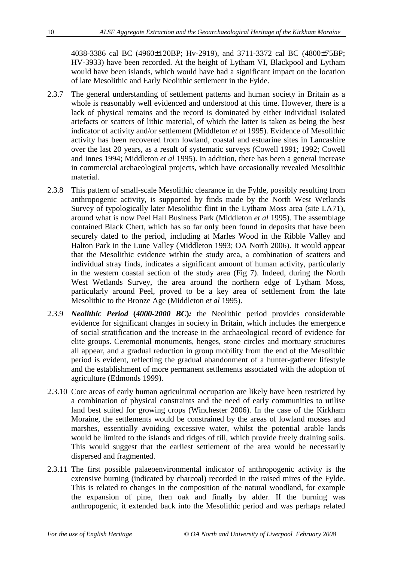4038-3386 cal BC (4960±120BP; Hv-2919), and 3711-3372 cal BC (4800±75BP; HV-3933) have been recorded. At the height of Lytham VI, Blackpool and Lytham would have been islands, which would have had a significant impact on the location of late Mesolithic and Early Neolithic settlement in the Fylde.

- 2.3.7 The general understanding of settlement patterns and human society in Britain as a whole is reasonably well evidenced and understood at this time. However, there is a lack of physical remains and the record is dominated by either individual isolated artefacts or scatters of lithic material, of which the latter is taken as being the best indicator of activity and/or settlement (Middleton *et al* 1995). Evidence of Mesolithic activity has been recovered from lowland, coastal and estuarine sites in Lancashire over the last 20 years, as a result of systematic surveys (Cowell 1991; 1992; Cowell and Innes 1994; Middleton *et al* 1995). In addition, there has been a general increase in commercial archaeological projects, which have occasionally revealed Mesolithic material.
- 2.3.8 This pattern of small-scale Mesolithic clearance in the Fylde, possibly resulting from anthropogenic activity, is supported by finds made by the North West Wetlands Survey of typologically later Mesolithic flint in the Lytham Moss area (site LA71), around what is now Peel Hall Business Park (Middleton *et al* 1995). The assemblage contained Black Chert, which has so far only been found in deposits that have been securely dated to the period, including at Marles Wood in the Ribble Valley and Halton Park in the Lune Valley (Middleton 1993; OA North 2006). It would appear that the Mesolithic evidence within the study area, a combination of scatters and individual stray finds, indicates a significant amount of human activity, particularly in the western coastal section of the study area (Fig 7). Indeed, during the North West Wetlands Survey, the area around the northern edge of Lytham Moss, particularly around Peel, proved to be a key area of settlement from the late Mesolithic to the Bronze Age (Middleton *et al* 1995).
- 2.3.9 *Neolithic Period* **(***4000-2000 BC***)***:* the Neolithic period provides considerable evidence for significant changes in society in Britain, which includes the emergence of social stratification and the increase in the archaeological record of evidence for elite groups. Ceremonial monuments, henges, stone circles and mortuary structures all appear, and a gradual reduction in group mobility from the end of the Mesolithic period is evident, reflecting the gradual abandonment of a hunter-gatherer lifestyle and the establishment of more permanent settlements associated with the adoption of agriculture (Edmonds 1999).
- 2.3.10 Core areas of early human agricultural occupation are likely have been restricted by a combination of physical constraints and the need of early communities to utilise land best suited for growing crops (Winchester 2006). In the case of the Kirkham Moraine, the settlements would be constrained by the areas of lowland mosses and marshes, essentially avoiding excessive water, whilst the potential arable lands would be limited to the islands and ridges of till, which provide freely draining soils. This would suggest that the earliest settlement of the area would be necessarily dispersed and fragmented.
- 2.3.11 The first possible palaeoenvironmental indicator of anthropogenic activity is the extensive burning (indicated by charcoal) recorded in the raised mires of the Fylde. This is related to changes in the composition of the natural woodland, for example the expansion of pine, then oak and finally by alder. If the burning was anthropogenic, it extended back into the Mesolithic period and was perhaps related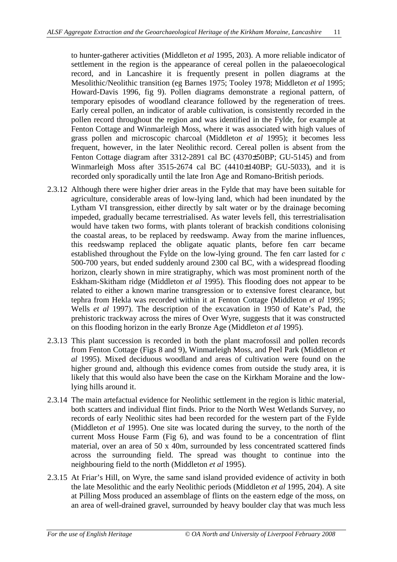to hunter-gatherer activities (Middleton *et al* 1995, 203). A more reliable indicator of settlement in the region is the appearance of cereal pollen in the palaeoecological record, and in Lancashire it is frequently present in pollen diagrams at the Mesolithic/Neolithic transition (eg Barnes 1975; Tooley 1978; Middleton *et al* 1995; Howard-Davis 1996, fig 9). Pollen diagrams demonstrate a regional pattern, of temporary episodes of woodland clearance followed by the regeneration of trees. Early cereal pollen, an indicator of arable cultivation, is consistently recorded in the pollen record throughout the region and was identified in the Fylde, for example at Fenton Cottage and Winmarleigh Moss, where it was associated with high values of grass pollen and microscopic charcoal (Middleton *et al* 1995); it becomes less frequent, however, in the later Neolithic record. Cereal pollen is absent from the Fenton Cottage diagram after 3312-2891 cal BC (4370±50BP; GU-5145) and from Winmarleigh Moss after 3515-2674 cal BC (4410±140BP; GU-5033), and it is recorded only sporadically until the late Iron Age and Romano-British periods.

- 2.3.12 Although there were higher drier areas in the Fylde that may have been suitable for agriculture, considerable areas of low-lying land, which had been inundated by the Lytham VI transgression, either directly by salt water or by the drainage becoming impeded, gradually became terrestrialised. As water levels fell, this terrestrialisation would have taken two forms, with plants tolerant of brackish conditions colonising the coastal areas, to be replaced by reedswamp. Away from the marine influences, this reedswamp replaced the obligate aquatic plants, before fen carr became established throughout the Fylde on the low-lying ground. The fen carr lasted for *c* 500-700 years, but ended suddenly around 2300 cal BC, with a widespread flooding horizon, clearly shown in mire stratigraphy, which was most prominent north of the Eskham-Skitham ridge (Middleton *et al* 1995). This flooding does not appear to be related to either a known marine transgression or to extensive forest clearance, but tephra from Hekla was recorded within it at Fenton Cottage (Middleton *et al* 1995; Wells *et al* 1997). The description of the excavation in 1950 of Kate's Pad, the prehistoric trackway across the mires of Over Wyre, suggests that it was constructed on this flooding horizon in the early Bronze Age (Middleton *et al* 1995).
- 2.3.13 This plant succession is recorded in both the plant macrofossil and pollen records from Fenton Cottage (Figs 8 and 9), Winmarleigh Moss, and Peel Park (Middleton *et al* 1995). Mixed deciduous woodland and areas of cultivation were found on the higher ground and, although this evidence comes from outside the study area, it is likely that this would also have been the case on the Kirkham Moraine and the lowlying hills around it.
- 2.3.14 The main artefactual evidence for Neolithic settlement in the region is lithic material, both scatters and individual flint finds. Prior to the North West Wetlands Survey, no records of early Neolithic sites had been recorded for the western part of the Fylde (Middleton *et al* 1995). One site was located during the survey, to the north of the current Moss House Farm (Fig 6), and was found to be a concentration of flint material, over an area of 50 x 40m, surrounded by less concentrated scattered finds across the surrounding field. The spread was thought to continue into the neighbouring field to the north (Middleton *et al* 1995).
- 2.3.15 At Friar's Hill, on Wyre, the same sand island provided evidence of activity in both the late Mesolithic and the early Neolithic periods (Middleton *et al* 1995, 204). A site at Pilling Moss produced an assemblage of flints on the eastern edge of the moss, on an area of well-drained gravel, surrounded by heavy boulder clay that was much less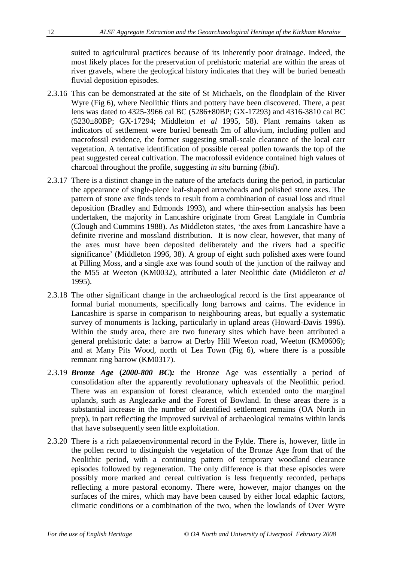suited to agricultural practices because of its inherently poor drainage. Indeed, the most likely places for the preservation of prehistoric material are within the areas of river gravels, where the geological history indicates that they will be buried beneath fluvial deposition episodes.

- 2.3.16 This can be demonstrated at the site of St Michaels, on the floodplain of the River Wyre (Fig 6), where Neolithic flints and pottery have been discovered. There, a peat lens was dated to 4325-3966 cal BC (5286±80BP; GX-17293) and 4316-3810 cal BC (5230±80BP; GX-17294; Middleton *et al* 1995, 58). Plant remains taken as indicators of settlement were buried beneath 2m of alluvium, including pollen and macrofossil evidence, the former suggesting small-scale clearance of the local carr vegetation. A tentative identification of possible cereal pollen towards the top of the peat suggested cereal cultivation. The macrofossil evidence contained high values of charcoal throughout the profile, suggesting *in situ* burning (*ibid*).
- 2.3.17 There is a distinct change in the nature of the artefacts during the period, in particular the appearance of single-piece leaf-shaped arrowheads and polished stone axes. The pattern of stone axe finds tends to result from a combination of casual loss and ritual deposition (Bradley and Edmonds 1993), and where thin-section analysis has been undertaken, the majority in Lancashire originate from Great Langdale in Cumbria (Clough and Cummins 1988). As Middleton states, 'the axes from Lancashire have a definite riverine and mossland distribution. It is now clear, however, that many of the axes must have been deposited deliberately and the rivers had a specific significance' (Middleton 1996, 38). A group of eight such polished axes were found at Pilling Moss, and a single axe was found south of the junction of the railway and the M55 at Weeton (KM0032), attributed a later Neolithic date (Middleton *et al* 1995).
- 2.3.18 The other significant change in the archaeological record is the first appearance of formal burial monuments, specifically long barrows and cairns. The evidence in Lancashire is sparse in comparison to neighbouring areas, but equally a systematic survey of monuments is lacking, particularly in upland areas (Howard-Davis 1996). Within the study area, there are two funerary sites which have been attributed a general prehistoric date: a barrow at Derby Hill Weeton road, Weeton (KM0606); and at Many Pits Wood, north of Lea Town (Fig 6), where there is a possible remnant ring barrow (KM0317).
- 2.3.19 *Bronze Age* **(***2000-800 BC***)***:* the Bronze Age was essentially a period of consolidation after the apparently revolutionary upheavals of the Neolithic period. There was an expansion of forest clearance, which extended onto the marginal uplands, such as Anglezarke and the Forest of Bowland. In these areas there is a substantial increase in the number of identified settlement remains (OA North in prep), in part reflecting the improved survival of archaeological remains within lands that have subsequently seen little exploitation.
- 2.3.20 There is a rich palaeoenvironmental record in the Fylde. There is, however, little in the pollen record to distinguish the vegetation of the Bronze Age from that of the Neolithic period, with a continuing pattern of temporary woodland clearance episodes followed by regeneration. The only difference is that these episodes were possibly more marked and cereal cultivation is less frequently recorded, perhaps reflecting a more pastoral economy. There were, however, major changes on the surfaces of the mires, which may have been caused by either local edaphic factors, climatic conditions or a combination of the two, when the lowlands of Over Wyre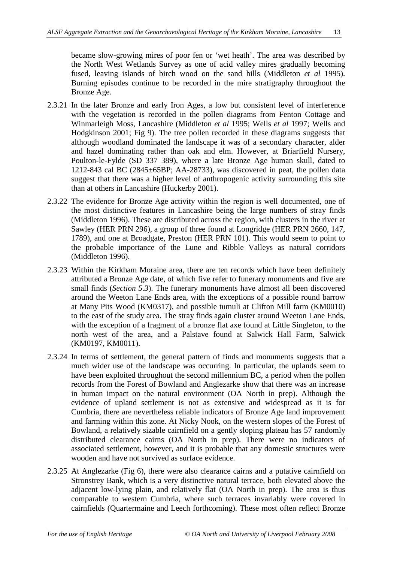became slow-growing mires of poor fen or 'wet heath'. The area was described by the North West Wetlands Survey as one of acid valley mires gradually becoming fused, leaving islands of birch wood on the sand hills (Middleton *et al* 1995). Burning episodes continue to be recorded in the mire stratigraphy throughout the Bronze Age.

- 2.3.21 In the later Bronze and early Iron Ages, a low but consistent level of interference with the vegetation is recorded in the pollen diagrams from Fenton Cottage and Winmarleigh Moss, Lancashire (Middleton *et al* 1995; Wells *et al* 1997; Wells and Hodgkinson 2001; Fig 9). The tree pollen recorded in these diagrams suggests that although woodland dominated the landscape it was of a secondary character, alder and hazel dominating rather than oak and elm. However, at Briarfield Nursery, Poulton-le-Fylde (SD 337 389), where a late Bronze Age human skull, dated to 1212-843 cal BC (2845±65BP; AA-28733), was discovered in peat, the pollen data suggest that there was a higher level of anthropogenic activity surrounding this site than at others in Lancashire (Huckerby 2001).
- 2.3.22 The evidence for Bronze Age activity within the region is well documented, one of the most distinctive features in Lancashire being the large numbers of stray finds (Middleton 1996). These are distributed across the region, with clusters in the river at Sawley (HER PRN 296), a group of three found at Longridge (HER PRN 2660, 147, 1789), and one at Broadgate, Preston (HER PRN 101). This would seem to point to the probable importance of the Lune and Ribble Valleys as natural corridors (Middleton 1996).
- 2.3.23 Within the Kirkham Moraine area, there are ten records which have been definitely attributed a Bronze Age date, of which five refer to funerary monuments and five are small finds (*Section 5.3*). The funerary monuments have almost all been discovered around the Weeton Lane Ends area, with the exceptions of a possible round barrow at Many Pits Wood (KM0317), and possible tumuli at Clifton Mill farm (KM0010) to the east of the study area. The stray finds again cluster around Weeton Lane Ends, with the exception of a fragment of a bronze flat axe found at Little Singleton, to the north west of the area, and a Palstave found at Salwick Hall Farm, Salwick (KM0197, KM0011).
- 2.3.24 In terms of settlement, the general pattern of finds and monuments suggests that a much wider use of the landscape was occurring. In particular, the uplands seem to have been exploited throughout the second millennium BC, a period when the pollen records from the Forest of Bowland and Anglezarke show that there was an increase in human impact on the natural environment (OA North in prep). Although the evidence of upland settlement is not as extensive and widespread as it is for Cumbria, there are nevertheless reliable indicators of Bronze Age land improvement and farming within this zone. At Nicky Nook, on the western slopes of the Forest of Bowland, a relatively sizable cairnfield on a gently sloping plateau has 57 randomly distributed clearance cairns (OA North in prep). There were no indicators of associated settlement, however, and it is probable that any domestic structures were wooden and have not survived as surface evidence.
- 2.3.25 At Anglezarke (Fig 6), there were also clearance cairns and a putative cairnfield on Stronstrey Bank, which is a very distinctive natural terrace, both elevated above the adjacent low-lying plain, and relatively flat (OA North in prep). The area is thus comparable to western Cumbria, where such terraces invariably were covered in cairnfields (Quartermaine and Leech forthcoming). These most often reflect Bronze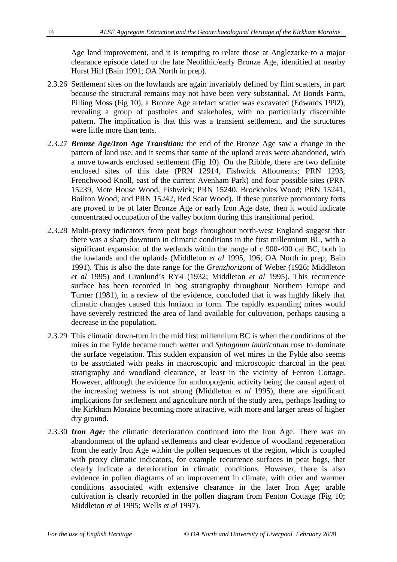Age land improvement, and it is tempting to relate those at Anglezarke to a major clearance episode dated to the late Neolithic/early Bronze Age, identified at nearby Hurst Hill (Bain 1991; OA North in prep).

- 2.3.26 Settlement sites on the lowlands are again invariably defined by flint scatters, in part because the structural remains may not have been very substantial. At Bonds Farm, Pilling Moss (Fig 10), a Bronze Age artefact scatter was excavated (Edwards 1992), revealing a group of postholes and stakeholes, with no particularly discernible pattern. The implication is that this was a transient settlement, and the structures were little more than tents.
- 2.3.27 *Bronze Age/Iron Age Transition:* the end of the Bronze Age saw a change in the pattern of land use, and it seems that some of the upland areas were abandoned, with a move towards enclosed settlement (Fig 10). On the Ribble, there are two definite enclosed sites of this date (PRN 12914, Fishwick Allotments; PRN 1293, Frenchwood Knoll, east of the current Avenham Park) and four possible sites (PRN 15239, Mete House Wood, Fishwick; PRN 15240, Brockholes Wood; PRN 15241, Boilton Wood; and PRN 15242, Red Scar Wood). If these putative promontory forts are proved to be of later Bronze Age or early Iron Age date, then it would indicate concentrated occupation of the valley bottom during this transitional period.
- 2.3.28 Multi-proxy indicators from peat bogs throughout north-west England suggest that there was a sharp downturn in climatic conditions in the first millennium BC, with a significant expansion of the wetlands within the range of *c* 900-400 cal BC, both in the lowlands and the uplands (Middleton *et al* 1995, 196; OA North in prep; Bain 1991). This is also the date range for the *Grenzhorizont* of Weber (1926; Middleton *et al* 1995) and Granlund's RY4 (1932; Middleton *et al* 1995). This recurrence surface has been recorded in bog stratigraphy throughout Northern Europe and Turner (1981), in a review of the evidence, concluded that it was highly likely that climatic changes caused this horizon to form. The rapidly expanding mires would have severely restricted the area of land available for cultivation, perhaps causing a decrease in the population.
- 2.3.29 This climatic down-turn in the mid first millennium BC is when the conditions of the mires in the Fylde became much wetter and *Sphagnum imbricatum* rose to dominate the surface vegetation. This sudden expansion of wet mires in the Fylde also seems to be associated with peaks in macroscopic and microscopic charcoal in the peat stratigraphy and woodland clearance, at least in the vicinity of Fenton Cottage. However, although the evidence for anthropogenic activity being the causal agent of the increasing wetness is not strong (Middleton *et al* 1995), there are significant implications for settlement and agriculture north of the study area, perhaps leading to the Kirkham Moraine becoming more attractive, with more and larger areas of higher dry ground.
- 2.3.30 *Iron Age:* the climatic deterioration continued into the Iron Age. There was an abandonment of the upland settlements and clear evidence of woodland regeneration from the early Iron Age within the pollen sequences of the region, which is coupled with proxy climatic indicators, for example recurrence surfaces in peat bogs, that clearly indicate a deterioration in climatic conditions. However, there is also evidence in pollen diagrams of an improvement in climate, with drier and warmer conditions associated with extensive clearance in the later Iron Age; arable cultivation is clearly recorded in the pollen diagram from Fenton Cottage (Fig 10; Middleton *et al* 1995; Wells *et al* 1997).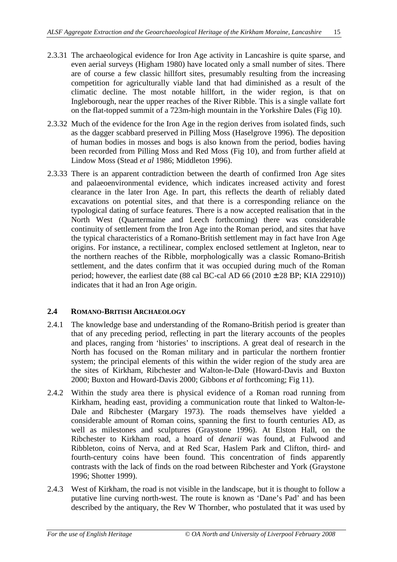- 2.3.31 The archaeological evidence for Iron Age activity in Lancashire is quite sparse, and even aerial surveys (Higham 1980) have located only a small number of sites. There are of course a few classic hillfort sites, presumably resulting from the increasing competition for agriculturally viable land that had diminished as a result of the climatic decline. The most notable hillfort, in the wider region, is that on Ingleborough, near the upper reaches of the River Ribble. This is a single vallate fort on the flat-topped summit of a 723m-high mountain in the Yorkshire Dales (Fig 10).
- 2.3.32 Much of the evidence for the Iron Age in the region derives from isolated finds, such as the dagger scabbard preserved in Pilling Moss (Haselgrove 1996). The deposition of human bodies in mosses and bogs is also known from the period, bodies having been recorded from Pilling Moss and Red Moss (Fig 10), and from further afield at Lindow Moss (Stead *et al* 1986; Middleton 1996).
- 2.3.33 There is an apparent contradiction between the dearth of confirmed Iron Age sites and palaeoenvironmental evidence, which indicates increased activity and forest clearance in the later Iron Age. In part, this reflects the dearth of reliably dated excavations on potential sites, and that there is a corresponding reliance on the typological dating of surface features. There is a now accepted realisation that in the North West (Quartermaine and Leech forthcoming) there was considerable continuity of settlement from the Iron Age into the Roman period, and sites that have the typical characteristics of a Romano-British settlement may in fact have Iron Age origins. For instance, a rectilinear, complex enclosed settlement at Ingleton, near to the northern reaches of the Ribble, morphologically was a classic Romano-British settlement, and the dates confirm that it was occupied during much of the Roman period; however, the earliest date (88 cal BC-cal AD 66 (2010  $\pm$  28 BP; KIA 22910)) indicates that it had an Iron Age origin.

#### **2.4 ROMANO-BRITISH ARCHAEOLOGY**

- 2.4.1 The knowledge base and understanding of the Romano-British period is greater than that of any preceding period, reflecting in part the literary accounts of the peoples and places, ranging from 'histories' to inscriptions. A great deal of research in the North has focused on the Roman military and in particular the northern frontier system; the principal elements of this within the wider region of the study area are the sites of Kirkham, Ribchester and Walton-le-Dale (Howard-Davis and Buxton 2000; Buxton and Howard-Davis 2000; Gibbons *et al* forthcoming; Fig 11).
- 2.4.2 Within the study area there is physical evidence of a Roman road running from Kirkham, heading east, providing a communication route that linked to Walton-le-Dale and Ribchester (Margary 1973). The roads themselves have yielded a considerable amount of Roman coins, spanning the first to fourth centuries AD, as well as milestones and sculptures (Graystone 1996). At Elston Hall, on the Ribchester to Kirkham road, a hoard of *denarii* was found, at Fulwood and Ribbleton, coins of Nerva, and at Red Scar, Haslem Park and Clifton, third- and fourth-century coins have been found. This concentration of finds apparently contrasts with the lack of finds on the road between Ribchester and York (Graystone 1996; Shotter 1999).
- 2.4.3 West of Kirkham, the road is not visible in the landscape, but it is thought to follow a putative line curving north-west. The route is known as 'Dane's Pad' and has been described by the antiquary, the Rev W Thornber, who postulated that it was used by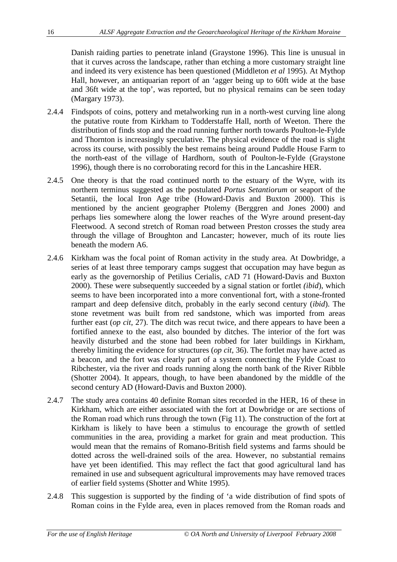Danish raiding parties to penetrate inland (Graystone 1996). This line is unusual in that it curves across the landscape, rather than etching a more customary straight line and indeed its very existence has been questioned (Middleton *et al* 1995). At Mythop Hall, however, an antiquarian report of an 'agger being up to 60ft wide at the base and 36ft wide at the top', was reported, but no physical remains can be seen today (Margary 1973).

- 2.4.4 Findspots of coins, pottery and metalworking run in a north-west curving line along the putative route from Kirkham to Todderstaffe Hall, north of Weeton. There the distribution of finds stop and the road running further north towards Poulton-le-Fylde and Thornton is increasingly speculative. The physical evidence of the road is slight across its course, with possibly the best remains being around Puddle House Farm to the north-east of the village of Hardhorn, south of Poulton-le-Fylde (Graystone 1996), though there is no corroborating record for this in the Lancashire HER.
- 2.4.5 One theory is that the road continued north to the estuary of the Wyre, with its northern terminus suggested as the postulated *Portus Setantiorum* or seaport of the Setantii, the local Iron Age tribe (Howard-Davis and Buxton 2000). This is mentioned by the ancient geographer Ptolemy (Berggren and Jones 2000) and perhaps lies somewhere along the lower reaches of the Wyre around present-day Fleetwood. A second stretch of Roman road between Preston crosses the study area through the village of Broughton and Lancaster; however, much of its route lies beneath the modern A6.
- 2.4.6 Kirkham was the focal point of Roman activity in the study area. At Dowbridge, a series of at least three temporary camps suggest that occupation may have begun as early as the governorship of Petilius Cerialis, *c*AD 71 (Howard-Davis and Buxton 2000). These were subsequently succeeded by a signal station or fortlet *(ibid*), which seems to have been incorporated into a more conventional fort, with a stone-fronted rampart and deep defensive ditch, probably in the early second century (*ibid*). The stone revetment was built from red sandstone, which was imported from areas further east (*op cit*, 27). The ditch was recut twice, and there appears to have been a fortified annexe to the east, also bounded by ditches. The interior of the fort was heavily disturbed and the stone had been robbed for later buildings in Kirkham, thereby limiting the evidence for structures (*op cit*, 36). The fortlet may have acted as a beacon, and the fort was clearly part of a system connecting the Fylde Coast to Ribchester, via the river and roads running along the north bank of the River Ribble (Shotter 2004). It appears, though, to have been abandoned by the middle of the second century AD (Howard-Davis and Buxton 2000).
- 2.4.7 The study area contains 40 definite Roman sites recorded in the HER, 16 of these in Kirkham, which are either associated with the fort at Dowbridge or are sections of the Roman road which runs through the town (Fig 11). The construction of the fort at Kirkham is likely to have been a stimulus to encourage the growth of settled communities in the area, providing a market for grain and meat production. This would mean that the remains of Romano-British field systems and farms should be dotted across the well-drained soils of the area. However, no substantial remains have yet been identified. This may reflect the fact that good agricultural land has remained in use and subsequent agricultural improvements may have removed traces of earlier field systems (Shotter and White 1995).
- 2.4.8 This suggestion is supported by the finding of 'a wide distribution of find spots of Roman coins in the Fylde area, even in places removed from the Roman roads and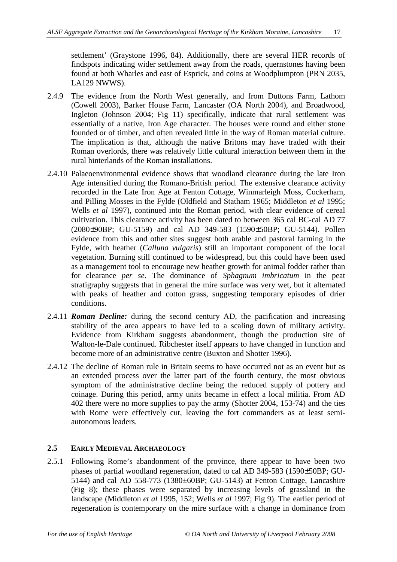settlement' (Graystone 1996, 84). Additionally, there are several HER records of findspots indicating wider settlement away from the roads, quernstones having been found at both Wharles and east of Esprick, and coins at Woodplumpton (PRN 2035, LA129 NWWS).

- 2.4.9 The evidence from the North West generally, and from Duttons Farm, Lathom (Cowell 2003), Barker House Farm, Lancaster (OA North 2004), and Broadwood, Ingleton (Johnson 2004; Fig 11) specifically, indicate that rural settlement was essentially of a native, Iron Age character. The houses were round and either stone founded or of timber, and often revealed little in the way of Roman material culture. The implication is that, although the native Britons may have traded with their Roman overlords, there was relatively little cultural interaction between them in the rural hinterlands of the Roman installations.
- 2.4.10 Palaeoenvironmental evidence shows that woodland clearance during the late Iron Age intensified during the Romano-British period. The extensive clearance activity recorded in the Late Iron Age at Fenton Cottage, Winmarleigh Moss, Cockerham, and Pilling Mosses in the Fylde (Oldfield and Statham 1965; Middleton *et al* 1995; Wells *et al* 1997), continued into the Roman period, with clear evidence of cereal cultivation. This clearance activity has been dated to between 365 cal BC-cal AD 77 (2080±90BP; GU-5159) and cal AD 349-583 (1590±50BP; GU-5144). Pollen evidence from this and other sites suggest both arable and pastoral farming in the Fylde, with heather (*Calluna vulgaris*) still an important component of the local vegetation. Burning still continued to be widespread, but this could have been used as a management tool to encourage new heather growth for animal fodder rather than for clearance *per se*. The dominance of *Sphagnum imbricatum* in the peat stratigraphy suggests that in general the mire surface was very wet, but it alternated with peaks of heather and cotton grass, suggesting temporary episodes of drier conditions.
- 2.4.11 *Roman Decline:* during the second century AD, the pacification and increasing stability of the area appears to have led to a scaling down of military activity. Evidence from Kirkham suggests abandonment, though the production site of Walton-le-Dale continued. Ribchester itself appears to have changed in function and become more of an administrative centre (Buxton and Shotter 1996).
- 2.4.12 The decline of Roman rule in Britain seems to have occurred not as an event but as an extended process over the latter part of the fourth century, the most obvious symptom of the administrative decline being the reduced supply of pottery and coinage. During this period, army units became in effect a local militia. From AD 402 there were no more supplies to pay the army (Shotter 2004, 153-74) and the ties with Rome were effectively cut, leaving the fort commanders as at least semiautonomous leaders.

#### **2.5 EARLY MEDIEVAL ARCHAEOLOGY**

2.5.1 Following Rome's abandonment of the province, there appear to have been two phases of partial woodland regeneration, dated to cal AD 349-583 (1590±50BP; GU-5144) and cal AD 558-773 (1380±60BP; GU-5143) at Fenton Cottage, Lancashire (Fig 8); these phases were separated by increasing levels of grassland in the landscape (Middleton *et al* 1995, 152; Wells *et al* 1997; Fig 9). The earlier period of regeneration is contemporary on the mire surface with a change in dominance from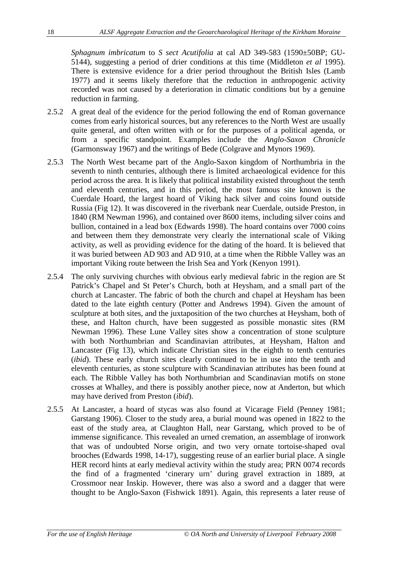*Sphagnum imbricatum* to *S sect Acutifolia* at cal AD 349-583 (1590±50BP; GU-5144), suggesting a period of drier conditions at this time (Middleton *et al* 1995). There is extensive evidence for a drier period throughout the British Isles (Lamb 1977) and it seems likely therefore that the reduction in anthropogenic activity recorded was not caused by a deterioration in climatic conditions but by a genuine reduction in farming.

- 2.5.2 A great deal of the evidence for the period following the end of Roman governance comes from early historical sources, but any references to the North West are usually quite general, and often written with or for the purposes of a political agenda, or from a specific standpoint. Examples include the *Anglo-Saxon Chronicle* (Garmonsway 1967) and the writings of Bede (Colgrave and Mynors 1969).
- 2.5.3 The North West became part of the Anglo-Saxon kingdom of Northumbria in the seventh to ninth centuries, although there is limited archaeological evidence for this period across the area. It is likely that political instability existed throughout the tenth and eleventh centuries, and in this period, the most famous site known is the Cuerdale Hoard, the largest hoard of Viking hack silver and coins found outside Russia (Fig 12). It was discovered in the riverbank near Cuerdale, outside Preston, in 1840 (RM Newman 1996), and contained over 8600 items, including silver coins and bullion, contained in a lead box (Edwards 1998). The hoard contains over 7000 coins and between them they demonstrate very clearly the international scale of Viking activity, as well as providing evidence for the dating of the hoard. It is believed that it was buried between AD 903 and AD 910, at a time when the Ribble Valley was an important Viking route between the Irish Sea and York (Kenyon 1991).
- 2.5.4 The only surviving churches with obvious early medieval fabric in the region are St Patrick's Chapel and St Peter's Church, both at Heysham, and a small part of the church at Lancaster. The fabric of both the church and chapel at Heysham has been dated to the late eighth century (Potter and Andrews 1994). Given the amount of sculpture at both sites, and the juxtaposition of the two churches at Heysham, both of these, and Halton church, have been suggested as possible monastic sites (RM Newman 1996). These Lune Valley sites show a concentration of stone sculpture with both Northumbrian and Scandinavian attributes, at Heysham, Halton and Lancaster (Fig 13), which indicate Christian sites in the eighth to tenth centuries (*ibid*). These early church sites clearly continued to be in use into the tenth and eleventh centuries, as stone sculpture with Scandinavian attributes has been found at each. The Ribble Valley has both Northumbrian and Scandinavian motifs on stone crosses at Whalley, and there is possibly another piece, now at Anderton, but which may have derived from Preston (*ibid*).
- 2.5.5 At Lancaster, a hoard of stycas was also found at Vicarage Field (Penney 1981; Garstang 1906). Closer to the study area, a burial mound was opened in 1822 to the east of the study area, at Claughton Hall, near Garstang, which proved to be of immense significance. This revealed an urned cremation, an assemblage of ironwork that was of undoubted Norse origin, and two very ornate tortoise-shaped oval brooches (Edwards 1998, 14-17), suggesting reuse of an earlier burial place. A single HER record hints at early medieval activity within the study area; PRN 0074 records the find of a fragmented 'cinerary urn' during gravel extraction in 1889, at Crossmoor near Inskip. However, there was also a sword and a dagger that were thought to be Anglo-Saxon (Fishwick 1891). Again, this represents a later reuse of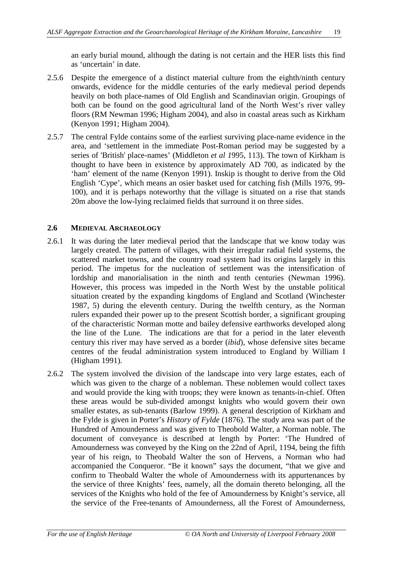an early burial mound, although the dating is not certain and the HER lists this find as 'uncertain' in date.

- 2.5.6 Despite the emergence of a distinct material culture from the eighth/ninth century onwards, evidence for the middle centuries of the early medieval period depends heavily on both place-names of Old English and Scandinavian origin. Groupings of both can be found on the good agricultural land of the North West's river valley floors (RM Newman 1996; Higham 2004), and also in coastal areas such as Kirkham (Kenyon 1991; Higham 2004).
- 2.5.7 The central Fylde contains some of the earliest surviving place-name evidence in the area, and 'settlement in the immediate Post-Roman period may be suggested by a series of 'British' place-names' (Middleton *et al 1*995, 113). The town of Kirkham is thought to have been in existence by approximately AD 700, as indicated by the 'ham' element of the name (Kenyon 1991). Inskip is thought to derive from the Old English 'Cype', which means an osier basket used for catching fish (Mills 1976, 99- 100), and it is perhaps noteworthy that the village is situated on a rise that stands 20m above the low-lying reclaimed fields that surround it on three sides.

#### **2.6 MEDIEVAL ARCHAEOLOGY**

- 2.6.1 It was during the later medieval period that the landscape that we know today was largely created. The pattern of villages, with their irregular radial field systems, the scattered market towns, and the country road system had its origins largely in this period. The impetus for the nucleation of settlement was the intensification of lordship and manorialisation in the ninth and tenth centuries (Newman 1996). However, this process was impeded in the North West by the unstable political situation created by the expanding kingdoms of England and Scotland (Winchester 1987, 5) during the eleventh century. During the twelfth century, as the Norman rulers expanded their power up to the present Scottish border, a significant grouping of the characteristic Norman motte and bailey defensive earthworks developed along the line of the Lune. The indications are that for a period in the later eleventh century this river may have served as a border (*ibid*), whose defensive sites became centres of the feudal administration system introduced to England by William I (Higham 1991).
- 2.6.2 The system involved the division of the landscape into very large estates, each of which was given to the charge of a nobleman. These noblemen would collect taxes and would provide the king with troops; they were known as tenants-in-chief. Often these areas would be sub-divided amongst knights who would govern their own smaller estates, as sub-tenants (Barlow 1999). A general description of Kirkham and the Fylde is given in Porter's *History of Fylde* (1876). The study area was part of the Hundred of Amounderness and was given to Theobold Walter, a Norman noble. The document of conveyance is described at length by Porter: 'The Hundred of Amounderness was conveyed by the King on the 22nd of April, 1194, being the fifth year of his reign, to Theobald Walter the son of Hervens, a Norman who had accompanied the Conqueror. "Be it known" says the document, "that we give and confirm to Theobald Walter the whole of Amounderness with its appurtenances by the service of three Knights' fees, namely, all the domain thereto belonging, all the services of the Knights who hold of the fee of Amounderness by Knight's service, all the service of the Free-tenants of Amounderness, all the Forest of Amounderness,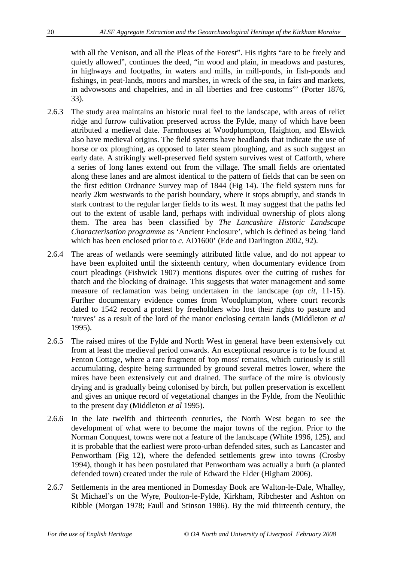with all the Venison, and all the Pleas of the Forest". His rights "are to be freely and quietly allowed", continues the deed, "in wood and plain, in meadows and pastures, in highways and footpaths, in waters and mills, in mill-ponds, in fish-ponds and fishings, in peat-lands, moors and marshes, in wreck of the sea, in fairs and markets, in advowsons and chapelries, and in all liberties and free customs"' (Porter 1876, 33).

- 2.6.3 The study area maintains an historic rural feel to the landscape, with areas of relict ridge and furrow cultivation preserved across the Fylde, many of which have been attributed a medieval date. Farmhouses at Woodplumpton, Haighton, and Elswick also have medieval origins. The field systems have headlands that indicate the use of horse or ox ploughing, as opposed to later steam ploughing, and as such suggest an early date. A strikingly well-preserved field system survives west of Catforth, where a series of long lanes extend out from the village. The small fields are orientated along these lanes and are almost identical to the pattern of fields that can be seen on the first edition Ordnance Survey map of 1844 (Fig 14). The field system runs for nearly 2km westwards to the parish boundary, where it stops abruptly, and stands in stark contrast to the regular larger fields to its west. It may suggest that the paths led out to the extent of usable land, perhaps with individual ownership of plots along them. The area has been classified by *The Lancashire Historic Landscape Characterisation programme* as 'Ancient Enclosure', which is defined as being 'land which has been enclosed prior to *c*. AD1600' (Ede and Darlington 2002, 92).
- 2.6.4 The areas of wetlands were seemingly attributed little value, and do not appear to have been exploited until the sixteenth century, when documentary evidence from court pleadings (Fishwick 1907) mentions disputes over the cutting of rushes for thatch and the blocking of drainage. This suggests that water management and some measure of reclamation was being undertaken in the landscape (*op cit*, 11-15). Further documentary evidence comes from Woodplumpton, where court records dated to 1542 record a protest by freeholders who lost their rights to pasture and 'turves' as a result of the lord of the manor enclosing certain lands (Middleton *et al* 1995).
- 2.6.5 The raised mires of the Fylde and North West in general have been extensively cut from at least the medieval period onwards. An exceptional resource is to be found at Fenton Cottage, where a rare fragment of 'top moss' remains, which curiously is still accumulating, despite being surrounded by ground several metres lower, where the mires have been extensively cut and drained. The surface of the mire is obviously drying and is gradually being colonised by birch, but pollen preservation is excellent and gives an unique record of vegetational changes in the Fylde, from the Neolithic to the present day (Middleton *et al* 1995).
- 2.6.6 In the late twelfth and thirteenth centuries, the North West began to see the development of what were to become the major towns of the region. Prior to the Norman Conquest, towns were not a feature of the landscape (White 1996, 125), and it is probable that the earliest were proto-urban defended sites, such as Lancaster and Penwortham (Fig 12), where the defended settlements grew into towns (Crosby 1994), though it has been postulated that Penwortham was actually a burh (a planted defended town) created under the rule of Edward the Elder (Higham 2006).
- 2.6.7 Settlements in the area mentioned in Domesday Book are Walton-le-Dale, Whalley, St Michael's on the Wyre, Poulton-le-Fylde, Kirkham, Ribchester and Ashton on Ribble (Morgan 1978; Faull and Stinson 1986). By the mid thirteenth century, the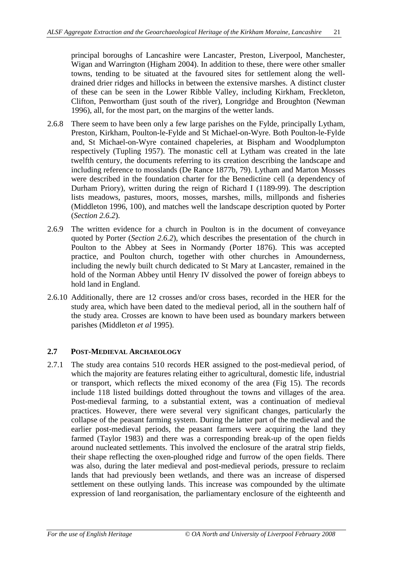principal boroughs of Lancashire were Lancaster, Preston, Liverpool, Manchester, Wigan and Warrington (Higham 2004). In addition to these, there were other smaller towns, tending to be situated at the favoured sites for settlement along the welldrained drier ridges and hillocks in between the extensive marshes. A distinct cluster of these can be seen in the Lower Ribble Valley, including Kirkham, Freckleton, Clifton, Penwortham (just south of the river), Longridge and Broughton (Newman 1996), all, for the most part, on the margins of the wetter lands.

- 2.6.8 There seem to have been only a few large parishes on the Fylde, principally Lytham, Preston, Kirkham, Poulton-le-Fylde and St Michael-on-Wyre. Both Poulton-le-Fylde and, St Michael-on-Wyre contained chapeleries, at Bispham and Woodplumpton respectively (Tupling 1957). The monastic cell at Lytham was created in the late twelfth century, the documents referring to its creation describing the landscape and including reference to mosslands (De Rance 1877b, 79). Lytham and Marton Mosses were described in the foundation charter for the Benedictine cell (a dependency of Durham Priory), written during the reign of Richard I (1189-99). The description lists meadows, pastures, moors, mosses, marshes, mills, millponds and fisheries (Middleton 1996, 100), and matches well the landscape description quoted by Porter (*Section 2.6.2*).
- 2.6.9 The written evidence for a church in Poulton is in the document of conveyance quoted by Porter (*Section 2.6.2*), which describes the presentation of the church in Poulton to the Abbey at Sees in Normandy (Porter 1876). This was accepted practice, and Poulton church, together with other churches in Amounderness, including the newly built church dedicated to St Mary at Lancaster, remained in the hold of the Norman Abbey until Henry IV dissolved the power of foreign abbeys to hold land in England.
- 2.6.10 Additionally, there are 12 crosses and/or cross bases, recorded in the HER for the study area, which have been dated to the medieval period, all in the southern half of the study area. Crosses are known to have been used as boundary markers between parishes (Middleton *et al* 1995).

#### **2.7 POST-MEDIEVAL ARCHAEOLOGY**

2.7.1 The study area contains 510 records HER assigned to the post-medieval period, of which the majority are features relating either to agricultural, domestic life, industrial or transport, which reflects the mixed economy of the area (Fig 15). The records include 118 listed buildings dotted throughout the towns and villages of the area. Post-medieval farming, to a substantial extent, was a continuation of medieval practices. However, there were several very significant changes, particularly the collapse of the peasant farming system. During the latter part of the medieval and the earlier post-medieval periods, the peasant farmers were acquiring the land they farmed (Taylor 1983) and there was a corresponding break-up of the open fields around nucleated settlements. This involved the enclosure of the aratral strip fields, their shape reflecting the oxen-ploughed ridge and furrow of the open fields. There was also, during the later medieval and post-medieval periods, pressure to reclaim lands that had previously been wetlands, and there was an increase of dispersed settlement on these outlying lands. This increase was compounded by the ultimate expression of land reorganisation, the parliamentary enclosure of the eighteenth and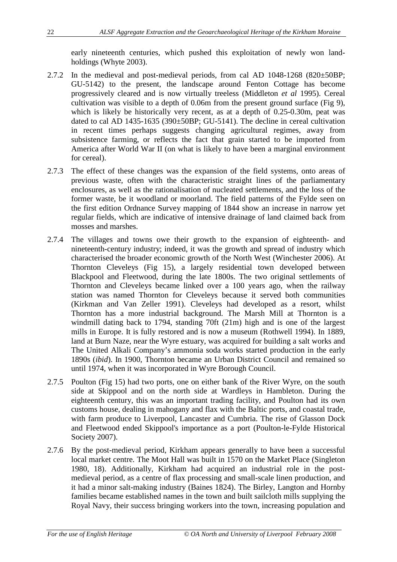early nineteenth centuries, which pushed this exploitation of newly won landholdings (Whyte 2003).

- 2.7.2 In the medieval and post-medieval periods, from cal AD 1048-1268 (820±50BP; GU-5142) to the present, the landscape around Fenton Cottage has become progressively cleared and is now virtually treeless (Middleton *et al* 1995). Cereal cultivation was visible to a depth of 0.06m from the present ground surface (Fig 9), which is likely be historically very recent, as at a depth of 0.25-0.30m, peat was dated to cal AD 1435-1635 (390 $\pm$ 50BP; GU-5141). The decline in cereal cultivation in recent times perhaps suggests changing agricultural regimes, away from subsistence farming, or reflects the fact that grain started to be imported from America after World War II (on what is likely to have been a marginal environment for cereal).
- 2.7.3 The effect of these changes was the expansion of the field systems, onto areas of previous waste, often with the characteristic straight lines of the parliamentary enclosures, as well as the rationalisation of nucleated settlements, and the loss of the former waste, be it woodland or moorland. The field patterns of the Fylde seen on the first edition Ordnance Survey mapping of 1844 show an increase in narrow yet regular fields, which are indicative of intensive drainage of land claimed back from mosses and marshes.
- 2.7.4 The villages and towns owe their growth to the expansion of eighteenth- and nineteenth-century industry; indeed, it was the growth and spread of industry which characterised the broader economic growth of the North West (Winchester 2006). At Thornton Cleveleys (Fig 15), a largely residential town developed between Blackpool and Fleetwood, during the late 1800s. The two original settlements of Thornton and Cleveleys became linked over a 100 years ago, when the railway station was named Thornton for Cleveleys because it served both communities (Kirkman and Van Zeller 1991). Cleveleys had developed as a resort, whilst Thornton has a more industrial background. The Marsh Mill at Thornton is a windmill dating back to 1794, standing 70ft (21m) high and is one of the largest mills in Europe. It is fully restored and is now a museum (Rothwell 1994). In 1889, land at Burn Naze, near the Wyre estuary, was acquired for building a salt works and The United Alkali Company's ammonia soda works started production in the early 1890s (*ibid*). In 1900, Thornton became an Urban District Council and remained so until 1974, when it was incorporated in Wyre Borough Council.
- 2.7.5 Poulton (Fig 15) had two ports, one on either bank of the River Wyre, on the south side at Skippool and on the north side at Wardleys in Hambleton. During the eighteenth century, this was an important trading facility, and Poulton had its own customs house, dealing in mahogany and flax with the Baltic ports, and coastal trade, with farm produce to Liverpool, Lancaster and Cumbria. The rise of Glasson Dock and Fleetwood ended Skippool's importance as a port (Poulton-le-Fylde Historical Society 2007).
- 2.7.6 By the post-medieval period, Kirkham appears generally to have been a successful local market centre. The Moot Hall was built in 1570 on the Market Place (Singleton 1980, 18). Additionally, Kirkham had acquired an industrial role in the postmedieval period, as a centre of flax processing and small-scale linen production, and it had a minor salt-making industry (Baines 1824). The Birley, Langton and Hornby families became established names in the town and built sailcloth mills supplying the Royal Navy, their success bringing workers into the town, increasing population and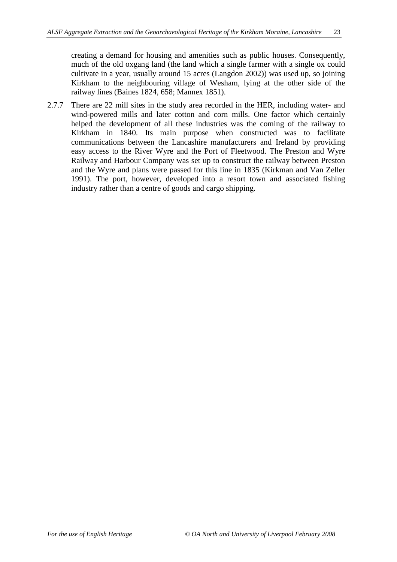creating a demand for housing and amenities such as public houses. Consequently, much of the old oxgang land (the land which a single farmer with a single ox could cultivate in a year, usually around 15 acres (Langdon 2002)) was used up, so joining Kirkham to the neighbouring village of Wesham, lying at the other side of the railway lines (Baines 1824, 658; Mannex 1851).

2.7.7 There are 22 mill sites in the study area recorded in the HER, including water- and wind-powered mills and later cotton and corn mills. One factor which certainly helped the development of all these industries was the coming of the railway to Kirkham in 1840. Its main purpose when constructed was to facilitate communications between the Lancashire manufacturers and Ireland by providing easy access to the River Wyre and the Port of Fleetwood. The Preston and Wyre Railway and Harbour Company was set up to construct the railway between Preston and the Wyre and plans were passed for this line in 1835 (Kirkman and Van Zeller 1991). The port, however, developed into a resort town and associated fishing industry rather than a centre of goods and cargo shipping.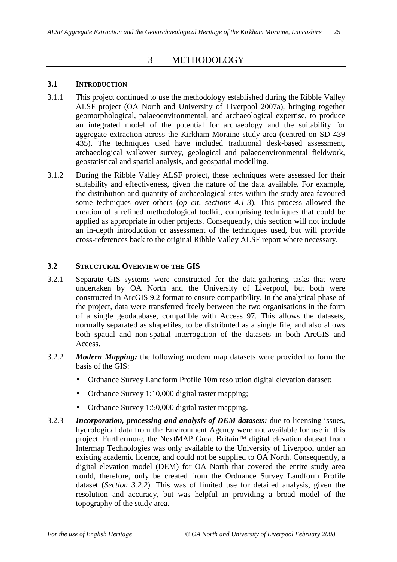# 3 METHODOLOGY

#### **3.1 INTRODUCTION**

- 3.1.1 This project continued to use the methodology established during the Ribble Valley ALSF project (OA North and University of Liverpool 2007a), bringing together geomorphological, palaeoenvironmental, and archaeological expertise, to produce an integrated model of the potential for archaeology and the suitability for aggregate extraction across the Kirkham Moraine study area (centred on SD 439 435). The techniques used have included traditional desk-based assessment, archaeological walkover survey, geological and palaeoenvironmental fieldwork, geostatistical and spatial analysis, and geospatial modelling.
- 3.1.2 During the Ribble Valley ALSF project, these techniques were assessed for their suitability and effectiveness, given the nature of the data available. For example, the distribution and quantity of archaeological sites within the study area favoured some techniques over others (*op cit*, *sections 4.1-3*). This process allowed the creation of a refined methodological toolkit, comprising techniques that could be applied as appropriate in other projects. Consequently, this section will not include an in-depth introduction or assessment of the techniques used, but will provide cross-references back to the original Ribble Valley ALSF report where necessary.

#### **3.2 STRUCTURAL OVERVIEW OF THE GIS**

- 3.2.1 Separate GIS systems were constructed for the data-gathering tasks that were undertaken by OA North and the University of Liverpool, but both were constructed in ArcGIS 9.2 format to ensure compatibility. In the analytical phase of the project, data were transferred freely between the two organisations in the form of a single geodatabase, compatible with Access 97. This allows the datasets, normally separated as shapefiles, to be distributed as a single file, and also allows both spatial and non-spatial interrogation of the datasets in both ArcGIS and Access.
- 3.2.2 *Modern Mapping:* the following modern map datasets were provided to form the basis of the GIS:
	- Ordnance Survey Landform Profile 10m resolution digital elevation dataset;
	- Ordnance Survey 1:10,000 digital raster mapping;
	- Ordnance Survey 1:50,000 digital raster mapping.
- 3.2.3 *Incorporation, processing and analysis of DEM datasets:* due to licensing issues, hydrological data from the Environment Agency were not available for use in this project. Furthermore, the NextMAP Great Britain™ digital elevation dataset from Intermap Technologies was only available to the University of Liverpool under an existing academic licence, and could not be supplied to OA North. Consequently, a digital elevation model (DEM) for OA North that covered the entire study area could, therefore, only be created from the Ordnance Survey Landform Profile dataset (*Section 3.2.2*). This was of limited use for detailed analysis, given the resolution and accuracy, but was helpful in providing a broad model of the topography of the study area.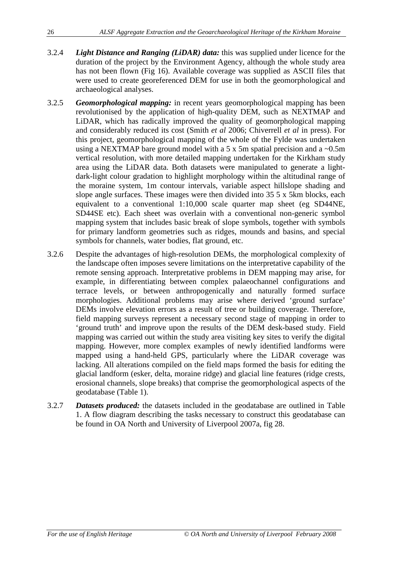- 3.2.4 *Light Distance and Ranging (LiDAR) data:* this was supplied under licence for the duration of the project by the Environment Agency, although the whole study area has not been flown (Fig 16). Available coverage was supplied as ASCII files that were used to create georeferenced DEM for use in both the geomorphological and archaeological analyses.
- 3.2.5 *Geomorphological mapping:* in recent years geomorphological mapping has been revolutionised by the application of high-quality DEM, such as NEXTMAP and LiDAR, which has radically improved the quality of geomorphological mapping and considerably reduced its cost (Smith *et al* 2006; Chiverrell *et al* in press). For this project, geomorphological mapping of the whole of the Fylde was undertaken using a NEXTMAP bare ground model with a 5 x 5m spatial precision and a  $\sim 0.5$ m vertical resolution, with more detailed mapping undertaken for the Kirkham study area using the LiDAR data. Both datasets were manipulated to generate a lightdark-light colour gradation to highlight morphology within the altitudinal range of the moraine system, 1m contour intervals, variable aspect hillslope shading and slope angle surfaces. These images were then divided into 35 5 x 5km blocks, each equivalent to a conventional 1:10,000 scale quarter map sheet (eg SD44NE, SD44SE etc). Each sheet was overlain with a conventional non-generic symbol mapping system that includes basic break of slope symbols, together with symbols for primary landform geometries such as ridges, mounds and basins, and special symbols for channels, water bodies, flat ground, etc.
- 3.2.6 Despite the advantages of high-resolution DEMs, the morphological complexity of the landscape often imposes severe limitations on the interpretative capability of the remote sensing approach. Interpretative problems in DEM mapping may arise, for example, in differentiating between complex palaeochannel configurations and terrace levels, or between anthropogenically and naturally formed surface morphologies. Additional problems may arise where derived 'ground surface' DEMs involve elevation errors as a result of tree or building coverage. Therefore, field mapping surveys represent a necessary second stage of mapping in order to 'ground truth' and improve upon the results of the DEM desk-based study. Field mapping was carried out within the study area visiting key sites to verify the digital mapping. However, more complex examples of newly identified landforms were mapped using a hand-held GPS, particularly where the LiDAR coverage was lacking. All alterations compiled on the field maps formed the basis for editing the glacial landform (esker, delta, moraine ridge) and glacial line features (ridge crests, erosional channels, slope breaks) that comprise the geomorphological aspects of the geodatabase (Table 1).
- 3.2.7 *Datasets produced:* the datasets included in the geodatabase are outlined in Table 1. A flow diagram describing the tasks necessary to construct this geodatabase can be found in OA North and University of Liverpool 2007a, fig 28.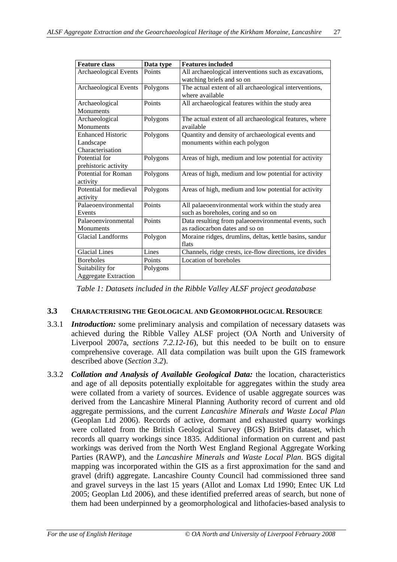| <b>Feature class</b>        | Data type | <b>Features included</b>                                 |
|-----------------------------|-----------|----------------------------------------------------------|
| Archaeological Events       | Points    | All archaeological interventions such as excavations,    |
|                             |           | watching briefs and so on                                |
| Archaeological Events       | Polygons  | The actual extent of all archaeological interventions,   |
|                             |           | where available                                          |
| Archaeological              | Points    | All archaeological features within the study area        |
| Monuments                   |           |                                                          |
| Archaeological              | Polygons  | The actual extent of all archaeological features, where  |
| Monuments                   |           | available                                                |
| <b>Enhanced Historic</b>    | Polygons  | Quantity and density of archaeological events and        |
| Landscape                   |           | monuments within each polygon                            |
| Characterisation            |           |                                                          |
| Potential for               | Polygons  | Areas of high, medium and low potential for activity     |
| prehistoric activity        |           |                                                          |
| Potential for Roman         | Polygons  | Areas of high, medium and low potential for activity     |
| activity                    |           |                                                          |
| Potential for medieval      | Polygons  | Areas of high, medium and low potential for activity     |
| activity                    |           |                                                          |
| Palaeoenvironmental         | Points    | All palaeoenvironmental work within the study area       |
| Events                      |           | such as boreholes, coring and so on                      |
| Palaeoenvironmental         | Points    | Data resulting from palaeoenvironmental events, such     |
| Monuments                   |           | as radiocarbon dates and so on                           |
| Glacial Landforms           | Polygon   | Moraine ridges, drumlins, deltas, kettle basins, sandur  |
|                             |           | flats                                                    |
| <b>Glacial Lines</b>        | Lines     | Channels, ridge crests, ice-flow directions, ice divides |
| <b>Boreholes</b>            | Points    | Location of boreholes                                    |
| Suitability for             | Polygons  |                                                          |
| <b>Aggregate Extraction</b> |           |                                                          |

*Table 1: Datasets included in the Ribble Valley ALSF project geodatabase*

#### **3.3 CHARACTERISING THE GEOLOGICAL AND GEOMORPHOLOGICAL RESOURCE**

- 3.3.1 *Introduction:* some preliminary analysis and compilation of necessary datasets was achieved during the Ribble Valley ALSF project (OA North and University of Liverpool 2007a, *sections 7.2.12-16*), but this needed to be built on to ensure comprehensive coverage. All data compilation was built upon the GIS framework described above (*Section 3.2*).
- 3.3.2 *Collation and Analysis of Available Geological Data:* the location, characteristics and age of all deposits potentially exploitable for aggregates within the study area were collated from a variety of sources. Evidence of usable aggregate sources was derived from the Lancashire Mineral Planning Authority record of current and old aggregate permissions, and the current *Lancashire Minerals and Waste Local Plan* (Geoplan Ltd 2006). Records of active, dormant and exhausted quarry workings were collated from the British Geological Survey (BGS) BritPits dataset, which records all quarry workings since 1835. Additional information on current and past workings was derived from the North West England Regional Aggregate Working Parties (RAWP), and the *Lancashire Minerals and Waste Local Plan*. BGS digital mapping was incorporated within the GIS as a first approximation for the sand and gravel (drift) aggregate. Lancashire County Council had commissioned three sand and gravel surveys in the last 15 years (Allot and Lomax Ltd 1990; Entec UK Ltd 2005; Geoplan Ltd 2006), and these identified preferred areas of search, but none of them had been underpinned by a geomorphological and lithofacies-based analysis to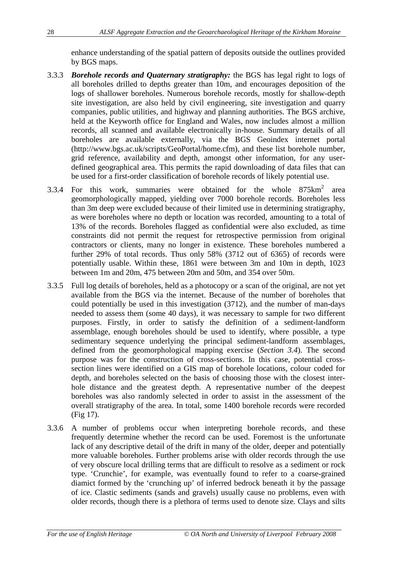enhance understanding of the spatial pattern of deposits outside the outlines provided by BGS maps.

- 3.3.3 *Borehole records and Quaternary stratigraphy:* the BGS has legal right to logs of all boreholes drilled to depths greater than 10m, and encourages deposition of the logs of shallower boreholes. Numerous borehole records, mostly for shallow-depth site investigation, are also held by civil engineering, site investigation and quarry companies, public utilities, and highway and planning authorities. The BGS archive, held at the Keyworth office for England and Wales, now includes almost a million records, all scanned and available electronically in-house. Summary details of all boreholes are available externally, via the BGS Geoindex internet portal (http://www.bgs.ac.uk/scripts/GeoPortal/home.cfm), and these list borehole number, grid reference, availability and depth, amongst other information, for any userdefined geographical area. This permits the rapid downloading of data files that can be used for a first-order classification of borehole records of likely potential use.
- 3.3.4 For this work, summaries were obtained for the whole  $875 \text{km}^2$  area geomorphologically mapped, yielding over 7000 borehole records. Boreholes less than 3m deep were excluded because of their limited use in determining stratigraphy, as were boreholes where no depth or location was recorded, amounting to a total of 13% of the records. Boreholes flagged as confidential were also excluded, as time constraints did not permit the request for retrospective permission from original contractors or clients, many no longer in existence. These boreholes numbered a further 29% of total records. Thus only 58% (3712 out of 6365) of records were potentially usable. Within these, 1861 were between 3m and 10m in depth, 1023 between 1m and 20m, 475 between 20m and 50m, and 354 over 50m.
- 3.3.5 Full log details of boreholes, held as a photocopy or a scan of the original, are not yet available from the BGS via the internet. Because of the number of boreholes that could potentially be used in this investigation (3712), and the number of man-days needed to assess them (some 40 days), it was necessary to sample for two different purposes. Firstly, in order to satisfy the definition of a sediment-landform assemblage, enough boreholes should be used to identify, where possible, a type sedimentary sequence underlying the principal sediment-landform assemblages, defined from the geomorphological mapping exercise (*Section 3.4*). The second purpose was for the construction of cross-sections. In this case, potential crosssection lines were identified on a GIS map of borehole locations, colour coded for depth, and boreholes selected on the basis of choosing those with the closest interhole distance and the greatest depth. A representative number of the deepest boreholes was also randomly selected in order to assist in the assessment of the overall stratigraphy of the area. In total, some 1400 borehole records were recorded (Fig 17).
- 3.3.6 A number of problems occur when interpreting borehole records, and these frequently determine whether the record can be used. Foremost is the unfortunate lack of any descriptive detail of the drift in many of the older, deeper and potentially more valuable boreholes. Further problems arise with older records through the use of very obscure local drilling terms that are difficult to resolve as a sediment or rock type. 'Crunchie', for example, was eventually found to refer to a coarse-grained diamict formed by the 'crunching up' of inferred bedrock beneath it by the passage of ice. Clastic sediments (sands and gravels) usually cause no problems, even with older records, though there is a plethora of terms used to denote size. Clays and silts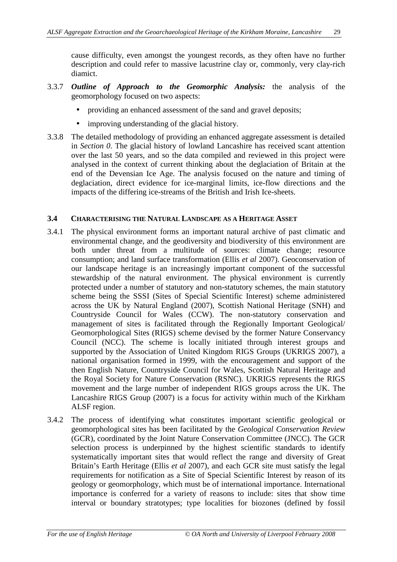cause difficulty, even amongst the youngest records, as they often have no further description and could refer to massive lacustrine clay or, commonly, very clay-rich diamict.

- 3.3.7 *Outline of Approach to the Geomorphic Analysis:* the analysis of the geomorphology focused on two aspects:
	- providing an enhanced assessment of the sand and gravel deposits;
	- improving understanding of the glacial history.
- 3.3.8 The detailed methodology of providing an enhanced aggregate assessment is detailed in *Section 0*. The glacial history of lowland Lancashire has received scant attention over the last 50 years, and so the data compiled and reviewed in this project were analysed in the context of current thinking about the deglaciation of Britain at the end of the Devensian Ice Age. The analysis focused on the nature and timing of deglaciation, direct evidence for ice-marginal limits, ice-flow directions and the impacts of the differing ice-streams of the British and Irish Ice-sheets.

### **3.4 CHARACTERISING THE NATURAL LANDSCAPE AS A HERITAGE ASSET**

- 3.4.1 The physical environment forms an important natural archive of past climatic and environmental change, and the geodiversity and biodiversity of this environment are both under threat from a multitude of sources: climate change; resource consumption; and land surface transformation (Ellis *et al* 2007). Geoconservation of our landscape heritage is an increasingly important component of the successful stewardship of the natural environment. The physical environment is currently protected under a number of statutory and non-statutory schemes, the main statutory scheme being the SSSI (Sites of Special Scientific Interest) scheme administered across the UK by Natural England (2007), Scottish National Heritage (SNH) and Countryside Council for Wales (CCW). The non-statutory conservation and management of sites is facilitated through the Regionally Important Geological/ Geomorphological Sites (RIGS) scheme devised by the former Nature Conservancy Council (NCC). The scheme is locally initiated through interest groups and supported by the Association of United Kingdom RIGS Groups (UKRIGS 2007), a national organisation formed in 1999, with the encouragement and support of the then English Nature, Countryside Council for Wales, Scottish Natural Heritage and the Royal Society for Nature Conservation (RSNC). UKRIGS represents the RIGS movement and the large number of independent RIGS groups across the UK. The Lancashire RIGS Group (2007) is a focus for activity within much of the Kirkham ALSF region.
- 3.4.2 The process of identifying what constitutes important scientific geological or geomorphological sites has been facilitated by the *Geological Conservation Review* (GCR), coordinated by the Joint Nature Conservation Committee (JNCC). The GCR selection process is underpinned by the highest scientific standards to identify systematically important sites that would reflect the range and diversity of Great Britain's Earth Heritage (Ellis *et al* 2007), and each GCR site must satisfy the legal requirements for notification as a Site of Special Scientific Interest by reason of its geology or geomorphology, which must be of international importance. International importance is conferred for a variety of reasons to include: sites that show time interval or boundary stratotypes; type localities for biozones (defined by fossil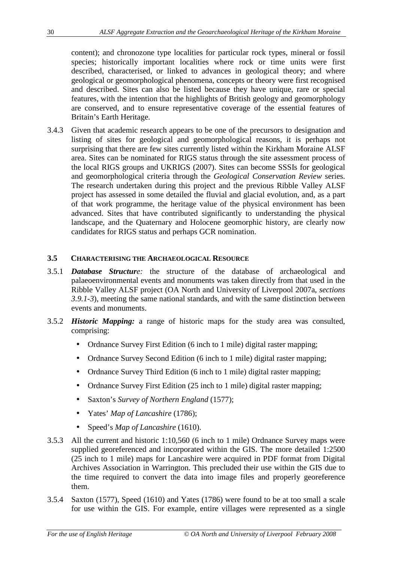content); and chronozone type localities for particular rock types, mineral or fossil species; historically important localities where rock or time units were first described, characterised, or linked to advances in geological theory; and where geological or geomorphological phenomena, concepts or theory were first recognised and described. Sites can also be listed because they have unique, rare or special features, with the intention that the highlights of British geology and geomorphology are conserved, and to ensure representative coverage of the essential features of Britain's Earth Heritage.

3.4.3 Given that academic research appears to be one of the precursors to designation and listing of sites for geological and geomorphological reasons, it is perhaps not surprising that there are few sites currently listed within the Kirkham Moraine ALSF area. Sites can be nominated for RIGS status through the site assessment process of the local RIGS groups and UKRIGS (2007). Sites can become SSSIs for geological and geomorphological criteria through the *Geological Conservation Review* series. The research undertaken during this project and the previous Ribble Valley ALSF project has assessed in some detailed the fluvial and glacial evolution, and, as a part of that work programme, the heritage value of the physical environment has been advanced. Sites that have contributed significantly to understanding the physical landscape, and the Quaternary and Holocene geomorphic history, are clearly now candidates for RIGS status and perhaps GCR nomination.

## **3.5 CHARACTERISING THE ARCHAEOLOGICAL RESOURCE**

- 3.5.1 *Database Structure:* the structure of the database of archaeological and palaeoenvironmental events and monuments was taken directly from that used in the Ribble Valley ALSF project (OA North and University of Liverpool 2007a, *sections 3.9.1-3*), meeting the same national standards, and with the same distinction between events and monuments.
- 3.5.2 *Historic Mapping:* a range of historic maps for the study area was consulted, comprising:
	- Ordnance Survey First Edition (6 inch to 1 mile) digital raster mapping;
	- Ordnance Survey Second Edition (6 inch to 1 mile) digital raster mapping;
	- Ordnance Survey Third Edition (6 inch to 1 mile) digital raster mapping;
	- Ordnance Survey First Edition (25 inch to 1 mile) digital raster mapping;
	- Saxton's *Survey of Northern England* (1577);
	- Yates' *Map of Lancashire* (1786);
	- Speed's *Map of Lancashire* (1610).
- 3.5.3 All the current and historic 1:10,560 (6 inch to 1 mile) Ordnance Survey maps were supplied georeferenced and incorporated within the GIS. The more detailed 1:2500 (25 inch to 1 mile) maps for Lancashire were acquired in PDF format from Digital Archives Association in Warrington. This precluded their use within the GIS due to the time required to convert the data into image files and properly georeference them.
- 3.5.4 Saxton (1577), Speed (1610) and Yates (1786) were found to be at too small a scale for use within the GIS. For example, entire villages were represented as a single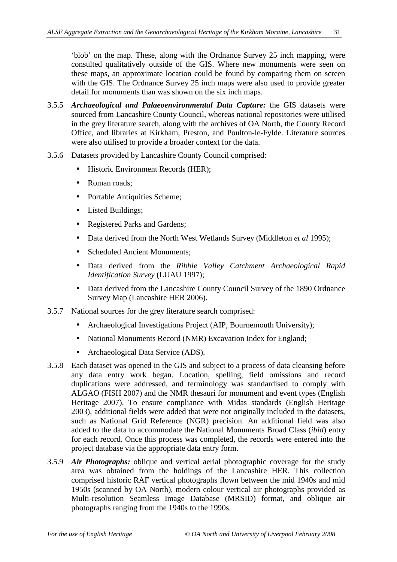'blob' on the map. These, along with the Ordnance Survey 25 inch mapping, were consulted qualitatively outside of the GIS. Where new monuments were seen on these maps, an approximate location could be found by comparing them on screen with the GIS. The Ordnance Survey 25 inch maps were also used to provide greater detail for monuments than was shown on the six inch maps.

- 3.5.5 *Archaeological and Palaeoenvironmental Data Capture:* the GIS datasets were sourced from Lancashire County Council, whereas national repositories were utilised in the grey literature search, along with the archives of OA North, the County Record Office, and libraries at Kirkham, Preston, and Poulton-le-Fylde. Literature sources were also utilised to provide a broader context for the data.
- 3.5.6 Datasets provided by Lancashire County Council comprised:
	- Historic Environment Records (HER);
	- Roman roads:
	- Portable Antiquities Scheme;
	- Listed Buildings;
	- Registered Parks and Gardens:
	- Data derived from the North West Wetlands Survey (Middleton *et al* 1995);
	- Scheduled Ancient Monuments;
	- Data derived from the *Ribble Valley Catchment Archaeological Rapid Identification Survey* (LUAU 1997);
	- Data derived from the Lancashire County Council Survey of the 1890 Ordnance Survey Map (Lancashire HER 2006).
- 3.5.7 National sources for the grey literature search comprised:
	- Archaeological Investigations Project (AIP, Bournemouth University);
	- National Monuments Record (NMR) Excavation Index for England;
	- Archaeological Data Service (ADS).
- 3.5.8 Each dataset was opened in the GIS and subject to a process of data cleansing before any data entry work began. Location, spelling, field omissions and record duplications were addressed, and terminology was standardised to comply with ALGAO (FISH 2007) and the NMR thesauri for monument and event types (English Heritage 2007). To ensure compliance with Midas standards (English Heritage 2003), additional fields were added that were not originally included in the datasets, such as National Grid Reference (NGR) precision. An additional field was also added to the data to accommodate the National Monuments Broad Class (*ibid*) entry for each record. Once this process was completed, the records were entered into the project database via the appropriate data entry form.
- 3.5.9 *Air Photographs:* oblique and vertical aerial photographic coverage for the study area was obtained from the holdings of the Lancashire HER. This collection comprised historic RAF vertical photographs flown between the mid 1940s and mid 1950s (scanned by OA North), modern colour vertical air photographs provided as Multi-resolution Seamless Image Database (MRSID) format, and oblique air photographs ranging from the 1940s to the 1990s.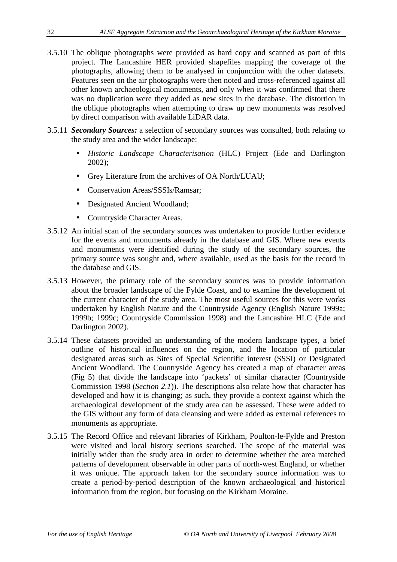- 3.5.10 The oblique photographs were provided as hard copy and scanned as part of this project. The Lancashire HER provided shapefiles mapping the coverage of the photographs, allowing them to be analysed in conjunction with the other datasets. Features seen on the air photographs were then noted and cross-referenced against all other known archaeological monuments, and only when it was confirmed that there was no duplication were they added as new sites in the database. The distortion in the oblique photographs when attempting to draw up new monuments was resolved by direct comparison with available LiDAR data.
- 3.5.11 *Secondary Sources:* a selection of secondary sources was consulted, both relating to the study area and the wider landscape:
	- *Historic Landscape Characterisation* (HLC) Project (Ede and Darlington 2002);
	- Grey Literature from the archives of OA North/LUAU;
	- Conservation Areas/SSSIs/Ramsar;
	- Designated Ancient Woodland;
	- Countryside Character Areas.
- 3.5.12 An initial scan of the secondary sources was undertaken to provide further evidence for the events and monuments already in the database and GIS. Where new events and monuments were identified during the study of the secondary sources, the primary source was sought and, where available, used as the basis for the record in the database and GIS.
- 3.5.13 However, the primary role of the secondary sources was to provide information about the broader landscape of the Fylde Coast, and to examine the development of the current character of the study area. The most useful sources for this were works undertaken by English Nature and the Countryside Agency (English Nature 1999a; 1999b; 1999c; Countryside Commission 1998) and the Lancashire HLC (Ede and Darlington 2002).
- 3.5.14 These datasets provided an understanding of the modern landscape types, a brief outline of historical influences on the region, and the location of particular designated areas such as Sites of Special Scientific interest (SSSI) or Designated Ancient Woodland. The Countryside Agency has created a map of character areas (Fig 5) that divide the landscape into 'packets' of similar character (Countryside Commission 1998 (*Section 2.1*)). The descriptions also relate how that character has developed and how it is changing; as such, they provide a context against which the archaeological development of the study area can be assessed. These were added to the GIS without any form of data cleansing and were added as external references to monuments as appropriate.
- 3.5.15 The Record Office and relevant libraries of Kirkham, Poulton-le-Fylde and Preston were visited and local history sections searched. The scope of the material was initially wider than the study area in order to determine whether the area matched patterns of development observable in other parts of north-west England, or whether it was unique. The approach taken for the secondary source information was to create a period-by-period description of the known archaeological and historical information from the region, but focusing on the Kirkham Moraine.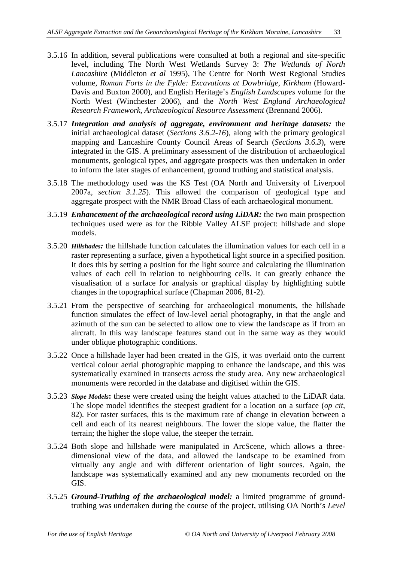- 3.5.16 In addition, several publications were consulted at both a regional and site-specific level, including The North West Wetlands Survey 3: *The Wetlands of North Lancashire* (Middleton *et al* 1995), The Centre for North West Regional Studies volume, *Roman Forts in the Fylde: Excavations at Dowbridge, Kirkham* (Howard-Davis and Buxton 2000), and English Heritage's *English Landscapes* volume for the North West (Winchester 2006), and the *North West England Archaeological Research Framework, Archaeological Resource Assessment* (Brennand 2006).
- 3.5.17 *Integration and analysis of aggregate, environment and heritage datasets:* the initial archaeological dataset (*Sections 3.6.2-16*), along with the primary geological mapping and Lancashire County Council Areas of Search (*Sections 3.6.3*), were integrated in the GIS. A preliminary assessment of the distribution of archaeological monuments, geological types, and aggregate prospects was then undertaken in order to inform the later stages of enhancement, ground truthing and statistical analysis.
- 3.5.18 The methodology used was the KS Test (OA North and University of Liverpool 2007a, *section 3.1.25*). This allowed the comparison of geological type and aggregate prospect with the NMR Broad Class of each archaeological monument.
- 3.5.19 *Enhancement of the archaeological record using LiDAR:* the two main prospection techniques used were as for the Ribble Valley ALSF project: hillshade and slope models.
- 3.5.20 *Hillshades:* the hillshade function calculates the illumination values for each cell in a raster representing a surface, given a hypothetical light source in a specified position. It does this by setting a position for the light source and calculating the illumination values of each cell in relation to neighbouring cells. It can greatly enhance the visualisation of a surface for analysis or graphical display by highlighting subtle changes in the topographical surface (Chapman 2006, 81-2).
- 3.5.21 From the perspective of searching for archaeological monuments, the hillshade function simulates the effect of low-level aerial photography, in that the angle and azimuth of the sun can be selected to allow one to view the landscape as if from an aircraft. In this way landscape features stand out in the same way as they would under oblique photographic conditions.
- 3.5.22 Once a hillshade layer had been created in the GIS, it was overlaid onto the current vertical colour aerial photographic mapping to enhance the landscape, and this was systematically examined in transects across the study area. Any new archaeological monuments were recorded in the database and digitised within the GIS.
- 3.5.23 *Slope Models***:** these were created using the height values attached to the LiDAR data. The slope model identifies the steepest gradient for a location on a surface (*op cit*, 82). For raster surfaces, this is the maximum rate of change in elevation between a cell and each of its nearest neighbours. The lower the slope value, the flatter the terrain; the higher the slope value, the steeper the terrain.
- 3.5.24 Both slope and hillshade were manipulated in ArcScene, which allows a threedimensional view of the data, and allowed the landscape to be examined from virtually any angle and with different orientation of light sources. Again, the landscape was systematically examined and any new monuments recorded on the GIS.
- 3.5.25 *Ground-Truthing of the archaeological model:* a limited programme of groundtruthing was undertaken during the course of the project, utilising OA North's *Level*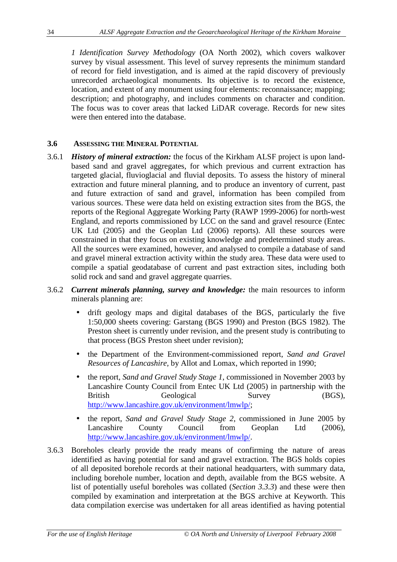*1 Identification Survey Methodology* (OA North 2002), which covers walkover survey by visual assessment. This level of survey represents the minimum standard of record for field investigation, and is aimed at the rapid discovery of previously unrecorded archaeological monuments. Its objective is to record the existence, location, and extent of any monument using four elements: reconnaissance; mapping; description; and photography, and includes comments on character and condition. The focus was to cover areas that lacked LiDAR coverage. Records for new sites were then entered into the database.

## **3.6 ASSESSING THE MINERAL POTENTIAL**

- 3.6.1 *History of mineral extraction:* the focus of the Kirkham ALSF project is upon landbased sand and gravel aggregates, for which previous and current extraction has targeted glacial, fluvioglacial and fluvial deposits. To assess the history of mineral extraction and future mineral planning, and to produce an inventory of current, past and future extraction of sand and gravel, information has been compiled from various sources. These were data held on existing extraction sites from the BGS, the reports of the Regional Aggregate Working Party (RAWP 1999-2006) for north-west England, and reports commissioned by LCC on the sand and gravel resource (Entec UK Ltd (2005) and the Geoplan Ltd (2006) reports). All these sources were constrained in that they focus on existing knowledge and predetermined study areas. All the sources were examined, however, and analysed to compile a database of sand and gravel mineral extraction activity within the study area. These data were used to compile a spatial geodatabase of current and past extraction sites, including both solid rock and sand and gravel aggregate quarries.
- 3.6.2 *Current minerals planning, survey and knowledge:* the main resources to inform minerals planning are:
	- drift geology maps and digital databases of the BGS, particularly the five 1:50,000 sheets covering: Garstang (BGS 1990) and Preston (BGS 1982). The Preston sheet is currently under revision, and the present study is contributing to that process (BGS Preston sheet under revision);
	- the Department of the Environment-commissioned report, *Sand and Gravel Resources of Lancashire,* by Allot and Lomax, which reported in 1990;
	- the report, *Sand and Gravel Study Stage 1*, commissioned in November 2003 by Lancashire County Council from Entec UK Ltd (2005) in partnership with the British Geological Survey (BGS), http://www.lancashire.gov.uk/environment/lmwlp/;
	- the report, *Sand and Gravel Study Stage 2*, commissioned in June 2005 by Lancashire County Council from Geoplan Ltd (2006), http://www.lancashire.gov.uk/environment/lmwlp/.
- 3.6.3 Boreholes clearly provide the ready means of confirming the nature of areas identified as having potential for sand and gravel extraction. The BGS holds copies of all deposited borehole records at their national headquarters, with summary data, including borehole number, location and depth, available from the BGS website. A list of potentially useful boreholes was collated (*Section 3.3.3*) and these were then compiled by examination and interpretation at the BGS archive at Keyworth. This data compilation exercise was undertaken for all areas identified as having potential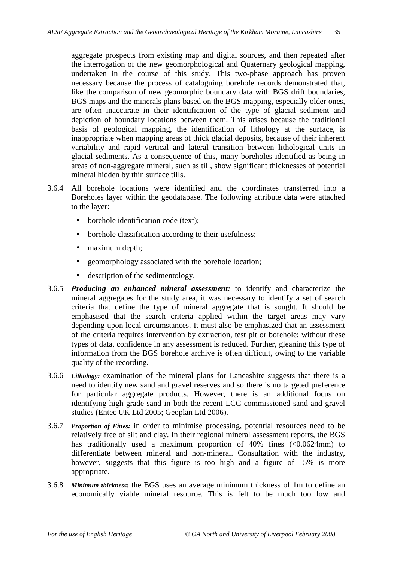aggregate prospects from existing map and digital sources, and then repeated after the interrogation of the new geomorphological and Quaternary geological mapping, undertaken in the course of this study. This two-phase approach has proven necessary because the process of cataloguing borehole records demonstrated that, like the comparison of new geomorphic boundary data with BGS drift boundaries, BGS maps and the minerals plans based on the BGS mapping, especially older ones, are often inaccurate in their identification of the type of glacial sediment and depiction of boundary locations between them. This arises because the traditional basis of geological mapping, the identification of lithology at the surface, is inappropriate when mapping areas of thick glacial deposits, because of their inherent variability and rapid vertical and lateral transition between lithological units in glacial sediments. As a consequence of this, many boreholes identified as being in areas of non-aggregate mineral, such as till, show significant thicknesses of potential mineral hidden by thin surface tills.

- 3.6.4 All borehole locations were identified and the coordinates transferred into a Boreholes layer within the geodatabase. The following attribute data were attached to the layer:
	- borehole identification code (text);
	- borehole classification according to their usefulness;
	- maximum depth;
	- geomorphology associated with the borehole location;
	- description of the sedimentology.
- 3.6.5 *Producing an enhanced mineral assessment:* to identify and characterize the mineral aggregates for the study area, it was necessary to identify a set of search criteria that define the type of mineral aggregate that is sought. It should be emphasised that the search criteria applied within the target areas may vary depending upon local circumstances. It must also be emphasized that an assessment of the criteria requires intervention by extraction, test pit or borehole; without these types of data, confidence in any assessment is reduced. Further, gleaning this type of information from the BGS borehole archive is often difficult, owing to the variable quality of the recording.
- 3.6.6 *Lithology:* examination of the mineral plans for Lancashire suggests that there is a need to identify new sand and gravel reserves and so there is no targeted preference for particular aggregate products. However, there is an additional focus on identifying high-grade sand in both the recent LCC commissioned sand and gravel studies (Entec UK Ltd 2005; Geoplan Ltd 2006).
- 3.6.7 *Proportion of Fines:* in order to minimise processing, potential resources need to be relatively free of silt and clay. In their regional mineral assessment reports, the BGS has traditionally used a maximum proportion of 40% fines (<0.0624mm) to differentiate between mineral and non-mineral. Consultation with the industry, however, suggests that this figure is too high and a figure of 15% is more appropriate.
- 3.6.8 *Minimum thickness:* the BGS uses an average minimum thickness of 1m to define an economically viable mineral resource. This is felt to be much too low and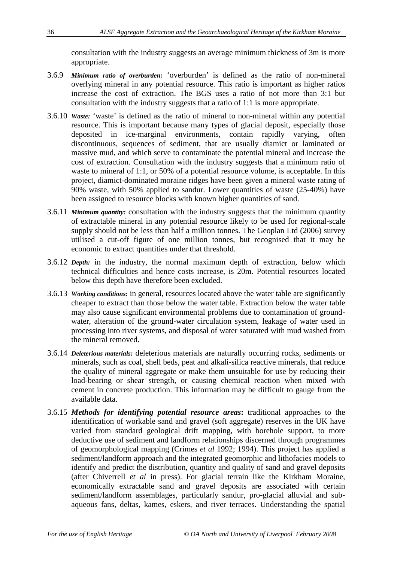consultation with the industry suggests an average minimum thickness of 3m is more appropriate.

- 3.6.9 *Minimum ratio of overburden:* 'overburden' is defined as the ratio of non-mineral overlying mineral in any potential resource. This ratio is important as higher ratios increase the cost of extraction. The BGS uses a ratio of not more than 3:1 but consultation with the industry suggests that a ratio of 1:1 is more appropriate.
- 3.6.10 *Waste:* 'waste' is defined as the ratio of mineral to non-mineral within any potential resource. This is important because many types of glacial deposit, especially those deposited in ice-marginal environments, contain rapidly varying, often discontinuous, sequences of sediment, that are usually diamict or laminated or massive mud, and which serve to contaminate the potential mineral and increase the cost of extraction. Consultation with the industry suggests that a minimum ratio of waste to mineral of 1:1, or 50% of a potential resource volume, is acceptable. In this project, diamict-dominated moraine ridges have been given a mineral waste rating of 90% waste, with 50% applied to sandur. Lower quantities of waste (25-40%) have been assigned to resource blocks with known higher quantities of sand.
- 3.6.11 *Minimum quantity:* consultation with the industry suggests that the minimum quantity of extractable mineral in any potential resource likely to be used for regional-scale supply should not be less than half a million tonnes. The Geoplan Ltd (2006) survey utilised a cut-off figure of one million tonnes, but recognised that it may be economic to extract quantities under that threshold.
- 3.6.12 *Depth:* in the industry, the normal maximum depth of extraction, below which technical difficulties and hence costs increase, is 20m. Potential resources located below this depth have therefore been excluded.
- 3.6.13 *Working conditions:* in general, resources located above the water table are significantly cheaper to extract than those below the water table. Extraction below the water table may also cause significant environmental problems due to contamination of groundwater, alteration of the ground-water circulation system, leakage of water used in processing into river systems, and disposal of water saturated with mud washed from the mineral removed.
- 3.6.14 *Deleterious materials:* deleterious materials are naturally occurring rocks, sediments or minerals, such as coal, shell beds, peat and alkali-silica reactive minerals, that reduce the quality of mineral aggregate or make them unsuitable for use by reducing their load-bearing or shear strength, or causing chemical reaction when mixed with cement in concrete production. This information may be difficult to gauge from the available data.
- 3.6.15 *Methods for identifying potential resource areas***:** traditional approaches to the identification of workable sand and gravel (soft aggregate) reserves in the UK have varied from standard geological drift mapping, with borehole support, to more deductive use of sediment and landform relationships discerned through programmes of geomorphological mapping (Crimes *et al* 1992; 1994). This project has applied a sediment/landform approach and the integrated geomorphic and lithofacies models to identify and predict the distribution, quantity and quality of sand and gravel deposits (after Chiverrell *et al* in press). For glacial terrain like the Kirkham Moraine, economically extractable sand and gravel deposits are associated with certain sediment/landform assemblages, particularly sandur, pro-glacial alluvial and subaqueous fans, deltas, kames, eskers, and river terraces. Understanding the spatial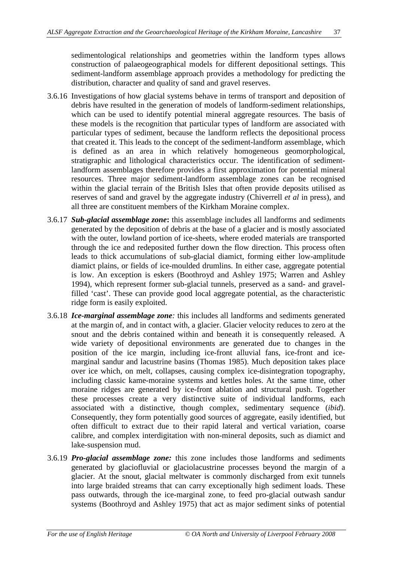sedimentological relationships and geometries within the landform types allows construction of palaeogeographical models for different depositional settings. This sediment-landform assemblage approach provides a methodology for predicting the distribution, character and quality of sand and gravel reserves.

- 3.6.16 Investigations of how glacial systems behave in terms of transport and deposition of debris have resulted in the generation of models of landform-sediment relationships, which can be used to identify potential mineral aggregate resources. The basis of these models is the recognition that particular types of landform are associated with particular types of sediment, because the landform reflects the depositional process that created it. This leads to the concept of the sediment-landform assemblage, which is defined as an area in which relatively homogeneous geomorphological, stratigraphic and lithological characteristics occur. The identification of sedimentlandform assemblages therefore provides a first approximation for potential mineral resources. Three major sediment-landform assemblage zones can be recognised within the glacial terrain of the British Isles that often provide deposits utilised as reserves of sand and gravel by the aggregate industry (Chiverrell *et al* in press), and all three are constituent members of the Kirkham Moraine complex.
- 3.6.17 *Sub-glacial assemblage zone***:** this assemblage includes all landforms and sediments generated by the deposition of debris at the base of a glacier and is mostly associated with the outer, lowland portion of ice-sheets, where eroded materials are transported through the ice and redeposited further down the flow direction. This process often leads to thick accumulations of sub-glacial diamict, forming either low-amplitude diamict plains, or fields of ice-moulded drumlins. In either case, aggregate potential is low. An exception is eskers (Boothroyd and Ashley 1975; Warren and Ashley 1994), which represent former sub-glacial tunnels, preserved as a sand- and gravelfilled 'cast'. These can provide good local aggregate potential, as the characteristic ridge form is easily exploited.
- 3.6.18 *Ice-marginal assemblage zone:* this includes all landforms and sediments generated at the margin of, and in contact with, a glacier. Glacier velocity reduces to zero at the snout and the debris contained within and beneath it is consequently released. A wide variety of depositional environments are generated due to changes in the position of the ice margin, including ice-front alluvial fans, ice-front and icemarginal sandur and lacustrine basins (Thomas 1985). Much deposition takes place over ice which, on melt, collapses, causing complex ice-disintegration topography, including classic kame-moraine systems and kettles holes. At the same time, other moraine ridges are generated by ice-front ablation and structural push. Together these processes create a very distinctive suite of individual landforms, each associated with a distinctive, though complex, sedimentary sequence (*ibid*). Consequently, they form potentially good sources of aggregate, easily identified, but often difficult to extract due to their rapid lateral and vertical variation, coarse calibre, and complex interdigitation with non-mineral deposits, such as diamict and lake-suspension mud.
- 3.6.19 *Pro-glacial assemblage zone:* this zone includes those landforms and sediments generated by glaciofluvial or glaciolacustrine processes beyond the margin of a glacier. At the snout, glacial meltwater is commonly discharged from exit tunnels into large braided streams that can carry exceptionally high sediment loads. These pass outwards, through the ice-marginal zone, to feed pro-glacial outwash sandur systems (Boothroyd and Ashley 1975) that act as major sediment sinks of potential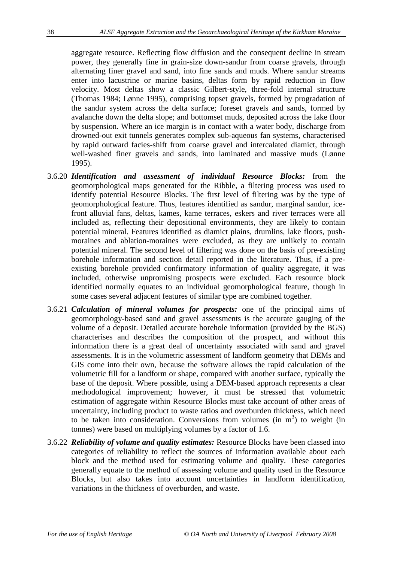aggregate resource. Reflecting flow diffusion and the consequent decline in stream power, they generally fine in grain-size down-sandur from coarse gravels, through alternating finer gravel and sand, into fine sands and muds. Where sandur streams enter into lacustrine or marine basins, deltas form by rapid reduction in flow velocity. Most deltas show a classic Gilbert-style, three-fold internal structure (Thomas 1984; Lønne 1995), comprising topset gravels, formed by progradation of the sandur system across the delta surface; foreset gravels and sands, formed by avalanche down the delta slope; and bottomset muds, deposited across the lake floor by suspension. Where an ice margin is in contact with a water body, discharge from drowned-out exit tunnels generates complex sub-aqueous fan systems, characterised by rapid outward facies-shift from coarse gravel and intercalated diamict, through well-washed finer gravels and sands, into laminated and massive muds (Lønne 1995).

- 3.6.20 *Identification and assessment of individual Resource Blocks:* from the geomorphological maps generated for the Ribble, a filtering process was used to identify potential Resource Blocks. The first level of filtering was by the type of geomorphological feature. Thus, features identified as sandur, marginal sandur, icefront alluvial fans, deltas, kames, kame terraces, eskers and river terraces were all included as, reflecting their depositional environments, they are likely to contain potential mineral. Features identified as diamict plains, drumlins, lake floors, pushmoraines and ablation-moraines were excluded, as they are unlikely to contain potential mineral. The second level of filtering was done on the basis of pre-existing borehole information and section detail reported in the literature. Thus, if a preexisting borehole provided confirmatory information of quality aggregate, it was included, otherwise unpromising prospects were excluded. Each resource block identified normally equates to an individual geomorphological feature, though in some cases several adjacent features of similar type are combined together.
- 3.6.21 *Calculation of mineral volumes for prospects:* one of the principal aims of geomorphology-based sand and gravel assessments is the accurate gauging of the volume of a deposit. Detailed accurate borehole information (provided by the BGS) characterises and describes the composition of the prospect, and without this information there is a great deal of uncertainty associated with sand and gravel assessments. It is in the volumetric assessment of landform geometry that DEMs and GIS come into their own, because the software allows the rapid calculation of the volumetric fill for a landform or shape, compared with another surface, typically the base of the deposit. Where possible, using a DEM-based approach represents a clear methodological improvement; however, it must be stressed that volumetric estimation of aggregate within Resource Blocks must take account of other areas of uncertainty, including product to waste ratios and overburden thickness, which need to be taken into consideration. Conversions from volumes (in  $m<sup>3</sup>$ ) to weight (in tonnes) were based on multiplying volumes by a factor of 1.6.
- 3.6.22 *Reliability of volume and quality estimates:* Resource Blocks have been classed into categories of reliability to reflect the sources of information available about each block and the method used for estimating volume and quality. These categories generally equate to the method of assessing volume and quality used in the Resource Blocks, but also takes into account uncertainties in landform identification, variations in the thickness of overburden, and waste.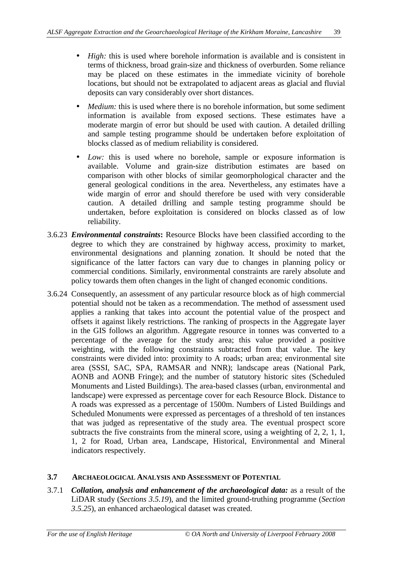- *High:* this is used where borehole information is available and is consistent in terms of thickness, broad grain-size and thickness of overburden. Some reliance may be placed on these estimates in the immediate vicinity of borehole locations, but should not be extrapolated to adjacent areas as glacial and fluvial deposits can vary considerably over short distances.
- *Medium:* this is used where there is no borehole information, but some sediment information is available from exposed sections. These estimates have a moderate margin of error but should be used with caution. A detailed drilling and sample testing programme should be undertaken before exploitation of blocks classed as of medium reliability is considered.
- *Low:* this is used where no borehole, sample or exposure information is available. Volume and grain-size distribution estimates are based on comparison with other blocks of similar geomorphological character and the general geological conditions in the area. Nevertheless, any estimates have a wide margin of error and should therefore be used with very considerable caution. A detailed drilling and sample testing programme should be undertaken, before exploitation is considered on blocks classed as of low reliability.
- 3.6.23 *Environmental constraints***:** Resource Blocks have been classified according to the degree to which they are constrained by highway access, proximity to market, environmental designations and planning zonation. It should be noted that the significance of the latter factors can vary due to changes in planning policy or commercial conditions. Similarly, environmental constraints are rarely absolute and policy towards them often changes in the light of changed economic conditions.
- 3.6.24 Consequently, an assessment of any particular resource block as of high commercial potential should not be taken as a recommendation. The method of assessment used applies a ranking that takes into account the potential value of the prospect and offsets it against likely restrictions. The ranking of prospects in the Aggregate layer in the GIS follows an algorithm. Aggregate resource in tonnes was converted to a percentage of the average for the study area; this value provided a positive weighting, with the following constraints subtracted from that value. The key constraints were divided into: proximity to A roads; urban area; environmental site area (SSSI, SAC, SPA, RAMSAR and NNR); landscape areas (National Park, AONB and AONB Fringe); and the number of statutory historic sites (Scheduled Monuments and Listed Buildings). The area-based classes (urban, environmental and landscape) were expressed as percentage cover for each Resource Block. Distance to A roads was expressed as a percentage of 1500m. Numbers of Listed Buildings and Scheduled Monuments were expressed as percentages of a threshold of ten instances that was judged as representative of the study area. The eventual prospect score subtracts the five constraints from the mineral score, using a weighting of 2, 2, 1, 1, 1, 2 for Road, Urban area, Landscape, Historical, Environmental and Mineral indicators respectively.

## **3.7 ARCHAEOLOGICAL ANALYSIS AND ASSESSMENT OF POTENTIAL**

3.7.1 *Collation, analysis and enhancement of the archaeological data:* as a result of the LiDAR study (*Sections 3.5.19*), and the limited ground-truthing programme (*Section 3.5.25*), an enhanced archaeological dataset was created.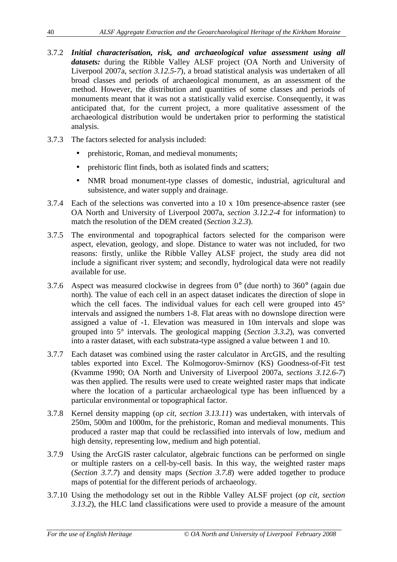- 3.7.2 *Initial characterisation, risk, and archaeological value assessment using all datasets:* during the Ribble Valley ALSF project (OA North and University of Liverpool 2007a, s*ection 3.12.5-7*), a broad statistical analysis was undertaken of all broad classes and periods of archaeological monument, as an assessment of the method. However, the distribution and quantities of some classes and periods of monuments meant that it was not a statistically valid exercise. Consequently, it was anticipated that, for the current project, a more qualitative assessment of the archaeological distribution would be undertaken prior to performing the statistical analysis.
- 3.7.3 The factors selected for analysis included:
	- prehistoric, Roman, and medieval monuments;
	- prehistoric flint finds, both as isolated finds and scatters;
	- NMR broad monument-type classes of domestic, industrial, agricultural and subsistence, and water supply and drainage.
- 3.7.4 Each of the selections was converted into a 10 x 10m presence-absence raster (see OA North and University of Liverpool 2007a, *section 3.12.2-4* for information) to match the resolution of the DEM created (*Section 3.2.3*).
- 3.7.5 The environmental and topographical factors selected for the comparison were aspect, elevation, geology, and slope. Distance to water was not included, for two reasons: firstly, unlike the Ribble Valley ALSF project, the study area did not include a significant river system; and secondly, hydrological data were not readily available for use.
- 3.7.6 Aspect was measured clockwise in degrees from 0° (due north) to 360° (again due north). The value of each cell in an aspect dataset indicates the direction of slope in which the cell faces. The individual values for each cell were grouped into 45<sup>°</sup> intervals and assigned the numbers 1-8. Flat areas with no downslope direction were assigned a value of -1. Elevation was measured in 10m intervals and slope was grouped into 5° intervals. The geological mapping (*Section 3.3.2*), was converted into a raster dataset, with each substrata-type assigned a value between 1 and 10.
- 3.7.7 Each dataset was combined using the raster calculator in ArcGIS, and the resulting tables exported into Excel. The Kolmogorov-Smirnov (KS) Goodness-of-Fit test (Kvamme 1990; OA North and University of Liverpool 2007a, *sections 3.12.6-7*) was then applied. The results were used to create weighted raster maps that indicate where the location of a particular archaeological type has been influenced by a particular environmental or topographical factor.
- 3.7.8 Kernel density mapping (*op cit*, *section 3.13.11*) was undertaken, with intervals of 250m, 500m and 1000m, for the prehistoric, Roman and medieval monuments. This produced a raster map that could be reclassified into intervals of low, medium and high density, representing low, medium and high potential.
- 3.7.9 Using the ArcGIS raster calculator, algebraic functions can be performed on single or multiple rasters on a cell-by-cell basis. In this way, the weighted raster maps (*Section 3.7.7*) and density maps (*Section 3.7.8*) were added together to produce maps of potential for the different periods of archaeology.
- 3.7.10 Using the methodology set out in the Ribble Valley ALSF project (*op cit*, *section 3.13.2*), the HLC land classifications were used to provide a measure of the amount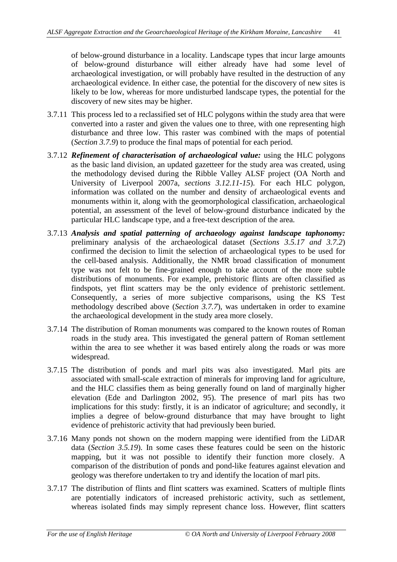of below-ground disturbance in a locality. Landscape types that incur large amounts of below-ground disturbance will either already have had some level of archaeological investigation, or will probably have resulted in the destruction of any archaeological evidence. In either case, the potential for the discovery of new sites is likely to be low, whereas for more undisturbed landscape types, the potential for the discovery of new sites may be higher.

- 3.7.11 This process led to a reclassified set of HLC polygons within the study area that were converted into a raster and given the values one to three, with one representing high disturbance and three low. This raster was combined with the maps of potential (*Section 3.7.9*) to produce the final maps of potential for each period.
- 3.7.12 *Refinement of characterisation of archaeological value:* using the HLC polygons as the basic land division, an updated gazetteer for the study area was created, using the methodology devised during the Ribble Valley ALSF project (OA North and University of Liverpool 2007a, *sections 3.12.11-15*). For each HLC polygon, information was collated on the number and density of archaeological events and monuments within it, along with the geomorphological classification, archaeological potential, an assessment of the level of below-ground disturbance indicated by the particular HLC landscape type, and a free-text description of the area.
- 3.7.13 *Analysis and spatial patterning of archaeology against landscape taphonomy:* preliminary analysis of the archaeological dataset (*Sections 3.5.17 and 3.7.2*) confirmed the decision to limit the selection of archaeological types to be used for the cell-based analysis. Additionally, the NMR broad classification of monument type was not felt to be fine-grained enough to take account of the more subtle distributions of monuments. For example, prehistoric flints are often classified as findspots, yet flint scatters may be the only evidence of prehistoric settlement. Consequently, a series of more subjective comparisons, using the KS Test methodology described above (*Section 3.7.7*), was undertaken in order to examine the archaeological development in the study area more closely.
- 3.7.14 The distribution of Roman monuments was compared to the known routes of Roman roads in the study area. This investigated the general pattern of Roman settlement within the area to see whether it was based entirely along the roads or was more widespread.
- 3.7.15 The distribution of ponds and marl pits was also investigated. Marl pits are associated with small-scale extraction of minerals for improving land for agriculture, and the HLC classifies them as being generally found on land of marginally higher elevation (Ede and Darlington 2002, 95). The presence of marl pits has two implications for this study: firstly, it is an indicator of agriculture; and secondly, it implies a degree of below-ground disturbance that may have brought to light evidence of prehistoric activity that had previously been buried.
- 3.7.16 Many ponds not shown on the modern mapping were identified from the LiDAR data (*Section 3.5.19*). In some cases these features could be seen on the historic mapping, but it was not possible to identify their function more closely. A comparison of the distribution of ponds and pond-like features against elevation and geology was therefore undertaken to try and identify the location of marl pits.
- 3.7.17 The distribution of flints and flint scatters was examined. Scatters of multiple flints are potentially indicators of increased prehistoric activity, such as settlement, whereas isolated finds may simply represent chance loss. However, flint scatters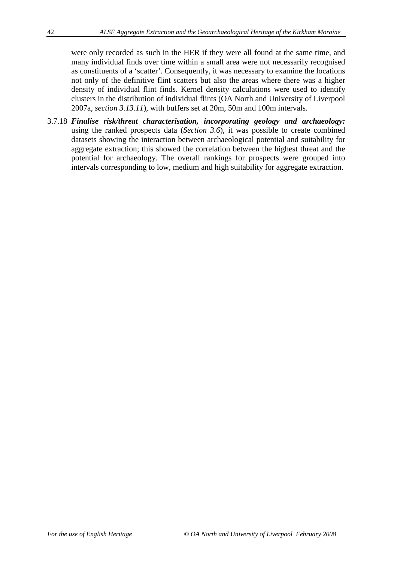were only recorded as such in the HER if they were all found at the same time, and many individual finds over time within a small area were not necessarily recognised as constituents of a 'scatter'. Consequently, it was necessary to examine the locations not only of the definitive flint scatters but also the areas where there was a higher density of individual flint finds. Kernel density calculations were used to identify clusters in the distribution of individual flints (OA North and University of Liverpool 2007a, *section 3.13.11*), with buffers set at 20m, 50m and 100m intervals.

3.7.18 *Finalise risk/threat characterisation, incorporating geology and archaeology:* using the ranked prospects data (*Section 3.6*), it was possible to create combined datasets showing the interaction between archaeological potential and suitability for aggregate extraction; this showed the correlation between the highest threat and the potential for archaeology. The overall rankings for prospects were grouped into intervals corresponding to low, medium and high suitability for aggregate extraction.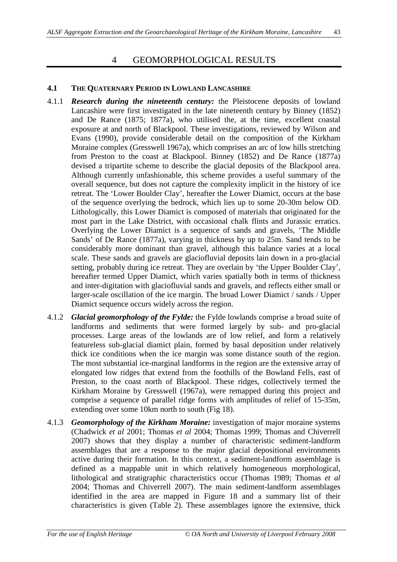# 4 GEOMORPHOLOGICAL RESULTS

#### **4.1 THE QUATERNARY PERIOD IN LOWLAND LANCASHIRE**

- 4.1.1 *Research during the nineteenth century:* the Pleistocene deposits of lowland Lancashire were first investigated in the late nineteenth century by Binney (1852) and De Rance (1875; 1877a), who utilised the, at the time, excellent coastal exposure at and north of Blackpool. These investigations, reviewed by Wilson and Evans (1990), provide considerable detail on the composition of the Kirkham Moraine complex (Gresswell 1967a), which comprises an arc of low hills stretching from Preston to the coast at Blackpool. Binney (1852) and De Rance (1877a) devised a tripartite scheme to describe the glacial deposits of the Blackpool area. Although currently unfashionable, this scheme provides a useful summary of the overall sequence, but does not capture the complexity implicit in the history of ice retreat. The 'Lower Boulder Clay', hereafter the Lower Diamict, occurs at the base of the sequence overlying the bedrock, which lies up to some 20-30m below OD. Lithologically, this Lower Diamict is composed of materials that originated for the most part in the Lake District, with occasional chalk flints and Jurassic erratics. Overlying the Lower Diamict is a sequence of sands and gravels, 'The Middle Sands' of De Rance (1877a), varying in thickness by up to 25m. Sand tends to be considerably more dominant than gravel, although this balance varies at a local scale. These sands and gravels are glaciofluvial deposits lain down in a pro-glacial setting, probably during ice retreat. They are overlain by 'the Upper Boulder Clay', hereafter termed Upper Diamict, which varies spatially both in terms of thickness and inter-digitation with glaciofluvial sands and gravels, and reflects either small or larger-scale oscillation of the ice margin. The broad Lower Diamict / sands / Upper Diamict sequence occurs widely across the region.
- 4.1.2 *Glacial geomorphology of the Fylde:* the Fylde lowlands comprise a broad suite of landforms and sediments that were formed largely by sub- and pro-glacial processes. Large areas of the lowlands are of low relief, and form a relatively featureless sub-glacial diamict plain, formed by basal deposition under relatively thick ice conditions when the ice margin was some distance south of the region. The most substantial ice-marginal landforms in the region are the extensive array of elongated low ridges that extend from the foothills of the Bowland Fells, east of Preston, to the coast north of Blackpool. These ridges, collectively termed the Kirkham Moraine by Gresswell (1967a), were remapped during this project and comprise a sequence of parallel ridge forms with amplitudes of relief of 15-35m, extending over some 10km north to south (Fig 18).
- 4.1.3 *Geomorphology of the Kirkham Moraine:* investigation of major moraine systems (Chadwick *et al* 2001; Thomas *et al* 2004; Thomas 1999; Thomas and Chiverrell 2007) shows that they display a number of characteristic sediment-landform assemblages that are a response to the major glacial depositional environments active during their formation. In this context, a sediment-landform assemblage is defined as a mappable unit in which relatively homogeneous morphological, lithological and stratigraphic characteristics occur (Thomas 1989; Thomas *et al* 2004; Thomas and Chiverrell 2007). The main sediment-landform assemblages identified in the area are mapped in Figure 18 and a summary list of their characteristics is given (Table 2). These assemblages ignore the extensive, thick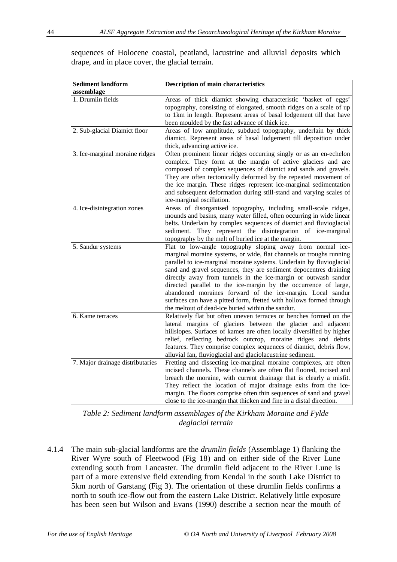sequences of Holocene coastal, peatland, lacustrine and alluvial deposits which drape, and in place cover, the glacial terrain.

| <b>Sediment landform</b><br>assemblage | <b>Description of main characteristics</b>                                                                                                                                                                                                                                                                                                                                                                                                                                                                                                                                                                     |
|----------------------------------------|----------------------------------------------------------------------------------------------------------------------------------------------------------------------------------------------------------------------------------------------------------------------------------------------------------------------------------------------------------------------------------------------------------------------------------------------------------------------------------------------------------------------------------------------------------------------------------------------------------------|
| 1. Drumlin fields                      | Areas of thick diamict showing characteristic 'basket of eggs'<br>topography, consisting of elongated, smooth ridges on a scale of up<br>to 1km in length. Represent areas of basal lodgement till that have<br>been moulded by the fast advance of thick ice.                                                                                                                                                                                                                                                                                                                                                 |
| 2. Sub-glacial Diamict floor           | Areas of low amplitude, subdued topography, underlain by thick<br>diamict. Represent areas of basal lodgement till deposition under<br>thick, advancing active ice.                                                                                                                                                                                                                                                                                                                                                                                                                                            |
| 3. Ice-marginal moraine ridges         | Often prominent linear ridges occurring singly or as an en-echelon<br>complex. They form at the margin of active glaciers and are<br>composed of complex sequences of diamict and sands and gravels.<br>They are often tectonically deformed by the repeated movement of<br>the ice margin. These ridges represent ice-marginal sedimentation<br>and subsequent deformation during still-stand and varying scales of<br>ice-marginal oscillation.                                                                                                                                                              |
| 4. Ice-disintegration zones            | Areas of disorganised topography, including small-scale ridges,<br>mounds and basins, many water filled, often occurring in wide linear<br>belts. Underlain by complex sequences of diamict and fluvioglacial<br>sediment. They represent the disintegration of ice-marginal<br>topography by the melt of buried ice at the margin.                                                                                                                                                                                                                                                                            |
| 5. Sandur systems                      | Flat to low-angle topography sloping away from normal ice-<br>marginal moraine systems, or wide, flat channels or troughs running<br>parallel to ice-marginal moraine systems. Underlain by fluvioglacial<br>sand and gravel sequences, they are sediment depocentres draining<br>directly away from tunnels in the ice-margin or outwash sandur<br>directed parallel to the ice-margin by the occurrence of large,<br>abandoned moraines forward of the ice-margin. Local sandur<br>surfaces can have a pitted form, fretted with hollows formed through<br>the meltout of dead-ice buried within the sandur. |
| 6. Kame terraces                       | Relatively flat but often uneven terraces or benches formed on the<br>lateral margins of glaciers between the glacier and adjacent<br>hillslopes. Surfaces of kames are often locally diversified by higher<br>relief, reflecting bedrock outcrop, moraine ridges and debris<br>features. They comprise complex sequences of diamict, debris flow,<br>alluvial fan, fluvioglacial and glaciolacustrine sediment.                                                                                                                                                                                               |
| 7. Major drainage distributaries       | Fretting and dissecting ice-marginal moraine complexes, are often<br>incised channels. These channels are often flat floored, incised and<br>breach the moraine, with current drainage that is clearly a misfit.<br>They reflect the location of major drainage exits from the ice-<br>margin. The floors comprise often thin sequences of sand and gravel<br>close to the ice-margin that thicken and fine in a distal direction.                                                                                                                                                                             |

*Table 2: Sediment landform assemblages of the Kirkham Moraine and Fylde deglacial terrain*

4.1.4 The main sub-glacial landforms are the *drumlin fields* (Assemblage 1) flanking the River Wyre south of Fleetwood (Fig 18) and on either side of the River Lune extending south from Lancaster. The drumlin field adjacent to the River Lune is part of a more extensive field extending from Kendal in the south Lake District to 5km north of Garstang (Fig 3). The orientation of these drumlin fields confirms a north to south ice-flow out from the eastern Lake District. Relatively little exposure has been seen but Wilson and Evans (1990) describe a section near the mouth of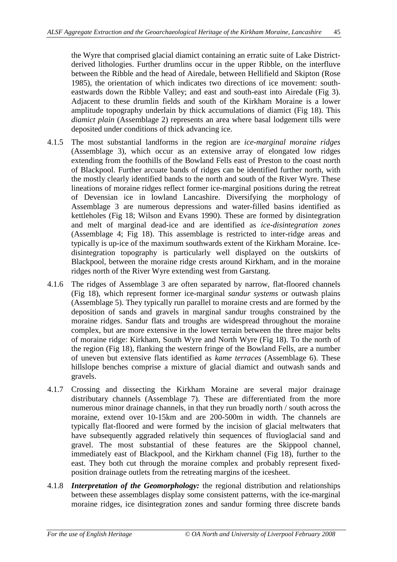the Wyre that comprised glacial diamict containing an erratic suite of Lake Districtderived lithologies. Further drumlins occur in the upper Ribble, on the interfluve between the Ribble and the head of Airedale, between Hellifield and Skipton (Rose 1985), the orientation of which indicates two directions of ice movement: southeastwards down the Ribble Valley; and east and south-east into Airedale (Fig 3). Adjacent to these drumlin fields and south of the Kirkham Moraine is a lower amplitude topography underlain by thick accumulations of diamict (Fig 18). This *diamict plain* (Assemblage 2) represents an area where basal lodgement tills were deposited under conditions of thick advancing ice.

- 4.1.5 The most substantial landforms in the region are *ice-marginal moraine ridges* (Assemblage 3), which occur as an extensive array of elongated low ridges extending from the foothills of the Bowland Fells east of Preston to the coast north of Blackpool. Further arcuate bands of ridges can be identified further north, with the mostly clearly identified bands to the north and south of the River Wyre. These lineations of moraine ridges reflect former ice-marginal positions during the retreat of Devensian ice in lowland Lancashire. Diversifying the morphology of Assemblage 3 are numerous depressions and water-filled basins identified as kettleholes (Fig 18; Wilson and Evans 1990). These are formed by disintegration and melt of marginal dead-ice and are identified as *ice-disintegration zones* (Assemblage 4; Fig 18). This assemblage is restricted to inter-ridge areas and typically is up-ice of the maximum southwards extent of the Kirkham Moraine. Icedisintegration topography is particularly well displayed on the outskirts of Blackpool, between the moraine ridge crests around Kirkham, and in the moraine ridges north of the River Wyre extending west from Garstang.
- 4.1.6 The ridges of Assemblage 3 are often separated by narrow, flat-floored channels (Fig 18), which represent former ice-marginal *sandur systems* or outwash plains (Assemblage 5). They typically run parallel to moraine crests and are formed by the deposition of sands and gravels in marginal sandur troughs constrained by the moraine ridges. Sandur flats and troughs are widespread throughout the moraine complex, but are more extensive in the lower terrain between the three major belts of moraine ridge: Kirkham, South Wyre and North Wyre (Fig 18). To the north of the region (Fig 18), flanking the western fringe of the Bowland Fells, are a number of uneven but extensive flats identified as *kame terraces* (Assemblage 6). These hillslope benches comprise a mixture of glacial diamict and outwash sands and gravels.
- 4.1.7 Crossing and dissecting the Kirkham Moraine are several major drainage distributary channels (Assemblage 7). These are differentiated from the more numerous minor drainage channels, in that they run broadly north / south across the moraine, extend over 10-15km and are 200-500m in width. The channels are typically flat-floored and were formed by the incision of glacial meltwaters that have subsequently aggraded relatively thin sequences of fluvioglacial sand and gravel. The most substantial of these features are the Skippool channel, immediately east of Blackpool, and the Kirkham channel (Fig 18), further to the east. They both cut through the moraine complex and probably represent fixedposition drainage outlets from the retreating margins of the icesheet.
- 4.1.8 *Interpretation of the Geomorphology:* the regional distribution and relationships between these assemblages display some consistent patterns, with the ice-marginal moraine ridges, ice disintegration zones and sandur forming three discrete bands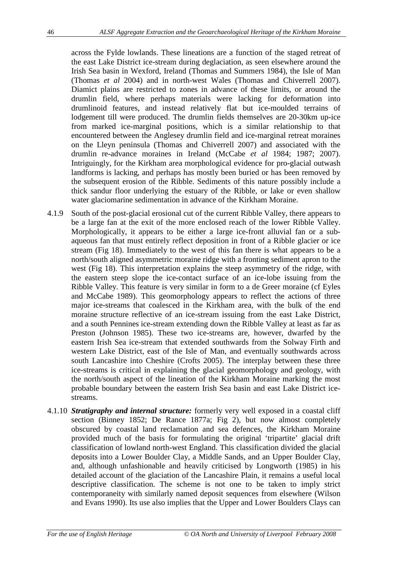across the Fylde lowlands. These lineations are a function of the staged retreat of the east Lake District ice-stream during deglaciation, as seen elsewhere around the Irish Sea basin in Wexford, Ireland (Thomas and Summers 1984), the Isle of Man (Thomas *et al* 2004) and in north-west Wales (Thomas and Chiverrell 2007). Diamict plains are restricted to zones in advance of these limits, or around the drumlin field, where perhaps materials were lacking for deformation into drumlinoid features, and instead relatively flat but ice-moulded terrains of lodgement till were produced. The drumlin fields themselves are 20-30km up-ice from marked ice-marginal positions, which is a similar relationship to that encountered between the Anglesey drumlin field and ice-marginal retreat moraines on the Lleyn peninsula (Thomas and Chiverrell 2007) and associated with the drumlin re-advance moraines in Ireland (McCabe *et al* 1984; 1987; 2007). Intriguingly, for the Kirkham area morphological evidence for pro-glacial outwash landforms is lacking, and perhaps has mostly been buried or has been removed by the subsequent erosion of the Ribble. Sediments of this nature possibly include a thick sandur floor underlying the estuary of the Ribble, or lake or even shallow water glaciomarine sedimentation in advance of the Kirkham Moraine.

- 4.1.9 South of the post-glacial erosional cut of the current Ribble Valley, there appears to be a large fan at the exit of the more enclosed reach of the lower Ribble Valley. Morphologically, it appears to be either a large ice-front alluvial fan or a subaqueous fan that must entirely reflect deposition in front of a Ribble glacier or ice stream (Fig 18). Immediately to the west of this fan there is what appears to be a north/south aligned asymmetric moraine ridge with a fronting sediment apron to the west (Fig 18). This interpretation explains the steep asymmetry of the ridge, with the eastern steep slope the ice-contact surface of an ice-lobe issuing from the Ribble Valley. This feature is very similar in form to a de Greer moraine (cf Eyles and McCabe 1989). This geomorphology appears to reflect the actions of three major ice-streams that coalesced in the Kirkham area, with the bulk of the end moraine structure reflective of an ice-stream issuing from the east Lake District, and a south Pennines ice-stream extending down the Ribble Valley at least as far as Preston (Johnson 1985). These two ice-streams are, however, dwarfed by the eastern Irish Sea ice-stream that extended southwards from the Solway Firth and western Lake District, east of the Isle of Man, and eventually southwards across south Lancashire into Cheshire (Crofts 2005). The interplay between these three ice-streams is critical in explaining the glacial geomorphology and geology, with the north/south aspect of the lineation of the Kirkham Moraine marking the most probable boundary between the eastern Irish Sea basin and east Lake District icestreams.
- 4.1.10 *Stratigraphy and internal structure:* formerly very well exposed in a coastal cliff section (Binney 1852; De Rance 1877a; Fig 2), but now almost completely obscured by coastal land reclamation and sea defences, the Kirkham Moraine provided much of the basis for formulating the original 'tripartite' glacial drift classification of lowland north-west England. This classification divided the glacial deposits into a Lower Boulder Clay, a Middle Sands, and an Upper Boulder Clay, and, although unfashionable and heavily criticised by Longworth (1985) in his detailed account of the glaciation of the Lancashire Plain, it remains a useful local descriptive classification. The scheme is not one to be taken to imply strict contemporaneity with similarly named deposit sequences from elsewhere (Wilson and Evans 1990). Its use also implies that the Upper and Lower Boulders Clays can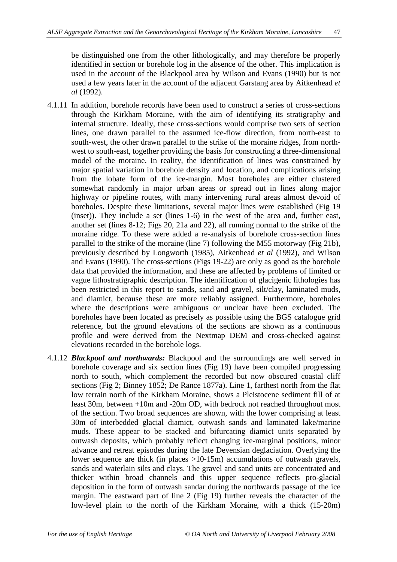be distinguished one from the other lithologically, and may therefore be properly identified in section or borehole log in the absence of the other. This implication is used in the account of the Blackpool area by Wilson and Evans (1990) but is not used a few years later in the account of the adjacent Garstang area by Aitkenhead *et al* (1992).

- 4.1.11 In addition, borehole records have been used to construct a series of cross-sections through the Kirkham Moraine, with the aim of identifying its stratigraphy and internal structure. Ideally, these cross-sections would comprise two sets of section lines, one drawn parallel to the assumed ice-flow direction, from north-east to south-west, the other drawn parallel to the strike of the moraine ridges, from northwest to south-east, together providing the basis for constructing a three-dimensional model of the moraine. In reality, the identification of lines was constrained by major spatial variation in borehole density and location, and complications arising from the lobate form of the ice-margin. Most boreholes are either clustered somewhat randomly in major urban areas or spread out in lines along major highway or pipeline routes, with many intervening rural areas almost devoid of boreholes. Despite these limitations, several major lines were established (Fig 19 (inset)). They include a set (lines 1-6) in the west of the area and, further east, another set (lines 8-12; Figs 20, 21a and 22), all running normal to the strike of the moraine ridge. To these were added a re-analysis of borehole cross-section lines parallel to the strike of the moraine (line 7) following the M55 motorway (Fig 21b), previously described by Longworth (1985), Aitkenhead *et al* (1992), and Wilson and Evans (1990). The cross-sections (Figs 19-22) are only as good as the borehole data that provided the information, and these are affected by problems of limited or vague lithostratigraphic description. The identification of glacigenic lithologies has been restricted in this report to sands, sand and gravel, silt/clay, laminated muds, and diamict, because these are more reliably assigned. Furthermore, boreholes where the descriptions were ambiguous or unclear have been excluded. The boreholes have been located as precisely as possible using the BGS catalogue grid reference, but the ground elevations of the sections are shown as a continuous profile and were derived from the Nextmap DEM and cross-checked against elevations recorded in the borehole logs.
- 4.1.12 *Blackpool and northwards:* Blackpool and the surroundings are well served in borehole coverage and six section lines (Fig 19) have been compiled progressing north to south, which complement the recorded but now obscured coastal cliff sections (Fig 2; Binney 1852; De Rance 1877a). Line 1, farthest north from the flat low terrain north of the Kirkham Moraine, shows a Pleistocene sediment fill of at least 30m, between +10m and -20m OD, with bedrock not reached throughout most of the section. Two broad sequences are shown, with the lower comprising at least 30m of interbedded glacial diamict, outwash sands and laminated lake/marine muds. These appear to be stacked and bifurcating diamict units separated by outwash deposits, which probably reflect changing ice-marginal positions, minor advance and retreat episodes during the late Devensian deglaciation. Overlying the lower sequence are thick (in places >10-15m) accumulations of outwash gravels, sands and waterlain silts and clays. The gravel and sand units are concentrated and thicker within broad channels and this upper sequence reflects pro-glacial deposition in the form of outwash sandar during the northwards passage of the ice margin. The eastward part of line 2 (Fig 19) further reveals the character of the low-level plain to the north of the Kirkham Moraine, with a thick (15-20m)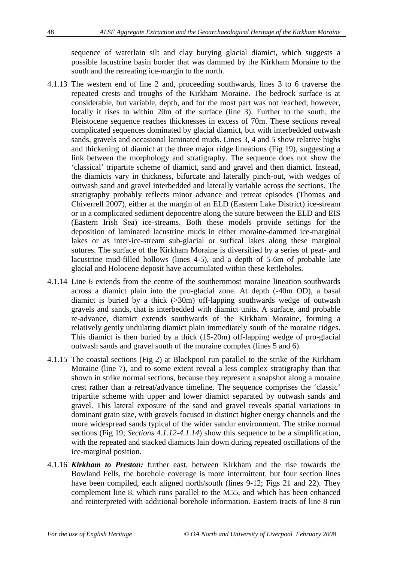sequence of waterlain silt and clay burying glacial diamict, which suggests a possible lacustrine basin border that was dammed by the Kirkham Moraine to the south and the retreating ice-margin to the north.

- 4.1.13 The western end of line 2 and, proceeding southwards, lines 3 to 6 traverse the repeated crests and troughs of the Kirkham Moraine. The bedrock surface is at considerable, but variable, depth, and for the most part was not reached; however, locally it rises to within 20m of the surface (line 3). Further to the south, the Pleistocene sequence reaches thicknesses in excess of 70m. These sections reveal complicated sequences dominated by glacial diamict, but with interbedded outwash sands, gravels and occasional laminated muds. Lines 3, 4 and 5 show relative highs and thickening of diamict at the three major ridge lineations (Fig 19), suggesting a link between the morphology and stratigraphy. The sequence does not show the 'classical' tripartite scheme of diamict, sand and gravel and then diamict. Instead, the diamicts vary in thickness, bifurcate and laterally pinch-out, with wedges of outwash sand and gravel interbedded and laterally variable across the sections. The stratigraphy probably reflects minor advance and retreat episodes (Thomas and Chiverrell 2007), either at the margin of an ELD (Eastern Lake District) ice-stream or in a complicated sediment depocentre along the suture between the ELD and EIS (Eastern Irish Sea) ice-streams. Both these models provide settings for the deposition of laminated lacustrine muds in either moraine-dammed ice-marginal lakes or as inter-ice-stream sub-glacial or surfical lakes along these marginal sutures. The surface of the Kirkham Moraine is diversified by a series of peat- and lacustrine mud-filled hollows (lines 4-5), and a depth of 5-6m of probable late glacial and Holocene deposit have accumulated within these kettleholes.
- 4.1.14 Line 6 extends from the centre of the southernmost moraine lineation southwards across a diamict plain into the pro-glacial zone. At depth (-40m OD), a basal diamict is buried by a thick (>30m) off-lapping southwards wedge of outwash gravels and sands, that is interbedded with diamict units. A surface, and probable re-advance, diamict extends southwards of the Kirkham Moraine, forming a relatively gently undulating diamict plain immediately south of the moraine ridges. This diamict is then buried by a thick (15-20m) off-lapping wedge of pro-glacial outwash sands and gravel south of the moraine complex (lines 5 and 6).
- 4.1.15 The coastal sections (Fig 2) at Blackpool run parallel to the strike of the Kirkham Moraine (line 7), and to some extent reveal a less complex stratigraphy than that shown in strike normal sections, because they represent a snapshot along a moraine crest rather than a retreat/advance timeline. The sequence comprises the 'classic' tripartite scheme with upper and lower diamict separated by outwash sands and gravel. This lateral exposure of the sand and gravel reveals spatial variations in dominant grain size, with gravels focused in distinct higher energy channels and the more widespread sands typical of the wider sandur environment. The strike normal sections (Fig 19; *Sections 4.1.12-4.1.14*) show this sequence to be a simplification, with the repeated and stacked diamicts lain down during repeated oscillations of the ice-marginal position.
- 4.1.16 *Kirkham to Preston:* further east, between Kirkham and the rise towards the Bowland Fells, the borehole coverage is more intermittent, but four section lines have been compiled, each aligned north/south (lines 9-12; Figs 21 and 22). They complement line 8, which runs parallel to the M55, and which has been enhanced and reinterpreted with additional borehole information. Eastern tracts of line 8 run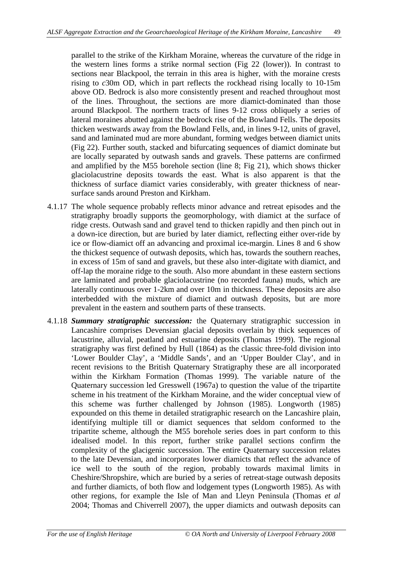parallel to the strike of the Kirkham Moraine, whereas the curvature of the ridge in the western lines forms a strike normal section (Fig 22 (lower)). In contrast to sections near Blackpool, the terrain in this area is higher, with the moraine crests rising to *c*30m OD, which in part reflects the rockhead rising locally to 10-15m above OD. Bedrock is also more consistently present and reached throughout most of the lines. Throughout, the sections are more diamict-dominated than those around Blackpool. The northern tracts of lines 9-12 cross obliquely a series of lateral moraines abutted against the bedrock rise of the Bowland Fells. The deposits thicken westwards away from the Bowland Fells, and, in lines 9-12, units of gravel, sand and laminated mud are more abundant, forming wedges between diamict units (Fig 22). Further south, stacked and bifurcating sequences of diamict dominate but are locally separated by outwash sands and gravels. These patterns are confirmed and amplified by the M55 borehole section (line 8; Fig 21), which shows thicker glaciolacustrine deposits towards the east. What is also apparent is that the thickness of surface diamict varies considerably, with greater thickness of nearsurface sands around Preston and Kirkham.

- 4.1.17 The whole sequence probably reflects minor advance and retreat episodes and the stratigraphy broadly supports the geomorphology, with diamict at the surface of ridge crests. Outwash sand and gravel tend to thicken rapidly and then pinch out in a down-ice direction, but are buried by later diamict, reflecting either over-ride by ice or flow-diamict off an advancing and proximal ice-margin. Lines 8 and 6 show the thickest sequence of outwash deposits, which has, towards the southern reaches, in excess of 15m of sand and gravels, but these also inter-digitate with diamict, and off-lap the moraine ridge to the south. Also more abundant in these eastern sections are laminated and probable glaciolacustrine (no recorded fauna) muds, which are laterally continuous over 1-2km and over 10m in thickness. These deposits are also interbedded with the mixture of diamict and outwash deposits, but are more prevalent in the eastern and southern parts of these transects.
- 4.1.18 *Summary stratigraphic succession:* the Quaternary stratigraphic succession in Lancashire comprises Devensian glacial deposits overlain by thick sequences of lacustrine, alluvial, peatland and estuarine deposits (Thomas 1999). The regional stratigraphy was first defined by Hull (1864) as the classic three-fold division into 'Lower Boulder Clay', a 'Middle Sands', and an 'Upper Boulder Clay', and in recent revisions to the British Quaternary Stratigraphy these are all incorporated within the Kirkham Formation (Thomas 1999). The variable nature of the Quaternary succession led Gresswell (1967a) to question the value of the tripartite scheme in his treatment of the Kirkham Moraine, and the wider conceptual view of this scheme was further challenged by Johnson (1985). Longworth (1985) expounded on this theme in detailed stratigraphic research on the Lancashire plain, identifying multiple till or diamict sequences that seldom conformed to the tripartite scheme, although the M55 borehole series does in part conform to this idealised model. In this report, further strike parallel sections confirm the complexity of the glacigenic succession. The entire Quaternary succession relates to the late Devensian, and incorporates lower diamicts that reflect the advance of ice well to the south of the region, probably towards maximal limits in Cheshire/Shropshire, which are buried by a series of retreat-stage outwash deposits and further diamicts, of both flow and lodgement types (Longworth 1985). As with other regions, for example the Isle of Man and Lleyn Peninsula (Thomas *et al* 2004; Thomas and Chiverrell 2007), the upper diamicts and outwash deposits can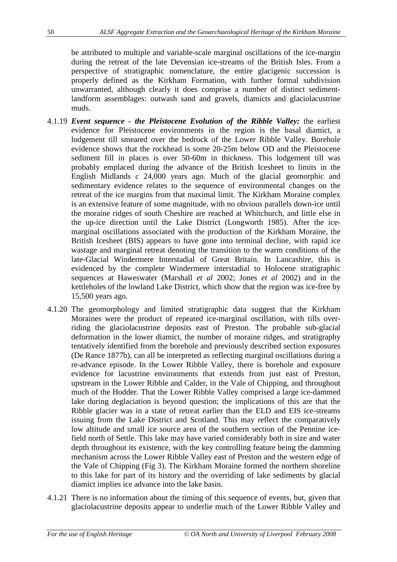be attributed to multiple and variable-scale marginal oscillations of the ice-margin during the retreat of the late Devensian ice-streams of the British Isles. From a perspective of stratigraphic nomenclature, the entire glacigenic succession is properly defined as the Kirkham Formation, with further formal subdivision unwarranted, although clearly it does comprise a number of distinct sedimentlandform assemblages: outwash sand and gravels, diamicts and glaciolacustrine muds.

- 4.1.19 *Event sequence the Pleistocene Evolution of the Ribble Valley:* the earliest evidence for Pleistocene environments in the region is the basal diamict, a lodgement till smeared over the bedrock of the Lower Ribble Valley. Borehole evidence shows that the rockhead is some 20-25m below OD and the Pleistocene sediment fill in places is over 50-60m in thickness. This lodgement till was probably emplaced during the advance of the British Icesheet to limits in the English Midlands *c* 24,000 years ago. Much of the glacial geomorphic and sedimentary evidence relates to the sequence of environmental changes on the retreat of the ice margins from that maximal limit. The Kirkham Moraine complex is an extensive feature of some magnitude, with no obvious parallels down-ice until the moraine ridges of south Cheshire are reached at Whitchurch, and little else in the up-ice direction until the Lake District (Longworth 1985). After the icemarginal oscillations associated with the production of the Kirkham Moraine, the British Icesheet (BIS) appears to have gone into terminal decline, with rapid ice wastage and marginal retreat denoting the transition to the warm conditions of the late-Glacial Windermere Interstadial of Great Britain. In Lancashire, this is evidenced by the complete Windermere interstadial to Holocene stratigraphic sequences at Haweswater (Marshall *et al* 2002; Jones *et al* 2002) and in the kettleholes of the lowland Lake District, which show that the region was ice-free by 15,500 years ago.
- 4.1.20 The geomorphology and limited stratigraphic data suggest that the Kirkham Moraines were the product of repeated ice-marginal oscillation, with tills overriding the glaciolacustrine deposits east of Preston. The probable sub-glacial deformation in the lower diamict, the number of moraine ridges, and stratigraphy tentatively identified from the borehole and previously described section exposures (De Rance 1877b), can all be interpreted as reflecting marginal oscillations during a re-advance episode. In the Lower Ribble Valley, there is borehole and exposure evidence for lacustrine environments that extends from just east of Preston, upstream in the Lower Ribble and Calder, in the Vale of Chipping, and throughout much of the Hodder. That the Lower Ribble Valley comprised a large ice-dammed lake during deglaciation is beyond question; the implications of this are that the Ribble glacier was in a state of retreat earlier than the ELD and EIS ice-streams issuing from the Lake District and Scotland. This may reflect the comparatively low altitude and small ice source area of the southern section of the Pennine icefield north of Settle. This lake may have varied considerably both in size and water depth throughout its existence, with the key controlling feature being the damming mechanism across the Lower Ribble Valley east of Preston and the western edge of the Vale of Chipping (Fig 3). The Kirkham Moraine formed the northern shoreline to this lake for part of its history and the overriding of lake sediments by glacial diamict implies ice advance into the lake basin.
- 4.1.21 There is no information about the timing of this sequence of events, but, given that glaciolacustrine deposits appear to underlie much of the Lower Ribble Valley and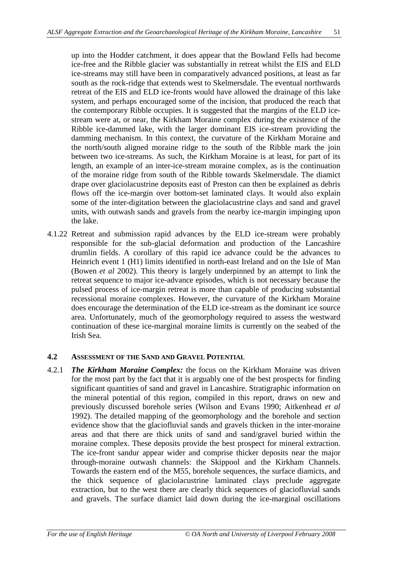up into the Hodder catchment, it does appear that the Bowland Fells had become ice-free and the Ribble glacier was substantially in retreat whilst the EIS and ELD ice-streams may still have been in comparatively advanced positions, at least as far south as the rock-ridge that extends west to Skelmersdale. The eventual northwards retreat of the EIS and ELD ice-fronts would have allowed the drainage of this lake system, and perhaps encouraged some of the incision, that produced the reach that the contemporary Ribble occupies. It is suggested that the margins of the ELD icestream were at, or near, the Kirkham Moraine complex during the existence of the Ribble ice-dammed lake, with the larger dominant EIS ice-stream providing the damming mechanism. In this context, the curvature of the Kirkham Moraine and the north/south aligned moraine ridge to the south of the Ribble mark the join between two ice-streams. As such, the Kirkham Moraine is at least, for part of its length, an example of an inter-ice-stream moraine complex, as is the continuation of the moraine ridge from south of the Ribble towards Skelmersdale. The diamict drape over glaciolacustrine deposits east of Preston can then be explained as debris flows off the ice-margin over bottom-set laminated clays. It would also explain some of the inter-digitation between the glaciolacustrine clays and sand and gravel units, with outwash sands and gravels from the nearby ice-margin impinging upon the lake.

4.1.22 Retreat and submission rapid advances by the ELD ice-stream were probably responsible for the sub-glacial deformation and production of the Lancashire drumlin fields. A corollary of this rapid ice advance could be the advances to Heinrich event 1 (H1) limits identified in north-east Ireland and on the Isle of Man (Bowen *et al* 2002). This theory is largely underpinned by an attempt to link the retreat sequence to major ice-advance episodes, which is not necessary because the pulsed process of ice-margin retreat is more than capable of producing substantial recessional moraine complexes. However, the curvature of the Kirkham Moraine does encourage the determination of the ELD ice-stream as the dominant ice source area. Unfortunately, much of the geomorphology required to assess the westward continuation of these ice-marginal moraine limits is currently on the seabed of the Irish Sea.

## **4.2 ASSESSMENT OF THE SAND AND GRAVEL POTENTIAL**

4.2.1 *The Kirkham Moraine Complex:* the focus on the Kirkham Moraine was driven for the most part by the fact that it is arguably one of the best prospects for finding significant quantities of sand and gravel in Lancashire. Stratigraphic information on the mineral potential of this region, compiled in this report, draws on new and previously discussed borehole series (Wilson and Evans 1990; Aitkenhead *et al* 1992). The detailed mapping of the geomorphology and the borehole and section evidence show that the glaciofluvial sands and gravels thicken in the inter-moraine areas and that there are thick units of sand and sand/gravel buried within the moraine complex. These deposits provide the best prospect for mineral extraction. The ice-front sandur appear wider and comprise thicker deposits near the major through-moraine outwash channels: the Skippool and the Kirkham Channels. Towards the eastern end of the M55, borehole sequences, the surface diamicts, and the thick sequence of glaciolacustrine laminated clays preclude aggregate extraction, but to the west there are clearly thick sequences of glaciofluvial sands and gravels. The surface diamict laid down during the ice-marginal oscillations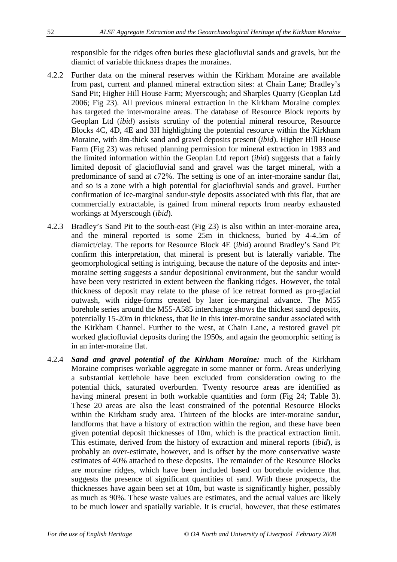responsible for the ridges often buries these glaciofluvial sands and gravels, but the diamict of variable thickness drapes the moraines.

- 4.2.2 Further data on the mineral reserves within the Kirkham Moraine are available from past, current and planned mineral extraction sites: at Chain Lane; Bradley's Sand Pit; Higher Hill House Farm; Myerscough; and Sharples Quarry (Geoplan Ltd 2006; Fig 23). All previous mineral extraction in the Kirkham Moraine complex has targeted the inter-moraine areas. The database of Resource Block reports by Geoplan Ltd (*ibid*) assists scrutiny of the potential mineral resource, Resource Blocks 4C, 4D, 4E and 3H highlighting the potential resource within the Kirkham Moraine, with 8m-thick sand and gravel deposits present (*ibid*). Higher Hill House Farm (Fig 23) was refused planning permission for mineral extraction in 1983 and the limited information within the Geoplan Ltd report (*ibid*) suggests that a fairly limited deposit of glaciofluvial sand and gravel was the target mineral, with a predominance of sand at *c*72%. The setting is one of an inter-moraine sandur flat, and so is a zone with a high potential for glaciofluvial sands and gravel. Further confirmation of ice-marginal sandur-style deposits associated with this flat, that are commercially extractable, is gained from mineral reports from nearby exhausted workings at Myerscough (*ibid*).
- 4.2.3 Bradley's Sand Pit to the south-east (Fig 23) is also within an inter-moraine area, and the mineral reported is some 25m in thickness, buried by 4-4.5m of diamict/clay. The reports for Resource Block 4E (*ibid*) around Bradley's Sand Pit confirm this interpretation, that mineral is present but is laterally variable. The geomorphological setting is intriguing, because the nature of the deposits and intermoraine setting suggests a sandur depositional environment, but the sandur would have been very restricted in extent between the flanking ridges. However, the total thickness of deposit may relate to the phase of ice retreat formed as pro-glacial outwash, with ridge-forms created by later ice-marginal advance. The M55 borehole series around the M55-A585 interchange shows the thickest sand deposits, potentially 15-20m in thickness, that lie in this inter-moraine sandur associated with the Kirkham Channel. Further to the west, at Chain Lane, a restored gravel pit worked glaciofluvial deposits during the 1950s, and again the geomorphic setting is in an inter-moraine flat.
- 4.2.4 *Sand and gravel potential of the Kirkham Moraine:* much of the Kirkham Moraine comprises workable aggregate in some manner or form. Areas underlying a substantial kettlehole have been excluded from consideration owing to the potential thick, saturated overburden. Twenty resource areas are identified as having mineral present in both workable quantities and form (Fig 24; Table 3). These 20 areas are also the least constrained of the potential Resource Blocks within the Kirkham study area. Thirteen of the blocks are inter-moraine sandur, landforms that have a history of extraction within the region, and these have been given potential deposit thicknesses of 10m, which is the practical extraction limit. This estimate, derived from the history of extraction and mineral reports (*ibid*), is probably an over-estimate, however, and is offset by the more conservative waste estimates of 40% attached to these deposits. The remainder of the Resource Blocks are moraine ridges, which have been included based on borehole evidence that suggests the presence of significant quantities of sand. With these prospects, the thicknesses have again been set at 10m, but waste is significantly higher, possibly as much as 90%. These waste values are estimates, and the actual values are likely to be much lower and spatially variable. It is crucial, however, that these estimates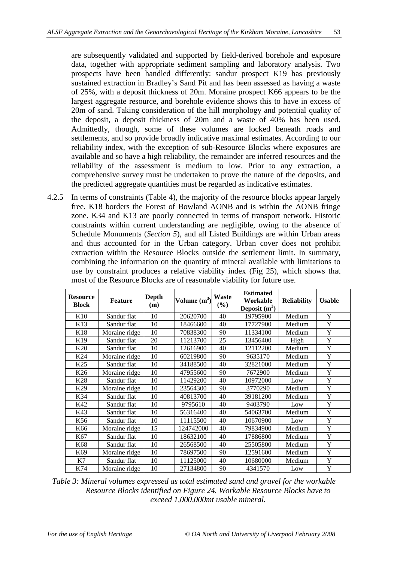are subsequently validated and supported by field-derived borehole and exposure data, together with appropriate sediment sampling and laboratory analysis. Two prospects have been handled differently: sandur prospect K19 has previously sustained extraction in Bradley's Sand Pit and has been assessed as having a waste of 25%, with a deposit thickness of 20m. Moraine prospect K66 appears to be the largest aggregate resource, and borehole evidence shows this to have in excess of 20m of sand. Taking consideration of the hill morphology and potential quality of the deposit, a deposit thickness of 20m and a waste of 40% has been used. Admittedly, though, some of these volumes are locked beneath roads and settlements, and so provide broadly indicative maximal estimates. According to our reliability index, with the exception of sub-Resource Blocks where exposures are available and so have a high reliability, the remainder are inferred resources and the reliability of the assessment is medium to low. Prior to any extraction, a comprehensive survey must be undertaken to prove the nature of the deposits, and the predicted aggregate quantities must be regarded as indicative estimates.

4.2.5 In terms of constraints (Table 4), the majority of the resource blocks appear largely free. K18 borders the Forest of Bowland AONB and is within the AONB fringe zone. K34 and K13 are poorly connected in terms of transport network. Historic constraints within current understanding are negligible, owing to the absence of Schedule Monuments (*Section 5*), and all Listed Buildings are within Urban areas and thus accounted for in the Urban category. Urban cover does not prohibit extraction within the Resource Blocks outside the settlement limit. In summary, combining the information on the quantity of mineral available with limitations to use by constraint produces a relative viability index (Fig 25), which shows that most of the Resource Blocks are of reasonable viability for future use.

| <b>Resource</b><br><b>Block</b> | <b>Feature</b> | <b>Depth</b><br>(m) | Volume $(m^3)$ | Waste<br>$(\%)$ | <b>Estimated</b><br>Workable<br>Deposit $(m^3)$ | <b>Reliability</b> | <b>Usable</b> |
|---------------------------------|----------------|---------------------|----------------|-----------------|-------------------------------------------------|--------------------|---------------|
| K <sub>10</sub>                 | Sandur flat    | 10                  | 20620700       | 40              | 19795900                                        | Medium             | Y             |
| K <sub>13</sub>                 | Sandur flat    | 10                  | 18466600       | 40              | 17727900                                        | Medium             | Y             |
| K18                             | Moraine ridge  | 10                  | 70838300       | 90              | 11334100                                        | Medium             | Y             |
| K <sub>19</sub>                 | Sandur flat    | 20                  | 11213700       | 25              | 13456400                                        | High               | Y             |
| K <sub>20</sub>                 | Sandur flat    | 10                  | 12616900       | 40              | 12112200                                        | Medium             | Y             |
| K <sub>24</sub>                 | Moraine ridge  | 10                  | 60219800       | 90              | 9635170                                         | Medium             | Y             |
| K <sub>25</sub>                 | Sandur flat    | 10                  | 34188500       | 40              | 32821000                                        | Medium             | Y             |
| K <sub>26</sub>                 | Moraine ridge  | 10                  | 47955600       | 90              | 7672900                                         | Medium             | Y             |
| K28                             | Sandur flat    | 10                  | 11429200       | 40              | 10972000                                        | Low                | Y             |
| K <sub>29</sub>                 | Moraine ridge  | 10                  | 23564300       | 90              | 3770290                                         | Medium             | Y             |
| K34                             | Sandur flat    | 10                  | 40813700       | 40              | 39181200                                        | Medium             | Y             |
| K42                             | Sandur flat    | 10                  | 9795610        | 40              | 9403790                                         | Low                | Y             |
| K43                             | Sandur flat    | 10                  | 56316400       | 40              | 54063700                                        | Medium             | Y             |
| K56                             | Sandur flat    | 10                  | 11115500       | 40              | 10670900                                        | Low                | Y             |
| K66                             | Moraine ridge  | 15                  | 124742000      | 40              | 79834900                                        | Medium             | Y             |
| K67                             | Sandur flat    | 10                  | 18632100       | 40              | 17886800                                        | Medium             | Y             |
| K68                             | Sandur flat    | 10                  | 26568500       | 40              | 25505800                                        | Medium             | Y             |
| K69                             | Moraine ridge  | 10                  | 78697500       | 90              | 12591600                                        | Medium             | Y             |
| K7                              | Sandur flat    | 10                  | 11125000       | 40              | 10680000                                        | Medium             | Y             |
| K74                             | Moraine ridge  | 10                  | 27134800       | 90              | 4341570                                         | Low                | Y             |

*Table 3: Mineral volumes expressed as total estimated sand and gravel for the workable Resource Blocks identified on Figure 24. Workable Resource Blocks have to exceed 1,000,000mt usable mineral.*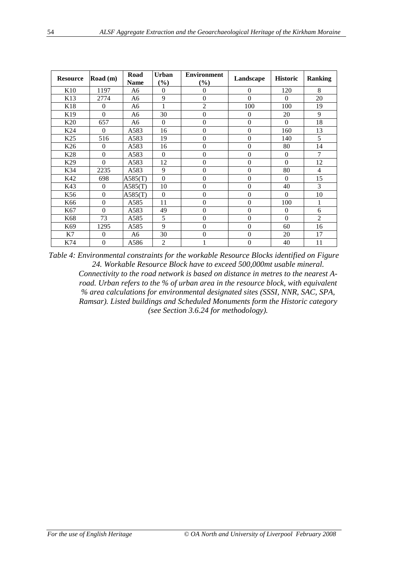| <b>Resource</b> | Road $(m)$       | Road<br><b>Name</b> | <b>Urban</b><br>$(\%)$ | <b>Environment</b><br>$(\%)$ | Landscape        | <b>Historic</b>  | <b>Ranking</b> |
|-----------------|------------------|---------------------|------------------------|------------------------------|------------------|------------------|----------------|
| K <sub>10</sub> | 1197             | A6                  | $\Omega$               | $\overline{0}$               | $\mathbf{0}$     | 120              | 8              |
| K13             | 2774             | A6                  | 9                      | $\boldsymbol{0}$             | $\Omega$         | $\Omega$         | 20             |
| K18             | $\theta$         | A <sub>6</sub>      | 1                      | $\overline{c}$               | 100              | 100              | 19             |
| K19             | $\theta$         | A6                  | 30                     | $\boldsymbol{0}$             | $\theta$         | 20               | 9              |
| K <sub>20</sub> | 657              | A6                  | $\theta$               | $\boldsymbol{0}$             | $\mathbf{0}$     | $\Omega$         | 18             |
| K24             | $\theta$         | A583                | 16                     | $\boldsymbol{0}$             | $\overline{0}$   | 160              | 13             |
| K <sub>25</sub> | 516              | A583                | 19                     | $\boldsymbol{0}$             | $\boldsymbol{0}$ | 140              | 5              |
| K26             | $\theta$         | A583                | 16                     | $\boldsymbol{0}$             | $\mathbf{0}$     | 80               | 14             |
| K28             | $\mathbf{0}$     | A583                | $\Omega$               | $\mathbf{0}$                 | $\boldsymbol{0}$ | $\boldsymbol{0}$ | $\overline{7}$ |
| K <sub>29</sub> | $\theta$         | A583                | 12                     | $\boldsymbol{0}$             | $\mathbf{0}$     | $\Omega$         | 12             |
| K34             | 2235             | A583                | 9                      | $\boldsymbol{0}$             | $\mathbf{0}$     | 80               | $\overline{4}$ |
| K42             | 698              | A585(T)             | $\Omega$               | $\boldsymbol{0}$             | $\Omega$         | $\Omega$         | 15             |
| K43             | $\theta$         | A585(T)             | 10                     | $\boldsymbol{0}$             | $\boldsymbol{0}$ | 40               | 3              |
| K56             | $\Omega$         | A585(T)             | $\theta$               | $\boldsymbol{0}$             | $\mathbf{0}$     | $\Omega$         | 10             |
| K66             | $\boldsymbol{0}$ | A585                | 11                     | $\boldsymbol{0}$             | $\boldsymbol{0}$ | 100              | 1              |
| K67             | $\theta$         | A583                | 49                     | $\boldsymbol{0}$             | $\boldsymbol{0}$ | $\overline{0}$   | 6              |
| K68             | 73               | A585                | 5                      | $\boldsymbol{0}$             | $\overline{0}$   | $\Omega$         | $\overline{2}$ |
| K69             | 1295             | A585                | 9                      | $\boldsymbol{0}$             | $\boldsymbol{0}$ | 60               | 16             |
| K7              | $\mathbf{0}$     | A6                  | 30                     | $\boldsymbol{0}$             | $\theta$         | 20               | 17             |
| K74             | $\boldsymbol{0}$ | A586                | $\overline{2}$         | 1                            | $\mathbf{0}$     | 40               | 11             |

*Table 4: Environmental constraints for the workable Resource Blocks identified on Figure 24. Workable Resource Block have to exceed 500,000mt usable mineral. Connectivity to the road network is based on distance in metres to the nearest Aroad. Urban refers to the % of urban area in the resource block, with equivalent % area calculations for environmental designated sites (SSSI, NNR, SAC, SPA, Ramsar). Listed buildings and Scheduled Monuments form the Historic category (see Section 3.6.24 for methodology).*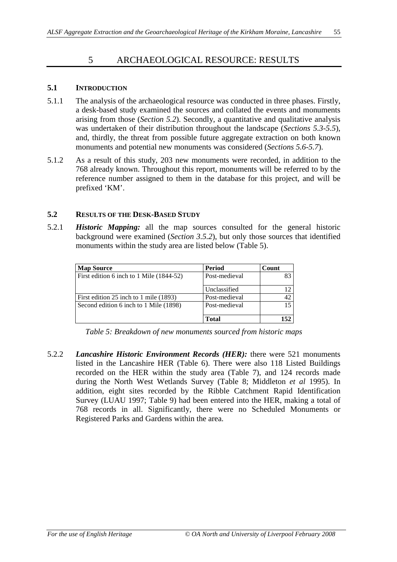# 5 ARCHAEOLOGICAL RESOURCE: RESULTS

## **5.1 INTRODUCTION**

- 5.1.1 The analysis of the archaeological resource was conducted in three phases. Firstly, a desk-based study examined the sources and collated the events and monuments arising from those (*Section 5.2*). Secondly, a quantitative and qualitative analysis was undertaken of their distribution throughout the landscape (*Sections 5.3-5.5*), and, thirdly, the threat from possible future aggregate extraction on both known monuments and potential new monuments was considered (*Sections 5.6-5.7*).
- 5.1.2 As a result of this study, 203 new monuments were recorded, in addition to the 768 already known. Throughout this report, monuments will be referred to by the reference number assigned to them in the database for this project, and will be prefixed 'KM'.

### **5.2 RESULTS OF THE DESK-BASED STUDY**

5.2.1 *Historic Mapping:* all the map sources consulted for the general historic background were examined (*Section 3.5.2*), but only those sources that identified monuments within the study area are listed below (Table 5).

| <b>Map Source</b>                        | Period        | Count |
|------------------------------------------|---------------|-------|
| First edition 6 inch to 1 Mile (1844-52) | Post-medieval | 83    |
|                                          | Unclassified  |       |
| First edition 25 inch to 1 mile (1893)   | Post-medieval | 42    |
| Second edition 6 inch to 1 Mile (1898)   | Post-medieval | 15    |
|                                          | <b>Total</b>  | 152   |

*Table 5: Breakdown of new monuments sourced from historic maps*

5.2.2 *Lancashire Historic Environment Records (HER):* there were 521 monuments listed in the Lancashire HER (Table 6). There were also 118 Listed Buildings recorded on the HER within the study area (Table 7), and 124 records made during the North West Wetlands Survey (Table 8; Middleton *et al* 1995). In addition, eight sites recorded by the Ribble Catchment Rapid Identification Survey (LUAU 1997; Table 9) had been entered into the HER, making a total of 768 records in all. Significantly, there were no Scheduled Monuments or Registered Parks and Gardens within the area.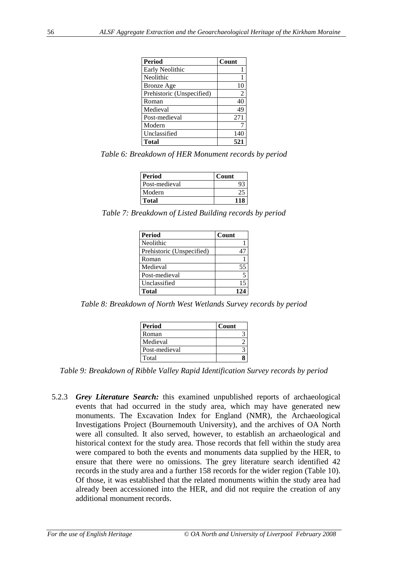| <b>Period</b>             | Count |
|---------------------------|-------|
| Early Neolithic           |       |
| Neolithic                 |       |
| <b>Bronze</b> Age         | 10    |
| Prehistoric (Unspecified) | 2     |
| Roman                     | 40    |
| Medieval                  | 49    |
| Post-medieval             | 271   |
| Modern                    |       |
| Unclassified              | 140   |
| <b>Total</b>              | 521   |

*Table 6: Breakdown of HER Monument records by period*

| <b>Period</b> | Count |
|---------------|-------|
| Post-medieval |       |
| Modern        |       |
| <b>Total</b>  |       |

*Table 7: Breakdown of Listed Building records by period*

| <b>Period</b>             | Count |
|---------------------------|-------|
| Neolithic                 |       |
| Prehistoric (Unspecified) |       |
| Roman                     |       |
| Medieval                  | 55    |
| Post-medieval             | 5     |
| Unclassified              | 15    |
| <b>Total</b>              | 124   |

*Table 8: Breakdown of North West Wetlands Survey records by period*

| <b>Period</b> | Count |
|---------------|-------|
| Roman         |       |
| Medieval      |       |
| Post-medieval |       |
| Total         |       |

*Table 9: Breakdown of Ribble Valley Rapid Identification Survey records by period*

5.2.3 *Grey Literature Search:* this examined unpublished reports of archaeological events that had occurred in the study area, which may have generated new monuments. The Excavation Index for England (NMR), the Archaeological Investigations Project (Bournemouth University), and the archives of OA North were all consulted. It also served, however, to establish an archaeological and historical context for the study area. Those records that fell within the study area were compared to both the events and monuments data supplied by the HER, to ensure that there were no omissions. The grey literature search identified 42 records in the study area and a further 158 records for the wider region (Table 10). Of those, it was established that the related monuments within the study area had already been accessioned into the HER, and did not require the creation of any additional monument records.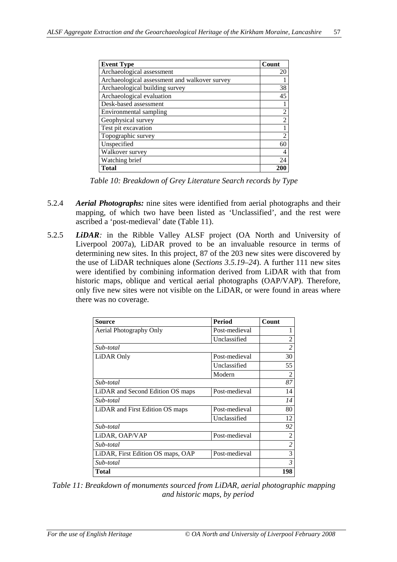| <b>Event Type</b>                             | Count          |
|-----------------------------------------------|----------------|
| Archaeological assessment                     | 20             |
| Archaeological assessment and walkover survey |                |
| Archaeological building survey                | 38             |
| Archaeological evaluation                     | 45             |
| Desk-based assessment                         |                |
| Environmental sampling                        |                |
| Geophysical survey                            | $\mathfrak{D}$ |
| Test pit excavation                           |                |
| Topographic survey                            |                |
| Unspecified                                   | 60             |
| Walkover survey                               |                |
| Watching brief                                | 24             |
| <b>Total</b>                                  |                |

*Table 10: Breakdown of Grey Literature Search records by Type*

- 5.2.4 *Aerial Photographs:* nine sites were identified from aerial photographs and their mapping, of which two have been listed as 'Unclassified', and the rest were ascribed a 'post-medieval' date (Table 11).
- 5.2.5 *LiDAR:* in the Ribble Valley ALSF project (OA North and University of Liverpool 2007a), LiDAR proved to be an invaluable resource in terms of determining new sites. In this project, 87 of the 203 new sites were discovered by the use of LiDAR techniques alone (*Sections 3.5.19–24*). A further 111 new sites were identified by combining information derived from LiDAR with that from historic maps, oblique and vertical aerial photographs (OAP/VAP). Therefore, only five new sites were not visible on the LiDAR, or were found in areas where there was no coverage.

| <b>Source</b>                     | <b>Period</b> | Count          |
|-----------------------------------|---------------|----------------|
| Aerial Photography Only           | Post-medieval |                |
|                                   | Unclassified  | $\overline{c}$ |
| Sub-total                         |               | $\overline{c}$ |
| LiDAR Only                        | Post-medieval | 30             |
|                                   | Unclassified  | 55             |
|                                   | Modern        | $\overline{2}$ |
| Sub-total                         |               | 87             |
| LiDAR and Second Edition OS maps  | Post-medieval | 14             |
| Sub-total                         |               | 14             |
| LiDAR and First Edition OS maps   | Post-medieval | 80             |
|                                   | Unclassified  | 12             |
| Sub-total                         |               | 92             |
| LiDAR, OAP/VAP                    | Post-medieval | $\overline{2}$ |
| Sub-total                         |               | $\overline{2}$ |
| LiDAR, First Edition OS maps, OAP | Post-medieval | 3              |
| Sub-total                         |               | $\mathfrak{Z}$ |
| Total                             |               | 198            |

*Table 11: Breakdown of monuments sourced from LiDAR, aerial photographic mapping and historic maps, by period*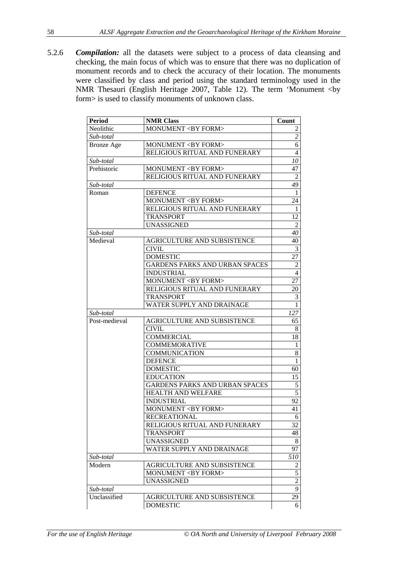5.2.6 *Compilation:* all the datasets were subject to a process of data cleansing and checking, the main focus of which was to ensure that there was no duplication of monument records and to check the accuracy of their location. The monuments were classified by class and period using the standard terminology used in the NMR Thesauri (English Heritage 2007, Table 12). The term 'Monument <by form> is used to classify monuments of unknown class.

| Neolithic<br>MONUMENT <by form=""><br/><math>\frac{2}{1}</math><br/>Sub-total<br/><math>\overline{6}</math><br/>MONUMENT <by form=""><br/><b>Bronze</b> Age<br/><math>\overline{4}</math><br/>RELIGIOUS RITUAL AND FUNERARY<br/>Sub-total<br/>Prehistoric<br/>MONUMENT <by form=""><br/>RELIGIOUS RITUAL AND FUNERARY<br/>49<br/>Sub-total<br/><math>\mathbf{1}</math><br/><b>DEFENCE</b><br/>Roman<br/>MONUMENT <by form=""><br/>24<br/>RELIGIOUS RITUAL AND FUNERARY<br/><math>\mathbf{1}</math><br/>12<br/><b>TRANSPORT</b><br/><b>UNASSIGNED</b><br/><math>\overline{2}</math><br/>40<br/>Sub-total<br/>Medieval<br/>AGRICULTURE AND SUBSISTENCE<br/>40<br/><math>\mathfrak{Z}</math><br/><b>CIVIL</b><br/>27<br/><b>DOMESTIC</b><br/><b>GARDENS PARKS AND URBAN SPACES</b><br/><math>\overline{2}</math><br/><b>INDUSTRIAL</b><br/><math>\overline{4}</math><br/>MONUMENT <by form=""><br/>27<br/>RELIGIOUS RITUAL AND FUNERARY<br/>20<br/>3<br/><b>TRANSPORT</b><br/>WATER SUPPLY AND DRAINAGE<br/><math>\mathbf{1}</math><br/>127<br/>Sub-total<br/>Post-medieval<br/>AGRICULTURE AND SUBSISTENCE<br/>65<br/><b>CIVIL</b><br/>8<br/>18<br/><b>COMMERCIAL</b><br/><b>COMMEMORATIVE</b><br/><math>\mathbf{1}</math><br/><b>COMMUNICATION</b><br/>8<br/><math>\mathbf{1}</math><br/><b>DEFENCE</b><br/><b>DOMESTIC</b><br/>60<br/>15<br/><b>EDUCATION</b><br/><b>GARDENS PARKS AND URBAN SPACES</b><br/><math display="inline">\sqrt{5}</math><br/><math>\overline{5}</math><br/>HEALTH AND WELFARE<br/>92<br/><b>INDUSTRIAL</b><br/>MONUMENT <by form=""><br/>41<br/><b>RECREATIONAL</b><br/>6<br/>RELIGIOUS RITUAL AND FUNERARY<br/>32<br/><b>TRANSPORT</b><br/>48<br/><b>UNASSIGNED</b><br/>8<br/>WATER SUPPLY AND DRAINAGE<br/>97<br/>Sub-total<br/>510<br/>Modern<br/>AGRICULTURE AND SUBSISTENCE<br/>2<br/><math display="inline">\sqrt{5}</math><br/>MONUMENT <by form=""><br/><math>\overline{2}</math><br/><b>UNASSIGNED</b><br/>9<br/>Sub-total<br/>Unclassified<br/>AGRICULTURE AND SUBSISTENCE<br/>29<br/><b>DOMESTIC</b><br/>6</by></by></by></by></by></by></by> | <b>Period</b> | <b>NMR Class</b> | Count          |
|------------------------------------------------------------------------------------------------------------------------------------------------------------------------------------------------------------------------------------------------------------------------------------------------------------------------------------------------------------------------------------------------------------------------------------------------------------------------------------------------------------------------------------------------------------------------------------------------------------------------------------------------------------------------------------------------------------------------------------------------------------------------------------------------------------------------------------------------------------------------------------------------------------------------------------------------------------------------------------------------------------------------------------------------------------------------------------------------------------------------------------------------------------------------------------------------------------------------------------------------------------------------------------------------------------------------------------------------------------------------------------------------------------------------------------------------------------------------------------------------------------------------------------------------------------------------------------------------------------------------------------------------------------------------------------------------------------------------------------------------------------------------------------------------------------------------------------------------------------------------------------------------------------------------------------------------------------------------------------------------------------------------------------------------------------------------------------|---------------|------------------|----------------|
|                                                                                                                                                                                                                                                                                                                                                                                                                                                                                                                                                                                                                                                                                                                                                                                                                                                                                                                                                                                                                                                                                                                                                                                                                                                                                                                                                                                                                                                                                                                                                                                                                                                                                                                                                                                                                                                                                                                                                                                                                                                                                    |               |                  | $\overline{c}$ |
|                                                                                                                                                                                                                                                                                                                                                                                                                                                                                                                                                                                                                                                                                                                                                                                                                                                                                                                                                                                                                                                                                                                                                                                                                                                                                                                                                                                                                                                                                                                                                                                                                                                                                                                                                                                                                                                                                                                                                                                                                                                                                    |               |                  |                |
|                                                                                                                                                                                                                                                                                                                                                                                                                                                                                                                                                                                                                                                                                                                                                                                                                                                                                                                                                                                                                                                                                                                                                                                                                                                                                                                                                                                                                                                                                                                                                                                                                                                                                                                                                                                                                                                                                                                                                                                                                                                                                    |               |                  |                |
|                                                                                                                                                                                                                                                                                                                                                                                                                                                                                                                                                                                                                                                                                                                                                                                                                                                                                                                                                                                                                                                                                                                                                                                                                                                                                                                                                                                                                                                                                                                                                                                                                                                                                                                                                                                                                                                                                                                                                                                                                                                                                    |               |                  |                |
|                                                                                                                                                                                                                                                                                                                                                                                                                                                                                                                                                                                                                                                                                                                                                                                                                                                                                                                                                                                                                                                                                                                                                                                                                                                                                                                                                                                                                                                                                                                                                                                                                                                                                                                                                                                                                                                                                                                                                                                                                                                                                    |               |                  | 10             |
|                                                                                                                                                                                                                                                                                                                                                                                                                                                                                                                                                                                                                                                                                                                                                                                                                                                                                                                                                                                                                                                                                                                                                                                                                                                                                                                                                                                                                                                                                                                                                                                                                                                                                                                                                                                                                                                                                                                                                                                                                                                                                    |               |                  | 47             |
|                                                                                                                                                                                                                                                                                                                                                                                                                                                                                                                                                                                                                                                                                                                                                                                                                                                                                                                                                                                                                                                                                                                                                                                                                                                                                                                                                                                                                                                                                                                                                                                                                                                                                                                                                                                                                                                                                                                                                                                                                                                                                    |               |                  | $\overline{2}$ |
|                                                                                                                                                                                                                                                                                                                                                                                                                                                                                                                                                                                                                                                                                                                                                                                                                                                                                                                                                                                                                                                                                                                                                                                                                                                                                                                                                                                                                                                                                                                                                                                                                                                                                                                                                                                                                                                                                                                                                                                                                                                                                    |               |                  |                |
|                                                                                                                                                                                                                                                                                                                                                                                                                                                                                                                                                                                                                                                                                                                                                                                                                                                                                                                                                                                                                                                                                                                                                                                                                                                                                                                                                                                                                                                                                                                                                                                                                                                                                                                                                                                                                                                                                                                                                                                                                                                                                    |               |                  |                |
|                                                                                                                                                                                                                                                                                                                                                                                                                                                                                                                                                                                                                                                                                                                                                                                                                                                                                                                                                                                                                                                                                                                                                                                                                                                                                                                                                                                                                                                                                                                                                                                                                                                                                                                                                                                                                                                                                                                                                                                                                                                                                    |               |                  |                |
|                                                                                                                                                                                                                                                                                                                                                                                                                                                                                                                                                                                                                                                                                                                                                                                                                                                                                                                                                                                                                                                                                                                                                                                                                                                                                                                                                                                                                                                                                                                                                                                                                                                                                                                                                                                                                                                                                                                                                                                                                                                                                    |               |                  |                |
|                                                                                                                                                                                                                                                                                                                                                                                                                                                                                                                                                                                                                                                                                                                                                                                                                                                                                                                                                                                                                                                                                                                                                                                                                                                                                                                                                                                                                                                                                                                                                                                                                                                                                                                                                                                                                                                                                                                                                                                                                                                                                    |               |                  |                |
|                                                                                                                                                                                                                                                                                                                                                                                                                                                                                                                                                                                                                                                                                                                                                                                                                                                                                                                                                                                                                                                                                                                                                                                                                                                                                                                                                                                                                                                                                                                                                                                                                                                                                                                                                                                                                                                                                                                                                                                                                                                                                    |               |                  |                |
|                                                                                                                                                                                                                                                                                                                                                                                                                                                                                                                                                                                                                                                                                                                                                                                                                                                                                                                                                                                                                                                                                                                                                                                                                                                                                                                                                                                                                                                                                                                                                                                                                                                                                                                                                                                                                                                                                                                                                                                                                                                                                    |               |                  |                |
|                                                                                                                                                                                                                                                                                                                                                                                                                                                                                                                                                                                                                                                                                                                                                                                                                                                                                                                                                                                                                                                                                                                                                                                                                                                                                                                                                                                                                                                                                                                                                                                                                                                                                                                                                                                                                                                                                                                                                                                                                                                                                    |               |                  |                |
|                                                                                                                                                                                                                                                                                                                                                                                                                                                                                                                                                                                                                                                                                                                                                                                                                                                                                                                                                                                                                                                                                                                                                                                                                                                                                                                                                                                                                                                                                                                                                                                                                                                                                                                                                                                                                                                                                                                                                                                                                                                                                    |               |                  |                |
|                                                                                                                                                                                                                                                                                                                                                                                                                                                                                                                                                                                                                                                                                                                                                                                                                                                                                                                                                                                                                                                                                                                                                                                                                                                                                                                                                                                                                                                                                                                                                                                                                                                                                                                                                                                                                                                                                                                                                                                                                                                                                    |               |                  |                |
|                                                                                                                                                                                                                                                                                                                                                                                                                                                                                                                                                                                                                                                                                                                                                                                                                                                                                                                                                                                                                                                                                                                                                                                                                                                                                                                                                                                                                                                                                                                                                                                                                                                                                                                                                                                                                                                                                                                                                                                                                                                                                    |               |                  |                |
|                                                                                                                                                                                                                                                                                                                                                                                                                                                                                                                                                                                                                                                                                                                                                                                                                                                                                                                                                                                                                                                                                                                                                                                                                                                                                                                                                                                                                                                                                                                                                                                                                                                                                                                                                                                                                                                                                                                                                                                                                                                                                    |               |                  |                |
|                                                                                                                                                                                                                                                                                                                                                                                                                                                                                                                                                                                                                                                                                                                                                                                                                                                                                                                                                                                                                                                                                                                                                                                                                                                                                                                                                                                                                                                                                                                                                                                                                                                                                                                                                                                                                                                                                                                                                                                                                                                                                    |               |                  |                |
|                                                                                                                                                                                                                                                                                                                                                                                                                                                                                                                                                                                                                                                                                                                                                                                                                                                                                                                                                                                                                                                                                                                                                                                                                                                                                                                                                                                                                                                                                                                                                                                                                                                                                                                                                                                                                                                                                                                                                                                                                                                                                    |               |                  |                |
|                                                                                                                                                                                                                                                                                                                                                                                                                                                                                                                                                                                                                                                                                                                                                                                                                                                                                                                                                                                                                                                                                                                                                                                                                                                                                                                                                                                                                                                                                                                                                                                                                                                                                                                                                                                                                                                                                                                                                                                                                                                                                    |               |                  |                |
|                                                                                                                                                                                                                                                                                                                                                                                                                                                                                                                                                                                                                                                                                                                                                                                                                                                                                                                                                                                                                                                                                                                                                                                                                                                                                                                                                                                                                                                                                                                                                                                                                                                                                                                                                                                                                                                                                                                                                                                                                                                                                    |               |                  |                |
|                                                                                                                                                                                                                                                                                                                                                                                                                                                                                                                                                                                                                                                                                                                                                                                                                                                                                                                                                                                                                                                                                                                                                                                                                                                                                                                                                                                                                                                                                                                                                                                                                                                                                                                                                                                                                                                                                                                                                                                                                                                                                    |               |                  |                |
|                                                                                                                                                                                                                                                                                                                                                                                                                                                                                                                                                                                                                                                                                                                                                                                                                                                                                                                                                                                                                                                                                                                                                                                                                                                                                                                                                                                                                                                                                                                                                                                                                                                                                                                                                                                                                                                                                                                                                                                                                                                                                    |               |                  |                |
|                                                                                                                                                                                                                                                                                                                                                                                                                                                                                                                                                                                                                                                                                                                                                                                                                                                                                                                                                                                                                                                                                                                                                                                                                                                                                                                                                                                                                                                                                                                                                                                                                                                                                                                                                                                                                                                                                                                                                                                                                                                                                    |               |                  |                |
|                                                                                                                                                                                                                                                                                                                                                                                                                                                                                                                                                                                                                                                                                                                                                                                                                                                                                                                                                                                                                                                                                                                                                                                                                                                                                                                                                                                                                                                                                                                                                                                                                                                                                                                                                                                                                                                                                                                                                                                                                                                                                    |               |                  |                |
|                                                                                                                                                                                                                                                                                                                                                                                                                                                                                                                                                                                                                                                                                                                                                                                                                                                                                                                                                                                                                                                                                                                                                                                                                                                                                                                                                                                                                                                                                                                                                                                                                                                                                                                                                                                                                                                                                                                                                                                                                                                                                    |               |                  |                |
|                                                                                                                                                                                                                                                                                                                                                                                                                                                                                                                                                                                                                                                                                                                                                                                                                                                                                                                                                                                                                                                                                                                                                                                                                                                                                                                                                                                                                                                                                                                                                                                                                                                                                                                                                                                                                                                                                                                                                                                                                                                                                    |               |                  |                |
|                                                                                                                                                                                                                                                                                                                                                                                                                                                                                                                                                                                                                                                                                                                                                                                                                                                                                                                                                                                                                                                                                                                                                                                                                                                                                                                                                                                                                                                                                                                                                                                                                                                                                                                                                                                                                                                                                                                                                                                                                                                                                    |               |                  |                |
|                                                                                                                                                                                                                                                                                                                                                                                                                                                                                                                                                                                                                                                                                                                                                                                                                                                                                                                                                                                                                                                                                                                                                                                                                                                                                                                                                                                                                                                                                                                                                                                                                                                                                                                                                                                                                                                                                                                                                                                                                                                                                    |               |                  |                |
|                                                                                                                                                                                                                                                                                                                                                                                                                                                                                                                                                                                                                                                                                                                                                                                                                                                                                                                                                                                                                                                                                                                                                                                                                                                                                                                                                                                                                                                                                                                                                                                                                                                                                                                                                                                                                                                                                                                                                                                                                                                                                    |               |                  |                |
|                                                                                                                                                                                                                                                                                                                                                                                                                                                                                                                                                                                                                                                                                                                                                                                                                                                                                                                                                                                                                                                                                                                                                                                                                                                                                                                                                                                                                                                                                                                                                                                                                                                                                                                                                                                                                                                                                                                                                                                                                                                                                    |               |                  |                |
|                                                                                                                                                                                                                                                                                                                                                                                                                                                                                                                                                                                                                                                                                                                                                                                                                                                                                                                                                                                                                                                                                                                                                                                                                                                                                                                                                                                                                                                                                                                                                                                                                                                                                                                                                                                                                                                                                                                                                                                                                                                                                    |               |                  |                |
|                                                                                                                                                                                                                                                                                                                                                                                                                                                                                                                                                                                                                                                                                                                                                                                                                                                                                                                                                                                                                                                                                                                                                                                                                                                                                                                                                                                                                                                                                                                                                                                                                                                                                                                                                                                                                                                                                                                                                                                                                                                                                    |               |                  |                |
|                                                                                                                                                                                                                                                                                                                                                                                                                                                                                                                                                                                                                                                                                                                                                                                                                                                                                                                                                                                                                                                                                                                                                                                                                                                                                                                                                                                                                                                                                                                                                                                                                                                                                                                                                                                                                                                                                                                                                                                                                                                                                    |               |                  |                |
|                                                                                                                                                                                                                                                                                                                                                                                                                                                                                                                                                                                                                                                                                                                                                                                                                                                                                                                                                                                                                                                                                                                                                                                                                                                                                                                                                                                                                                                                                                                                                                                                                                                                                                                                                                                                                                                                                                                                                                                                                                                                                    |               |                  |                |
|                                                                                                                                                                                                                                                                                                                                                                                                                                                                                                                                                                                                                                                                                                                                                                                                                                                                                                                                                                                                                                                                                                                                                                                                                                                                                                                                                                                                                                                                                                                                                                                                                                                                                                                                                                                                                                                                                                                                                                                                                                                                                    |               |                  |                |
|                                                                                                                                                                                                                                                                                                                                                                                                                                                                                                                                                                                                                                                                                                                                                                                                                                                                                                                                                                                                                                                                                                                                                                                                                                                                                                                                                                                                                                                                                                                                                                                                                                                                                                                                                                                                                                                                                                                                                                                                                                                                                    |               |                  |                |
|                                                                                                                                                                                                                                                                                                                                                                                                                                                                                                                                                                                                                                                                                                                                                                                                                                                                                                                                                                                                                                                                                                                                                                                                                                                                                                                                                                                                                                                                                                                                                                                                                                                                                                                                                                                                                                                                                                                                                                                                                                                                                    |               |                  |                |
|                                                                                                                                                                                                                                                                                                                                                                                                                                                                                                                                                                                                                                                                                                                                                                                                                                                                                                                                                                                                                                                                                                                                                                                                                                                                                                                                                                                                                                                                                                                                                                                                                                                                                                                                                                                                                                                                                                                                                                                                                                                                                    |               |                  |                |
|                                                                                                                                                                                                                                                                                                                                                                                                                                                                                                                                                                                                                                                                                                                                                                                                                                                                                                                                                                                                                                                                                                                                                                                                                                                                                                                                                                                                                                                                                                                                                                                                                                                                                                                                                                                                                                                                                                                                                                                                                                                                                    |               |                  |                |
|                                                                                                                                                                                                                                                                                                                                                                                                                                                                                                                                                                                                                                                                                                                                                                                                                                                                                                                                                                                                                                                                                                                                                                                                                                                                                                                                                                                                                                                                                                                                                                                                                                                                                                                                                                                                                                                                                                                                                                                                                                                                                    |               |                  |                |
|                                                                                                                                                                                                                                                                                                                                                                                                                                                                                                                                                                                                                                                                                                                                                                                                                                                                                                                                                                                                                                                                                                                                                                                                                                                                                                                                                                                                                                                                                                                                                                                                                                                                                                                                                                                                                                                                                                                                                                                                                                                                                    |               |                  |                |
|                                                                                                                                                                                                                                                                                                                                                                                                                                                                                                                                                                                                                                                                                                                                                                                                                                                                                                                                                                                                                                                                                                                                                                                                                                                                                                                                                                                                                                                                                                                                                                                                                                                                                                                                                                                                                                                                                                                                                                                                                                                                                    |               |                  |                |
|                                                                                                                                                                                                                                                                                                                                                                                                                                                                                                                                                                                                                                                                                                                                                                                                                                                                                                                                                                                                                                                                                                                                                                                                                                                                                                                                                                                                                                                                                                                                                                                                                                                                                                                                                                                                                                                                                                                                                                                                                                                                                    |               |                  |                |
|                                                                                                                                                                                                                                                                                                                                                                                                                                                                                                                                                                                                                                                                                                                                                                                                                                                                                                                                                                                                                                                                                                                                                                                                                                                                                                                                                                                                                                                                                                                                                                                                                                                                                                                                                                                                                                                                                                                                                                                                                                                                                    |               |                  |                |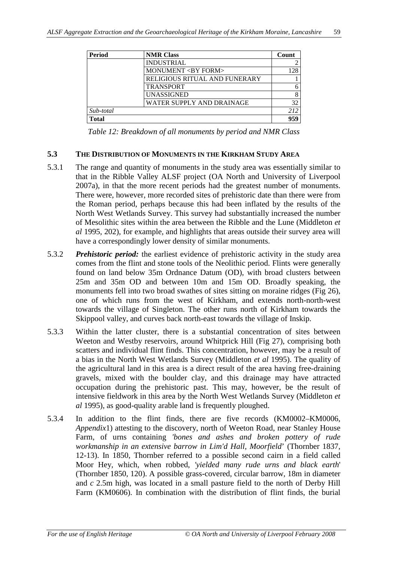| <b>Period</b> | <b>NMR Class</b>                     | Count |
|---------------|--------------------------------------|-------|
|               | <b>INDUSTRIAL</b>                    |       |
|               | <b>MONUMENT <by form=""></by></b>    | 28    |
|               | <b>RELIGIOUS RITUAL AND FUNERARY</b> |       |
|               | <b>TRANSPORT</b>                     |       |
|               | <b>UNASSIGNED</b>                    | 8     |
|               | WATER SUPPLY AND DRAINAGE            | 32    |
| Sub-total     |                                      | 212   |
| <b>Total</b>  |                                      | 050   |

*Table 12: Breakdown of all monuments by period and NMR Class*

#### **5.3 THE DISTRIBUTION OF MONUMENTS IN THE KIRKHAM STUDY AREA**

- 5.3.1 The range and quantity of monuments in the study area was essentially similar to that in the Ribble Valley ALSF project (OA North and University of Liverpool 2007a), in that the more recent periods had the greatest number of monuments. There were, however, more recorded sites of prehistoric date than there were from the Roman period, perhaps because this had been inflated by the results of the North West Wetlands Survey. This survey had substantially increased the number of Mesolithic sites within the area between the Ribble and the Lune (Middleton *et al* 1995, 202), for example, and highlights that areas outside their survey area will have a correspondingly lower density of similar monuments.
- 5.3.2 *Prehistoric period:* the earliest evidence of prehistoric activity in the study area comes from the flint and stone tools of the Neolithic period. Flints were generally found on land below 35m Ordnance Datum (OD), with broad clusters between 25m and 35m OD and between 10m and 15m OD. Broadly speaking, the monuments fell into two broad swathes of sites sitting on moraine ridges (Fig 26), one of which runs from the west of Kirkham, and extends north-north-west towards the village of Singleton. The other runs north of Kirkham towards the Skippool valley, and curves back north-east towards the village of Inskip.
- 5.3.3 Within the latter cluster, there is a substantial concentration of sites between Weeton and Westby reservoirs, around Whitprick Hill (Fig 27), comprising both scatters and individual flint finds. This concentration, however, may be a result of a bias in the North West Wetlands Survey (Middleton *et al* 1995). The quality of the agricultural land in this area is a direct result of the area having free-draining gravels, mixed with the boulder clay, and this drainage may have attracted occupation during the prehistoric past. This may, however, be the result of intensive fieldwork in this area by the North West Wetlands Survey (Middleton *et al* 1995), as good-quality arable land is frequently ploughed.
- 5.3.4 In addition to the flint finds, there are five records (KM0002–KM0006, *Appendix*1) attesting to the discovery, north of Weeton Road, near Stanley House Farm, of urns containing *'bones and ashes and broken pottery of rude workmanship in an extensive barrow in Lim'd Hall, Moorfield*' (Thornber 1837, 12-13). In 1850, Thornber referred to a possible second cairn in a field called Moor Hey, which, when robbed, *'yielded many rude urns and black earth*' (Thornber 1850, 120). A possible grass-covered, circular barrow, 18m in diameter and *c* 2.5m high, was located in a small pasture field to the north of Derby Hill Farm (KM0606). In combination with the distribution of flint finds, the burial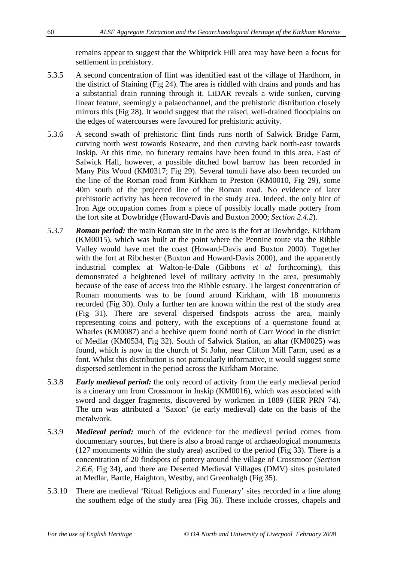remains appear to suggest that the Whitprick Hill area may have been a focus for settlement in prehistory.

- 5.3.5 A second concentration of flint was identified east of the village of Hardhorn, in the district of Staining (Fig 24). The area is riddled with drains and ponds and has a substantial drain running through it. LiDAR reveals a wide sunken, curving linear feature, seemingly a palaeochannel, and the prehistoric distribution closely mirrors this (Fig 28). It would suggest that the raised, well-drained floodplains on the edges of watercourses were favoured for prehistoric activity.
- 5.3.6 A second swath of prehistoric flint finds runs north of Salwick Bridge Farm, curving north west towards Roseacre, and then curving back north-east towards Inskip. At this time, no funerary remains have been found in this area. East of Salwick Hall, however, a possible ditched bowl barrow has been recorded in Many Pits Wood (KM0317; Fig 29). Several tumuli have also been recorded on the line of the Roman road from Kirkham to Preston (KM0010, Fig 29), some 40m south of the projected line of the Roman road. No evidence of later prehistoric activity has been recovered in the study area. Indeed, the only hint of Iron Age occupation comes from a piece of possibly locally made pottery from the fort site at Dowbridge (Howard-Davis and Buxton 2000; *Section 2.4.2*).
- 5.3.7 *Roman period:* the main Roman site in the area is the fort at Dowbridge, Kirkham (KM0015), which was built at the point where the Pennine route via the Ribble Valley would have met the coast (Howard-Davis and Buxton 2000). Together with the fort at Ribchester (Buxton and Howard-Davis 2000), and the apparently industrial complex at Walton-le-Dale (Gibbons *et al* forthcoming), this demonstrated a heightened level of military activity in the area, presumably because of the ease of access into the Ribble estuary. The largest concentration of Roman monuments was to be found around Kirkham, with 18 monuments recorded (Fig 30). Only a further ten are known within the rest of the study area (Fig 31). There are several dispersed findspots across the area, mainly representing coins and pottery, with the exceptions of a quernstone found at Wharles (KM0087) and a beehive quern found north of Carr Wood in the district of Medlar (KM0534, Fig 32). South of Salwick Station, an altar (KM0025) was found, which is now in the church of St John, near Clifton Mill Farm, used as a font. Whilst this distribution is not particularly informative, it would suggest some dispersed settlement in the period across the Kirkham Moraine.
- 5.3.8 *Early medieval period:* the only record of activity from the early medieval period is a cinerary urn from Crossmoor in Inskip (KM0016), which was associated with sword and dagger fragments, discovered by workmen in 1889 (HER PRN 74). The urn was attributed a 'Saxon' (ie early medieval) date on the basis of the metalwork.
- 5.3.9 *Medieval period:* much of the evidence for the medieval period comes from documentary sources, but there is also a broad range of archaeological monuments (127 monuments within the study area) ascribed to the period (Fig 33). There is a concentration of 20 findspots of pottery around the village of Crossmoor (*Section 2.6.6*, Fig 34), and there are Deserted Medieval Villages (DMV) sites postulated at Medlar, Bartle, Haighton, Westby, and Greenhalgh (Fig 35).
- 5.3.10 There are medieval 'Ritual Religious and Funerary' sites recorded in a line along the southern edge of the study area (Fig 36). These include crosses, chapels and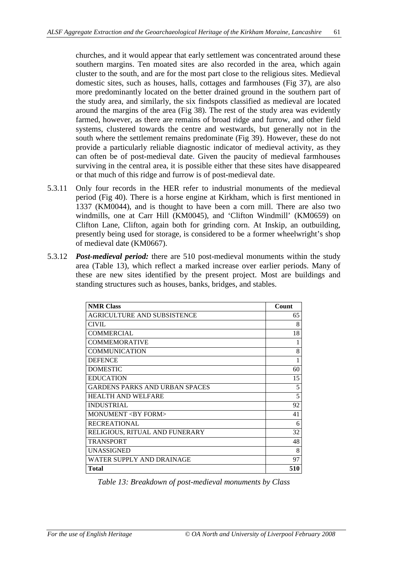churches, and it would appear that early settlement was concentrated around these southern margins. Ten moated sites are also recorded in the area, which again cluster to the south, and are for the most part close to the religious sites. Medieval domestic sites, such as houses, halls, cottages and farmhouses (Fig 37), are also more predominantly located on the better drained ground in the southern part of the study area, and similarly, the six findspots classified as medieval are located around the margins of the area (Fig 38). The rest of the study area was evidently farmed, however, as there are remains of broad ridge and furrow, and other field systems, clustered towards the centre and westwards, but generally not in the south where the settlement remains predominate (Fig 39). However, these do not provide a particularly reliable diagnostic indicator of medieval activity, as they can often be of post-medieval date. Given the paucity of medieval farmhouses surviving in the central area, it is possible either that these sites have disappeared or that much of this ridge and furrow is of post-medieval date.

- 5.3.11 Only four records in the HER refer to industrial monuments of the medieval period (Fig 40). There is a horse engine at Kirkham, which is first mentioned in 1337 (KM0044), and is thought to have been a corn mill. There are also two windmills, one at Carr Hill (KM0045), and 'Clifton Windmill' (KM0659) on Clifton Lane, Clifton, again both for grinding corn. At Inskip, an outbuilding, presently being used for storage, is considered to be a former wheelwright's shop of medieval date (KM0667).
- 5.3.12 *Post-medieval period:* there are 510 post-medieval monuments within the study area (Table 13), which reflect a marked increase over earlier periods. Many of these are new sites identified by the present project. Most are buildings and standing structures such as houses, banks, bridges, and stables.

| <b>NMR Class</b>                      | Count |
|---------------------------------------|-------|
| <b>AGRICULTURE AND SUBSISTENCE</b>    | 65    |
| <b>CIVIL</b>                          | 8     |
| COMMERCIAL                            | 18    |
| <b>COMMEMORATIVE</b>                  | 1     |
| <b>COMMUNICATION</b>                  | 8     |
| <b>DEFENCE</b>                        | 1     |
| <b>DOMESTIC</b>                       | 60    |
| <b>EDUCATION</b>                      | 15    |
| <b>GARDENS PARKS AND URBAN SPACES</b> | 5     |
| <b>HEALTH AND WELFARE</b>             | 5     |
| <b>INDUSTRIAL</b>                     | 92    |
| MONUMENT <by form=""></by>            | 41    |
| <b>RECREATIONAL</b>                   | 6     |
| RELIGIOUS, RITUAL AND FUNERARY        | 32    |
| <b>TRANSPORT</b>                      | 48    |
| <b>UNASSIGNED</b>                     | 8     |
| WATER SUPPLY AND DRAINAGE             | 97    |
| <b>Total</b>                          | 510   |

*Table 13: Breakdown of post-medieval monuments by Class*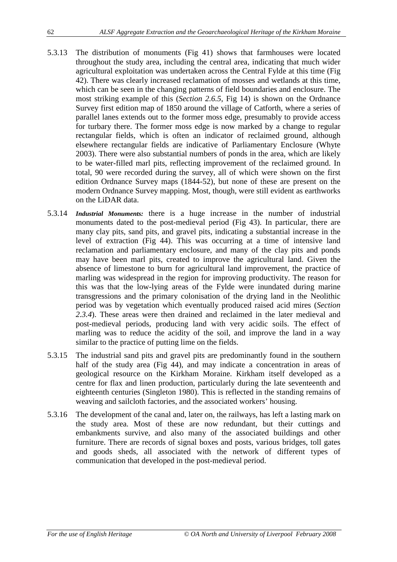- 5.3.13 The distribution of monuments (Fig 41) shows that farmhouses were located throughout the study area, including the central area, indicating that much wider agricultural exploitation was undertaken across the Central Fylde at this time (Fig 42). There was clearly increased reclamation of mosses and wetlands at this time, which can be seen in the changing patterns of field boundaries and enclosure. The most striking example of this (*Section 2.6.5*, Fig 14) is shown on the Ordnance Survey first edition map of 1850 around the village of Catforth, where a series of parallel lanes extends out to the former moss edge, presumably to provide access for turbary there. The former moss edge is now marked by a change to regular rectangular fields, which is often an indicator of reclaimed ground, although elsewhere rectangular fields are indicative of Parliamentary Enclosure (Whyte 2003). There were also substantial numbers of ponds in the area, which are likely to be water-filled marl pits, reflecting improvement of the reclaimed ground. In total, 90 were recorded during the survey, all of which were shown on the first edition Ordnance Survey maps (1844-52), but none of these are present on the modern Ordnance Survey mapping. Most, though, were still evident as earthworks on the LiDAR data.
- 5.3.14 *Industrial Monuments:* there is a huge increase in the number of industrial monuments dated to the post-medieval period (Fig 43). In particular, there are many clay pits, sand pits, and gravel pits, indicating a substantial increase in the level of extraction (Fig 44). This was occurring at a time of intensive land reclamation and parliamentary enclosure, and many of the clay pits and ponds may have been marl pits, created to improve the agricultural land. Given the absence of limestone to burn for agricultural land improvement, the practice of marling was widespread in the region for improving productivity. The reason for this was that the low-lying areas of the Fylde were inundated during marine transgressions and the primary colonisation of the drying land in the Neolithic period was by vegetation which eventually produced raised acid mires (*Section 2.3.4*). These areas were then drained and reclaimed in the later medieval and post-medieval periods, producing land with very acidic soils. The effect of marling was to reduce the acidity of the soil, and improve the land in a way similar to the practice of putting lime on the fields.
- 5.3.15 The industrial sand pits and gravel pits are predominantly found in the southern half of the study area (Fig 44), and may indicate a concentration in areas of geological resource on the Kirkham Moraine. Kirkham itself developed as a centre for flax and linen production, particularly during the late seventeenth and eighteenth centuries (Singleton 1980). This is reflected in the standing remains of weaving and sailcloth factories, and the associated workers' housing.
- 5.3.16 The development of the canal and, later on, the railways, has left a lasting mark on the study area. Most of these are now redundant, but their cuttings and embankments survive, and also many of the associated buildings and other furniture. There are records of signal boxes and posts, various bridges, toll gates and goods sheds, all associated with the network of different types of communication that developed in the post-medieval period.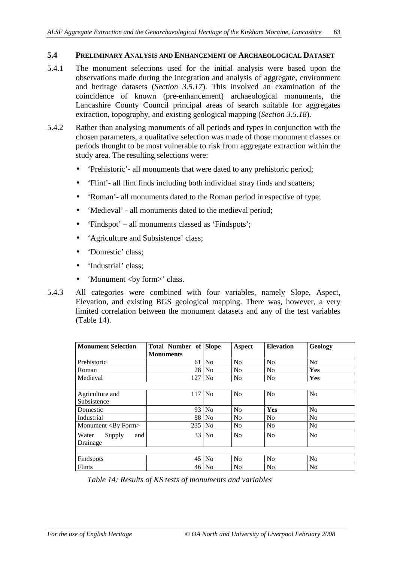#### **5.4 PRELIMINARY ANALYSIS AND ENHANCEMENT OF ARCHAEOLOGICAL DATASET**

- 5.4.1 The monument selections used for the initial analysis were based upon the observations made during the integration and analysis of aggregate, environment and heritage datasets (*Section 3.5.17*). This involved an examination of the coincidence of known (pre-enhancement) archaeological monuments, the Lancashire County Council principal areas of search suitable for aggregates extraction, topography, and existing geological mapping (*Section 3.5.18*).
- 5.4.2 Rather than analysing monuments of all periods and types in conjunction with the chosen parameters, a qualitative selection was made of those monument classes or periods thought to be most vulnerable to risk from aggregate extraction within the study area. The resulting selections were:
	- 'Prehistoric' all monuments that were dated to any prehistoric period;
	- 'Flint'- all flint finds including both individual stray finds and scatters;
	- 'Roman'- all monuments dated to the Roman period irrespective of type;
	- 'Medieval' all monuments dated to the medieval period;
	- 'Findspot' all monuments classed as 'Findspots':
	- 'Agriculture and Subsistence' class;
	- 'Domestic' class;
	- 'Industrial' class;
	- 'Monument <by form>' class.
- 5.4.3 All categories were combined with four variables, namely Slope, Aspect, Elevation, and existing BGS geological mapping. There was, however, a very limited correlation between the monument datasets and any of the test variables (Table 14).

| <b>Monument Selection</b>  | <b>Total Number of Slope</b> |                | Aspect         | <b>Elevation</b> | Geology        |
|----------------------------|------------------------------|----------------|----------------|------------------|----------------|
|                            | <b>Monuments</b>             |                |                |                  |                |
| Prehistoric                | 61                           | N <sub>0</sub> | N <sub>o</sub> | N <sub>o</sub>   | N <sub>o</sub> |
| Roman                      | 28                           | N <sub>0</sub> | N <sub>o</sub> | N <sub>o</sub>   | Yes            |
| Medieval                   | 127                          | N <sub>o</sub> | No             | No               | Yes            |
|                            |                              |                |                |                  |                |
| Agriculture and            | 117                          | N <sub>0</sub> | N <sub>o</sub> | No               | No             |
| Subsistence                |                              |                |                |                  |                |
| Domestic                   | 93                           | N <sub>o</sub> | N <sub>o</sub> | Yes              | No             |
| Industrial                 | 88                           | N <sub>0</sub> | N <sub>o</sub> | N <sub>o</sub>   | No             |
| Monument <by form=""></by> | 235                          | N <sub>0</sub> | No             | N <sub>0</sub>   | No             |
| Water<br>and<br>Supply     | 33 <sup>1</sup>              | N <sub>o</sub> | N <sub>o</sub> | No               | No             |
| Drainage                   |                              |                |                |                  |                |
|                            |                              |                |                |                  |                |
| Findspots                  | 45                           | N <sub>0</sub> | N <sub>o</sub> | N <sub>0</sub>   | No             |
| Flints                     | 46                           | N <sub>0</sub> | No             | N <sub>o</sub>   | No             |

*Table 14: Results of KS tests of monuments and variables*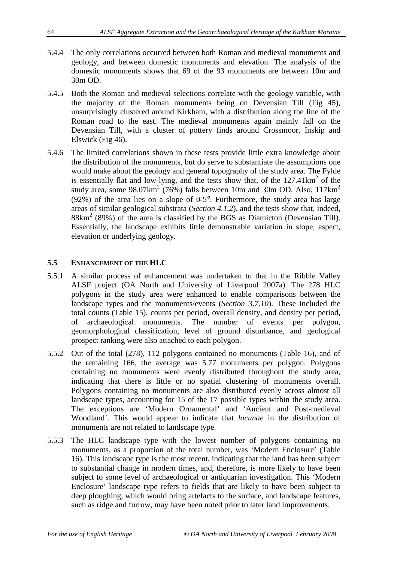- 5.4.4 The only correlations occurred between both Roman and medieval monuments and geology, and between domestic monuments and elevation. The analysis of the domestic monuments shows that 69 of the 93 monuments are between 10m and 30m OD.
- 5.4.5 Both the Roman and medieval selections correlate with the geology variable, with the majority of the Roman monuments being on Devensian Till (Fig 45), unsurprisingly clustered around Kirkham, with a distribution along the line of the Roman road to the east. The medieval monuments again mainly fall on the Devensian Till, with a cluster of pottery finds around Crossmoor, Inskip and Elswick (Fig 46).
- 5.4.6 The limited correlations shown in these tests provide little extra knowledge about the distribution of the monuments, but do serve to substantiate the assumptions one would make about the geology and general topography of the study area. The Fylde is essentially flat and low-lying, and the tests show that, of the  $127.41 \text{km}^2$  of the study area, some  $98.07 \text{km}^2$  (76%) falls between 10m and 30m OD. Also, 117 $\text{km}^2$ (92%) of the area lies on a slope of 0-5°. Furthermore, the study area has large areas of similar geological substrata (*Section 4.1.2*), and the tests show that, indeed,  $88 \text{km}^2$  (89%) of the area is classified by the BGS as Diamicton (Devensian Till). Essentially, the landscape exhibits little demonstrable variation in slope, aspect, elevation or underlying geology.

#### **5.5 ENHANCEMENT OF THE HLC**

- 5.5.1 A similar process of enhancement was undertaken to that in the Ribble Valley ALSF project (OA North and University of Liverpool 2007a). The 278 HLC polygons in the study area were enhanced to enable comparisons between the landscape types and the monuments/events (*Section 3.7.10*). These included the total counts (Table 15), counts per period, overall density, and density per period, of archaeological monuments. The number of events per polygon, geomorphological classification, level of ground disturbance, and geological prospect ranking were also attached to each polygon.
- 5.5.2 Out of the total (278), 112 polygons contained no monuments (Table 16), and of the remaining 166, the average was 5.77 monuments per polygon. Polygons containing no monuments were evenly distributed throughout the study area, indicating that there is little or no spatial clustering of monuments overall. Polygons containing no monuments are also distributed evenly across almost all landscape types, accounting for 15 of the 17 possible types within the study area. The exceptions are 'Modern Ornamental' and 'Ancient and Post-medieval Woodland'. This would appear to indicate that *lacunae* in the distribution of monuments are not related to landscape type.
- 5.5.3 The HLC landscape type with the lowest number of polygons containing no monuments, as a proportion of the total number, was 'Modern Enclosure' (Table 16). This landscape type is the most recent, indicating that the land has been subject to substantial change in modern times, and, therefore, is more likely to have been subject to some level of archaeological or antiquarian investigation. This 'Modern Enclosure' landscape type refers to fields that are likely to have been subject to deep ploughing, which would bring artefacts to the surface, and landscape features, such as ridge and furrow, may have been noted prior to later land improvements.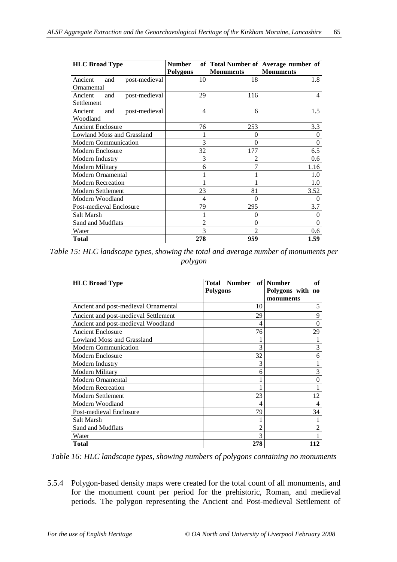| <b>HLC Broad Type</b>           | <b>Number</b>   |                  | of   Total Number of   Average number of |
|---------------------------------|-----------------|------------------|------------------------------------------|
|                                 | <b>Polygons</b> | <b>Monuments</b> | <b>Monuments</b>                         |
| Ancient<br>post-medieval<br>and | 10              | 18               | 1.8                                      |
| Ornamental                      |                 |                  |                                          |
| post-medieval<br>Ancient<br>and | 29              | 116              | 4                                        |
| Settlement                      |                 |                  |                                          |
| post-medieval<br>Ancient<br>and | 4               | 6                | 1.5 <sub>1</sub>                         |
| Woodland                        |                 |                  |                                          |
| <b>Ancient Enclosure</b>        | 76              | 253              | 3.3                                      |
| Lowland Moss and Grassland      |                 | $\Omega$         | 0                                        |
| <b>Modern Communication</b>     | 3               | 0                | $\Omega$                                 |
| Modern Enclosure                | 32              | 177              | 6.5                                      |
| Modern Industry                 | 3               | 2                | $0.6\,$                                  |
| Modern Military                 | 6               | 7                | 1.16                                     |
| Modern Ornamental               |                 |                  | 1.0                                      |
| <b>Modern Recreation</b>        |                 |                  | 1.0                                      |
| <b>Modern Settlement</b>        | 23              | 81               | 3.52                                     |
| Modern Woodland                 | 4               | 0                | $\Omega$                                 |
| Post-medieval Enclosure         | 79              | 295              | 3.7                                      |
| Salt Marsh                      |                 | 0                | $\theta$                                 |
| Sand and Mudflats               | 2               | 0                | $\Omega$                                 |
| Water                           | 3               | $\mathfrak{D}$   | 0.6                                      |
| <b>Total</b>                    | 278             | 959              | 1.59                                     |

*Table 15: HLC landscape types, showing the total and average number of monuments per polygon*

| <b>HLC Broad Type</b>                | <b>Total Number</b> | of   Number<br>of |
|--------------------------------------|---------------------|-------------------|
|                                      | Polygons            | Polygons with no  |
|                                      |                     | monuments         |
| Ancient and post-medieval Ornamental | 10                  | 5                 |
| Ancient and post-medieval Settlement | 29                  | 9                 |
| Ancient and post-medieval Woodland   | 4                   | $\theta$          |
| <b>Ancient Enclosure</b>             | 76                  | 29                |
| <b>Lowland Moss and Grassland</b>    |                     |                   |
| <b>Modern Communication</b>          | 3                   | 3                 |
| Modern Enclosure                     | 32                  | 6                 |
| Modern Industry                      | 3                   |                   |
| Modern Military                      | 6                   | 3                 |
| Modern Ornamental                    |                     | $\theta$          |
| <b>Modern Recreation</b>             |                     |                   |
| <b>Modern Settlement</b>             | 23                  | 12                |
| Modern Woodland                      | 4                   | 4                 |
| Post-medieval Enclosure              | 79                  | 34                |
| Salt Marsh                           |                     |                   |
| Sand and Mudflats                    | $\overline{c}$      | 2                 |
| Water                                | 3                   |                   |
| <b>Total</b>                         | 278                 | 112               |

*Table 16: HLC landscape types, showing numbers of polygons containing no monuments*

5.5.4 Polygon-based density maps were created for the total count of all monuments, and for the monument count per period for the prehistoric, Roman, and medieval periods. The polygon representing the Ancient and Post-medieval Settlement of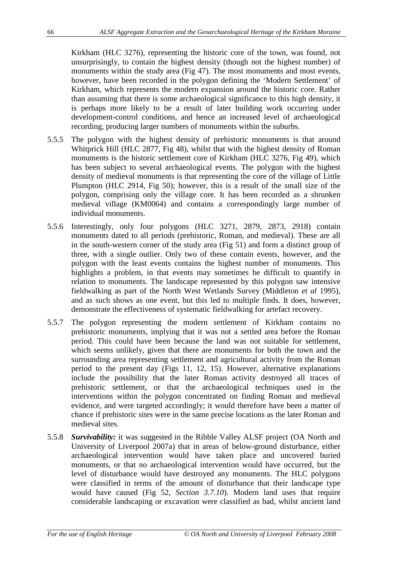Kirkham (HLC 3276), representing the historic core of the town, was found, not unsurprisingly, to contain the highest density (though not the highest number) of monuments within the study area (Fig 47). The most monuments and most events, however, have been recorded in the polygon defining the 'Modern Settlement' of Kirkham, which represents the modern expansion around the historic core. Rather than assuming that there is some archaeological significance to this high density, it is perhaps more likely to be a result of later building work occurring under development-control conditions, and hence an increased level of archaeological recording, producing larger numbers of monuments within the suburbs.

- 5.5.5 The polygon with the highest density of prehistoric monuments is that around Whitprick Hill (HLC 2877, Fig 48), whilst that with the highest density of Roman monuments is the historic settlement core of Kirkham (HLC 3276, Fig 49), which has been subject to several archaeological events. The polygon with the highest density of medieval monuments is that representing the core of the village of Little Plumpton (HLC 2914, Fig 50); however, this is a result of the small size of the polygon, comprising only the village core. It has been recorded as a shrunken medieval village (KM0064) and contains a correspondingly large number of individual monuments.
- 5.5.6 Interestingly, only four polygons (HLC 3271, 2879, 2873, 2918) contain monuments dated to all periods (prehistoric, Roman, and medieval). These are all in the south-western corner of the study area (Fig 51) and form a distinct group of three, with a single outlier. Only two of these contain events, however, and the polygon with the least events contains the highest number of monuments. This highlights a problem, in that events may sometimes be difficult to quantify in relation to monuments. The landscape represented by this polygon saw intensive fieldwalking as part of the North West Wetlands Survey (Middleton *et al* 1995), and as such shows as one event, but this led to multiple finds. It does, however, demonstrate the effectiveness of systematic fieldwalking for artefact recovery.
- 5.5.7 The polygon representing the modern settlement of Kirkham contains no prehistoric monuments, implying that it was not a settled area before the Roman period. This could have been because the land was not suitable for settlement, which seems unlikely, given that there are monuments for both the town and the surrounding area representing settlement and agricultural activity from the Roman period to the present day (Figs 11, 12, 15). However, alternative explanations include the possibility that the later Roman activity destroyed all traces of prehistoric settlement, or that the archaeological techniques used in the interventions within the polygon concentrated on finding Roman and medieval evidence, and were targeted accordingly; it would therefore have been a matter of chance if prehistoric sites were in the same precise locations as the later Roman and medieval sites.
- 5.5.8 *Survivability:* it was suggested in the Ribble Valley ALSF project (OA North and University of Liverpool 2007a) that in areas of below-ground disturbance, either archaeological intervention would have taken place and uncovered buried monuments, or that no archaeological intervention would have occurred, but the level of disturbance would have destroyed any monuments. The HLC polygons were classified in terms of the amount of disturbance that their landscape type would have caused (Fig 52, *Section 3.7.10*). Modern land uses that require considerable landscaping or excavation were classified as bad, whilst ancient land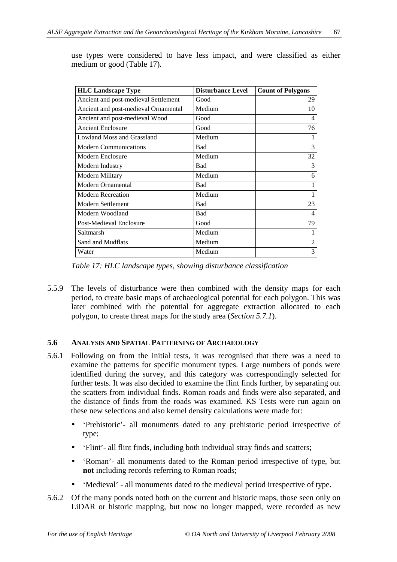| <b>HLC Landscape Type</b>            | <b>Disturbance Level</b> | <b>Count of Polygons</b> |
|--------------------------------------|--------------------------|--------------------------|
| Ancient and post-medieval Settlement | Good                     | 29                       |
| Ancient and post-medieval Ornamental | Medium                   | 10                       |
| Ancient and post-medieval Wood       | Good                     | 4                        |
| <b>Ancient Enclosure</b>             | Good                     | 76                       |
| <b>Lowland Moss and Grassland</b>    | Medium                   |                          |
| <b>Modern Communications</b>         | Bad                      | 3                        |
| Modern Enclosure                     | Medium                   | 32                       |
| Modern Industry                      | Bad                      | 3                        |
| Modern Military                      | Medium                   | 6                        |
| Modern Ornamental                    | Bad                      |                          |
| <b>Modern Recreation</b>             | Medium                   |                          |
| Modern Settlement                    | Bad                      | 23                       |
| Modern Woodland                      | Bad                      | $\overline{4}$           |
| Post-Medieval Enclosure              | Good                     | 79                       |
| Saltmarsh                            | Medium                   |                          |
| Sand and Mudflats                    | Medium                   | 2                        |
| Water                                | Medium                   | 3                        |

use types were considered to have less impact, and were classified as either medium or good (Table 17).

*Table 17: HLC landscape types, showing disturbance classification*

5.5.9 The levels of disturbance were then combined with the density maps for each period, to create basic maps of archaeological potential for each polygon. This was later combined with the potential for aggregate extraction allocated to each polygon, to create threat maps for the study area (*Section 5.7.1*).

#### **5.6 ANALYSIS AND SPATIAL PATTERNING OF ARCHAEOLOGY**

- 5.6.1 Following on from the initial tests, it was recognised that there was a need to examine the patterns for specific monument types. Large numbers of ponds were identified during the survey, and this category was correspondingly selected for further tests. It was also decided to examine the flint finds further, by separating out the scatters from individual finds. Roman roads and finds were also separated, and the distance of finds from the roads was examined. KS Tests were run again on these new selections and also kernel density calculations were made for:
	- 'Prehistoric'- all monuments dated to any prehistoric period irrespective of type;
	- 'Flint'- all flint finds, including both individual stray finds and scatters;
	- 'Roman'- all monuments dated to the Roman period irrespective of type, but **not** including records referring to Roman roads;
	- 'Medieval' all monuments dated to the medieval period irrespective of type.
- 5.6.2 Of the many ponds noted both on the current and historic maps, those seen only on LiDAR or historic mapping, but now no longer mapped, were recorded as new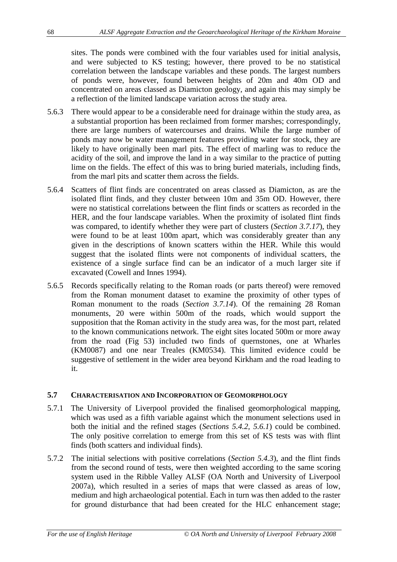sites. The ponds were combined with the four variables used for initial analysis, and were subjected to KS testing; however, there proved to be no statistical correlation between the landscape variables and these ponds. The largest numbers of ponds were, however, found between heights of 20m and 40m OD and concentrated on areas classed as Diamicton geology, and again this may simply be a reflection of the limited landscape variation across the study area.

- 5.6.3 There would appear to be a considerable need for drainage within the study area, as a substantial proportion has been reclaimed from former marshes; correspondingly, there are large numbers of watercourses and drains. While the large number of ponds may now be water management features providing water for stock, they are likely to have originally been marl pits. The effect of marling was to reduce the acidity of the soil, and improve the land in a way similar to the practice of putting lime on the fields. The effect of this was to bring buried materials, including finds, from the marl pits and scatter them across the fields.
- 5.6.4 Scatters of flint finds are concentrated on areas classed as Diamicton, as are the isolated flint finds, and they cluster between 10m and 35m OD. However, there were no statistical correlations between the flint finds or scatters as recorded in the HER, and the four landscape variables. When the proximity of isolated flint finds was compared, to identify whether they were part of clusters (*Section 3.7.17*), they were found to be at least 100m apart, which was considerably greater than any given in the descriptions of known scatters within the HER. While this would suggest that the isolated flints were not components of individual scatters, the existence of a single surface find can be an indicator of a much larger site if excavated (Cowell and Innes 1994).
- 5.6.5 Records specifically relating to the Roman roads (or parts thereof) were removed from the Roman monument dataset to examine the proximity of other types of Roman monument to the roads (*Section 3.7.14*). Of the remaining 28 Roman monuments, 20 were within 500m of the roads, which would support the supposition that the Roman activity in the study area was, for the most part, related to the known communications network. The eight sites located 500m or more away from the road (Fig 53) included two finds of quernstones, one at Wharles (KM0087) and one near Treales (KM0534). This limited evidence could be suggestive of settlement in the wider area beyond Kirkham and the road leading to it.

#### **5.7 CHARACTERISATION AND INCORPORATION OF GEOMORPHOLOGY**

- 5.7.1 The University of Liverpool provided the finalised geomorphological mapping, which was used as a fifth variable against which the monument selections used in both the initial and the refined stages (*Sections 5.4.2, 5.6.1*) could be combined. The only positive correlation to emerge from this set of KS tests was with flint finds (both scatters and individual finds).
- 5.7.2 The initial selections with positive correlations (*Section 5.4.3*), and the flint finds from the second round of tests, were then weighted according to the same scoring system used in the Ribble Valley ALSF (OA North and University of Liverpool 2007a), which resulted in a series of maps that were classed as areas of low, medium and high archaeological potential. Each in turn was then added to the raster for ground disturbance that had been created for the HLC enhancement stage;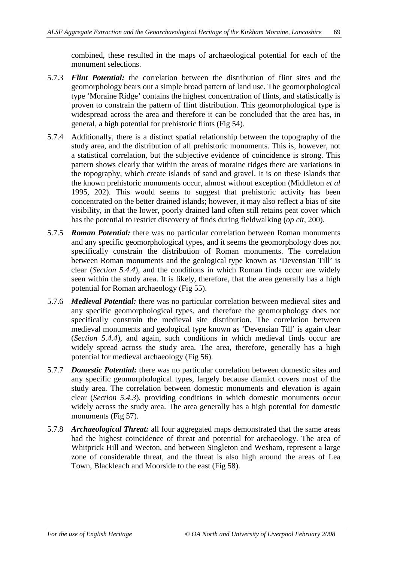combined, these resulted in the maps of archaeological potential for each of the monument selections.

- 5.7.3 *Flint Potential:* the correlation between the distribution of flint sites and the geomorphology bears out a simple broad pattern of land use. The geomorphological type 'Moraine Ridge' contains the highest concentration of flints, and statistically is proven to constrain the pattern of flint distribution. This geomorphological type is widespread across the area and therefore it can be concluded that the area has, in general, a high potential for prehistoric flints (Fig 54).
- 5.7.4 Additionally, there is a distinct spatial relationship between the topography of the study area, and the distribution of all prehistoric monuments. This is, however, not a statistical correlation, but the subjective evidence of coincidence is strong. This pattern shows clearly that within the areas of moraine ridges there are variations in the topography, which create islands of sand and gravel. It is on these islands that the known prehistoric monuments occur, almost without exception (Middleton *et al* 1995, 202). This would seems to suggest that prehistoric activity has been concentrated on the better drained islands; however, it may also reflect a bias of site visibility, in that the lower, poorly drained land often still retains peat cover which has the potential to restrict discovery of finds during fieldwalking (*op cit*, 200).
- 5.7.5 *Roman Potential:* there was no particular correlation between Roman monuments and any specific geomorphological types, and it seems the geomorphology does not specifically constrain the distribution of Roman monuments. The correlation between Roman monuments and the geological type known as 'Devensian Till' is clear (*Section 5.4.4*), and the conditions in which Roman finds occur are widely seen within the study area. It is likely, therefore, that the area generally has a high potential for Roman archaeology (Fig 55).
- 5.7.6 *Medieval Potential:* there was no particular correlation between medieval sites and any specific geomorphological types, and therefore the geomorphology does not specifically constrain the medieval site distribution. The correlation between medieval monuments and geological type known as 'Devensian Till' is again clear (*Section 5.4.4*), and again, such conditions in which medieval finds occur are widely spread across the study area. The area, therefore, generally has a high potential for medieval archaeology (Fig 56).
- 5.7.7 *Domestic Potential:* there was no particular correlation between domestic sites and any specific geomorphological types, largely because diamict covers most of the study area. The correlation between domestic monuments and elevation is again clear (*Section 5.4.3*), providing conditions in which domestic monuments occur widely across the study area. The area generally has a high potential for domestic monuments (Fig 57).
- 5.7.8 *Archaeological Threat:* all four aggregated maps demonstrated that the same areas had the highest coincidence of threat and potential for archaeology. The area of Whitprick Hill and Weeton, and between Singleton and Wesham, represent a large zone of considerable threat, and the threat is also high around the areas of Lea Town, Blackleach and Moorside to the east (Fig 58).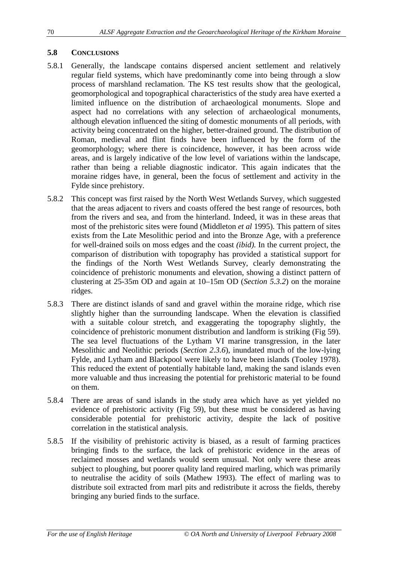#### **5.8 CONCLUSIONS**

- 5.8.1 Generally, the landscape contains dispersed ancient settlement and relatively regular field systems, which have predominantly come into being through a slow process of marshland reclamation. The KS test results show that the geological, geomorphological and topographical characteristics of the study area have exerted a limited influence on the distribution of archaeological monuments. Slope and aspect had no correlations with any selection of archaeological monuments, although elevation influenced the siting of domestic monuments of all periods, with activity being concentrated on the higher, better-drained ground. The distribution of Roman, medieval and flint finds have been influenced by the form of the geomorphology; where there is coincidence, however, it has been across wide areas, and is largely indicative of the low level of variations within the landscape, rather than being a reliable diagnostic indicator. This again indicates that the moraine ridges have, in general, been the focus of settlement and activity in the Fylde since prehistory.
- 5.8.2 This concept was first raised by the North West Wetlands Survey, which suggested that the areas adjacent to rivers and coasts offered the best range of resources, both from the rivers and sea, and from the hinterland. Indeed, it was in these areas that most of the prehistoric sites were found (Middleton *et al* 1995). This pattern of sites exists from the Late Mesolithic period and into the Bronze Age, with a preference for well-drained soils on moss edges and the coast *(ibid).* In the current project, the comparison of distribution with topography has provided a statistical support for the findings of the North West Wetlands Survey, clearly demonstrating the coincidence of prehistoric monuments and elevation, showing a distinct pattern of clustering at 25-35m OD and again at 10–15m OD (*Section 5.3.2*) on the moraine ridges.
- 5.8.3 There are distinct islands of sand and gravel within the moraine ridge, which rise slightly higher than the surrounding landscape. When the elevation is classified with a suitable colour stretch, and exaggerating the topography slightly, the coincidence of prehistoric monument distribution and landform is striking (Fig 59). The sea level fluctuations of the Lytham VI marine transgression, in the later Mesolithic and Neolithic periods (*Section 2.3.6*), inundated much of the low-lying Fylde, and Lytham and Blackpool were likely to have been islands (Tooley 1978). This reduced the extent of potentially habitable land, making the sand islands even more valuable and thus increasing the potential for prehistoric material to be found on them.
- 5.8.4 There are areas of sand islands in the study area which have as yet yielded no evidence of prehistoric activity (Fig 59), but these must be considered as having considerable potential for prehistoric activity, despite the lack of positive correlation in the statistical analysis.
- 5.8.5 If the visibility of prehistoric activity is biased, as a result of farming practices bringing finds to the surface, the lack of prehistoric evidence in the areas of reclaimed mosses and wetlands would seem unusual. Not only were these areas subject to ploughing, but poorer quality land required marling, which was primarily to neutralise the acidity of soils (Mathew 1993). The effect of marling was to distribute soil extracted from marl pits and redistribute it across the fields, thereby bringing any buried finds to the surface.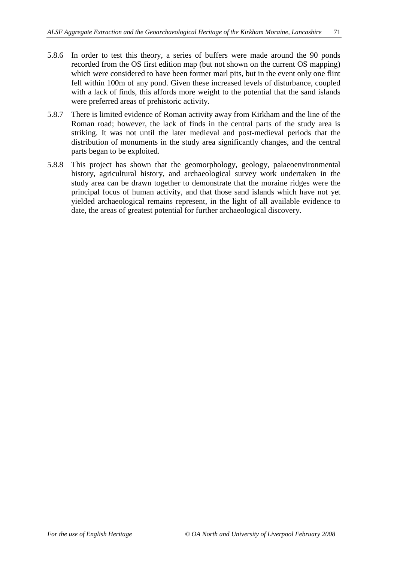- 5.8.6 In order to test this theory, a series of buffers were made around the 90 ponds recorded from the OS first edition map (but not shown on the current OS mapping) which were considered to have been former marl pits, but in the event only one flint fell within 100m of any pond. Given these increased levels of disturbance, coupled with a lack of finds, this affords more weight to the potential that the sand islands were preferred areas of prehistoric activity.
- 5.8.7 There is limited evidence of Roman activity away from Kirkham and the line of the Roman road; however, the lack of finds in the central parts of the study area is striking. It was not until the later medieval and post-medieval periods that the distribution of monuments in the study area significantly changes, and the central parts began to be exploited.
- 5.8.8 This project has shown that the geomorphology, geology, palaeoenvironmental history, agricultural history, and archaeological survey work undertaken in the study area can be drawn together to demonstrate that the moraine ridges were the principal focus of human activity, and that those sand islands which have not yet yielded archaeological remains represent, in the light of all available evidence to date, the areas of greatest potential for further archaeological discovery.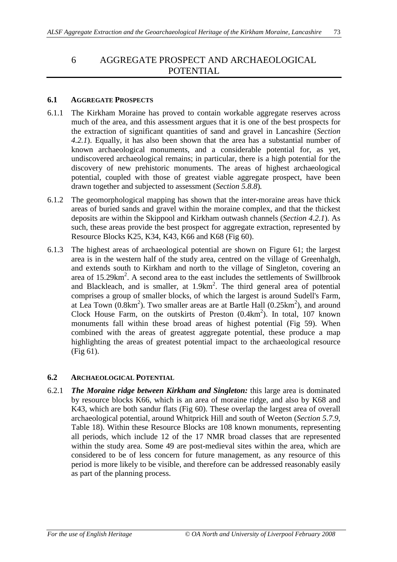# 6 AGGREGATE PROSPECT AND ARCHAEOLOGICAL POTENTIAL

#### **6.1 AGGREGATE PROSPECTS**

- 6.1.1 The Kirkham Moraine has proved to contain workable aggregate reserves across much of the area, and this assessment argues that it is one of the best prospects for the extraction of significant quantities of sand and gravel in Lancashire (*Section 4.2.1*). Equally, it has also been shown that the area has a substantial number of known archaeological monuments, and a considerable potential for, as yet, undiscovered archaeological remains; in particular, there is a high potential for the discovery of new prehistoric monuments. The areas of highest archaeological potential, coupled with those of greatest viable aggregate prospect, have been drawn together and subjected to assessment (*Section 5.8.8*)*.*
- 6.1.2 The geomorphological mapping has shown that the inter-moraine areas have thick areas of buried sands and gravel within the moraine complex, and that the thickest deposits are within the Skippool and Kirkham outwash channels (*Section 4.2.1*). As such, these areas provide the best prospect for aggregate extraction, represented by Resource Blocks K25, K34, K43, K66 and K68 (Fig 60).
- 6.1.3 The highest areas of archaeological potential are shown on Figure 61; the largest area is in the western half of the study area, centred on the village of Greenhalgh, and extends south to Kirkham and north to the village of Singleton, covering an area of 15.29km<sup>2</sup>. A second area to the east includes the settlements of Swillbrook and Blackleach, and is smaller, at  $1.9 \text{km}^2$ . The third general area of potential comprises a group of smaller blocks, of which the largest is around Sudell's Farm, at Lea Town  $(0.8 \text{km}^2)$ . Two smaller areas are at Bartle Hall  $(0.25 \text{km}^2)$ , and around Clock House Farm, on the outskirts of Preston  $(0.4 \text{km}^2)$ . In total, 107 known monuments fall within these broad areas of highest potential (Fig 59). When combined with the areas of greatest aggregate potential, these produce a map highlighting the areas of greatest potential impact to the archaeological resource (Fig 61).

#### **6.2 ARCHAEOLOGICAL POTENTIAL**

6.2.1 *The Moraine ridge between Kirkham and Singleton:* this large area is dominated by resource blocks K66, which is an area of moraine ridge, and also by K68 and K43, which are both sandur flats (Fig 60). These overlap the largest area of overall archaeological potential, around Whitprick Hill and south of Weeton (*Section 5.7.9*, Table 18). Within these Resource Blocks are 108 known monuments, representing all periods, which include 12 of the 17 NMR broad classes that are represented within the study area. Some 49 are post-medieval sites within the area, which are considered to be of less concern for future management, as any resource of this period is more likely to be visible, and therefore can be addressed reasonably easily as part of the planning process.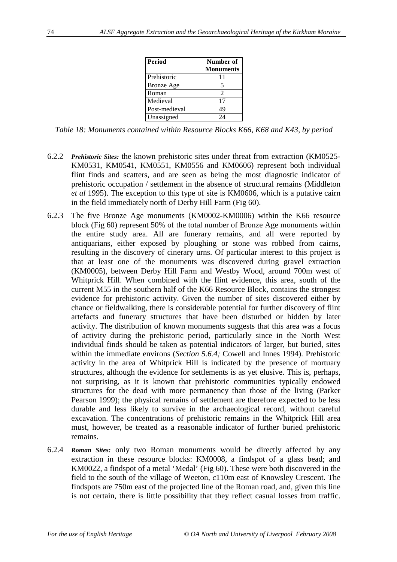| <b>Period</b>     | Number of<br><b>Monuments</b> |
|-------------------|-------------------------------|
| Prehistoric       | 11                            |
| <b>Bronze</b> Age | 5                             |
| Roman             | $\mathcal{D}_{\mathcal{L}}$   |
| Medieval          | 17                            |
| Post-medieval     | 49                            |
| Unassigned        | 24                            |

*Table 18: Monuments contained within Resource Blocks K66, K68 and K43, by period*

- 6.2.2 *Prehistoric Sites:* the known prehistoric sites under threat from extraction (KM0525- KM0531, KM0541, KM0551, KM0556 and KM0606) represent both individual flint finds and scatters, and are seen as being the most diagnostic indicator of prehistoric occupation / settlement in the absence of structural remains (Middleton *et al* 1995). The exception to this type of site is KM0606, which is a putative cairn in the field immediately north of Derby Hill Farm (Fig 60).
- 6.2.3 The five Bronze Age monuments (KM0002-KM0006) within the K66 resource block (Fig 60) represent 50% of the total number of Bronze Age monuments within the entire study area. All are funerary remains, and all were reported by antiquarians, either exposed by ploughing or stone was robbed from cairns, resulting in the discovery of cinerary urns. Of particular interest to this project is that at least one of the monuments was discovered during gravel extraction (KM0005), between Derby Hill Farm and Westby Wood, around 700m west of Whitprick Hill. When combined with the flint evidence, this area, south of the current M55 in the southern half of the K66 Resource Block, contains the strongest evidence for prehistoric activity. Given the number of sites discovered either by chance or fieldwalking, there is considerable potential for further discovery of flint artefacts and funerary structures that have been disturbed or hidden by later activity. The distribution of known monuments suggests that this area was a focus of activity during the prehistoric period, particularly since in the North West individual finds should be taken as potential indicators of larger, but buried, sites within the immediate environs (*Section 5.6.4;* Cowell and Innes 1994). Prehistoric activity in the area of Whitprick Hill is indicated by the presence of mortuary structures, although the evidence for settlements is as yet elusive. This is, perhaps, not surprising, as it is known that prehistoric communities typically endowed structures for the dead with more permanency than those of the living (Parker Pearson 1999); the physical remains of settlement are therefore expected to be less durable and less likely to survive in the archaeological record, without careful excavation. The concentrations of prehistoric remains in the Whitprick Hill area must, however, be treated as a reasonable indicator of further buried prehistoric remains.
- 6.2.4 *Roman Sites:* only two Roman monuments would be directly affected by any extraction in these resource blocks: KM0008, a findspot of a glass bead; and KM0022, a findspot of a metal 'Medal' (Fig 60). These were both discovered in the field to the south of the village of Weeton, *c*110m east of Knowsley Crescent. The findspots are 750m east of the projected line of the Roman road, and, given this line is not certain, there is little possibility that they reflect casual losses from traffic.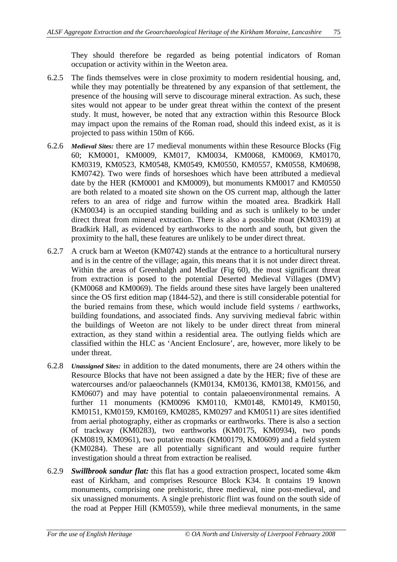They should therefore be regarded as being potential indicators of Roman occupation or activity within in the Weeton area.

- 6.2.5 The finds themselves were in close proximity to modern residential housing, and, while they may potentially be threatened by any expansion of that settlement, the presence of the housing will serve to discourage mineral extraction. As such, these sites would not appear to be under great threat within the context of the present study. It must, however, be noted that any extraction within this Resource Block may impact upon the remains of the Roman road, should this indeed exist, as it is projected to pass within 150m of K66.
- 6.2.6 *Medieval Sites:* there are 17 medieval monuments within these Resource Blocks (Fig 60; KM0001, KM0009, KM017, KM0034, KM0068, KM0069, KM0170, KM0319, KM0523, KM0548, KM0549, KM0550, KM0557, KM0558, KM0698, KM0742). Two were finds of horseshoes which have been attributed a medieval date by the HER (KM0001 and KM0009), but monuments KM0017 and KM0550 are both related to a moated site shown on the OS current map, although the latter refers to an area of ridge and furrow within the moated area. Bradkirk Hall (KM0034) is an occupied standing building and as such is unlikely to be under direct threat from mineral extraction. There is also a possible moat (KM0319) at Bradkirk Hall, as evidenced by earthworks to the north and south, but given the proximity to the hall, these features are unlikely to be under direct threat.
- 6.2.7 A cruck barn at Weeton (KM0742) stands at the entrance to a horticultural nursery and is in the centre of the village; again, this means that it is not under direct threat. Within the areas of Greenhalgh and Medlar (Fig 60), the most significant threat from extraction is posed to the potential Deserted Medieval Villages (DMV) (KM0068 and KM0069). The fields around these sites have largely been unaltered since the OS first edition map (1844-52), and there is still considerable potential for the buried remains from these, which would include field systems / earthworks, building foundations, and associated finds. Any surviving medieval fabric within the buildings of Weeton are not likely to be under direct threat from mineral extraction, as they stand within a residential area. The outlying fields which are classified within the HLC as 'Ancient Enclosure', are, however, more likely to be under threat.
- 6.2.8 *Unassigned Sites:* in addition to the dated monuments, there are 24 others within the Resource Blocks that have not been assigned a date by the HER; five of these are watercourses and/or palaeochannels (KM0134, KM0136, KM0138, KM0156, and KM0607) and may have potential to contain palaeoenvironmental remains. A further 11 monuments (KM0096 KM0110, KM0148, KM0149, KM0150, KM0151, KM0159, KM0169, KM0285, KM0297 and KM0511) are sites identified from aerial photography, either as cropmarks or earthworks. There is also a section of trackway (KM0283), two earthworks (KM0175, KM0934), two ponds (KM0819, KM0961), two putative moats (KM00179, KM0609) and a field system (KM0284). These are all potentially significant and would require further investigation should a threat from extraction be realised.
- 6.2.9 *Swillbrook sandur flat:* this flat has a good extraction prospect, located some 4km east of Kirkham, and comprises Resource Block K34. It contains 19 known monuments, comprising one prehistoric, three medieval, nine post-medieval, and six unassigned monuments. A single prehistoric flint was found on the south side of the road at Pepper Hill (KM0559), while three medieval monuments, in the same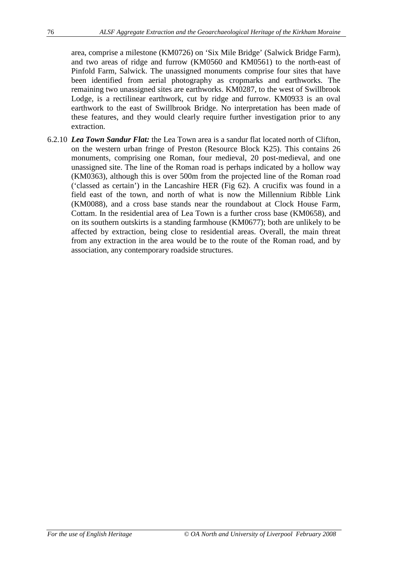area, comprise a milestone (KM0726) on 'Six Mile Bridge' (Salwick Bridge Farm), and two areas of ridge and furrow (KM0560 and KM0561) to the north-east of Pinfold Farm, Salwick. The unassigned monuments comprise four sites that have been identified from aerial photography as cropmarks and earthworks. The remaining two unassigned sites are earthworks. KM0287, to the west of Swillbrook Lodge, is a rectilinear earthwork, cut by ridge and furrow. KM0933 is an oval earthwork to the east of Swillbrook Bridge. No interpretation has been made of these features, and they would clearly require further investigation prior to any extraction.

6.2.10 *Lea Town Sandur Flat:* the Lea Town area is a sandur flat located north of Clifton, on the western urban fringe of Preston (Resource Block K25). This contains 26 monuments, comprising one Roman, four medieval, 20 post-medieval, and one unassigned site. The line of the Roman road is perhaps indicated by a hollow way (KM0363), although this is over 500m from the projected line of the Roman road ('classed as certain') in the Lancashire HER (Fig 62). A crucifix was found in a field east of the town, and north of what is now the Millennium Ribble Link (KM0088), and a cross base stands near the roundabout at Clock House Farm, Cottam. In the residential area of Lea Town is a further cross base (KM0658), and on its southern outskirts is a standing farmhouse (KM0677); both are unlikely to be affected by extraction, being close to residential areas. Overall, the main threat from any extraction in the area would be to the route of the Roman road, and by association, any contemporary roadside structures.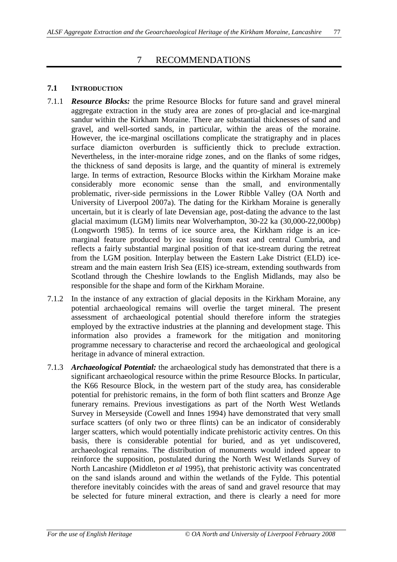## 7 RECOMMENDATIONS

#### **7.1 INTRODUCTION**

- 7.1.1 *Resource Blocks:* the prime Resource Blocks for future sand and gravel mineral aggregate extraction in the study area are zones of pro-glacial and ice-marginal sandur within the Kirkham Moraine. There are substantial thicknesses of sand and gravel, and well-sorted sands, in particular, within the areas of the moraine. However, the ice-marginal oscillations complicate the stratigraphy and in places surface diamicton overburden is sufficiently thick to preclude extraction. Nevertheless, in the inter-moraine ridge zones, and on the flanks of some ridges, the thickness of sand deposits is large, and the quantity of mineral is extremely large. In terms of extraction, Resource Blocks within the Kirkham Moraine make considerably more economic sense than the small, and environmentally problematic, river-side permissions in the Lower Ribble Valley (OA North and University of Liverpool 2007a). The dating for the Kirkham Moraine is generally uncertain, but it is clearly of late Devensian age, post-dating the advance to the last glacial maximum (LGM) limits near Wolverhampton, 30-22 ka (30,000-22,000bp) (Longworth 1985). In terms of ice source area, the Kirkham ridge is an icemarginal feature produced by ice issuing from east and central Cumbria, and reflects a fairly substantial marginal position of that ice-stream during the retreat from the LGM position. Interplay between the Eastern Lake District (ELD) icestream and the main eastern Irish Sea (EIS) ice-stream, extending southwards from Scotland through the Cheshire lowlands to the English Midlands, may also be responsible for the shape and form of the Kirkham Moraine.
- 7.1.2 In the instance of any extraction of glacial deposits in the Kirkham Moraine, any potential archaeological remains will overlie the target mineral. The present assessment of archaeological potential should therefore inform the strategies employed by the extractive industries at the planning and development stage. This information also provides a framework for the mitigation and monitoring programme necessary to characterise and record the archaeological and geological heritage in advance of mineral extraction.
- 7.1.3 *Archaeological Potential:* the archaeological study has demonstrated that there is a significant archaeological resource within the prime Resource Blocks. In particular, the K66 Resource Block, in the western part of the study area, has considerable potential for prehistoric remains, in the form of both flint scatters and Bronze Age funerary remains. Previous investigations as part of the North West Wetlands Survey in Merseyside (Cowell and Innes 1994) have demonstrated that very small surface scatters (of only two or three flints) can be an indicator of considerably larger scatters, which would potentially indicate prehistoric activity centres. On this basis, there is considerable potential for buried, and as yet undiscovered, archaeological remains. The distribution of monuments would indeed appear to reinforce the supposition, postulated during the North West Wetlands Survey of North Lancashire (Middleton *et al* 1995), that prehistoric activity was concentrated on the sand islands around and within the wetlands of the Fylde. This potential therefore inevitably coincides with the areas of sand and gravel resource that may be selected for future mineral extraction, and there is clearly a need for more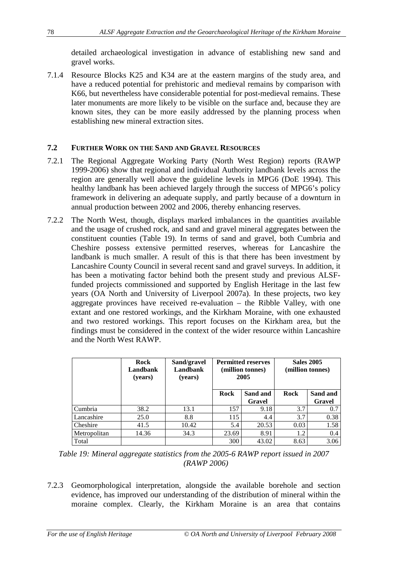detailed archaeological investigation in advance of establishing new sand and gravel works.

7.1.4 Resource Blocks K25 and K34 are at the eastern margins of the study area, and have a reduced potential for prehistoric and medieval remains by comparison with K66, but nevertheless have considerable potential for post-medieval remains. These later monuments are more likely to be visible on the surface and, because they are known sites, they can be more easily addressed by the planning process when establishing new mineral extraction sites.

#### **7.2 FURTHER WORK ON THE SAND AND GRAVEL RESOURCES**

- 7.2.1 The Regional Aggregate Working Party (North West Region) reports (RAWP 1999-2006) show that regional and individual Authority landbank levels across the region are generally well above the guideline levels in MPG6 (DoE 1994). This healthy landbank has been achieved largely through the success of MPG6's policy framework in delivering an adequate supply, and partly because of a downturn in annual production between 2002 and 2006, thereby enhancing reserves.
- 7.2.2 The North West, though, displays marked imbalances in the quantities available and the usage of crushed rock, and sand and gravel mineral aggregates between the constituent counties (Table 19). In terms of sand and gravel, both Cumbria and Cheshire possess extensive permitted reserves, whereas for Lancashire the landbank is much smaller. A result of this is that there has been investment by Lancashire County Council in several recent sand and gravel surveys. In addition, it has been a motivating factor behind both the present study and previous ALSFfunded projects commissioned and supported by English Heritage in the last few years (OA North and University of Liverpool 2007a). In these projects, two key aggregate provinces have received re-evaluation – the Ribble Valley, with one extant and one restored workings, and the Kirkham Moraine, with one exhausted and two restored workings. This report focuses on the Kirkham area, but the findings must be considered in the context of the wider resource within Lancashire and the North West RAWP.

|              | Rock<br>Landbank<br>(years) | Sand/gravel<br>Landbank<br>(years) | <b>Permitted reserves</b><br>(million tonnes)<br>2005 |                    | <b>Sales 2005</b><br>(million tonnes) |                    |
|--------------|-----------------------------|------------------------------------|-------------------------------------------------------|--------------------|---------------------------------------|--------------------|
|              |                             |                                    | Rock                                                  | Sand and<br>Gravel | Rock                                  | Sand and<br>Gravel |
| Cumbria      | 38.2                        | 13.1                               | 157                                                   | 9.18               | 3.7                                   | 0.7                |
| Lancashire   | 25.0                        | 8.8                                | 115                                                   | 4.4                | 3.7                                   | 0.38               |
| Cheshire     | 41.5                        | 10.42                              | 5.4                                                   | 20.53              | 0.03                                  | 1.58               |
| Metropolitan | 14.36                       | 34.3                               | 23.69                                                 | 8.91               | 1.2                                   | 0.4                |
| Total        |                             |                                    | 300                                                   | 43.02              | 8.63                                  | 3.06               |

*Table 19: Mineral aggregate statistics from the 2005-6 RAWP report issued in 2007 (RAWP 2006)*

7.2.3 Geomorphological interpretation, alongside the available borehole and section evidence, has improved our understanding of the distribution of mineral within the moraine complex. Clearly, the Kirkham Moraine is an area that contains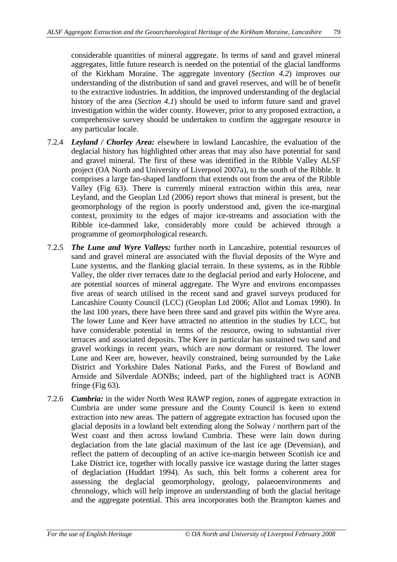considerable quantities of mineral aggregate. In terms of sand and gravel mineral aggregates, little future research is needed on the potential of the glacial landforms of the Kirkham Moraine. The aggregate inventory (*Section 4.2*) improves our understanding of the distribution of sand and gravel reserves, and will be of benefit to the extractive industries. In addition, the improved understanding of the deglacial history of the area (*Section 4.1*) should be used to inform future sand and gravel investigation within the wider county. However, prior to any proposed extraction, a comprehensive survey should be undertaken to confirm the aggregate resource in any particular locale.

- 7.2.4 *Leyland / Chorley Area:* elsewhere in lowland Lancashire, the evaluation of the deglacial history has highlighted other areas that may also have potential for sand and gravel mineral. The first of these was identified in the Ribble Valley ALSF project (OA North and University of Liverpool 2007a), to the south of the Ribble. It comprises a large fan-shaped landform that extends out from the area of the Ribble Valley (Fig 63). There is currently mineral extraction within this area, near Leyland, and the Geoplan Ltd (2006) report shows that mineral is present, but the geomorphology of the region is poorly understood and, given the ice-marginal context, proximity to the edges of major ice-streams and association with the Ribble ice-dammed lake, considerably more could be achieved through a programme of geomorphological research.
- 7.2.5 *The Lune and Wyre Valleys:* further north in Lancashire, potential resources of sand and gravel mineral are associated with the fluvial deposits of the Wyre and Lune systems, and the flanking glacial terrain. In these systems, as in the Ribble Valley, the older river terraces date to the deglacial period and early Holocene, and are potential sources of mineral aggregate. The Wyre and environs encompasses five areas of search utilised in the recent sand and gravel surveys produced for Lancashire County Council (LCC) (Geoplan Ltd 2006; Allot and Lomax 1990). In the last 100 years, there have been three sand and gravel pits within the Wyre area. The lower Lune and Keer have attracted no attention in the studies by LCC, but have considerable potential in terms of the resource, owing to substantial river terraces and associated deposits. The Keer in particular has sustained two sand and gravel workings in recent years, which are now dormant or restored. The lower Lune and Keer are, however, heavily constrained, being surrounded by the Lake District and Yorkshire Dales National Parks, and the Forest of Bowland and Arnside and Silverdale AONBs; indeed, part of the highlighted tract is AONB fringe (Fig 63).
- 7.2.6 *Cumbria:* in the wider North West RAWP region, zones of aggregate extraction in Cumbria are under some pressure and the County Council is keen to extend extraction into new areas. The pattern of aggregate extraction has focused upon the glacial deposits in a lowland belt extending along the Solway / northern part of the West coast and then across lowland Cumbria. These were lain down during deglaciation from the late glacial maximum of the last ice age (Devensian), and reflect the pattern of decoupling of an active ice-margin between Scottish ice and Lake District ice, together with locally passive ice wastage during the latter stages of deglaciation (Huddart 1994). As such, this belt forms a coherent area for assessing the deglacial geomorphology, geology, palaeoenvironments and chronology, which will help improve an understanding of both the glacial heritage and the aggregate potential. This area incorporates both the Brampton kames and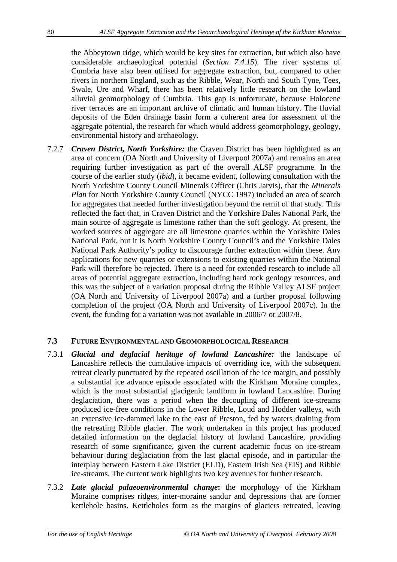the Abbeytown ridge, which would be key sites for extraction, but which also have considerable archaeological potential (*Section 7.4.15*). The river systems of Cumbria have also been utilised for aggregate extraction, but, compared to other rivers in northern England, such as the Ribble, Wear, North and South Tyne, Tees, Swale, Ure and Wharf, there has been relatively little research on the lowland alluvial geomorphology of Cumbria. This gap is unfortunate, because Holocene river terraces are an important archive of climatic and human history. The fluvial deposits of the Eden drainage basin form a coherent area for assessment of the aggregate potential, the research for which would address geomorphology, geology, environmental history and archaeology.

7.2.7 *Craven District, North Yorkshire:* the Craven District has been highlighted as an area of concern (OA North and University of Liverpool 2007a) and remains an area requiring further investigation as part of the overall ALSF programme. In the course of the earlier study (*ibid*), it became evident, following consultation with the North Yorkshire County Council Minerals Officer (Chris Jarvis), that the *Minerals Plan* for North Yorkshire County Council (NYCC 1997) included an area of search for aggregates that needed further investigation beyond the remit of that study. This reflected the fact that, in Craven District and the Yorkshire Dales National Park, the main source of aggregate is limestone rather than the soft geology. At present, the worked sources of aggregate are all limestone quarries within the Yorkshire Dales National Park, but it is North Yorkshire County Council's and the Yorkshire Dales National Park Authority's policy to discourage further extraction within these. Any applications for new quarries or extensions to existing quarries within the National Park will therefore be rejected. There is a need for extended research to include all areas of potential aggregate extraction, including hard rock geology resources, and this was the subject of a variation proposal during the Ribble Valley ALSF project (OA North and University of Liverpool 2007a) and a further proposal following completion of the project (OA North and University of Liverpool 2007c). In the event, the funding for a variation was not available in 2006/7 or 2007/8.

## **7.3 FUTURE ENVIRONMENTAL AND GEOMORPHOLOGICAL RESEARCH**

- 7.3.1 *Glacial and deglacial heritage of lowland Lancashire:* the landscape of Lancashire reflects the cumulative impacts of overriding ice, with the subsequent retreat clearly punctuated by the repeated oscillation of the ice margin, and possibly a substantial ice advance episode associated with the Kirkham Moraine complex, which is the most substantial glacigenic landform in lowland Lancashire. During deglaciation, there was a period when the decoupling of different ice-streams produced ice-free conditions in the Lower Ribble, Loud and Hodder valleys, with an extensive ice-dammed lake to the east of Preston, fed by waters draining from the retreating Ribble glacier. The work undertaken in this project has produced detailed information on the deglacial history of lowland Lancashire, providing research of some significance, given the current academic focus on ice-stream behaviour during deglaciation from the last glacial episode, and in particular the interplay between Eastern Lake District (ELD), Eastern Irish Sea (EIS) and Ribble ice-streams. The current work highlights two key avenues for further research.
- 7.3.2 *Late glacial palaeoenvironmental change***:** the morphology of the Kirkham Moraine comprises ridges, inter-moraine sandur and depressions that are former kettlehole basins. Kettleholes form as the margins of glaciers retreated, leaving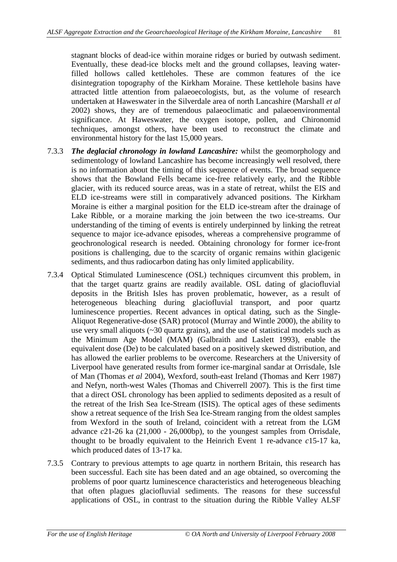stagnant blocks of dead-ice within moraine ridges or buried by outwash sediment. Eventually, these dead-ice blocks melt and the ground collapses, leaving waterfilled hollows called kettleholes. These are common features of the ice disintegration topography of the Kirkham Moraine. These kettlehole basins have attracted little attention from palaeoecologists, but, as the volume of research undertaken at Haweswater in the Silverdale area of north Lancashire (Marshall *et al* 2002) shows, they are of tremendous palaeoclimatic and palaeoenvironmental significance. At Haweswater, the oxygen isotope, pollen, and Chironomid techniques, amongst others, have been used to reconstruct the climate and environmental history for the last 15,000 years.

- 7.3.3 *The deglacial chronology in lowland Lancashire:* whilst the geomorphology and sedimentology of lowland Lancashire has become increasingly well resolved, there is no information about the timing of this sequence of events. The broad sequence shows that the Bowland Fells became ice-free relatively early, and the Ribble glacier, with its reduced source areas, was in a state of retreat, whilst the EIS and ELD ice-streams were still in comparatively advanced positions. The Kirkham Moraine is either a marginal position for the ELD ice-stream after the drainage of Lake Ribble, or a moraine marking the join between the two ice-streams. Our understanding of the timing of events is entirely underpinned by linking the retreat sequence to major ice-advance episodes, whereas a comprehensive programme of geochronological research is needed. Obtaining chronology for former ice-front positions is challenging, due to the scarcity of organic remains within glacigenic sediments, and thus radiocarbon dating has only limited applicability.
- 7.3.4 Optical Stimulated Luminescence (OSL) techniques circumvent this problem, in that the target quartz grains are readily available. OSL dating of glaciofluvial deposits in the British Isles has proven problematic, however, as a result of heterogeneous bleaching during glaciofluvial transport, and poor quartz luminescence properties. Recent advances in optical dating, such as the Single-Aliquot Regenerative-dose (SAR) protocol (Murray and Wintle 2000), the ability to use very small aliquots (~30 quartz grains), and the use of statistical models such as the Minimum Age Model (MAM) (Galbraith and Laslett 1993), enable the equivalent dose (De) to be calculated based on a positively skewed distribution, and has allowed the earlier problems to be overcome. Researchers at the University of Liverpool have generated results from former ice-marginal sandar at Orrisdale, Isle of Man (Thomas *et al* 2004), Wexford, south-east Ireland (Thomas and Kerr 1987) and Nefyn, north-west Wales (Thomas and Chiverrell 2007). This is the first time that a direct OSL chronology has been applied to sediments deposited as a result of the retreat of the Irish Sea Ice-Stream (ISIS). The optical ages of these sediments show a retreat sequence of the Irish Sea Ice-Stream ranging from the oldest samples from Wexford in the south of Ireland, coincident with a retreat from the LGM advance *c*21-26 ka (21,000 - 26,000bp), to the youngest samples from Orrisdale, thought to be broadly equivalent to the Heinrich Event 1 re-advance *c*15-17 ka, which produced dates of 13-17 ka.
- 7.3.5 Contrary to previous attempts to age quartz in northern Britain, this research has been successful. Each site has been dated and an age obtained, so overcoming the problems of poor quartz luminescence characteristics and heterogeneous bleaching that often plagues glaciofluvial sediments. The reasons for these successful applications of OSL, in contrast to the situation during the Ribble Valley ALSF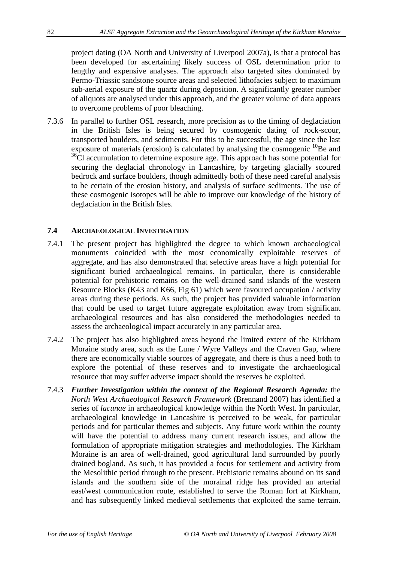project dating (OA North and University of Liverpool 2007a), is that a protocol has been developed for ascertaining likely success of OSL determination prior to lengthy and expensive analyses. The approach also targeted sites dominated by Permo-Triassic sandstone source areas and selected lithofacies subject to maximum sub-aerial exposure of the quartz during deposition. A significantly greater number of aliquots are analysed under this approach, and the greater volume of data appears to overcome problems of poor bleaching.

7.3.6 In parallel to further OSL research, more precision as to the timing of deglaciation in the British Isles is being secured by cosmogenic dating of rock-scour, transported boulders, and sediments. For this to be successful, the age since the last exposure of materials (erosion) is calculated by analysing the cosmogenic  $^{10}$ Be and  $36$ Cl accumulation to determine exposure age. This approach has some potential for securing the deglacial chronology in Lancashire, by targeting glacially scoured bedrock and surface boulders, though admittedly both of these need careful analysis to be certain of the erosion history, and analysis of surface sediments. The use of these cosmogenic isotopes will be able to improve our knowledge of the history of deglaciation in the British Isles.

## **7.4 ARCHAEOLOGICAL INVESTIGATION**

- 7.4.1 The present project has highlighted the degree to which known archaeological monuments coincided with the most economically exploitable reserves of aggregate, and has also demonstrated that selective areas have a high potential for significant buried archaeological remains. In particular, there is considerable potential for prehistoric remains on the well-drained sand islands of the western Resource Blocks (K43 and K66, Fig 61) which were favoured occupation / activity areas during these periods. As such, the project has provided valuable information that could be used to target future aggregate exploitation away from significant archaeological resources and has also considered the methodologies needed to assess the archaeological impact accurately in any particular area.
- 7.4.2 The project has also highlighted areas beyond the limited extent of the Kirkham Moraine study area, such as the Lune / Wyre Valleys and the Craven Gap, where there are economically viable sources of aggregate, and there is thus a need both to explore the potential of these reserves and to investigate the archaeological resource that may suffer adverse impact should the reserves be exploited.
- 7.4.3 *Further Investigation within the context of the Regional Research Agenda:* the *North West Archaeological Research Framework* (Brennand 2007) has identified a series of *lacunae* in archaeological knowledge within the North West. In particular, archaeological knowledge in Lancashire is perceived to be weak, for particular periods and for particular themes and subjects. Any future work within the county will have the potential to address many current research issues, and allow the formulation of appropriate mitigation strategies and methodologies. The Kirkham Moraine is an area of well-drained, good agricultural land surrounded by poorly drained bogland. As such, it has provided a focus for settlement and activity from the Mesolithic period through to the present. Prehistoric remains abound on its sand islands and the southern side of the morainal ridge has provided an arterial east/west communication route, established to serve the Roman fort at Kirkham, and has subsequently linked medieval settlements that exploited the same terrain.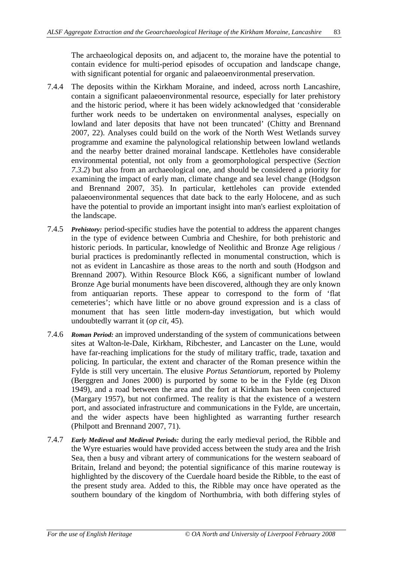The archaeological deposits on, and adjacent to, the moraine have the potential to contain evidence for multi-period episodes of occupation and landscape change, with significant potential for organic and palaeoenvironmental preservation.

- 7.4.4 The deposits within the Kirkham Moraine, and indeed, across north Lancashire, contain a significant palaeoenvironmental resource, especially for later prehistory and the historic period, where it has been widely acknowledged that 'considerable further work needs to be undertaken on environmental analyses, especially on lowland and later deposits that have not been truncated' (Chitty and Brennand 2007, 22). Analyses could build on the work of the North West Wetlands survey programme and examine the palynological relationship between lowland wetlands and the nearby better drained morainal landscape. Kettleholes have considerable environmental potential, not only from a geomorphological perspective (*Section 7.3.2*) but also from an archaeological one, and should be considered a priority for examining the impact of early man, climate change and sea level change (Hodgson and Brennand 2007, 35). In particular, kettleholes can provide extended palaeoenvironmental sequences that date back to the early Holocene, and as such have the potential to provide an important insight into man's earliest exploitation of the landscape.
- 7.4.5 *Prehistory:* period-specific studies have the potential to address the apparent changes in the type of evidence between Cumbria and Cheshire, for both prehistoric and historic periods. In particular, knowledge of Neolithic and Bronze Age religious / burial practices is predominantly reflected in monumental construction, which is not as evident in Lancashire as those areas to the north and south (Hodgson and Brennand 2007). Within Resource Block K66, a significant number of lowland Bronze Age burial monuments have been discovered, although they are only known from antiquarian reports. These appear to correspond to the form of 'flat cemeteries'; which have little or no above ground expression and is a class of monument that has seen little modern-day investigation, but which would undoubtedly warrant it (*op cit*, 45).
- 7.4.6 *Roman Period:* an improved understanding of the system of communications between sites at Walton-le-Dale, Kirkham, Ribchester, and Lancaster on the Lune, would have far-reaching implications for the study of military traffic, trade, taxation and policing. In particular, the extent and character of the Roman presence within the Fylde is still very uncertain. The elusive *Portus Setantiorum*, reported by Ptolemy (Berggren and Jones 2000) is purported by some to be in the Fylde (eg Dixon 1949), and a road between the area and the fort at Kirkham has been conjectured (Margary 1957), but not confirmed. The reality is that the existence of a western port, and associated infrastructure and communications in the Fylde, are uncertain, and the wider aspects have been highlighted as warranting further research (Philpott and Brennand 2007, 71).
- 7.4.7 *Early Medieval and Medieval Periods:* during the early medieval period, the Ribble and the Wyre estuaries would have provided access between the study area and the Irish Sea, then a busy and vibrant artery of communications for the western seaboard of Britain, Ireland and beyond; the potential significance of this marine routeway is highlighted by the discovery of the Cuerdale hoard beside the Ribble, to the east of the present study area. Added to this, the Ribble may once have operated as the southern boundary of the kingdom of Northumbria, with both differing styles of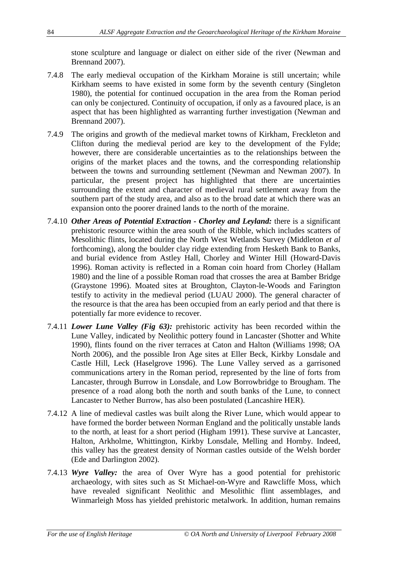stone sculpture and language or dialect on either side of the river (Newman and Brennand 2007).

- 7.4.8 The early medieval occupation of the Kirkham Moraine is still uncertain; while Kirkham seems to have existed in some form by the seventh century (Singleton 1980), the potential for continued occupation in the area from the Roman period can only be conjectured. Continuity of occupation, if only as a favoured place, is an aspect that has been highlighted as warranting further investigation (Newman and Brennand 2007).
- 7.4.9 The origins and growth of the medieval market towns of Kirkham, Freckleton and Clifton during the medieval period are key to the development of the Fylde; however, there are considerable uncertainties as to the relationships between the origins of the market places and the towns, and the corresponding relationship between the towns and surrounding settlement (Newman and Newman 2007). In particular, the present project has highlighted that there are uncertainties surrounding the extent and character of medieval rural settlement away from the southern part of the study area, and also as to the broad date at which there was an expansion onto the poorer drained lands to the north of the moraine.
- 7.4.10 *Other Areas of Potential Extraction Chorley and Leyland:* there is a significant prehistoric resource within the area south of the Ribble, which includes scatters of Mesolithic flints, located during the North West Wetlands Survey (Middleton *et al* forthcoming), along the boulder clay ridge extending from Hesketh Bank to Banks, and burial evidence from Astley Hall, Chorley and Winter Hill (Howard-Davis 1996). Roman activity is reflected in a Roman coin hoard from Chorley (Hallam 1980) and the line of a possible Roman road that crosses the area at Bamber Bridge (Graystone 1996). Moated sites at Broughton, Clayton-le-Woods and Farington testify to activity in the medieval period (LUAU 2000). The general character of the resource is that the area has been occupied from an early period and that there is potentially far more evidence to recover.
- 7.4.11 *Lower Lune Valley (Fig 63):* prehistoric activity has been recorded within the Lune Valley, indicated by Neolithic pottery found in Lancaster (Shotter and White 1990), flints found on the river terraces at Caton and Halton (Williams 1998; OA North 2006), and the possible Iron Age sites at Eller Beck, Kirkby Lonsdale and Castle Hill, Leck (Haselgrove 1996). The Lune Valley served as a garrisoned communications artery in the Roman period, represented by the line of forts from Lancaster, through Burrow in Lonsdale, and Low Borrowbridge to Brougham. The presence of a road along both the north and south banks of the Lune, to connect Lancaster to Nether Burrow, has also been postulated (Lancashire HER).
- 7.4.12 A line of medieval castles was built along the River Lune, which would appear to have formed the border between Norman England and the politically unstable lands to the north, at least for a short period (Higham 1991). These survive at Lancaster, Halton, Arkholme, Whittington, Kirkby Lonsdale, Melling and Hornby. Indeed, this valley has the greatest density of Norman castles outside of the Welsh border (Ede and Darlington 2002).
- 7.4.13 *Wyre Valley:* the area of Over Wyre has a good potential for prehistoric archaeology, with sites such as St Michael-on-Wyre and Rawcliffe Moss, which have revealed significant Neolithic and Mesolithic flint assemblages, and Winmarleigh Moss has yielded prehistoric metalwork. In addition, human remains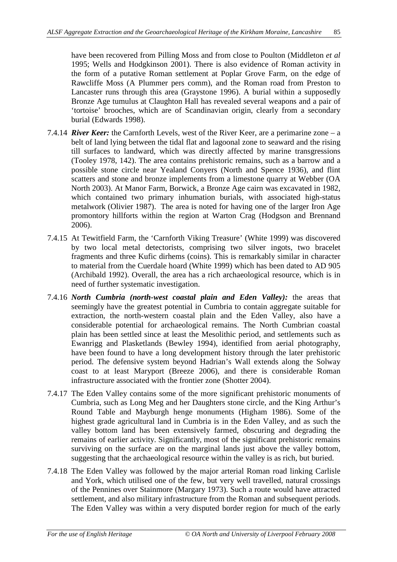have been recovered from Pilling Moss and from close to Poulton (Middleton *et al* 1995; Wells and Hodgkinson 2001). There is also evidence of Roman activity in the form of a putative Roman settlement at Poplar Grove Farm, on the edge of Rawcliffe Moss (A Plummer pers comm), and the Roman road from Preston to Lancaster runs through this area (Graystone 1996). A burial within a supposedly Bronze Age tumulus at Claughton Hall has revealed several weapons and a pair of 'tortoise' brooches, which are of Scandinavian origin, clearly from a secondary burial (Edwards 1998).

- 7.4.14 *River Keer:* the Carnforth Levels, west of the River Keer, are a perimarine zone a belt of land lying between the tidal flat and lagoonal zone to seaward and the rising till surfaces to landward, which was directly affected by marine transgressions (Tooley 1978, 142). The area contains prehistoric remains, such as a barrow and a possible stone circle near Yealand Conyers (North and Spence 1936), and flint scatters and stone and bronze implements from a limestone quarry at Webber (OA North 2003). At Manor Farm, Borwick, a Bronze Age cairn was excavated in 1982, which contained two primary inhumation burials, with associated high-status metalwork (Olivier 1987). The area is noted for having one of the larger Iron Age promontory hillforts within the region at Warton Crag (Hodgson and Brennand 2006).
- 7.4.15 At Tewitfield Farm, the 'Carnforth Viking Treasure' (White 1999) was discovered by two local metal detectorists, comprising two silver ingots, two bracelet fragments and three Kufic dirhems (coins). This is remarkably similar in character to material from the Cuerdale hoard (White 1999) which has been dated to AD 905 (Archibald 1992). Overall, the area has a rich archaeological resource, which is in need of further systematic investigation.
- 7.4.16 *North Cumbria (north-west coastal plain and Eden Valley):* the areas that seemingly have the greatest potential in Cumbria to contain aggregate suitable for extraction, the north-western coastal plain and the Eden Valley, also have a considerable potential for archaeological remains. The North Cumbrian coastal plain has been settled since at least the Mesolithic period, and settlements such as Ewanrigg and Plasketlands (Bewley 1994), identified from aerial photography, have been found to have a long development history through the later prehistoric period. The defensive system beyond Hadrian's Wall extends along the Solway coast to at least Maryport (Breeze 2006), and there is considerable Roman infrastructure associated with the frontier zone (Shotter 2004).
- 7.4.17 The Eden Valley contains some of the more significant prehistoric monuments of Cumbria, such as Long Meg and her Daughters stone circle, and the King Arthur's Round Table and Mayburgh henge monuments (Higham 1986). Some of the highest grade agricultural land in Cumbria is in the Eden Valley, and as such the valley bottom land has been extensively farmed, obscuring and degrading the remains of earlier activity. Significantly, most of the significant prehistoric remains surviving on the surface are on the marginal lands just above the valley bottom, suggesting that the archaeological resource within the valley is as rich, but buried.
- 7.4.18 The Eden Valley was followed by the major arterial Roman road linking Carlisle and York, which utilised one of the few, but very well travelled, natural crossings of the Pennines over Stainmore (Margary 1973). Such a route would have attracted settlement, and also military infrastructure from the Roman and subsequent periods. The Eden Valley was within a very disputed border region for much of the early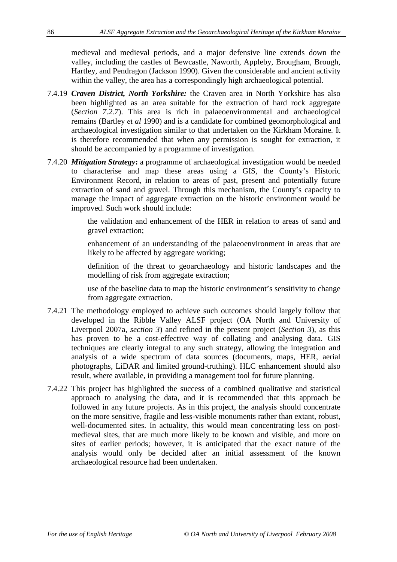medieval and medieval periods, and a major defensive line extends down the valley, including the castles of Bewcastle, Naworth, Appleby, Brougham, Brough, Hartley, and Pendragon (Jackson 1990). Given the considerable and ancient activity within the valley, the area has a correspondingly high archaeological potential.

- 7.4.19 *Craven District, North Yorkshire:* the Craven area in North Yorkshire has also been highlighted as an area suitable for the extraction of hard rock aggregate (*Section 7.2.7*). This area is rich in palaeoenvironmental and archaeological remains (Bartley *et al* 1990) and is a candidate for combined geomorphological and archaeological investigation similar to that undertaken on the Kirkham Moraine. It is therefore recommended that when any permission is sought for extraction, it should be accompanied by a programme of investigation.
- 7.4.20 *Mitigation Strategy***:** a programme of archaeological investigation would be needed to characterise and map these areas using a GIS, the County's Historic Environment Record, in relation to areas of past, present and potentially future extraction of sand and gravel. Through this mechanism, the County's capacity to manage the impact of aggregate extraction on the historic environment would be improved. Such work should include:

the validation and enhancement of the HER in relation to areas of sand and gravel extraction;

enhancement of an understanding of the palaeoenvironment in areas that are likely to be affected by aggregate working;

definition of the threat to geoarchaeology and historic landscapes and the modelling of risk from aggregate extraction;

use of the baseline data to map the historic environment's sensitivity to change from aggregate extraction.

- 7.4.21 The methodology employed to achieve such outcomes should largely follow that developed in the Ribble Valley ALSF project (OA North and University of Liverpool 2007a, *section 3*) and refined in the present project (*Section 3*), as this has proven to be a cost-effective way of collating and analysing data. GIS techniques are clearly integral to any such strategy, allowing the integration and analysis of a wide spectrum of data sources (documents, maps, HER, aerial photographs, LiDAR and limited ground-truthing). HLC enhancement should also result, where available, in providing a management tool for future planning.
- 7.4.22 This project has highlighted the success of a combined qualitative and statistical approach to analysing the data, and it is recommended that this approach be followed in any future projects. As in this project, the analysis should concentrate on the more sensitive, fragile and less-visible monuments rather than extant, robust, well-documented sites. In actuality, this would mean concentrating less on postmedieval sites, that are much more likely to be known and visible, and more on sites of earlier periods; however, it is anticipated that the exact nature of the analysis would only be decided after an initial assessment of the known archaeological resource had been undertaken.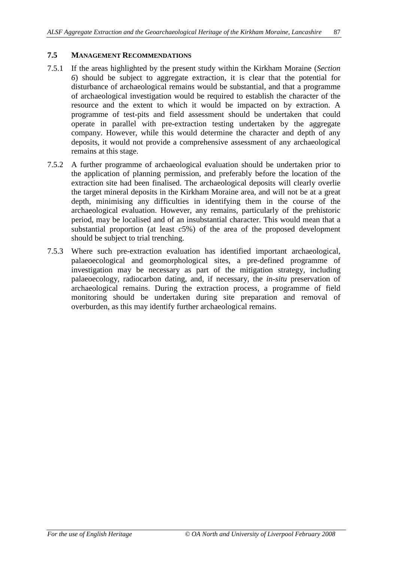#### **7.5 MANAGEMENT RECOMMENDATIONS**

- 7.5.1 If the areas highlighted by the present study within the Kirkham Moraine (*Section 6*) should be subject to aggregate extraction, it is clear that the potential for disturbance of archaeological remains would be substantial, and that a programme of archaeological investigation would be required to establish the character of the resource and the extent to which it would be impacted on by extraction. A programme of test-pits and field assessment should be undertaken that could operate in parallel with pre-extraction testing undertaken by the aggregate company. However, while this would determine the character and depth of any deposits, it would not provide a comprehensive assessment of any archaeological remains at this stage.
- 7.5.2 A further programme of archaeological evaluation should be undertaken prior to the application of planning permission, and preferably before the location of the extraction site had been finalised. The archaeological deposits will clearly overlie the target mineral deposits in the Kirkham Moraine area, and will not be at a great depth, minimising any difficulties in identifying them in the course of the archaeological evaluation. However, any remains, particularly of the prehistoric period, may be localised and of an insubstantial character. This would mean that a substantial proportion (at least *c*5%) of the area of the proposed development should be subject to trial trenching.
- 7.5.3 Where such pre-extraction evaluation has identified important archaeological, palaeoecological and geomorphological sites, a pre-defined programme of investigation may be necessary as part of the mitigation strategy, including palaeoecology, radiocarbon dating, and, if necessary, the *in-situ* preservation of archaeological remains. During the extraction process, a programme of field monitoring should be undertaken during site preparation and removal of overburden, as this may identify further archaeological remains.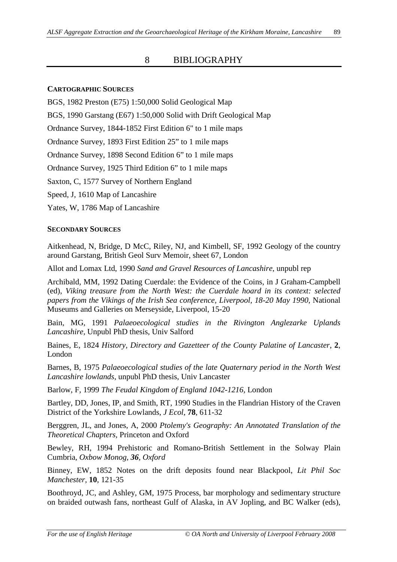## 8 BIBLIOGRAPHY

#### **CARTOGRAPHIC SOURCES**

BGS, 1982 Preston (E75) 1:50,000 Solid Geological Map

BGS, 1990 Garstang (E67) 1:50,000 Solid with Drift Geological Map

Ordnance Survey, 1844-1852 First Edition 6" to 1 mile maps

Ordnance Survey, 1893 First Edition 25" to 1 mile maps

Ordnance Survey, 1898 Second Edition 6" to 1 mile maps

Ordnance Survey, 1925 Third Edition 6" to 1 mile maps

Saxton, C, 1577 Survey of Northern England

Speed, J, 1610 Map of Lancashire

Yates, W, 1786 Map of Lancashire

#### **SECONDARY SOURCES**

Aitkenhead, N, Bridge, D McC, Riley, NJ, and Kimbell, SF, 1992 Geology of the country around Garstang, British Geol Surv Memoir, sheet 67, London

Allot and Lomax Ltd, 1990 *Sand and Gravel Resources of Lancashire*, unpubl rep

Archibald, MM, 1992 Dating Cuerdale: the Evidence of the Coins, in J Graham-Campbell (ed), *Viking treasure from the North West: the Cuerdale hoard in its context: selected papers from the Vikings of the Irish Sea conference, Liverpool, 18-20 May 1990*, National Museums and Galleries on Merseyside, Liverpool, 15-20

Bain, MG, 1991 *Palaeoecological studies in the Rivington Anglezarke Uplands Lancashire,* Unpubl PhD thesis, Univ Salford

Baines, E, 1824 *History, Directory and Gazetteer of the County Palatine of Lancaster*, **2**, London

Barnes, B, 1975 *Palaeoecological studies of the late Quaternary period in the North West Lancashire lowlands*, unpubl PhD thesis, Univ Lancaster

Barlow, F, 1999 *The Feudal Kingdom of England 1042-1216,* London

Bartley, DD, Jones, IP, and Smith, RT, 1990 Studies in the Flandrian History of the Craven District of the Yorkshire Lowlands, *J Ecol*, **78**, 611-32

Berggren, JL, and Jones, A, 2000 *Ptolemy's Geography: An Annotated Translation of the Theoretical Chapters,* Princeton and Oxford

Bewley, RH, 1994 Prehistoric and Romano-British Settlement in the Solway Plain Cumbria*, Oxbow Monog, 36, Oxford*

Binney, EW, 1852 Notes on the drift deposits found near Blackpool, *Lit Phil Soc Manchester*, **10**, 121-35

Boothroyd, JC, and Ashley, GM, 1975 Process, bar morphology and sedimentary structure on braided outwash fans, northeast Gulf of Alaska, in AV Jopling, and BC Walker (eds),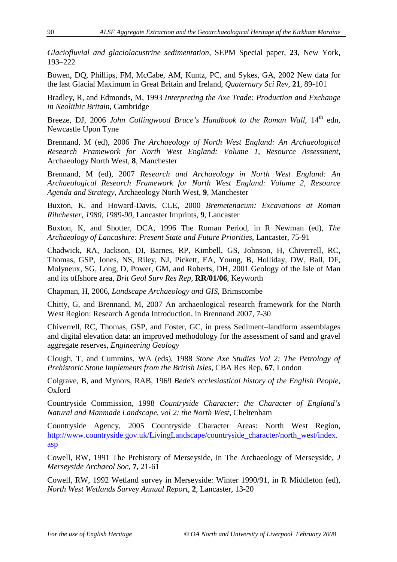*Glaciofluvial and glaciolacustrine sedimentation*, SEPM Special paper, **23**, New York, 193–222

Bowen, DQ, Phillips, FM, McCabe, AM, Kuntz, PC, and Sykes, GA, 2002 New data for the last Glacial Maximum in Great Britain and Ireland, *Quaternary Sci Rev*, **21**, 89-101

Bradley, R, and Edmonds, M, 1993 *Interpreting the Axe Trade: Production and Exchange in Neolithic Britain*, Cambridge

Breeze, DJ, 2006 *John Collingwood Bruce's Handbook to the Roman Wall*, 14<sup>th</sup> edn, Newcastle Upon Tyne

Brennand, M (ed), 2006 *The Archaeology of North West England: An Archaeological Research Framework for North West England: Volume 1, Resource Assessment*, Archaeology North West, **8**, Manchester

Brennand, M (ed), 2007 *Research and Archaeology in North West England: An Archaeological Research Framework for North West England: Volume 2, Resource Agenda and Strategy*, Archaeology North West, **9**, Manchester

Buxton, K, and Howard-Davis, CLE, 2000 *Bremetenacum: Excavations at Roman Ribchester, 1980, 1989-90,* Lancaster Imprints, **9**, Lancaster

Buxton, K, and Shotter, DCA, 1996 The Roman Period, in R Newman (ed), *The Archaeology of Lancashire: Present State and Future Priorities*, Lancaster, 75-91

Chadwick, RA, Jackson, DI, Barnes, RP, Kimbell, GS, Johnson, H, Chiverrell, RC, Thomas, GSP, Jones, NS, Riley, NJ, Pickett, EA, Young, B, Holliday, DW, Ball, DF, Molyneux, SG, Long, D, Power, GM, and Roberts, DH, 2001 Geology of the Isle of Man and its offshore area, *Brit Geol Surv Res Rep,* **RR/01/06**, Keyworth

Chapman, H, 2006, *Landscape Archaeology and GIS*, Brimscombe

Chitty, G, and Brennand, M, 2007 An archaeological research framework for the North West Region: Research Agenda Introduction, in Brennand 2007, 7-30

Chiverrell, RC, Thomas, GSP, and Foster, GC, in press Sediment–landform assemblages and digital elevation data: an improved methodology for the assessment of sand and gravel aggregate reserves, *Engineering Geology*

Clough, T, and Cummins, WA (eds), 1988 *Stone Axe Studies Vol 2: The Petrology of Prehistoric Stone Implements from the British Isles*, CBA Res Rep, **67**, London

Colgrave, B, and Mynors, RAB, 1969 *Bede's ecclesiastical history of the English People*, Oxford

Countryside Commission, 1998 *Countryside Character: the Character of England's Natural and Manmade Landscape, vol 2: the North West*, Cheltenham

Countryside Agency, 2005 Countryside Character Areas: North West Region, http://www.countryside.gov.uk/LivingLandscape/countryside\_character/north\_west/index. asp

Cowell, RW, 1991 The Prehistory of Merseyside, in The Archaeology of Merseyside, *J Merseyside Archaeol Soc*, **7**, 21-61

Cowell, RW, 1992 Wetland survey in Merseyside: Winter 1990/91, in R Middleton (ed), *North West Wetlands Survey Annual Report*, **2**, Lancaster, 13-20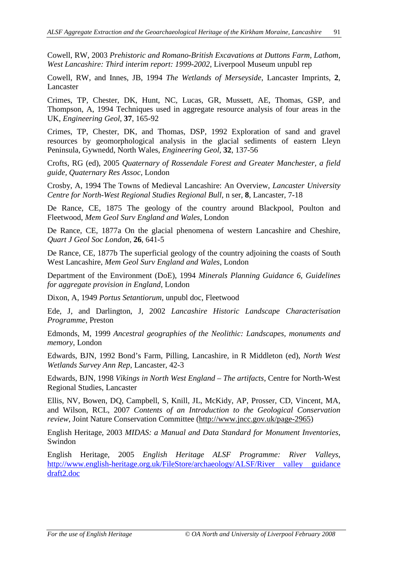Cowell, RW, 2003 *Prehistoric and Romano-British Excavations at Duttons Farm, Lathom, West Lancashire: Third interim report: 1999-2002*, Liverpool Museum unpubl rep

Cowell, RW, and Innes, JB, 1994 *The Wetlands of Merseyside*, Lancaster Imprints, **2**, Lancaster

Crimes, TP, Chester, DK, Hunt, NC, Lucas, GR, Mussett, AE, Thomas, GSP, and Thompson, A, 1994 Techniques used in aggregate resource analysis of four areas in the UK, *Engineering Geol*, **37**, 165-92

Crimes, TP, Chester, DK, and Thomas, DSP, 1992 Exploration of sand and gravel resources by geomorphological analysis in the glacial sediments of eastern Lleyn Peninsula, Gywnedd, North Wales, *Engineering Geol*, **32**, 137-56

Crofts, RG (ed), 2005 *Quaternary of Rossendale Forest and Greater Manchester, a field guide, Quaternary Res Assoc,* London

Crosby, A, 1994 The Towns of Medieval Lancashire: An Overview, *Lancaster University Centre for North-West Regional Studies Regional Bull*, n ser, **8**, Lancaster, 7-18

De Rance, CE, 1875 The geology of the country around Blackpool, Poulton and Fleetwood, *Mem Geol Surv England and Wales*, London

De Rance, CE, 1877a On the glacial phenomena of western Lancashire and Cheshire, *Quart J Geol Soc London*, **26**, 641-5

De Rance, CE, 1877b The superficial geology of the country adjoining the coasts of South West Lancashire, *Mem Geol Surv England and Wales*, London

Department of the Environment (DoE), 1994 *Minerals Planning Guidance 6, Guidelines for aggregate provision in England*, London

Dixon, A, 1949 *Portus Setantiorum*, unpubl doc, Fleetwood

Ede, J, and Darlington, J, 2002 *Lancashire Historic Landscape Characterisation Programme*, Preston

Edmonds, M, 1999 *Ancestral geographies of the Neolithic: Landscapes, monuments and memory*, London

Edwards, BJN, 1992 Bond's Farm, Pilling, Lancashire, in R Middleton (ed), *North West Wetlands Survey Ann Rep*, Lancaster, 42-3

Edwards, BJN, 1998 *Vikings in North West England – The artifacts*, Centre for North-West Regional Studies, Lancaster

Ellis, NV, Bowen, DQ, Campbell, S, Knill, JL, McKidy, AP, Prosser, CD, Vincent, MA, and Wilson, RCL, 2007 *Contents of an Introduction to the Geological Conservation review*, Joint Nature Conservation Committee (http://www.jncc.gov.uk/page-2965)

English Heritage, 2003 *MIDAS: a Manual and Data Standard for Monument Inventories*, Swindon

English Heritage, 2005 *English Heritage ALSF Programme: River Valleys,* http://www.english-heritage.org.uk/FileStore/archaeology/ALSF/River valley guidance draft2.doc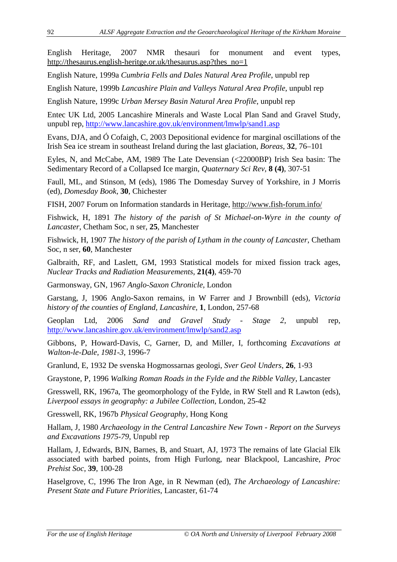English Heritage, 2007 NMR thesauri for monument and event types, http://thesaurus.english-heritge.or.uk/thesaurus.asp?thes\_no=1

English Nature, 1999a *Cumbria Fells and Dales Natural Area Profile*, unpubl rep

English Nature, 1999b *Lancashire Plain and Valleys Natural Area Profile*, unpubl rep

English Nature, 1999c *Urban Mersey Basin Natural Area Profile*, unpubl rep

Entec UK Ltd, 2005 Lancashire Minerals and Waste Local Plan Sand and Gravel Study, unpubl rep, http://www.lancashire.gov.uk/environment/lmwlp/sand1.asp

Evans, DJA, and Ó Cofaigh, C, 2003 Depositional evidence for marginal oscillations of the Irish Sea ice stream in southeast Ireland during the last glaciation, *Boreas*, **32**, 76–101

Eyles, N, and McCabe, AM, 1989 The Late Devensian (<22000BP) Irish Sea basin: The Sedimentary Record of a Collapsed Ice margin, *Quaternary Sci Rev*, **8 (4)**, 307-51

Faull, ML, and Stinson, M (eds), 1986 The Domesday Survey of Yorkshire, in J Morris (ed), *Domesday Book*, **30**, Chichester

FISH, 2007 Forum on Information standards in Heritage, http://www.fish-forum.info/

Fishwick, H, 1891 *The history of the parish of St Michael-on-Wyre in the county of Lancaster*, Chetham Soc, n ser, **25**, Manchester

Fishwick, H, 1907 *The history of the parish of Lytham in the county of Lancaster*, Chetham Soc, n ser, **60**, Manchester

Galbraith, RF, and Laslett, GM, 1993 Statistical models for mixed fission track ages, *Nuclear Tracks and Radiation Measurements*, **21(4)**, 459-70

Garmonsway, GN, 1967 *Anglo-Saxon Chronicle,* London

Garstang, J, 1906 Anglo-Saxon remains, in W Farrer and J Brownbill (eds), *Victoria history of the counties of England, Lancashire,* **1**, London, 257-68

Geoplan Ltd, 2006 *Sand and Gravel Study - Stage 2*, unpubl rep, http://www.lancashire.gov.uk/environment/lmwlp/sand2.asp

Gibbons, P, Howard-Davis, C, Garner, D, and Miller, I, forthcoming *Excavations at Walton-le-Dale, 1981-3*, 1996-7

Granlund, E, 1932 De svenska Hogmossarnas geologi, *Sver Geol Unders*, **26**, 1-93

Graystone, P, 1996 *Walking Roman Roads in the Fylde and the Ribble Valley*, Lancaster

Gresswell, RK, 1967a, The geomorphology of the Fylde, in RW Stell and R Lawton (eds), *Liverpool essays in geography: a Jubilee Collection*, London, 25-42

Gresswell, RK, 1967b *Physical Geography*, Hong Kong

Hallam, J, 1980 *Archaeology in the Central Lancashire New Town - Report on the Surveys and Excavations 1975-79*, Unpubl rep

Hallam, J, Edwards, BJN, Barnes, B, and Stuart, AJ, 1973 The remains of late Glacial Elk associated with barbed points, from High Furlong, near Blackpool, Lancashire, *Proc Prehist Soc*, **39**, 100-28

Haselgrove, C, 1996 The Iron Age, in R Newman (ed), *The Archaeology of Lancashire: Present State and Future Priorities*, Lancaster, 61-74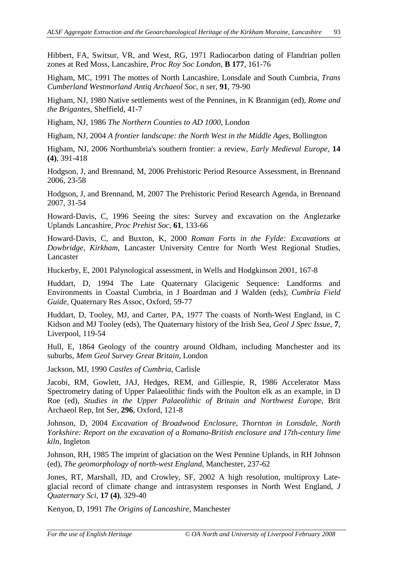Hibbert, FA, Switsur, VR, and West, RG, 1971 Radiocarbon dating of Flandrian pollen zones at Red Moss, Lancashire, *Proc Roy Soc London*, **B 177**, 161-76

Higham, MC, 1991 The mottes of North Lancashire, Lonsdale and South Cumbria, *Trans Cumberland Westmorland Antiq Archaeol Soc*, n ser, **91**, 79-90

Higham, NJ, 1980 Native settlements west of the Pennines, in K Brannigan (ed), *Rome and the Brigantes*, Sheffield, 41-7

Higham, NJ, 1986 *The Northern Counties to AD 1000*, London

Higham, NJ, 2004 *A frontier landscape: the North West in the Middle Ages,* Bollington

Higham, NJ, 2006 Northumbria's southern frontier: a review, *Early Medieval Europe,* **14 (4)**, 391-418

Hodgson, J, and Brennand, M, 2006 Prehistoric Period Resource Assessment, in Brennand 2006, 23-58

Hodgson, J, and Brennand, M, 2007 The Prehistoric Period Research Agenda, in Brennand 2007, 31-54

Howard-Davis, C, 1996 Seeing the sites: Survey and excavation on the Anglezarke Uplands Lancashire, *Proc Prehist Soc*, **61**, 133-66

Howard-Davis, C, and Buxton, K, 2000 *Roman Forts in the Fylde: Excavations at Dowbridge, Kirkham*, Lancaster University Centre for North West Regional Studies, Lancaster

Huckerby, E, 2001 Palynological assessment, in Wells and Hodgkinson 2001, 167-8

Huddart, D, 1994 The Late Quaternary Glacigenic Sequence: Landforms and Environments in Coastal Cumbria, in J Boardman and J Walden (eds), *Cumbria Field Guide,* Quaternary Res Assoc, Oxford, 59-77

Huddart, D, Tooley, MJ, and Carter, PA, 1977 The coasts of North-West England, in C Kidson and MJ Tooley (eds), The Quaternary history of the Irish Sea*, Geol J Spec Issue*, **7**, Liverpool, 119-54

Hull, E, 1864 Geology of the country around Oldham, including Manchester and its suburbs, *Mem Geol Survey Great Britain*, London

Jackson, MJ, 1990 *Castles of Cumbria*, Carlisle

Jacobi, RM, Gowlett, JAJ, Hedges, REM, and Gillespie, R, 1986 Accelerator Mass Spectrometry dating of Upper Palaeolithic finds with the Poulton elk as an example, in D Roe (ed), *Studies in the Upper Palaeolithic of Britain and Northwest Europe*, Brit Archaeol Rep, Int Ser, **296**, Oxford, 121-8

Johnson, D, 2004 *Excavation of Broadwood Enclosure, Thornton in Lonsdale, North Yorkshire: Report on the excavation of a Romano-British enclosure and 17th-century lime kiln*, Ingleton

Johnson, RH, 1985 The imprint of glaciation on the West Pennine Uplands*,* in RH Johnson (ed), *The geomorphology of north-west England*, Manchester, 237-62

Jones, RT, Marshall, JD, and Crowley, SF, 2002 A high resolution, multiproxy Lateglacial record of climate change and intrasystem responses in North West England, *J Quaternary Sci*, **17 (4)**, 329-40

Kenyon, D, 1991 *The Origins of Lancashire*, Manchester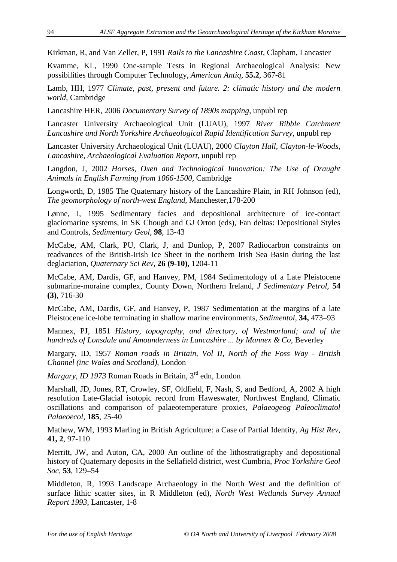Kirkman, R, and Van Zeller, P, 1991 *Rails to the Lancashire Coast,* Clapham, Lancaster

Kvamme, KL, 1990 One-sample Tests in Regional Archaeological Analysis: New possibilities through Computer Technology, *American Antiq*, **55.2**, 367-81

Lamb, HH, 1977 *Climate, past, present and future. 2: climatic history and the modern world*, Cambridge

Lancashire HER, 2006 *Documentary Survey of 1890s mapping*, unpubl rep

Lancaster University Archaeological Unit (LUAU), 1997 *River Ribble Catchment Lancashire and North Yorkshire Archaeological Rapid Identification Survey*, unpubl rep

Lancaster University Archaeological Unit (LUAU), 2000 *Clayton Hall, Clayton-le-Woods, Lancashire, Archaeological Evaluation Report*, unpubl rep

Langdon, J, 2002 *Horses, Oxen and Technological Innovation: The Use of Draught Animals in English Farming from 1066-1500,* Cambridge

Longworth, D, 1985 The Quaternary history of the Lancashire Plain*,* in RH Johnson (ed), *The geomorphology of north-west England*, Manchester,178-200

Lønne, I, 1995 Sedimentary facies and depositional architecture of ice-contact glaciomarine systems, in SK Chough and GJ Orton (eds), Fan deltas: Depositional Styles and Controls, *Sedimentary Geol*, **98**, 13-43

McCabe, AM, Clark, PU, Clark, J, and Dunlop, P, 2007 Radiocarbon constraints on readvances of the British-Irish Ice Sheet in the northern Irish Sea Basin during the last deglaciation, *Quaternary Sci Rev*, **26 (9-10)**, 1204-11

McCabe, AM, Dardis, GF, and Hanvey, PM, 1984 Sedimentology of a Late Pleistocene submarine-moraine complex, County Down, Northern Ireland, *J Sedimentary Petrol*, **54 (3)**, 716-30

McCabe, AM, Dardis, GF, and Hanvey, P, 1987 Sedimentation at the margins of a late Pleistocene ice-lobe terminating in shallow marine environments, *Sedimentol*, **34,** 473–93

Mannex, PJ, 1851 *History, topography, and directory, of Westmorland; and of the hundreds of Lonsdale and Amounderness in Lancashire ... by Mannex & Co*, Beverley

Margary, ID, 1957 *Roman roads in Britain, Vol II, North of the Foss Way - British Channel (inc Wales and Scotland)*, London

*Margary, ID 1973* Roman Roads in Britain, 3<sup>rd</sup> edn, London

Marshall, JD, Jones, RT, Crowley, SF, Oldfield, F, Nash, S, and Bedford, A, 2002 A high resolution Late-Glacial isotopic record from Haweswater, Northwest England, Climatic oscillations and comparison of palaeotemperature proxies*, Palaeogeog Paleoclimatol Palaeoecol*, **185**, 25-40

Mathew, WM, 1993 Marling in British Agriculture: a Case of Partial Identity, *Ag Hist Rev,* **41, 2**, 97-110

Merritt, JW, and Auton, CA, 2000 An outline of the lithostratigraphy and depositional history of Quaternary deposits in the Sellafield district, west Cumbria*, Proc Yorkshire Geol Soc*, **53**, 129–54

Middleton, R, 1993 Landscape Archaeology in the North West and the definition of surface lithic scatter sites, in R Middleton (ed), *North West Wetlands Survey Annual Report 1993*, Lancaster, 1-8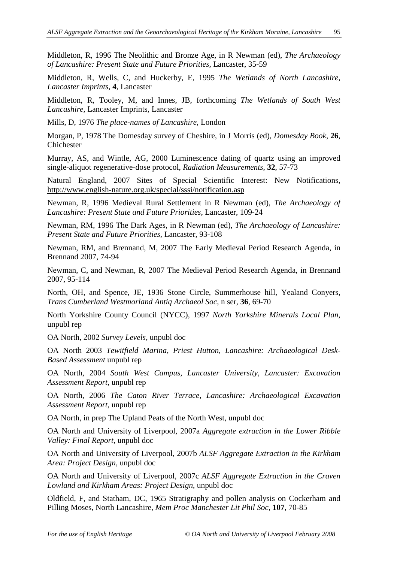Middleton, R, 1996 The Neolithic and Bronze Age, in R Newman (ed), *The Archaeology of Lancashire: Present State and Future Priorities,* Lancaster, 35-59

Middleton, R, Wells, C, and Huckerby, E, 1995 *The Wetlands of North Lancashire, Lancaster Imprints*, **4**, Lancaster

Middleton, R, Tooley, M, and Innes, JB, forthcoming *The Wetlands of South West Lancashire*, Lancaster Imprints, Lancaster

Mills, D, 1976 *The place-names of Lancashire,* London

Morgan, P, 1978 The Domesday survey of Cheshire, in J Morris (ed), *Domesday Book*, **26**, Chichester

Murray, AS, and Wintle, AG, 2000 Luminescence dating of quartz using an improved single-aliquot regenerative-dose protocol, *Radiation Measurements*, **32**, 57-73

Natural England, 2007 Sites of Special Scientific Interest: New Notifications, http://www.english-nature.org.uk/special/sssi/notification.asp

Newman, R, 1996 Medieval Rural Settlement in R Newman (ed), *The Archaeology of Lancashire: Present State and Future Priorities*, Lancaster, 109-24

Newman, RM, 1996 The Dark Ages, in R Newman (ed), *The Archaeology of Lancashire: Present State and Future Priorities*, Lancaster, 93-108

Newman, RM, and Brennand, M, 2007 The Early Medieval Period Research Agenda, in Brennand 2007, 74-94

Newman, C, and Newman, R, 2007 The Medieval Period Research Agenda, in Brennand 2007, 95-114

North, OH, and Spence, JE, 1936 Stone Circle, Summerhouse hill, Yealand Conyers, *Trans Cumberland Westmorland Antiq Archaeol Soc*, n ser, **36**, 69-70

North Yorkshire County Council (NYCC), 1997 *North Yorkshire Minerals Local Plan*, unpubl rep

OA North, 2002 *Survey Levels*, unpubl doc

OA North 2003 *Tewitfield Marina, Priest Hutton, Lancashire: Archaeological Desk-Based Assessment* unpubl rep

OA North, 2004 *South West Campus, Lancaster University, Lancaster: Excavation Assessment Report*, unpubl rep

OA North, 2006 *The Caton River Terrace, Lancashire: Archaeological Excavation Assessment Report*, unpubl rep

OA North, in prep The Upland Peats of the North West, unpubl doc

OA North and University of Liverpool, 2007a *Aggregate extraction in the Lower Ribble Valley: Final Report*, unpubl doc

OA North and University of Liverpool, 2007b *ALSF Aggregate Extraction in the Kirkham Area: Project Design*, unpubl doc

OA North and University of Liverpool, 2007c *ALSF Aggregate Extraction in the Craven Lowland and Kirkham Areas: Project Design*, unpubl doc

Oldfield, F, and Statham, DC, 1965 Stratigraphy and pollen analysis on Cockerham and Pilling Moses, North Lancashire, *Mem Proc Manchester Lit Phil Soc*, **107**, 70-85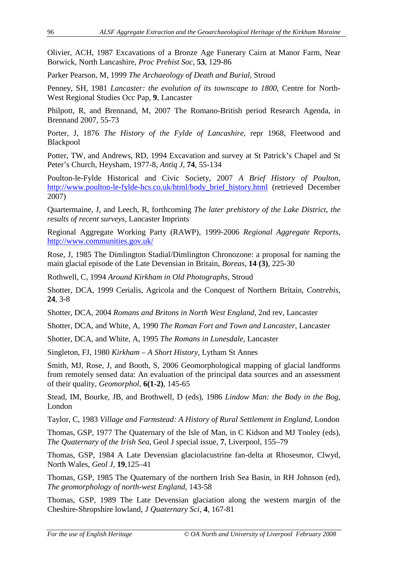Olivier, ACH, 1987 Excavations of a Bronze Age Funerary Cairn at Manor Farm, Near Borwick, North Lancashire, *Proc Prehist Soc,* **53**, 129-86

Parker Pearson, M, 1999 *The Archaeology of Death and Burial,* Stroud

Penney, SH, 1981 *Lancaster: the evolution of its townscape to 1800*, Centre for North-West Regional Studies Occ Pap, **9**, Lancaster

Philpott, R, and Brennand, M, 2007 The Romano-British period Research Agenda, in Brennand 2007, 55-73

Porter, J, 1876 *The History of the Fylde of Lancashire,* repr 1968, Fleetwood and Blackpool

Potter, TW, and Andrews, RD, 1994 Excavation and survey at St Patrick's Chapel and St Peter's Church, Heysham, 1977-8, *Antiq J*, **74**, 55-134

Poulton-le-Fylde Historical and Civic Society, 2007 *A Brief History of Poulton*, http://www.poulton-le-fylde-hcs.co.uk/html/body\_brief\_history.html (retrieved December 2007)

Quartermaine, J, and Leech, R, forthcoming *The later prehistory of the Lake District, the results of recent surveys*, Lancaster Imprints

Regional Aggregate Working Party (RAWP), 1999-2006 *Regional Aggregate Reports*, http://www.communities.gov.uk/

Rose, J, 1985 The Dimlington Stadial/Dimlington Chronozone: a proposal for naming the main glacial episode of the Late Devensian in Britain, *Boreas*, **14 (3)**, 225-30

Rothwell, C, 1994 *Around Kirkham in Old Photographs*, Stroud

Shotter, DCA, 1999 Cerialis, Agricola and the Conquest of Northern Britain, *Contrebis*, **24**, 3-8

Shotter, DCA, 2004 *Romans and Britons in North West England,* 2nd rev*,* Lancaster

Shotter, DCA, and White, A, 1990 *The Roman Fort and Town and Lancaster*, Lancaster

Shotter, DCA, and White, A, 1995 *The Romans in Lunesdale*, Lancaster

Singleton, FJ, 1980 *Kirkham – A Short History,* Lytham St Annes

Smith, MJ, Rose, J, and Booth, S, 2006 Geomorphological mapping of glacial landforms from remotely sensed data: An evaluation of the principal data sources and an assessment of their quality, *Geomorphol*, **6(1-2)**, 145-65

Stead, IM, Bourke, JB, and Brothwell, D (eds), 1986 *Lindow Man: the Body in the Bog*, London

Taylor, C, 1983 *Village and Farmstead: A History of Rural Settlement in England*, London

Thomas, GSP, 1977 The Quaternary of the Isle of Man, in C Kidson and MJ Tooley (eds), *The Quaternary of the Irish Sea*, Geol J special issue, **7**, Liverpool, 155–79

Thomas, GSP, 1984 A Late Devensian glaciolacustrine fan-delta at Rhosesmor, Clwyd, North Wales, *Geol J,* **19**,125–41

Thomas, GSP, 1985 The Quaternary of the northern Irish Sea Basin, in RH Johnson (ed), *The geomorphology of north-west England*, 143-58

Thomas, GSP, 1989 The Late Devensian glaciation along the western margin of the Cheshire-Shropshire lowland, *J Quaternary Sci*, **4**, 167-81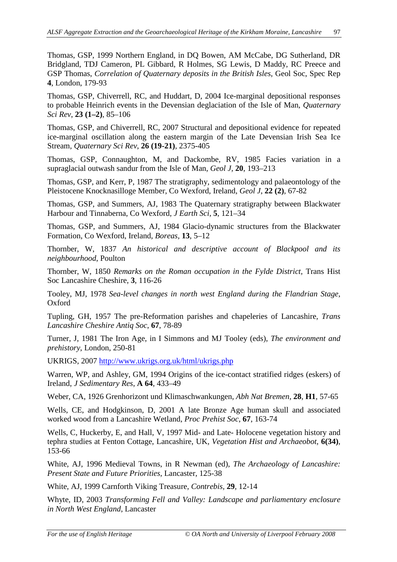Thomas, GSP, 1999 Northern England, in DQ Bowen, AM McCabe, DG Sutherland, DR Bridgland, TDJ Cameron, PL Gibbard, R Holmes, SG Lewis, D Maddy, RC Preece and GSP Thomas, *Correlation of Quaternary deposits in the British Isles*, Geol Soc, Spec Rep **4**, London, 179-93

Thomas, GSP, Chiverrell, RC, and Huddart, D, 2004 Ice-marginal depositional responses to probable Heinrich events in the Devensian deglaciation of the Isle of Man, *Quaternary Sci Rev*, **23 (1–2)**, 85–106

Thomas, GSP, and Chiverrell, RC, 2007 Structural and depositional evidence for repeated ice-marginal oscillation along the eastern margin of the Late Devensian Irish Sea Ice Stream, *Quaternary Sci Rev*, **26 (19-21)**, 2375-405

Thomas, GSP, Connaughton, M, and Dackombe, RV, 1985 Facies variation in a supraglacial outwash sandur from the Isle of Man, *Geol J,* **20**, 193–213

Thomas, GSP, and Kerr, P, 1987 The stratigraphy, sedimentology and palaeontology of the Pleistocene Knocknasilloge Member, Co Wexford, Ireland, *Geol J*, **22 (2)**, 67-82

Thomas, GSP, and Summers, AJ, 1983 The Quaternary stratigraphy between Blackwater Harbour and Tinnaberna, Co Wexford*, J Earth Sci*, **5**, 121–34

Thomas, GSP, and Summers, AJ, 1984 Glacio-dynamic structures from the Blackwater Formation, Co Wexford, Ireland, *Boreas,* **13**, 5–12

Thornber, W, 1837 *An historical and descriptive account of Blackpool and its neighbourhood*, Poulton

Thornber, W, 1850 *Remarks on the Roman occupation in the Fylde District,* Trans Hist Soc Lancashire Cheshire, **3**, 116-26

Tooley, MJ, 1978 *Sea-level changes in north west England during the Flandrian Stage*, Oxford

Tupling, GH, 1957 The pre-Reformation parishes and chapeleries of Lancashire*, Trans Lancashire Cheshire Antiq Soc*, **67**, 78-89

Turner, J, 1981 The Iron Age, in I Simmons and MJ Tooley (eds), *The environment and prehistory*, London, 250-81

UKRIGS, 2007 http://www.ukrigs.org.uk/html/ukrigs.php

Warren, WP, and Ashley, GM, 1994 Origins of the ice-contact stratified ridges (eskers) of Ireland, *J Sedimentary Res*, **A 64**, 433–49

Weber, CA, 1926 Grenhorizont und Klimaschwankungen, *Abh Nat Bremen*, **28**, **H1**, 57-65

Wells, CE, and Hodgkinson, D, 2001 A late Bronze Age human skull and associated worked wood from a Lancashire Wetland, *Proc Prehist Soc*, **67**, 163-74

Wells, C, Huckerby, E, and Hall, V, 1997 Mid- and Late- Holocene vegetation history and tephra studies at Fenton Cottage, Lancashire, UK*, Vegetation Hist and Archaeobot*, **6(34)**, 153-66

White, AJ, 1996 Medieval Towns, in R Newman (ed), *The Archaeology of Lancashire: Present State and Future Priorities,* Lancaster, 125-38

White, AJ, 1999 Carnforth Viking Treasure, *Contrebis,* **29***,* 12-14

Whyte, ID, 2003 *Transforming Fell and Valley: Landscape and parliamentary enclosure in North West England*, Lancaster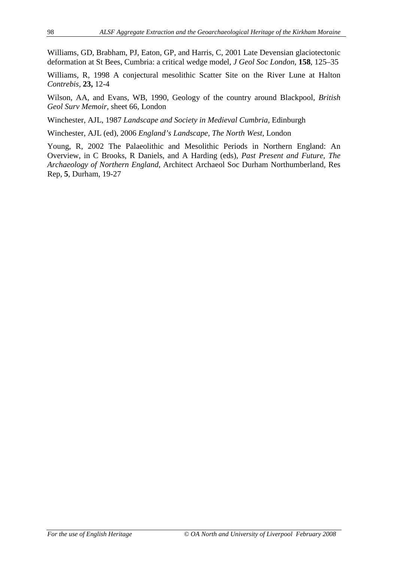Williams, GD, Brabham, PJ, Eaton, GP, and Harris, C, 2001 Late Devensian glaciotectonic deformation at St Bees, Cumbria: a critical wedge model*, J Geol Soc London*, **158**, 125–35

Williams, R, 1998 A conjectural mesolithic Scatter Site on the River Lune at Halton *Contrebis,* **23,** 12-4

Wilson, AA, and Evans, WB, 1990, Geology of the country around Blackpool*, British Geol Surv Memoir*, sheet 66, London

Winchester, AJL, 1987 *Landscape and Society in Medieval Cumbria,* Edinburgh

Winchester, AJL (ed), 2006 *England's Landscape, The North West*, London

Young, R, 2002 The Palaeolithic and Mesolithic Periods in Northern England: An Overview, in C Brooks, R Daniels, and A Harding (eds), *Past Present and Future, The Archaeology of Northern England*, Architect Archaeol Soc Durham Northumberland, Res Rep, **5**, Durham, 19-27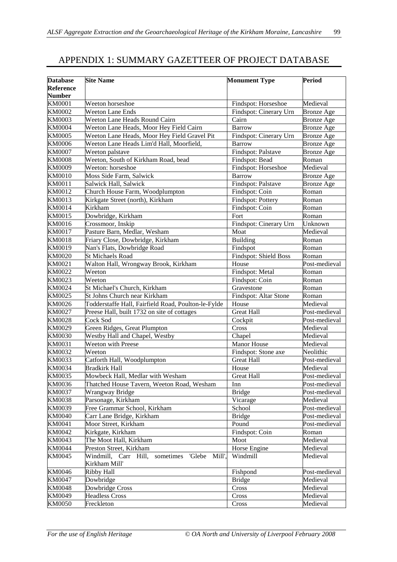## APPENDIX 1: SUMMARY GAZETTEER OF PROJECT DATABASE

| <b>Database</b>  | <b>Site Name</b>                                         | <b>Monument Type</b>   | <b>Period</b>     |
|------------------|----------------------------------------------------------|------------------------|-------------------|
| <b>Reference</b> |                                                          |                        |                   |
| <b>Number</b>    |                                                          |                        |                   |
| <b>KM0001</b>    | Weeton horseshoe                                         | Findspot: Horseshoe    | Medieval          |
| <b>KM0002</b>    | <b>Weeton Lane Ends</b>                                  | Findspot: Cinerary Urn | <b>Bronze</b> Age |
| KM0003           | Weeton Lane Heads Round Cairn                            | Cairn                  | <b>Bronze</b> Age |
| <b>KM0004</b>    | Weeton Lane Heads, Moor Hey Field Cairn                  | <b>Barrow</b>          | <b>Bronze</b> Age |
| KM0005           | Weeton Lane Heads, Moor Hey Field Gravel Pit             | Findspot: Cinerary Urn | <b>Bronze</b> Age |
| <b>KM0006</b>    | Weeton Lane Heads Lim'd Hall, Moorfield,                 | <b>Barrow</b>          | <b>Bronze</b> Age |
| <b>KM0007</b>    | Weeton palstave                                          | Findspot: Palstave     | <b>Bronze Age</b> |
| <b>KM0008</b>    | Weeton, South of Kirkham Road, bead                      | Findspot: Bead         | Roman             |
| <b>KM0009</b>    | Weeton: horseshoe                                        | Findspot: Horseshoe    | Medieval          |
| <b>KM0010</b>    | Moss Side Farm, Salwick                                  | <b>Barrow</b>          | <b>Bronze Age</b> |
| KM0011           | Salwick Hall, Salwick                                    | Findspot: Palstave     | <b>Bronze Age</b> |
| KM0012           | Church House Farm, Woodplumpton                          | Findspot: Coin         | Roman             |
| KM0013           | Kirkgate Street (north), Kirkham                         | Findspot: Pottery      | Roman             |
| KM0014           | Kirkham                                                  | Findspot: Coin         | Roman             |
| KM0015           | Dowbridge, Kirkham                                       | Fort                   | Roman             |
| KM0016           | Crossmoor, Inskip                                        | Findspot: Cinerary Urn | Unknown           |
| KM0017           | Pasture Barn, Medlar, Wesham                             | Moat                   | Medieval          |
| KM0018           | Friary Close, Dowbridge, Kirkham                         | <b>Building</b>        | Roman             |
| KM0019           | Nan's Flats, Dowbridge Road                              | Findspot               | Roman             |
| <b>KM0020</b>    | <b>St Michaels Road</b>                                  | Findspot: Shield Boss  | Roman             |
| KM0021           | Walton Hall, Wrongway Brook, Kirkham                     | House                  | Post-medieval     |
| KM0022           | Weeton                                                   | Findspot: Metal        | Roman             |
| KM0023           | Weeton                                                   | Findspot: Coin         | Roman             |
| KM0024           | St Michael's Church, Kirkham                             | Gravestone             | Roman             |
| KM0025           | St Johns Church near Kirkham                             | Findspot: Altar Stone  | Roman             |
| KM0026           | Todderstaffe Hall, Fairfield Road, Poulton-le-Fylde      | House                  | Medieval          |
| KM0027           | Preese Hall, built 1732 on site of cottages              | <b>Great Hall</b>      | Post-medieval     |
| <b>KM0028</b>    | Cock Sod                                                 | Cockpit                | Post-medieval     |
| KM0029           | Green Ridges, Great Plumpton                             | Cross                  | Medieval          |
| <b>KM0030</b>    | Westby Hall and Chapel, Westby                           | Chapel                 | Medieval          |
| KM0031           | <b>Weeton with Preese</b>                                | <b>Manor House</b>     | Medieval          |
| KM0032           | Weeton                                                   | Findspot: Stone axe    | Neolithic         |
| KM0033           | Catforth Hall, Woodplumpton                              | <b>Great Hall</b>      | Post-medieval     |
| KM0034           | <b>Bradkirk Hall</b>                                     | House                  | Medieval          |
| KM0035           | Mowbeck Hall, Medlar with Wesham                         | <b>Great Hall</b>      | Post-medieval     |
| KM0036           | Thatched House Tavern, Weeton Road, Wesham               | Inn                    | Post-medieval     |
| <b>KM0037</b>    | Wrangway Bridge                                          | <b>Bridge</b>          | Post-medieval     |
| <b>KM0038</b>    | Parsonage, Kirkham                                       | Vicarage               | Medieval          |
| KM0039           | Free Grammar School, Kirkham                             | School                 | Post-medieval     |
| <b>KM0040</b>    | Carr Lane Bridge, Kirkham                                | <b>Bridge</b>          | Post-medieval     |
| KM0041           | Moor Street, Kirkham                                     | Pound                  | Post-medieval     |
| KM0042           | Kirkgate, Kirkham                                        | Findspot: Coin         | Roman             |
| KM0043           | The Moot Hall, Kirkham                                   | Moot                   | Medieval          |
| <b>KM0044</b>    | Preston Street, Kirkham                                  | Horse Engine           | Medieval          |
| KM0045           | Windmill,<br>Carr Hill,<br>'Glebe<br>Mill',<br>sometimes | Windmill               | Medieval          |
|                  | Kirkham Mill'                                            |                        |                   |
| KM0046           | Ribby Hall                                               | Fishpond               | Post-medieval     |
| <b>KM0047</b>    | Dowbridge                                                | <b>Bridge</b>          | Medieval          |
| <b>KM0048</b>    | Dowbridge Cross                                          | Cross                  | Medieval          |
| KM0049           | <b>Headless Cross</b>                                    | Cross                  | Medieval          |
| <b>KM0050</b>    | Freckleton                                               | Cross                  | Medieval          |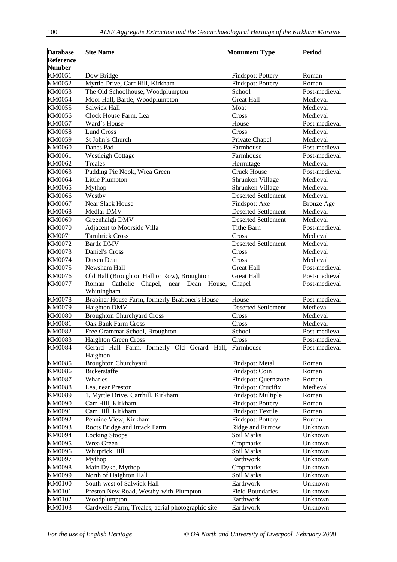| <b>Database</b>  | <b>Site Name</b>                                                  | <b>Monument Type</b>                 | <b>Period</b>        |
|------------------|-------------------------------------------------------------------|--------------------------------------|----------------------|
| <b>Reference</b> |                                                                   |                                      |                      |
| <b>Number</b>    |                                                                   |                                      |                      |
| KM0051           | Dow Bridge                                                        | Findspot: Pottery                    | Roman                |
| KM0052           | Myrtle Drive, Carr Hill, Kirkham                                  | Findspot: Pottery                    | Roman                |
| KM0053           | The Old Schoolhouse, Woodplumpton                                 | School                               | Post-medieval        |
| <b>KM0054</b>    | Moor Hall, Bartle, Woodplumpton<br>Salwick Hall                   | <b>Great Hall</b><br>Moat            | Medieval<br>Medieval |
| KM0055<br>KM0056 | Clock House Farm, Lea                                             | Cross                                | Medieval             |
| <b>KM0057</b>    | Ward's House                                                      | House                                | Post-medieval        |
| <b>KM0058</b>    | <b>Lund Cross</b>                                                 | Cross                                | Medieval             |
| KM0059           | St John's Church                                                  | Private Chapel                       | Medieval             |
| KM0060           | Danes Pad                                                         | Farmhouse                            | Post-medieval        |
| KM0061           | <b>Westleigh Cottage</b>                                          | Farmhouse                            | Post-medieval        |
| KM0062           | Treales                                                           | Hermitage                            | Medieval             |
| KM0063           | Pudding Pie Nook, Wrea Green                                      | <b>Cruck House</b>                   | Post-medieval        |
| KM0064           | Little Plumpton                                                   | Shrunken Village                     | Medieval             |
| KM0065           | Mythop                                                            | Shrunken Village                     | Medieval             |
| KM0066           | Westby                                                            | <b>Deserted Settlement</b>           | Medieval             |
| KM0067           | <b>Near Slack House</b>                                           | Findspot: Axe                        | <b>Bronze Age</b>    |
| <b>KM0068</b>    | Medlar DMV                                                        | <b>Deserted Settlement</b>           | Medieval             |
| KM0069           | Greenhalgh DMV                                                    | <b>Deserted Settlement</b>           | Medieval             |
| <b>KM0070</b>    | Adjacent to Moorside Villa                                        | <b>Tithe Barn</b>                    | Post-medieval        |
| KM0071           | Tarnbrick Cross                                                   | Cross                                | Medieval             |
| KM0072           | <b>Bartle DMV</b>                                                 | <b>Deserted Settlement</b>           | Medieval             |
| KM0073           | Daniel's Cross                                                    | Cross                                | Medieval             |
| KM0074           | Duxen Dean                                                        | Cross                                | Medieval             |
| KM0075           | Newsham Hall                                                      | <b>Great Hall</b>                    | Post-medieval        |
| KM0076           | Old Hall (Broughton Hall or Row), Broughton                       | <b>Great Hall</b>                    | Post-medieval        |
| <b>KM0077</b>    | Catholic Chapel, near Dean House,<br>Roman<br>Whittingham         | Chapel                               | Post-medieval        |
| <b>KM0078</b>    | Brabiner House Farm, formerly Braboner's House                    | House                                | Post-medieval        |
| KM0079           | <b>Haighton DMV</b>                                               | <b>Deserted Settlement</b>           | Medieval             |
| <b>KM0080</b>    | <b>Broughton Churchyard Cross</b>                                 | Cross                                | Medieval             |
| <b>KM0081</b>    | Oak Bank Farm Cross                                               | Cross                                | Medieval             |
| <b>KM0082</b>    | Free Grammar School, Broughton                                    | School                               | Post-medieval        |
| KM0083           | <b>Haighton Green Cross</b>                                       | Cross                                | Post-medieval        |
| <b>KM0084</b>    | Gerard Hall Farm, formerly Old Gerard Hall, Farmhouse<br>Haighton |                                      | Post-medieval        |
| <b>KM0085</b>    | <b>Broughton Churchyard</b>                                       | Findspot: Metal                      | Roman                |
| <b>KM0086</b>    | <b>Bickerstaffe</b>                                               | Findspot: Coin                       | Roman                |
| <b>KM0087</b>    | Wharles                                                           | Findspot: Quernstone                 | Roman                |
| <b>KM0088</b>    | Lea, near Preston                                                 | Findspot: Crucifix                   | Medieval             |
| <b>KM0089</b>    | 1, Myrtle Drive, Carrhill, Kirkham                                | Findspot: Multiple                   | Roman                |
| <b>KM0090</b>    | Carr Hill, Kirkham                                                | Findspot: Pottery                    | Roman                |
| KM0091           | Carr Hill, Kirkham                                                | Findspot: Textile                    | Roman                |
| KM0092           | Pennine View, Kirkham                                             | Findspot: Pottery                    | Roman                |
| KM0093           | Roots Bridge and Intack Farm                                      | Ridge and Furrow                     | Unknown              |
| <b>KM0094</b>    | <b>Locking Stoops</b>                                             | Soil Marks                           | Unknown              |
| KM0095           | Wrea Green                                                        | Cropmarks                            | Unknown              |
| KM0096           | Whitprick Hill                                                    | Soil Marks                           | Unknown              |
| <b>KM0097</b>    | Mythop                                                            | Earthwork                            | Unknown              |
| <b>KM0098</b>    | Main Dyke, Mythop                                                 | Cropmarks                            | Unknown              |
| KM0099           | North of Haighton Hall                                            | Soil Marks                           | Unknown              |
| <b>KM0100</b>    | South-west of Salwick Hall                                        | Earthwork<br><b>Field Boundaries</b> | Unknown<br>Unknown   |
| KM0101<br>KM0102 | Preston New Road, Westby-with-Plumpton<br>Woodplumpton            | Earthwork                            | Unknown              |
| KM0103           | Cardwells Farm, Treales, aerial photographic site                 | Earthwork                            | Unknown              |
|                  |                                                                   |                                      |                      |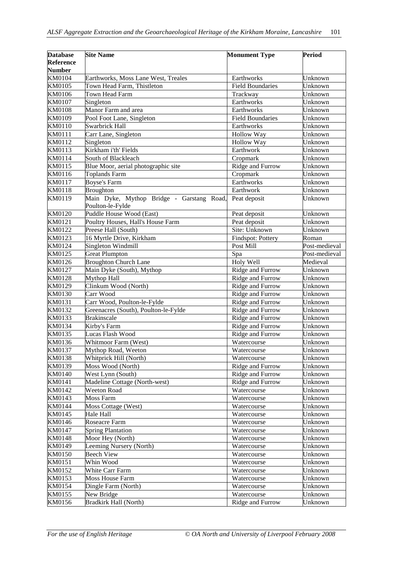| <b>Database</b> | <b>Site Name</b>                                              | <b>Monument Type</b>    | Period        |
|-----------------|---------------------------------------------------------------|-------------------------|---------------|
| Reference       |                                                               |                         |               |
| <b>Number</b>   |                                                               |                         |               |
| KM0104          | Earthworks, Moss Lane West, Treales                           | Earthworks              | Unknown       |
| KM0105          | Town Head Farm, Thistleton                                    | <b>Field Boundaries</b> | Unknown       |
| KM0106          | Town Head Farm                                                | Trackway                | Unknown       |
| KM0107          | Singleton                                                     | Earthworks              | Unknown       |
| <b>KM0108</b>   | Manor Farm and area                                           | Earthworks              | Unknown       |
| KM0109          | Pool Foot Lane, Singleton                                     | <b>Field Boundaries</b> | Unknown       |
| KM0110          | Swarbrick Hall                                                | Earthworks              | Unknown       |
| KM0111          | Carr Lane, Singleton                                          | Hollow Way              | Unknown       |
| KM0112          | Singleton                                                     | Hollow Way              | Unknown       |
| KM0113          | Kirkham i'th' Fields                                          | Earthwork               | Unknown       |
| KM0114          | South of Blackleach                                           | Cropmark                | Unknown       |
| KM0115          | Blue Moor, aerial photographic site                           | Ridge and Furrow        | Unknown       |
| KM0116          | <b>Toplands Farm</b>                                          | Cropmark                | Unknown       |
| KM0117          | <b>Boyse's Farm</b>                                           | Earthworks              | Unknown       |
| KM0118          | <b>Broughton</b>                                              | Earthwork               | Unknown       |
| KM0119          | Main Dyke, Mythop Bridge - Garstang Road,<br>Poulton-le-Fylde | Peat deposit            | Unknown       |
| KM0120          | Puddle House Wood (East)                                      | Peat deposit            | Unknown       |
| KM0121          | Poultry Houses, Hall's House Farm                             | Peat deposit            | Unknown       |
| KM0122          | Preese Hall (South)                                           | Site: Unknown           | Unknown       |
| KM0123          | 16 Myrtle Drive, Kirkham                                      | Findspot: Pottery       | Roman         |
| KM0124          | Singleton Windmill                                            | Post Mill               | Post-medieval |
| KM0125          | <b>Great Plumpton</b>                                         | Spa                     | Post-medieval |
| KM0126          | <b>Broughton Church Lane</b>                                  | Holy Well               | Medieval      |
| KM0127          | Main Dyke (South), Mythop                                     | Ridge and Furrow        | Unknown       |
| KM0128          | Mythop Hall                                                   | Ridge and Furrow        | Unknown       |
| KM0129          | Clinkum Wood (North)                                          | Ridge and Furrow        | Unknown       |
| KM0130          | Carr Wood                                                     | Ridge and Furrow        | Unknown       |
| KM0131          | Carr Wood, Poulton-le-Fylde                                   | Ridge and Furrow        | Unknown       |
| KM0132          | Greenacres (South), Poulton-le-Fylde                          | Ridge and Furrow        | Unknown       |
| KM0133          | <b>Brakinscale</b>                                            | Ridge and Furrow        | Unknown       |
| KM0134          | Kirby's Farm                                                  | Ridge and Furrow        | Unknown       |
| KM0135          | Lucas Flash Wood                                              | Ridge and Furrow        | Unknown       |
| KM0136          | Whitmoor Farm (West)                                          | Watercourse             | Unknown       |
| KM0137          | Mythop Road, Weeton                                           | Watercourse             | Unknown       |
| KM0138          | Whitprick Hill (North)                                        | Watercourse             | Unknown       |
| KM0139          | Moss Wood (North)                                             | Ridge and Furrow        | Unknown       |
| KM0140          | West Lynn (South)                                             | Ridge and Furrow        | Unknown       |
| KM0141          | Madeline Cottage (North-west)                                 | Ridge and Furrow        | Unknown       |
| KM0142          | Weeton Road                                                   | Watercourse             | Unknown       |
| KM0143          | Moss Farm                                                     | Watercourse             | Unknown       |
| KM0144          | Moss Cottage (West)                                           | Watercourse             | Unknown       |
| KM0145          | Hale Hall                                                     | Watercourse             | Unknown       |
| KM0146          | Roseacre Farm                                                 | Watercourse             | Unknown       |
| KM0147          | <b>Spring Plantation</b>                                      | Watercourse             | Unknown       |
| KM0148          | Moor Hey (North)                                              | Watercourse             | Unknown       |
| KM0149          | Leeming Nursery (North)                                       | Watercourse             | Unknown       |
| KM0150          | <b>Beech View</b>                                             | Watercourse             | Unknown       |
| KM0151          | Whin Wood                                                     | Watercourse             | Unknown       |
| KM0152          | White Carr Farm                                               | Watercourse             | Unknown       |
| KM0153          | Moss House Farm                                               | Watercourse             | Unknown       |
| KM0154          | Dingle Farm (North)                                           | Watercourse             | Unknown       |
| KM0155          | New Bridge                                                    | Watercourse             | Unknown       |
| KM0156          | <b>Bradkirk Hall (North)</b>                                  | Ridge and Furrow        | Unknown       |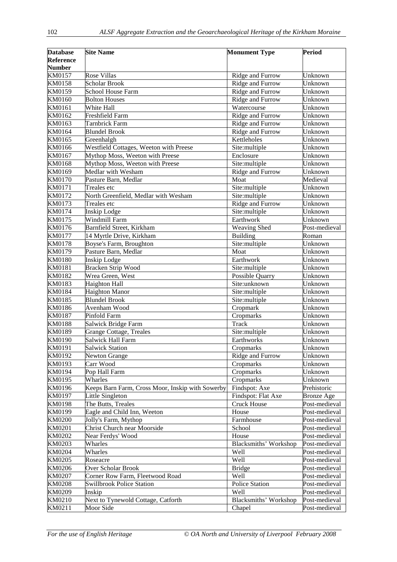| <b>Database</b>  | <b>Site Name</b>                                 | <b>Monument Type</b>         | <b>Period</b>     |
|------------------|--------------------------------------------------|------------------------------|-------------------|
| <b>Reference</b> |                                                  |                              |                   |
| <b>Number</b>    |                                                  |                              |                   |
| KM0157           | Rose Villas                                      | Ridge and Furrow             | Unknown           |
| KM0158           | <b>Scholar Brook</b>                             | Ridge and Furrow             | Unknown           |
| KM0159           | <b>School House Farm</b>                         | Ridge and Furrow             | Unknown           |
| KM0160           | <b>Bolton Houses</b>                             | Ridge and Furrow             | Unknown           |
| KM0161           | White Hall                                       | Watercourse                  | Unknown           |
| KM0162           | Freshfield Farm                                  | Ridge and Furrow             | Unknown           |
| KM0163           | Tarnbrick Farm                                   | Ridge and Furrow             | Unknown           |
| KM0164           | <b>Blundel Brook</b>                             | Ridge and Furrow             | Unknown           |
| KM0165           | Greenhalgh                                       | Kettleholes                  | Unknown           |
| KM0166           | Westfield Cottages, Weeton with Preese           | Site:multiple                | Unknown           |
| KM0167           | Mythop Moss, Weeton with Preese                  | Enclosure                    | Unknown           |
| KM0168           | Mythop Moss, Weeton with Preese                  | Site:multiple                | Unknown           |
| KM0169           | Medlar with Wesham                               | Ridge and Furrow             | Unknown           |
| KM0170           | Pasture Barn, Medlar                             | Moat                         | Medieval          |
| KM0171           | Treales etc                                      | Site:multiple                | Unknown           |
| KM0172           | North Greenfield, Medlar with Wesham             | Site:multiple                | Unknown           |
| KM0173           | Treales etc                                      | Ridge and Furrow             | Unknown           |
| KM0174           | Inskip Lodge                                     | Site:multiple                | Unknown           |
| KM0175           | Windmill Farm                                    | Earthwork                    | Unknown           |
| KM0176           | Barnfield Street, Kirkham                        | Weaving Shed                 | Post-medieval     |
| KM0177           | 14 Myrtle Drive, Kirkham                         | <b>Building</b>              | Roman             |
| KM0178           | Boyse's Farm, Broughton                          | Site:multiple                | Unknown           |
| KM0179           | Pasture Barn, Medlar                             | Moat                         | Unknown           |
| KM0180           | <b>Inskip Lodge</b>                              | Earthwork                    | Unknown           |
| KM0181           | <b>Bracken Strip Wood</b>                        | Site:multiple                | Unknown           |
| KM0182           | Wrea Green, West                                 | Possible Quarry              | Unknown           |
| KM0183           | Haighton Hall                                    | Site:unknown                 | Unknown           |
| KM0184           | Haighton Manor                                   | Site:multiple                | Unknown           |
| KM0185           | <b>Blundel Brook</b>                             | Site:multiple                | Unknown           |
| KM0186           | Avenham Wood                                     | Cropmark                     | Unknown           |
| KM0187           | Pinfold Farm                                     | Cropmarks                    | Unknown           |
| KM0188           | Salwick Bridge Farm                              | <b>Track</b>                 | Unknown           |
| KM0189           | <b>Grange Cottage, Treales</b>                   | Site:multiple                | Unknown           |
| KM0190           | Salwick Hall Farm                                | Earthworks                   | Unknown           |
| KM0191           | <b>Salwick Station</b>                           | Cropmarks                    | Unknown           |
| KM0192           | <b>Newton Grange</b>                             | Ridge and Furrow             | Unknown           |
| KM0193           | Carr Wood                                        | Cropmarks                    | Unknown           |
| KM0194           | Pop Hall Farm                                    | Cropmarks                    | Unknown           |
| KM0195           | Wharles                                          | Cropmarks                    | Unknown           |
| KM0196           | Keeps Barn Farm, Cross Moor, Inskip with Sowerby | Findspot: Axe                | Prehistoric       |
| KM0197           | Little Singleton                                 | Findspot: Flat Axe           | <b>Bronze Age</b> |
| <b>KM0198</b>    | The Butts, Treales                               | <b>Cruck House</b>           | Post-medieval     |
| KM0199           | Eagle and Child Inn, Weeton                      | House                        | Post-medieval     |
| <b>KM0200</b>    | Jolly's Farm, Mythop                             | Farmhouse                    | Post-medieval     |
| KM0201           | <b>Christ Church near Moorside</b>               | School                       | Post-medieval     |
| KM0202           | Near Ferdys' Wood                                | House                        | Post-medieval     |
| KM0203           | Wharles                                          | <b>Blacksmiths' Workshop</b> | Post-medieval     |
| KM0204           | Wharles                                          | Well                         | Post-medieval     |
| KM0205           | Roseacre                                         | Well                         | Post-medieval     |
| KM0206           | Over Scholar Brook                               | <b>Bridge</b>                | Post-medieval     |
| KM0207           | Corner Row Farm, Fleetwood Road                  | Well                         | Post-medieval     |
| <b>KM0208</b>    | <b>Swillbrook Police Station</b>                 | <b>Police Station</b>        | Post-medieval     |
| KM0209           | Inskip                                           | Well                         | Post-medieval     |
| KM0210           | Next to Tynewold Cottage, Catforth               | <b>Blacksmiths' Workshop</b> | Post-medieval     |
| KM0211           | Moor Side                                        | Chapel                       | Post-medieval     |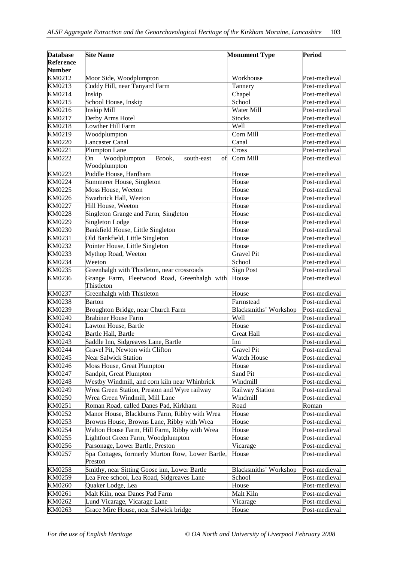| <b>Database</b><br><b>Reference</b> | <b>Site Name</b>                                                                                | <b>Monument Type</b>         | <b>Period</b>                  |
|-------------------------------------|-------------------------------------------------------------------------------------------------|------------------------------|--------------------------------|
| <b>Number</b>                       |                                                                                                 |                              |                                |
| KM0212                              | Moor Side, Woodplumpton                                                                         | Workhouse                    | Post-medieval                  |
| KM0213                              | Cuddy Hill, near Tanyard Farm                                                                   | Tannery                      | Post-medieval                  |
| KM0214                              | Inskip                                                                                          | Chapel                       | Post-medieval                  |
| KM0215                              | School House, Inskip                                                                            | School                       | Post-medieval                  |
| KM0216                              | Inskip Mill                                                                                     | Water Mill                   | Post-medieval<br>Post-medieval |
| KM0217<br>KM0218                    | Derby Arms Hotel<br>Lowther Hill Farm                                                           | <b>Stocks</b><br>Well        | Post-medieval                  |
| KM0219                              | Woodplumpton                                                                                    | Corn Mill                    | Post-medieval                  |
| KM0220                              | <b>Lancaster Canal</b>                                                                          | Canal                        | Post-medieval                  |
| KM0221                              | Plumpton Lane                                                                                   | Cross                        | Post-medieval                  |
| KM0222                              | Woodplumpton<br>Brook,<br>On<br>south-east<br>of<br>Woodplumpton                                | Corn Mill                    | Post-medieval                  |
| KM0223                              | Puddle House, Hardham                                                                           | House                        | Post-medieval                  |
| KM0224                              | Summerer House, Singleton                                                                       | House                        | Post-medieval                  |
| KM0225                              | Moss House, Weeton                                                                              | House                        | Post-medieval                  |
| KM0226                              | Swarbrick Hall, Weeton                                                                          | House                        | Post-medieval                  |
| KM0227                              | Hill House, Weeton                                                                              | House                        | Post-medieval                  |
| KM0228                              | Singleton Grange and Farm, Singleton                                                            | House                        | Post-medieval                  |
| KM0229                              | Singleton Lodge                                                                                 | House                        | Post-medieval                  |
| KM0230                              | Bankfield House, Little Singleton                                                               | House                        | Post-medieval                  |
| KM0231                              | Old Bankfield, Little Singleton                                                                 | House                        | Post-medieval                  |
| KM0232                              | Pointer House, Little Singleton                                                                 | House                        | Post-medieval                  |
| KM0233                              | Mythop Road, Weeton                                                                             | <b>Gravel Pit</b>            | Post-medieval                  |
| KM0234                              | Weeton                                                                                          | School                       | Post-medieval                  |
| KM0235                              | Greenhalgh with Thistleton, near crossroads                                                     | <b>Sign Post</b>             | Post-medieval                  |
| KM0236                              | Grange Farm, Fleetwood Road, Greenhalgh with<br>Thistleton                                      | House                        | Post-medieval                  |
| KM0237                              | Greenhalgh with Thistleton                                                                      | House                        | Post-medieval                  |
| KM0238                              | <b>Barton</b>                                                                                   | Farmstead                    | Post-medieval                  |
| KM0239                              | Broughton Bridge, near Church Farm                                                              | <b>Blacksmiths' Workshop</b> | Post-medieval                  |
| KM0240                              | <b>Brabiner House Farm</b>                                                                      | Well                         | Post-medieval                  |
| KM0241                              | Lawton House, Bartle                                                                            | House                        | Post-medieval                  |
| KM0242                              | Bartle Hall, Bartle                                                                             | <b>Great Hall</b>            | Post-medieval                  |
| KM0243                              | Saddle Inn, Sidgreaves Lane, Bartle                                                             | Inn                          | Post-medieval                  |
| KM0244                              | Gravel Pit, Newton with Clifton                                                                 | <b>Gravel Pit</b>            | Post-medieval                  |
| KM0245                              | <b>Near Salwick Station</b>                                                                     | <b>Watch House</b>           | Post-medieval                  |
| KM0246                              | Moss House, Great Plumpton                                                                      | House                        | Post-medieval                  |
| KM0247                              | Sandpit, Great Plumpton                                                                         | Sand Pit                     | Post-medieval                  |
| KM0248                              | Westby Windmill, and corn kiln near Whinbrick                                                   | Windmill                     | Post-medieval                  |
| KM0249                              | Wrea Green Station, Preston and Wyre railway                                                    | <b>Railway Station</b>       | Post-medieval                  |
| KM0250                              | Wrea Green Windmill, Mill Lane                                                                  | Windmill                     | Post-medieval                  |
| KM0251                              | Roman Road, called Danes Pad, Kirkham                                                           | Road                         | Roman                          |
| KM0252                              | Manor House, Blackburns Farm, Ribby with Wrea                                                   | House                        | Post-medieval                  |
| KM0253                              | Browns House, Browns Lane, Ribby with Wrea                                                      | House                        | Post-medieval                  |
| KM0254                              | Walton House Farm, Hill Farm, Ribby with Wrea                                                   | House                        | Post-medieval                  |
| KM0255                              | Lightfoot Green Farm, Woodplumpton                                                              | House                        | Post-medieval                  |
| KM0256<br>KM0257                    | Parsonage, Lower Bartle, Preston<br>Spa Cottages, formerly Murton Row, Lower Bartle,<br>Preston | Vicarage<br>House            | Post-medieval<br>Post-medieval |
| KM0258                              | Smithy, near Sitting Goose inn, Lower Bartle                                                    | <b>Blacksmiths' Workshop</b> | Post-medieval                  |
| KM0259                              | Lea Free school, Lea Road, Sidgreaves Lane                                                      | School                       | Post-medieval                  |
| KM0260                              | Quaker Lodge, Lea                                                                               | House                        | Post-medieval                  |
| KM0261                              | Malt Kiln, near Danes Pad Farm                                                                  | Malt Kiln                    | Post-medieval                  |
| KM0262                              | Lund Vicarage, Vicarage Lane                                                                    | Vicarage                     | Post-medieval                  |
| KM0263                              | Grace Mire House, near Salwick bridge                                                           | House                        | Post-medieval                  |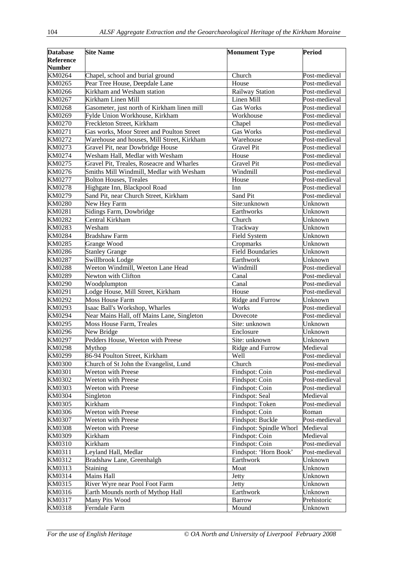| <b>Database</b>  | <b>Site Name</b>                                                       | <b>Monument Type</b>       | <b>Period</b>            |
|------------------|------------------------------------------------------------------------|----------------------------|--------------------------|
| <b>Reference</b> |                                                                        |                            |                          |
| <b>Number</b>    |                                                                        |                            |                          |
| KM0264           | Chapel, school and burial ground                                       | Church                     | Post-medieval            |
| KM0265           | Pear Tree House, Deepdale Lane                                         | House                      | Post-medieval            |
| KM0266           | Kirkham and Wesham station                                             | Railway Station            | Post-medieval            |
| KM0267           | Kirkham Linen Mill                                                     | Linen Mill                 | Post-medieval            |
| KM0268           | Gasometer, just north of Kirkham linen mill                            | <b>Gas Works</b>           | Post-medieval            |
| KM0269           | Fylde Union Workhouse, Kirkham                                         | Workhouse                  | Post-medieval            |
| KM0270           | Freckleton Street, Kirkham                                             | Chapel                     | Post-medieval            |
| KM0271           | Gas works, Moor Street and Poulton Street                              | Gas Works                  | Post-medieval            |
| KM0272           | Warehouse and houses, Mill Street, Kirkham                             | Warehouse                  | Post-medieval            |
| KM0273           | Gravel Pit, near Dowbridge House                                       | <b>Gravel Pit</b>          | Post-medieval            |
| KM0274           | Wesham Hall, Medlar with Wesham                                        | House                      | Post-medieval            |
| KM0275           | Gravel Pit, Treales, Roseacre and Wharles                              | <b>Gravel Pit</b>          | Post-medieval            |
| KM0276           | Smiths Mill Windmill, Medlar with Wesham                               | Windmill                   | Post-medieval            |
| KM0277           | <b>Bolton Houses, Treales</b>                                          | House                      | Post-medieval            |
| KM0278           | Highgate Inn, Blackpool Road                                           | Inn                        | Post-medieval            |
| KM0279           | Sand Pit, near Church Street, Kirkham                                  | Sand Pit                   | Post-medieval            |
| KM0280           | New Hey Farm                                                           | Site:unknown               | Unknown                  |
| KM0281           | Sidings Farm, Dowbridge                                                | Earthworks                 | Unknown                  |
| KM0282           | Central Kirkham                                                        | $\overline{\text{Church}}$ | Unknown                  |
| KM0283           | Wesham                                                                 | Trackway                   | Unknown                  |
| KM0284           | <b>Bradshaw Farm</b>                                                   | Field System               | Unknown                  |
| KM0285           | Grange Wood                                                            | Cropmarks                  | Unknown                  |
| KM0286           | <b>Stanley Grange</b>                                                  | <b>Field Boundaries</b>    | Unknown                  |
| KM0287           | Swillbrook Lodge                                                       | Earthwork                  | Unknown                  |
| <b>KM0288</b>    | Weeton Windmill, Weeton Lane Head                                      | Windmill                   | Post-medieval            |
| KM0289           | Newton with Clifton                                                    | Canal                      | Post-medieval            |
| KM0290           | Woodplumpton                                                           | Canal                      | Post-medieval            |
| KM0291           | Lodge House, Mill Street, Kirkham                                      | House                      | Post-medieval            |
| KM0292           | <b>Moss House Farm</b>                                                 | Ridge and Furrow           | Unknown                  |
| KM0293           | Isaac Ball's Workshop, Wharles                                         | Works                      | Post-medieval            |
| KM0294<br>KM0295 | Near Mains Hall, off Mains Lane, Singleton<br>Moss House Farm, Treales | Dovecote<br>Site: unknown  | Post-medieval<br>Unknown |
| KM0296           | New Bridge                                                             | Enclosure                  | Unknown                  |
| KM0297           | Pedders House, Weeton with Preese                                      | Site: unknown              | Unknown                  |
| KM0298           | Mythop                                                                 | Ridge and Furrow           | Medieval                 |
| KM0299           | 86-94 Poulton Street, Kirkham                                          | Well                       | Post-medieval            |
| <b>KM0300</b>    | Church of St John the Evangelist, Lund                                 | Church                     | Post-medieval            |
| KM0301           | <b>Weeton with Preese</b>                                              | Findspot: Coin             | Post-medieval            |
| KM0302           | <b>Weeton with Preese</b>                                              | Findspot: Coin             | Post-medieval            |
| KM0303           | <b>Weeton with Preese</b>                                              | Findspot: Coin             | Post-medieval            |
| KM0304           | Singleton                                                              | Findspot: Seal             | Medieval                 |
| KM0305           | Kirkham                                                                | Findspot: Token            | Post-medieval            |
| KM0306           | Weeton with Preese                                                     | Findspot: Coin             | Roman                    |
| KM0307           | <b>Weeton with Preese</b>                                              | Findspot: Buckle           | Post-medieval            |
| <b>KM0308</b>    | <b>Weeton with Preese</b>                                              | Findspot: Spindle Whorl    | Medieval                 |
| KM0309           | Kirkham                                                                | Findspot: Coin             | Medieval                 |
| KM0310           | Kirkham                                                                | Findspot: Coin             | Post-medieval            |
| KM0311           | Leyland Hall, Medlar                                                   | Findspot: 'Horn Book'      | Post-medieval            |
| KM0312           | Bradshaw Lane, Greenhalgh                                              | Earthwork                  | Unknown                  |
| KM0313           | Staining                                                               | Moat                       | Unknown                  |
| KM0314           | Mains Hall                                                             | Jetty                      | Unknown                  |
| KM0315           | River Wyre near Pool Foot Farm                                         | Jetty                      | Unknown                  |
| KM0316           | Earth Mounds north of Mythop Hall                                      | Earthwork                  | Unknown                  |
| KM0317           | Many Pits Wood                                                         | <b>Barrow</b>              | Prehistoric              |
| KM0318           | Ferndale Farm                                                          | Mound                      | Unknown                  |
|                  |                                                                        |                            |                          |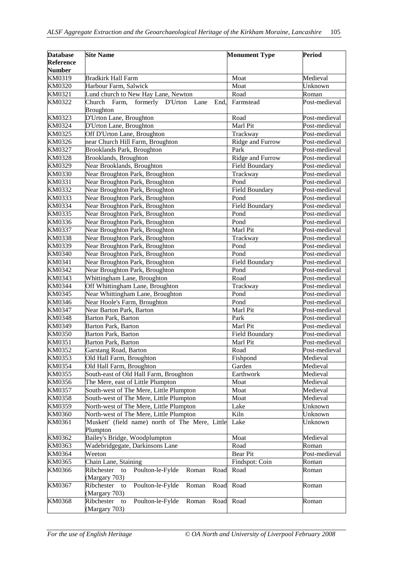| <b>Database</b>  | <b>Site Name</b>                                                       | <b>Monument Type</b> | <b>Period</b>                  |
|------------------|------------------------------------------------------------------------|----------------------|--------------------------------|
| <b>Reference</b> |                                                                        |                      |                                |
| <b>Number</b>    |                                                                        |                      |                                |
| KM0319           | <b>Bradkirk Hall Farm</b>                                              | Moat                 | Medieval                       |
| KM0320           | Harbour Farm, Salwick                                                  | Moat                 | Unknown                        |
| KM0321           | Lund church to New Hay Lane, Newton                                    | Road                 | Roman                          |
| KM0322           | Church Farm, formerly D'Urton<br>Lane<br>End,<br><b>Broughton</b>      | Farmstead            | Post-medieval                  |
| KM0323           | D'Urton Lane, Broughton                                                | Road                 | Post-medieval                  |
| KM0324           | D'Urton Lane, Broughton                                                | Marl Pit             | Post-medieval                  |
| KM0325           | Off D'Urton Lane, Broughton                                            | Trackway             | Post-medieval                  |
| KM0326           | near Church Hill Farm, Broughton                                       | Ridge and Furrow     | Post-medieval                  |
| KM0327           | <b>Brooklands Park, Broughton</b>                                      | Park                 | Post-medieval                  |
| KM0328           | Brooklands, Broughton                                                  | Ridge and Furrow     | Post-medieval                  |
| KM0329           | Near Brooklands, Broughton                                             | Field Boundary       | Post-medieval                  |
| KM0330           | Near Broughton Park, Broughton                                         | Trackway             | Post-medieval                  |
| KM0331           | Near Broughton Park, Broughton                                         | Pond                 | Post-medieval                  |
| KM0332           | Near Broughton Park, Broughton                                         | Field Boundary       | Post-medieval                  |
| KM0333           | Near Broughton Park, Broughton                                         | Pond                 | Post-medieval                  |
| KM0334           | Near Broughton Park, Broughton                                         | Field Boundary       | Post-medieval                  |
| KM0335           | Near Broughton Park, Broughton                                         | Pond                 | Post-medieval                  |
| KM0336           | Near Broughton Park, Broughton                                         | Pond                 | Post-medieval                  |
| KM0337           | Near Broughton Park, Broughton                                         | Marl Pit             | Post-medieval                  |
| KM0338           | Near Broughton Park, Broughton                                         | Trackway             | Post-medieval                  |
| KM0339           | Near Broughton Park, Broughton                                         | Pond                 | Post-medieval                  |
| KM0340           | Near Broughton Park, Broughton                                         | Pond                 | Post-medieval                  |
| KM0341           | Near Broughton Park, Broughton                                         | Field Boundary       | Post-medieval                  |
| KM0342           | Near Broughton Park, Broughton                                         | Pond<br>Road         | Post-medieval                  |
| KM0343<br>KM0344 | Whittingham Lane, Broughton                                            | Trackway             | Post-medieval<br>Post-medieval |
| KM0345           | Off Whittingham Lane, Broughton<br>Near Whittingham Lane, Broughton    | Pond                 | Post-medieval                  |
| KM0346           | Near Hoole's Farm, Broughton                                           | Pond                 | Post-medieval                  |
| KM0347           | Near Barton Park, Barton                                               | Marl Pit             | Post-medieval                  |
| KM0348           | <b>Barton Park, Barton</b>                                             | Park                 | Post-medieval                  |
| KM0349           | Barton Park, Barton                                                    | Marl Pit             | Post-medieval                  |
| KM0350           | Barton Park, Barton                                                    | Field Boundary       | Post-medieval                  |
| KM0351           | Barton Park, Barton                                                    | Marl Pit             | Post-medieval                  |
| KM0352           | Garstang Road, Barton                                                  | Road                 | Post-medieval                  |
| KM0353           | Old Hall Farm, Broughton                                               | Fishpond             | Medieval                       |
| KM0354           | Old Hall Farm, Broughton                                               | Garden               | Medieval                       |
| KM0355           | South-east of Old Hall Farm, Broughton                                 | Earthwork            | Medieval                       |
| KM0356           | The Mere, east of Little Plumpton                                      | Moat                 | Medieval                       |
| KM0357           | South-west of The Mere, Little Plumpton                                | Moat                 | Medieval                       |
| KM0358           | South-west of The Mere, Little Plumpton                                | Moat                 | Medieval                       |
| KM0359           | North-west of The Mere, Little Plumpton                                | Lake                 | Unknown                        |
| KM0360           | North-west of The Mere, Little Plumpton                                | Kiln                 | Unknown                        |
| KM0361           | 'Muskett' (field name) north of The Mere, Little                       | Lake                 | Unknown                        |
|                  | Plumpton                                                               |                      |                                |
| KM0362           | Bailey's Bridge, Woodplumpton                                          | Moat                 | Medieval                       |
| KM0363           | Wadebridgegate, Darkinsons Lane                                        | Road                 | Roman                          |
| KM0364           | Weeton                                                                 | <b>Bear Pit</b>      | Post-medieval                  |
| KM0365           | Chain Lane, Staining                                                   | Findspot: Coin       | Roman                          |
| KM0366           | Poulton-le-Fylde<br>Roman<br>Ribchester<br>Road<br>to<br>(Margary 703) | Road                 | Roman                          |
| KM0367           | Ribchester<br>Poulton-le-Fylde<br>Roman<br>Road<br>to<br>(Margary 703) | Road                 | Roman                          |
| KM0368           | Ribchester<br>Poulton-le-Fylde<br>Roman<br>to<br>(Margary 703)         | Road Road            | Roman                          |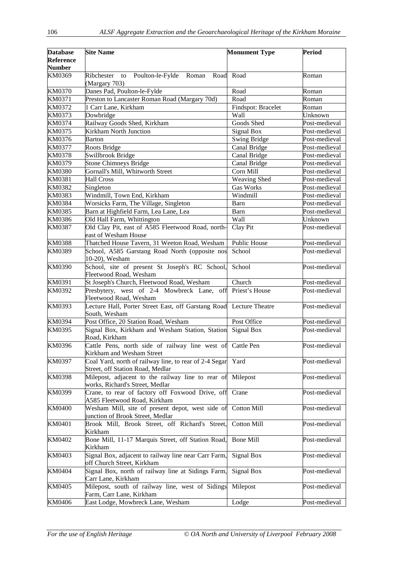| <b>Database</b><br>Reference<br><b>Number</b> | <b>Site Name</b>                                                                           | <b>Monument Type</b> | <b>Period</b> |
|-----------------------------------------------|--------------------------------------------------------------------------------------------|----------------------|---------------|
| KM0369                                        | Poulton-le-Fylde<br>Ribchester<br>Roman<br>to<br>(Margary 703)                             | Road Road            | Roman         |
| KM0370                                        | Danes Pad, Poulton-le-Fylde                                                                | Road                 | Roman         |
| KM0371                                        | Preston to Lancaster Roman Road (Margary 70d)                                              | Road                 | Roman         |
| KM0372                                        | 1 Carr Lane, Kirkham                                                                       | Findspot: Bracelet   | Roman         |
| KM0373                                        | Dowbridge                                                                                  | Wall                 | Unknown       |
| KM0374                                        | Railway Goods Shed, Kirkham                                                                | Goods Shed           | Post-medieval |
| KM0375                                        | <b>Kirkham North Junction</b>                                                              | Signal Box           | Post-medieval |
| KM0376                                        | Barton                                                                                     | <b>Swing Bridge</b>  | Post-medieval |
| <b>KM0377</b>                                 | Roots Bridge                                                                               | Canal Bridge         | Post-medieval |
| KM0378                                        | Swillbrook Bridge                                                                          | Canal Bridge         | Post-medieval |
| KM0379                                        | <b>Stone Chimneys Bridge</b>                                                               | Canal Bridge         | Post-medieval |
| <b>KM0380</b>                                 | Gornall's Mill, Whitworth Street                                                           | Corn Mill            | Post-medieval |
| KM0381                                        | Hall Cross                                                                                 | Weaving Shed         | Post-medieval |
| KM0382                                        | Singleton                                                                                  | <b>Gas Works</b>     | Post-medieval |
| KM0383                                        | Windmill, Town End, Kirkham                                                                | Windmill             | Post-medieval |
| KM0384                                        | Worsicks Farm, The Village, Singleton                                                      | Barn                 | Post-medieval |
| KM0385                                        | Barn at Highfield Farm, Lea Lane, Lea                                                      | Barn                 | Post-medieval |
| KM0386                                        | Old Hall Farm, Whittington                                                                 | Wall                 | Unknown       |
| <b>KM0387</b>                                 | Old Clay Pit, east of A585 Fleetwood Road, north-<br>east of Wesham House                  | Clay Pit             | Post-medieval |
| <b>KM0388</b>                                 | Thatched House Tavern, 31 Weeton Road, Wesham                                              | Public House         | Post-medieval |
| KM0389                                        | School, A585 Garstang Road North (opposite nos<br>10-20), Wesham                           | School               | Post-medieval |
| KM0390                                        | School, site of present St Joseph's RC School,<br>Fleetwood Road, Wesham                   | School               | Post-medieval |
| KM0391                                        | St Joseph's Church, Fleetwood Road, Wesham                                                 | Church               | Post-medieval |
| KM0392                                        | Presbytery, west of 2-4 Mowbreck Lane,<br>off<br>Fleetwood Road, Wesham                    | Priest's House       | Post-medieval |
| KM0393                                        | Lecture Hall, Porter Street East, off Garstang Road Lecture Theatre<br>South, Wesham       |                      | Post-medieval |
| KM0394                                        | Post Office, 20 Station Road, Wesham                                                       | Post Office          | Post-medieval |
| KM0395                                        | Signal Box, Kirkham and Wesham Station, Station Signal Box<br>Road, Kirkham                |                      | Post-medieval |
| KM0396                                        | Cattle Pens, north side of railway line west of Cattle Pen<br>Kirkham and Wesham Street    |                      | Post-medieval |
| KM0397                                        | Coal Yard, north of railway line, to rear of 2-4 Segar<br>Street, off Station Road, Medlar | Yard                 | Post-medieval |
| <b>KM0398</b>                                 | Milepost, adjacent to the railway line to rear of<br>works, Richard's Street, Medlar       | Milepost             | Post-medieval |
| KM0399                                        | Crane, to rear of factory off Foxwood Drive, off<br>A585 Fleetwood Road, Kirkham           | Crane                | Post-medieval |
| <b>KM0400</b>                                 | Wesham Mill, site of present depot, west side of<br>junction of Brook Street, Medlar       | Cotton Mill          | Post-medieval |
| KM0401                                        | Brook Mill, Brook Street, off Richard's Street,<br>Kirkham                                 | <b>Cotton Mill</b>   | Post-medieval |
| KM0402                                        | Bone Mill, 11-17 Marquis Street, off Station Road,<br>Kirkham                              | <b>Bone Mill</b>     | Post-medieval |
| KM0403                                        | Signal Box, adjacent to railway line near Carr Farm,<br>off Church Street, Kirkham         | Signal Box           | Post-medieval |
| KM0404                                        | Signal Box, north of railway line at Sidings Farm,<br>Carr Lane, Kirkham                   | Signal Box           | Post-medieval |
| KM0405                                        | Milepost, south of railway line, west of Sidings<br>Farm, Carr Lane, Kirkham               | Milepost             | Post-medieval |
| KM0406                                        | East Lodge, Mowbreck Lane, Wesham                                                          | Lodge                | Post-medieval |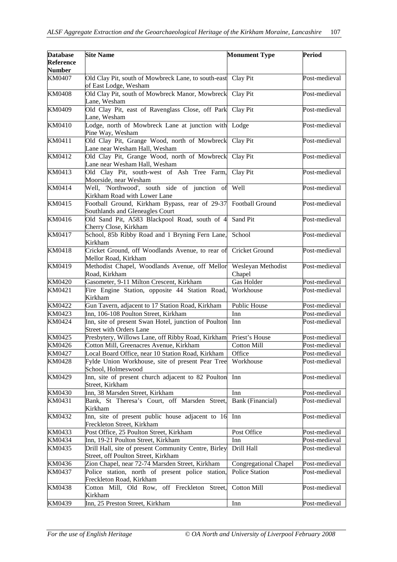| <b>Database</b>            | <b>Site Name</b>                                                                                  | <b>Monument Type</b>         | <b>Period</b> |
|----------------------------|---------------------------------------------------------------------------------------------------|------------------------------|---------------|
| Reference<br><b>Number</b> |                                                                                                   |                              |               |
| <b>KM0407</b>              | Old Clay Pit, south of Mowbreck Lane, to south-east Clay Pit<br>of East Lodge, Wesham             |                              | Post-medieval |
| <b>KM0408</b>              | Old Clay Pit, south of Mowbreck Manor, Mowbreck<br>Lane, Wesham                                   | Clay Pit                     | Post-medieval |
| KM0409                     | Old Clay Pit, east of Ravenglass Close, off Park<br>Lane, Wesham                                  | Clay Pit                     | Post-medieval |
| KM0410                     | Lodge, north of Mowbreck Lane at junction with Lodge<br>Pine Way, Wesham                          |                              | Post-medieval |
| KM0411                     | Old Clay Pit, Grange Wood, north of Mowbreck<br>Lane near Wesham Hall, Wesham                     | Clay Pit                     | Post-medieval |
| KM0412                     | Old Clay Pit, Grange Wood, north of Mowbreck<br>Lane near Wesham Hall, Wesham                     | Clay Pit                     | Post-medieval |
| KM0413                     | Old Clay Pit, south-west of Ash Tree Farm,<br>Moorside, near Wesham                               | Clay Pit                     | Post-medieval |
| KM0414                     | Well, 'Northwood', south side of junction of Well<br>Kirkham Road with Lower Lane                 |                              | Post-medieval |
| KM0415                     | Football Ground, Kirkham Bypass, rear of 29-37 Football Ground<br>Southlands and Gleneagles Court |                              | Post-medieval |
| KM0416                     | Old Sand Pit, A583 Blackpool Road, south of 4<br>Cherry Close, Kirkham                            | Sand Pit                     | Post-medieval |
| KM0417                     | School, 85b Ribby Road and 1 Bryning Fern Lane,<br>Kirkham                                        | School                       | Post-medieval |
| KM0418                     | Cricket Ground, off Woodlands Avenue, to rear of<br>Mellor Road, Kirkham                          | Cricket Ground               | Post-medieval |
| KM0419                     | Methodist Chapel, Woodlands Avenue, off Mellor<br>Road, Kirkham                                   | Wesleyan Methodist<br>Chapel | Post-medieval |
| KM0420                     | Gasometer, 9-11 Milton Crescent, Kirkham                                                          | <b>Gas Holder</b>            | Post-medieval |
| KM0421                     | Fire Engine Station, opposite 44 Station Road,<br>Kirkham                                         | Workhouse                    | Post-medieval |
| KM0422                     | Gun Tavern, adjacent to 17 Station Road, Kirkham                                                  | Public House                 | Post-medieval |
| KM0423                     | Inn, 106-108 Poulton Street, Kirkham                                                              | Inn                          | Post-medieval |
| KM0424                     | Inn, site of present Swan Hotel, junction of Poulton<br><b>Street with Orders Lane</b>            | Inn                          | Post-medieval |
| KM0425                     | Presbytery, Willows Lane, off Ribby Road, Kirkham                                                 | Priest's House               | Post-medieval |
| KM0426                     | Cotton Mill, Greenacres Avenue, Kirkham                                                           | <b>Cotton Mill</b>           | Post-medieval |
| KM0427                     | Local Board Office, near 10 Station Road, Kirkham                                                 | Office                       | Post-medieval |
| KM0428                     | Fylde Union Workhouse, site of present Pear Tree<br>School, Holmeswood                            | Workhouse                    | Post-medieval |
| KM0429                     | Inn, site of present church adjacent to 82 Poulton<br>Street, Kirkham                             | Inn                          | Post-medieval |
| KM0430                     | Inn, 38 Marsden Street, Kirkham                                                                   | Inn                          | Post-medieval |
| KM0431                     | Bank, St Theresa's Court, off Marsden Street,<br>Kirkham                                          | Bank (Financial)             | Post-medieval |
| KM0432                     | Inn, site of present public house adjacent to 16<br>Freckleton Street, Kirkham                    | Inn                          | Post-medieval |
| KM0433                     | Post Office, 25 Poulton Street, Kirkham                                                           | Post Office                  | Post-medieval |
| KM0434                     | Inn, 19-21 Poulton Street, Kirkham                                                                | Inn                          | Post-medieval |
| KM0435                     | Drill Hall, site of present Community Centre, Birley<br>Street, off Poulton Street, Kirkham       | Drill Hall                   | Post-medieval |
| KM0436                     | Zion Chapel, near 72-74 Marsden Street, Kirkham                                                   | Congregational Chapel        | Post-medieval |
| KM0437                     | Police station, north of present police station,<br>Freckleton Road, Kirkham                      | Police Station               | Post-medieval |
| KM0438                     | Cotton Mill, Old Row, off Freckleton Street,<br>Kirkham                                           | <b>Cotton Mill</b>           | Post-medieval |
| KM0439                     | Inn, 25 Preston Street, Kirkham                                                                   | Inn                          | Post-medieval |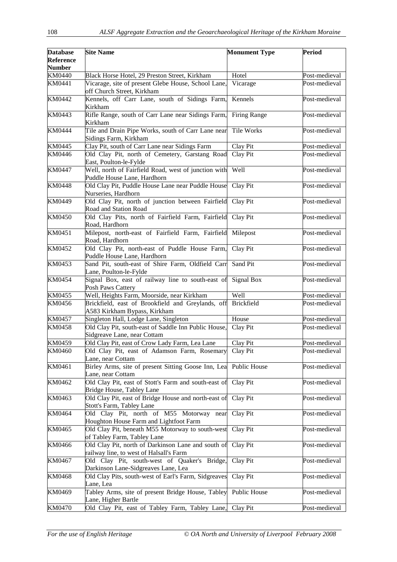| <b>Database</b><br><b>Reference</b> | <b>Site Name</b>                                                                              | <b>Monument Type</b> | <b>Period</b>                  |
|-------------------------------------|-----------------------------------------------------------------------------------------------|----------------------|--------------------------------|
| <b>Number</b>                       |                                                                                               | Hotel                |                                |
| <b>KM0440</b><br>KM0441             | Black Horse Hotel, 29 Preston Street, Kirkham                                                 |                      | Post-medieval<br>Post-medieval |
|                                     | Vicarage, site of present Glebe House, School Lane,<br>off Church Street, Kirkham             | Vicarage             |                                |
| KM0442                              | Kennels, off Carr Lane, south of Sidings Farm,<br>Kirkham                                     | Kennels              | Post-medieval                  |
| KM0443                              | Rifle Range, south of Carr Lane near Sidings Farm,<br>Kirkham                                 | Firing Range         | Post-medieval                  |
| <b>KM0444</b>                       | Tile and Drain Pipe Works, south of Carr Lane near<br>Sidings Farm, Kirkham                   | Tile Works           | Post-medieval                  |
| KM0445                              | Clay Pit, south of Carr Lane near Sidings Farm                                                | Clay Pit             | Post-medieval                  |
| KM0446                              | Old Clay Pit, north of Cemetery, Garstang Road<br>East, Poulton-le-Fylde                      | Clay Pit             | Post-medieval                  |
| KM0447                              | Well, north of Fairfield Road, west of junction with<br>Puddle House Lane, Hardhorn           | Well                 | Post-medieval                  |
| <b>KM0448</b>                       | Old Clay Pit, Puddle House Lane near Puddle House<br>Nurseries, Hardhorn                      | Clay Pit             | Post-medieval                  |
| KM0449                              | Old Clay Pit, north of junction between Fairfield<br>Road and Station Road                    | Clay Pit             | Post-medieval                  |
| KM0450                              | Old Clay Pits, north of Fairfield Farm, Fairfield<br>Road, Hardhorn                           | Clay Pit             | Post-medieval                  |
| KM0451                              | Milepost, north-east of Fairfield Farm, Fairfield<br>Road, Hardhorn                           | Milepost             | Post-medieval                  |
| KM0452                              | Old Clay Pit, north-east of Puddle House Farm,<br>Puddle House Lane, Hardhorn                 | Clay Pit             | Post-medieval                  |
| KM0453                              | Sand Pit, south-east of Shire Farm, Oldfield Carr<br>Lane, Poulton-le-Fylde                   | Sand Pit             | Post-medieval                  |
| KM0454                              | Signal Box, east of railway line to south-east of<br>Posh Paws Cattery                        | <b>Signal Box</b>    | Post-medieval                  |
| KM0455                              | Well, Heights Farm, Moorside, near Kirkham                                                    | Well                 | Post-medieval                  |
| KM0456                              | Brickfield, east of Brookfield and Greylands, off<br>A583 Kirkham Bypass, Kirkham             | <b>Brickfield</b>    | Post-medieval                  |
| KM0457                              | Singleton Hall, Lodge Lane, Singleton                                                         | House                | Post-medieval                  |
| <b>KM0458</b>                       | Old Clay Pit, south-east of Saddle Inn Public House,<br>Sidgreave Lane, near Cottam           | Clay Pit             | Post-medieval                  |
| KM0459                              | Old Clay Pit, east of Crow Lady Farm, Lea Lane                                                | Clay Pit             | Post-medieval                  |
| KM0460                              | Old Clay Pit, east of Adamson Farm, Rosemary<br>Lane, near Cottam                             | Clay Pit             | Post-medieval                  |
| KM0461                              | Birley Arms, site of present Sitting Goose Inn, Lea<br>Lane, near Cottam                      | Public House         | Post-medieval                  |
| KM0462                              | Old Clay Pit, east of Stott's Farm and south-east of<br>Bridge House, Tabley Lane             | Clay Pit             | Post-medieval                  |
| KM0463                              | Old Clay Pit, east of Bridge House and north-east of<br>Stott's Farm, Tabley Lane             | Clay Pit             | Post-medieval                  |
| <b>KM0464</b>                       | Old Clay Pit, north of M55 Motorway near<br>Houghton House Farm and Lightfoot Farm            | Clay Pit             | Post-medieval                  |
| KM0465                              | Old Clay Pit, beneath M55 Motorway to south-west<br>of Tabley Farm, Tabley Lane               | Clay Pit             | Post-medieval                  |
| KM0466                              | Old Clay Pit, north of Darkinson Lane and south of<br>railway line, to west of Halsall's Farm | Clay Pit             | Post-medieval                  |
| KM0467                              | Old Clay Pit, south-west of Quaker's Bridge,<br>Darkinson Lane-Sidgreaves Lane, Lea           | Clay Pit             | Post-medieval                  |
| KM0468                              | Old Clay Pits, south-west of Earl's Farm, Sidgreaves<br>Lane, Lea                             | Clay Pit             | Post-medieval                  |
| KM0469                              | Tabley Arms, site of present Bridge House, Tabley<br>Lane, Higher Bartle                      | Public House         | Post-medieval                  |
| <b>KM0470</b>                       | Old Clay Pit, east of Tabley Farm, Tabley Lane, Clay Pit                                      |                      | Post-medieval                  |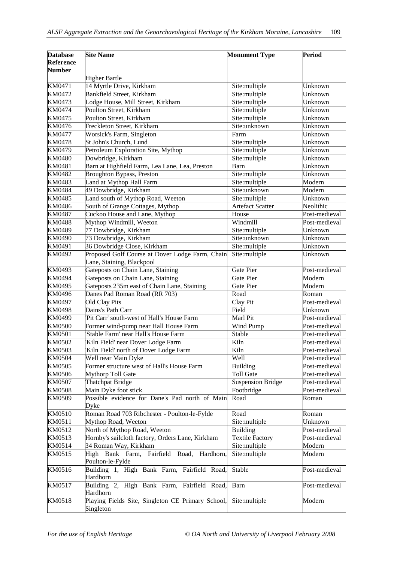| <b>Database</b><br><b>Reference</b><br><b>Number</b> | <b>Site Name</b>                                                             | <b>Monument Type</b>    | <b>Period</b> |
|------------------------------------------------------|------------------------------------------------------------------------------|-------------------------|---------------|
|                                                      | <b>Higher Bartle</b>                                                         |                         |               |
| KM0471                                               | 14 Myrtle Drive, Kirkham                                                     | Site:multiple           | Unknown       |
| KM0472                                               | Bankfield Street, Kirkham                                                    | Site:multiple           | Unknown       |
| KM0473                                               | Lodge House, Mill Street, Kirkham                                            | Site:multiple           | Unknown       |
| KM0474                                               | Poulton Street, Kirkham                                                      | Site:multiple           | Unknown       |
| KM0475                                               | Poulton Street, Kirkham                                                      | Site:multiple           | Unknown       |
| KM0476                                               | Freckleton Street, Kirkham                                                   | Site:unknown            | Unknown       |
| KM0477                                               | Worsick's Farm, Singleton                                                    | Farm                    | Unknown       |
| <b>KM0478</b>                                        | St John's Church, Lund                                                       | Site:multiple           | Unknown       |
| KM0479                                               | Petroleum Exploration Site, Mythop                                           | Site:multiple           | Unknown       |
| KM0480                                               | Dowbridge, Kirkham                                                           | Site:multiple           | Unknown       |
| KM0481                                               | Barn at Highfield Farm, Lea Lane, Lea, Preston                               | Barn                    | Unknown       |
| KM0482                                               | <b>Broughton Bypass</b> , Preston                                            | Site:multiple           | Unknown       |
| KM0483                                               | Land at Mythop Hall Farm                                                     | Site:multiple           | Modern        |
| KM0484                                               | 49 Dowbridge, Kirkham                                                        | Site:unknown            | Modern        |
| KM0485                                               | Land south of Mythop Road, Weeton                                            | Site:multiple           | Unknown       |
| KM0486                                               | South of Grange Cottages, Mythop                                             | <b>Artefact Scatter</b> | Neolithic     |
| KM0487                                               | Cuckoo House and Lane, Mythop                                                | House                   | Post-medieval |
| <b>KM0488</b>                                        | Mythop Windmill, Weeton                                                      | Windmill                | Post-medieval |
| KM0489                                               | 77 Dowbridge, Kirkham                                                        | Site:multiple           | Unknown       |
| KM0490                                               | 73 Dowbridge, Kirkham                                                        | Site:unknown            | Unknown       |
| KM0491                                               | 36 Dowbridge Close, Kirkham                                                  | Site:multiple           | Unknown       |
| KM0492                                               | Proposed Golf Course at Dover Lodge Farm, Chain<br>Lane, Staining, Blackpool | Site:multiple           | Unknown       |
| KM0493                                               | Gateposts on Chain Lane, Staining                                            | <b>Gate Pier</b>        | Post-medieval |
| KM0494                                               | Gateposts on Chain Lane, Staining                                            | Gate Pier               | Modern        |
| KM0495                                               | Gateposts 235m east of Chain Lane, Staining                                  | Gate Pier               | Modern        |
| KM0496                                               | Danes Pad Roman Road (RR 703)                                                | Road                    | Roman         |
| KM0497                                               | Old Clay Pits                                                                | Clay Pit                | Post-medieval |
| <b>KM0498</b>                                        | Dains's Path Carr                                                            | Field                   | Unknown       |
| KM0499                                               | 'Pit Carr' south-west of Hall's House Farm                                   | Marl Pit                | Post-medieval |
| <b>KM0500</b>                                        | Former wind-pump near Hall House Farm                                        | Wind Pump               | Post-medieval |
| KM0501                                               | Stable Farm' near Hall's House Farm                                          | Stable                  | Post-medieval |
| KM0502                                               | Kiln Field' near Dover Lodge Farm                                            | Kiln                    | Post-medieval |
| <b>KM0503</b>                                        | 'Kiln Field' north of Dover Lodge Farm                                       | Kiln                    | Post-medieval |
| KM0504                                               | Well near Main Dyke                                                          | Well                    | Post-medieval |
| KM0505                                               | Former structure west of Hall's House Farm                                   | <b>Building</b>         | Post-medieval |
| KM0506                                               | Mythorp Toll Gate                                                            | <b>Toll Gate</b>        | Post-medieval |
| KM0507                                               | <b>Thatchpat Bridge</b>                                                      | Suspension Bridge       | Post-medieval |
| <b>KM0508</b>                                        | Main Dyke foot stick                                                         | Footbridge              | Post-medieval |
| KM0509                                               | Possible evidence for Dane's Pad north of Main<br>Dyke                       | Road                    | Roman         |
| KM0510                                               | Roman Road 703 Ribchester - Poulton-le-Fylde                                 | Road                    | Roman         |
| KM0511                                               | Mythop Road, Weeton                                                          | Site:multiple           | Unknown       |
| KM0512                                               | North of Mythop Road, Weeton                                                 | <b>Building</b>         | Post-medieval |
| KM0513                                               | Hornby's sailcloth factory, Orders Lane, Kirkham                             | <b>Textile Factory</b>  | Post-medieval |
| KM0514                                               | 34 Roman Way, Kirkham                                                        | Site:multiple           | Modern        |
| KM0515                                               | High Bank Farm, Fairfield Road, Hardhorn,<br>Poulton-le-Fylde                | Site:multiple           | Modern        |
| KM0516                                               | Building 1, High Bank Farm, Fairfield Road,<br>Hardhorn                      | Stable                  | Post-medieval |
| KM0517                                               | Building 2, High Bank Farm, Fairfield Road,<br>Hardhorn                      | Barn                    | Post-medieval |
| KM0518                                               | Playing Fields Site, Singleton CE Primary School,<br>Singleton               | Site:multiple           | Modern        |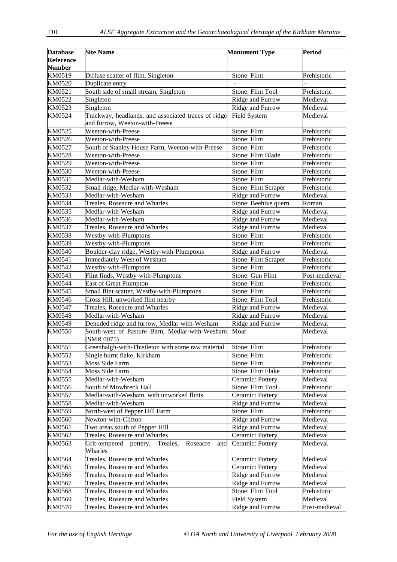| <b>Database</b><br><b>Reference</b> | <b>Site Name</b>                                                    | <b>Monument Type</b>      | <b>Period</b> |
|-------------------------------------|---------------------------------------------------------------------|---------------------------|---------------|
| <b>Number</b>                       |                                                                     |                           |               |
| KM0519                              | Diffuse scatter of flint, Singleton                                 | Stone: Flint              | Prehistoric   |
| KM0520                              | Duplicate entry                                                     |                           |               |
| KM0521                              | South side of small stream, Singleton                               | Stone: Flint Tool         | Prehistoric   |
| KM0522                              | Singleton                                                           | Ridge and Furrow          | Medieval      |
| KM0523                              | Singleton                                                           | Ridge and Furrow          | Medieval      |
| KM0524                              | Trackway, headlands, and associated traces of ridge                 | Field System              | Medieval      |
|                                     | and furrow, Weeton-with-Preese                                      |                           |               |
| KM0525                              | Weeton-with-Preese                                                  | Stone: Flint              | Prehistoric   |
| KM0526                              | Weeton-with-Preese                                                  | Stone: Flint              | Prehistoric   |
| KM0527                              | South of Stanley House Farm, Weeton-with-Preese                     | Stone: Flint              | Prehistoric   |
| <b>KM0528</b>                       | Weeton-with-Preese                                                  | Stone: Flint Blade        | Prehistoric   |
| KM0529                              | Weeton-with-Preese                                                  | Stone: Flint              | Prehistoric   |
| KM0530                              | Weeton-with-Preese                                                  | Stone: Flint              | Prehistoric   |
| KM0531                              | Medlar-with-Wesham                                                  | Stone: Flint              | Prehistoric   |
| KM0532                              | Small ridge, Medlar-with-Wesham                                     | Stone: Flint Scraper      | Prehistoric   |
| KM0533                              | Medlar-with-Wesham                                                  | Ridge and Furrow          | Medieval      |
| KM0534                              | Treales, Roseacre and Wharles                                       | Stone: Beehive quern      | Roman         |
| KM0535                              | Medlar-with-Wesham                                                  | Ridge and Furrow          | Medieval      |
| KM0536                              | Medlar-with-Wesham                                                  | Ridge and Furrow          | Medieval      |
| KM0537                              | Treales, Roseacre and Wharles                                       | Ridge and Furrow          | Medieval      |
| <b>KM0538</b>                       | Westby-with-Plumptons                                               | Stone: Flint              | Prehistoric   |
| KM0539                              | Westby-with-Plumptons                                               | Stone: Flint              | Prehistoric   |
| <b>KM0540</b>                       | Boulder-clay ridge, Westby-with-Plumptons                           | Ridge and Furrow          | Medieval      |
| KM0541                              | <b>Immediately West of Wesham</b>                                   | Stone: Flint Scraper      | Prehistoric   |
| KM0542                              | Westby-with-Plumptons                                               | Stone: Flint              | Prehistoric   |
| KM0543                              | Flint finds, Westby-with-Plumptons                                  | Stone: Gun Flint          | Post-medieval |
| <b>KM0544</b>                       | <b>East of Great Plumpton</b>                                       | Stone: Flint              | Prehistoric   |
| KM0545                              | Small flint scatter, Westby-with-Plumptons                          | Stone: Flint              | Prehistoric   |
| KM0546                              | Cross Hill, unworked flint nearby                                   | Stone: Flint Tool         | Prehistoric   |
| <b>KM0547</b>                       | Treales, Roseacre and Wharles                                       | Ridge and Furrow          | Medieval      |
| <b>KM0548</b>                       | Medlar-with-Wesham                                                  | Ridge and Furrow          | Medieval      |
| KM0549                              | Denuded ridge and furrow, Medlar-with-Wesham                        | Ridge and Furrow          | Medieval      |
| KM0550                              | South-west of Pasture Barn, Medlar-with-Wesham<br>(SMR 0075)        | Moat                      | Medieval      |
| $\overline{\text{KM}0551}$          | Greenhalgh-with-Thistleton with some raw material                   | Stone: Flint              | Prehistoric   |
| KM0552                              | Single burnt flake, Kirkham                                         | Stone: Flint              | Prehistoric   |
| KM0553                              | Moss Side Farm                                                      | Stone: Flint              | Prehistoric   |
| KM0554                              | Moss Side Farm                                                      | <b>Stone: Flint Flake</b> | Prehistoric   |
| KM0555                              | Medlar-with-Wesham                                                  | Ceramic: Pottery          | Medieval      |
| KM0556                              | South of Mowbreck Hall                                              | Stone: Flint Tool         | Prehistoric   |
| KM0557                              | Medlar-with-Wesham, with unworked flints                            | Ceramic: Pottery          | Medieval      |
| <b>KM0558</b>                       | Medlar-with-Wesham                                                  | Ridge and Furrow          | Medieval      |
| KM0559                              | North-west of Pepper Hill Farm                                      | Stone: Flint              | Prehistoric   |
| KM0560                              | Newton-with-Clifton                                                 | Ridge and Furrow          | Medieval      |
| KM0561                              | Two areas south of Pepper Hill                                      | Ridge and Furrow          | Medieval      |
| KM0562                              | Treales, Roseacre and Wharles                                       | Ceramic: Pottery          | Medieval      |
| KM0563                              | Grit-tempered<br>Roseacre<br>pottery,<br>Treales,<br>and<br>Wharles | Ceramic: Pottery          | Medieval      |
| KM0564                              | Treales, Roseacre and Wharles                                       | Ceramic: Pottery          | Medieval      |
| KM0565                              | Treales, Roseacre and Wharles                                       | Ceramic: Pottery          | Medieval      |
| KM0566                              | Treales, Roseacre and Wharles                                       | Ridge and Furrow          | Medieval      |
| KM0567                              | Treales, Roseacre and Wharles                                       | Ridge and Furrow          | Medieval      |
| KM0568                              | Treales, Roseacre and Wharles                                       | Stone: Flint Tool         | Prehistoric   |
| KM0569                              | Treales, Roseacre and Wharles                                       | Field System              | Medieval      |
| KM0570                              | Treales, Roseacre and Wharles                                       | Ridge and Furrow          | Post-medieval |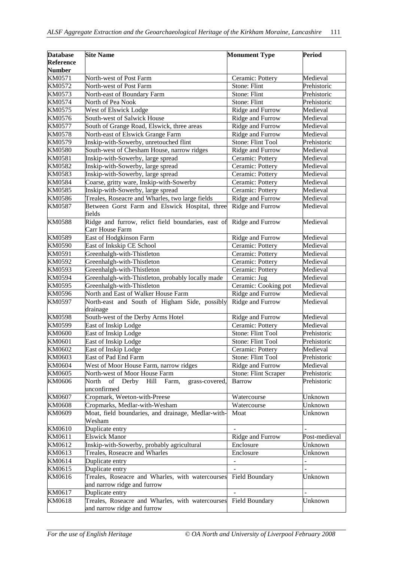| <b>Database</b> | <b>Site Name</b>                                                                                                                                                       | <b>Monument Type</b> | <b>Period</b>  |
|-----------------|------------------------------------------------------------------------------------------------------------------------------------------------------------------------|----------------------|----------------|
| Reference       |                                                                                                                                                                        |                      |                |
| <b>Number</b>   |                                                                                                                                                                        |                      |                |
| KM0571          | North-west of Post Farm                                                                                                                                                | Ceramic: Pottery     | Medieval       |
| KM0572          | North-west of Post Farm                                                                                                                                                | Stone: Flint         | Prehistoric    |
| KM0573          | North-east of Boundary Farm                                                                                                                                            | Stone: Flint         | Prehistoric    |
| KM0574          | North of Pea Nook                                                                                                                                                      | Stone: Flint         | Prehistoric    |
| KM0575          | West of Elswick Lodge                                                                                                                                                  | Ridge and Furrow     | Medieval       |
| KM0576          | South-west of Salwick House                                                                                                                                            | Ridge and Furrow     | Medieval       |
| KM0577          | South of Grange Road, Elswick, three areas                                                                                                                             | Ridge and Furrow     | Medieval       |
| <b>KM0578</b>   | North-east of Elswick Grange Farm                                                                                                                                      | Ridge and Furrow     | Medieval       |
| KM0579          | Inskip-with-Sowerby, unretouched flint                                                                                                                                 | Stone: Flint Tool    | Prehistoric    |
| KM0580          | South-west of Chesham House, narrow ridges                                                                                                                             | Ridge and Furrow     | Medieval       |
| KM0581          | Inskip-with-Sowerby, large spread                                                                                                                                      | Ceramic: Pottery     | Medieval       |
| KM0582          | Inskip-with-Sowerby, large spread                                                                                                                                      | Ceramic: Pottery     | Medieval       |
| KM0583          | Inskip-with-Sowerby, large spread                                                                                                                                      | Ceramic: Pottery     | Medieval       |
| KM0584          | Coarse, gritty ware, Inskip-with-Sowerby                                                                                                                               | Ceramic: Pottery     | Medieval       |
| KM0585          | Inskip-with-Sowerby, large spread                                                                                                                                      | Ceramic: Pottery     | Medieval       |
| KM0586          | Treales, Roseacre and Wharles, two large fields                                                                                                                        | Ridge and Furrow     | Medieval       |
| KM0587          | Between Gorst Farm and Elswick Hospital, three<br>fields                                                                                                               | Ridge and Furrow     | Medieval       |
| <b>KM0588</b>   | Ridge and furrow, relict field boundaries, east of<br>Carr House Farm                                                                                                  | Ridge and Furrow     | Medieval       |
| KM0589          | East of Hodgkinson Farm                                                                                                                                                | Ridge and Furrow     | Medieval       |
| KM0590          | East of Inkskip CE School                                                                                                                                              | Ceramic: Pottery     | Medieval       |
| KM0591          | Greenhalgh-with-Thistleton                                                                                                                                             | Ceramic: Pottery     | Medieval       |
| KM0592          | Greenhalgh-with-Thistleton                                                                                                                                             | Ceramic: Pottery     | Medieval       |
| KM0593          | Greenhalgh-with-Thistleton                                                                                                                                             | Ceramic: Pottery     | Medieval       |
| KM0594          | Greenhalgh-with-Thistleton, probably locally made                                                                                                                      | Ceramic: Jug         | Medieval       |
| KM0595          | Greenhalgh-with-Thistleton                                                                                                                                             | Ceramic: Cooking pot | Medieval       |
| KM0596          | North and East of Walker House Farm                                                                                                                                    | Ridge and Furrow     | Medieval       |
| KM0597          | North-east and South of Higham Side, possibly<br>drainage                                                                                                              | Ridge and Furrow     | Medieval       |
| <b>KM0598</b>   | South-west of the Derby Arms Hotel                                                                                                                                     | Ridge and Furrow     | Medieval       |
| KM0599          | East of Inskip Lodge                                                                                                                                                   | Ceramic: Pottery     | Medieval       |
| <b>KM0600</b>   | East of Inskip Lodge                                                                                                                                                   | Stone: Flint Tool    | Prehistoric    |
| KM0601          | East of Inskip Lodge                                                                                                                                                   | Stone: Flint Tool    | Prehistoric    |
| KM0602          | East of Inskip Lodge                                                                                                                                                   | Ceramic: Pottery     | Medieval       |
| KM0603          | East of Pad End Farm                                                                                                                                                   | Stone: Flint Tool    | Prehistoric    |
| KM0604          | West of Moor House Farm, narrow ridges                                                                                                                                 | Ridge and Furrow     | Medieval       |
| KM0605          | North-west of Moor House Farm                                                                                                                                          | Stone: Flint Scraper | Prehistoric    |
| KM0606          | $% \left( \left( \mathcal{A},\mathcal{A}\right) \right) =\left( \mathcal{A},\mathcal{A}\right)$ of<br>North<br>Derby<br>Hill<br>Farm,<br>grass-covered,<br>unconfirmed | Barrow               | Prehistoric    |
| KM0607          | Cropmark, Weeton-with-Preese                                                                                                                                           | Watercourse          | Unknown        |
| KM0608          | Cropmarks, Medlar-with-Wesham                                                                                                                                          | Watercourse          | Unknown        |
| KM0609          | Moat, field boundaries, and drainage, Medlar-with-<br>Wesham                                                                                                           | Moat                 | Unknown        |
| KM0610          | Duplicate entry                                                                                                                                                        |                      |                |
| KM0611          | <b>Elswick Manor</b>                                                                                                                                                   | Ridge and Furrow     | Post-medieval  |
| KM0612          | Inskip-with-Sowerby, probably agricultural                                                                                                                             | Enclosure            | Unknown        |
| KM0613          | Treales, Roseacre and Wharles                                                                                                                                          | Enclosure            | Unknown        |
| KM0614          | Duplicate entry                                                                                                                                                        |                      | $\overline{a}$ |
| KM0615          | Duplicate entry                                                                                                                                                        |                      | $\overline{a}$ |
| KM0616          | Treales, Roseacre and Wharles, with watercourses<br>and narrow ridge and furrow                                                                                        | Field Boundary       | Unknown        |
| KM0617          | Duplicate entry                                                                                                                                                        |                      |                |
| KM0618          | Treales, Roseacre and Wharles, with watercourses<br>and narrow ridge and furrow                                                                                        | Field Boundary       | Unknown        |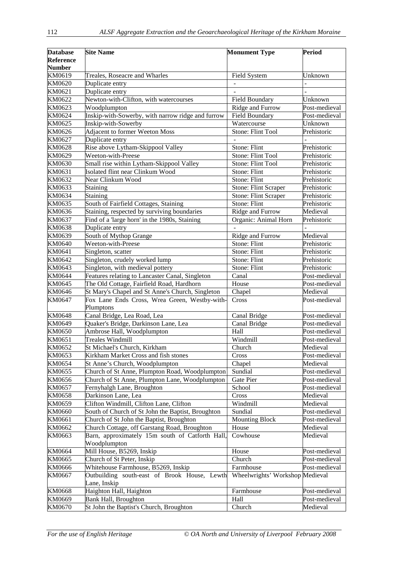| <b>Database</b>  | <b>Site Name</b>                                  | <b>Monument Type</b>            | <b>Period</b> |
|------------------|---------------------------------------------------|---------------------------------|---------------|
| <b>Reference</b> |                                                   |                                 |               |
| <b>Number</b>    |                                                   |                                 |               |
| KM0619           | Treales, Roseacre and Wharles                     |                                 | Unknown       |
| KM0620           |                                                   | Field System                    |               |
|                  | Duplicate entry                                   |                                 |               |
| KM0621           | Duplicate entry                                   |                                 |               |
| KM0622           | Newton-with-Clifton, with watercourses            | Field Boundary                  | Unknown       |
| KM0623           | Woodplumpton                                      | Ridge and Furrow                | Post-medieval |
| KM0624           | Inskip-with-Sowerby, with narrow ridge and furrow | Field Boundary                  | Post-medieval |
| KM0625           | Inskip-with-Sowerby                               | Watercourse                     | Unknown       |
| KM0626           | Adjacent to former Weeton Moss                    | Stone: Flint Tool               | Prehistoric   |
| KM0627           | Duplicate entry                                   |                                 |               |
| KM0628           | Rise above Lytham-Skippool Valley                 | Stone: Flint                    | Prehistoric   |
| KM0629           | Weeton-with-Preese                                | Stone: Flint Tool               | Prehistoric   |
| KM0630           | Small rise within Lytham-Skippool Valley          | Stone: Flint Tool               | Prehistoric   |
| KM0631           | Isolated flint near Clinkum Wood                  | Stone: Flint                    | Prehistoric   |
| KM0632           | Near Clinkum Wood                                 | Stone: Flint                    | Prehistoric   |
| KM0633           | <b>Staining</b>                                   | <b>Stone: Flint Scraper</b>     | Prehistoric   |
| KM0634           | Staining                                          | <b>Stone: Flint Scraper</b>     | Prehistoric   |
| KM0635           | South of Fairfield Cottages, Staining             | Stone: Flint                    | Prehistoric   |
| KM0636           | Staining, respected by surviving boundaries       | Ridge and Furrow                | Medieval      |
| KM0637           | Find of a 'large horn' in the 1980s, Staining     | Organic: Animal Horn            | Prehistoric   |
| KM0638           | Duplicate entry                                   |                                 |               |
| KM0639           | South of Mythop Grange                            | Ridge and Furrow                | Medieval      |
| KM0640           | Weeton-with-Preese                                | Stone: Flint                    | Prehistoric   |
| KM0641           | Singleton, scatter                                | Stone: Flint                    | Prehistoric   |
| KM0642           | Singleton, crudely worked lump                    | Stone: Flint                    | Prehistoric   |
| KM0643           | Singleton, with medieval pottery                  | Stone: Flint                    | Prehistoric   |
| KM0644           | Features relating to Lancaster Canal, Singleton   | Canal                           | Post-medieval |
| KM0645           | The Old Cottage, Fairfield Road, Hardhorn         | House                           | Post-medieval |
| KM0646           | St Mary's Chapel and St Anne's Church, Singleton  | Chapel                          | Medieval      |
| KM0647           | Fox Lane Ends Cross, Wrea Green, Westby-with-     | Cross                           | Post-medieval |
|                  | Plumptons                                         |                                 |               |
| KM0648           | Canal Bridge, Lea Road, Lea                       | Canal Bridge                    | Post-medieval |
| KM0649           | Quaker's Bridge, Darkinson Lane, Lea              | Canal Bridge                    | Post-medieval |
| KM0650           | Ambrose Hall, Woodplumpton                        | Hall                            | Post-medieval |
| KM0651           | Treales Windmill                                  | Windmill                        | Post-medieval |
| KM0652           | St Michael's Church, Kirkham                      | Church                          | Medieval      |
| KM0653           | Kirkham Market Cross and fish stones              | Cross                           | Post-medieval |
| KM0654           | St Anne's Church, Woodplumpton                    | Chapel                          | Medieval      |
| KM0655           | Church of St Anne, Plumpton Road, Woodplumpton    | Sundial                         | Post-medieval |
| KM0656           | Church of St Anne, Plumpton Lane, Woodplumpton    | Gate Pier                       | Post-medieval |
| KM0657           | Fernyhalgh Lane, Broughton                        | School                          | Post-medieval |
| KM0658           | Darkinson Lane, Lea                               | Cross                           | Medieval      |
| KM0659           | Clifton Windmill, Clifton Lane, Clifton           | Windmill                        | Medieval      |
| KM0660           | South of Church of St John the Baptist, Broughton | Sundial                         | Post-medieval |
| KM0661           | Church of St John the Baptist, Broughton          | <b>Mounting Block</b>           | Post-medieval |
| KM0662           | Church Cottage, off Garstang Road, Broughton      | House                           | Medieval      |
| KM0663           | Barn, approximately 15m south of Catforth Hall,   | Cowhouse                        | Medieval      |
|                  | Woodplumpton                                      |                                 |               |
| KM0664           | Mill House, B5269, Inskip                         | House                           | Post-medieval |
| KM0665           | Church of St Peter, Inskip                        | Church                          | Post-medieval |
| KM0666           | Whitehouse Farmhouse, B5269, Inskip               | Farmhouse                       | Post-medieval |
| KM0667           | Outbuilding south-east of Brook House, Lewth      | Wheelwrights' Workshop Medieval |               |
|                  | Lane, Inskip                                      |                                 |               |
| KM0668           | Haighton Hall, Haighton                           | Farmhouse                       | Post-medieval |
| KM0669           | Bank Hall, Broughton                              | Hall                            | Post-medieval |
| KM0670           | St John the Baptist's Church, Broughton           | Church                          | Medieval      |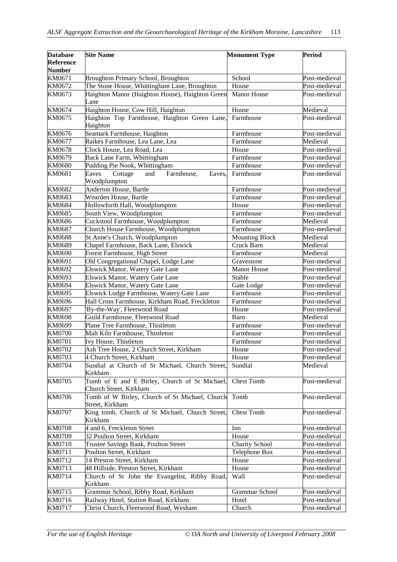| <b>Database</b><br>Reference<br><b>Number</b> | <b>Site Name</b>                                                        | <b>Monument Type</b>  | <b>Period</b> |
|-----------------------------------------------|-------------------------------------------------------------------------|-----------------------|---------------|
| KM0671                                        | <b>Broughton Primary School, Broughton</b>                              | School                | Post-medieval |
| KM0672                                        | The Stone House, Whittingham Lane, Broughton                            | House                 | Post-medieval |
| KM0673                                        | Haighton Manor (Haighton House), Haighton Green<br>Lane                 | Manor House           | Post-medieval |
| KM0674                                        | Haighton House, Cow Hill, Haighton                                      | House                 | Medieval      |
| KM0675                                        | Haighton Top Farmhouse, Haighton Green Lane,<br>Haighton                | Farmhouse             | Post-medieval |
| KM0676                                        | Seamark Farmhouse, Haighton                                             | Farmhouse             | Post-medieval |
| KM0677                                        | Raikes Farmhouse, Lea Lane, Lea                                         | Farmhouse             | Medieval      |
| KM0678                                        | Clock House, Lea Road, Lea                                              | House                 | Post-medieval |
| KM0679                                        | Back Lane Farm, Whittingham                                             | Farmhouse             | Post-medieval |
| <b>KM0680</b>                                 | Pudding Pie Nook, Whittingham                                           | Farmhouse             | Post-medieval |
| KM0681                                        | Farmhouse,<br>Eaves<br>Cottage<br>and<br>Eaves,<br>Woodplumpton         | Farmhouse             | Post-medieval |
| KM0682                                        | Anderton House, Bartle                                                  | Farmhouse             | Post-medieval |
| KM0683                                        | Wearden House, Bartle                                                   | Farmhouse             | Post-medieval |
| KM0684                                        | Hollowforth Hall, Woodplumpton                                          | House                 | Post-medieval |
| KM0685                                        | South View, Woodplumpton                                                | Farmhouse             | Post-medieval |
| KM0686                                        | Cuckstool Farmhouse, Woodplumpton                                       | Farmhouse             | Medieval      |
| KM0687                                        | Church House Farmhouse, Woodplumpton                                    | Farmhouse             | Post-medieval |
| KM0688                                        | St Anne's Church, Woodplumpton                                          | <b>Mounting Block</b> | Medieval      |
| KM0689                                        | Chapel Farmhouse, Back Lane, Elswick                                    | Cruck Barn            | Medieval      |
| KM0690                                        | Forest Farmhouse, High Street                                           | Farmhouse             | Medieval      |
| KM0691                                        | Old Congregational Chapel, Lodge Lane                                   | Gravestone            | Post-medieval |
| KM0692                                        | Elswick Manor, Watery Gate Lane                                         | Manor House           | Post-medieval |
| KM0693                                        | Elswick Manor, Watery Gate Lane                                         | Stable                | Post-medieval |
| KM0694                                        | Elswick Manor, Watery Gate Lane                                         | Gate Lodge            | Post-medieval |
| KM0695                                        | Elswick Lodge Farmhouse, Watery Gate Lane                               | Farmhouse             | Post-medieval |
| KM0696                                        | Hall Cross Farmhouse, Kirkham Road, Freckleton                          | Farmhouse             | Post-medieval |
| KM0697                                        | 'By-the-Way', Fleetwood Road                                            | House                 | Post-medieval |
| KM0698                                        | Guild Farmhouse, Fleetwood Road                                         | Barn                  | Medieval      |
| KM0699                                        | Plane Tree Farmhouse, Thistleton                                        | Farmhouse             | Post-medieval |
| <b>KM0700</b>                                 | Malt Kiln Farmhouse, Thistleton                                         | Farmhouse             | Post-medieval |
| KM0701                                        | Ivy House, Thistleton                                                   | Farmhouse             | Post-medieval |
| KM0702                                        | Ash Tree House, 2 Church Street, Kirkham                                | House                 | Post-medieval |
| KM0703                                        | 4 Church Street, Kirkham                                                | House                 | Post-medieval |
| <b>KM0704</b>                                 | Sundial at Church of St Michael, Church Street,<br>Kirkham              | Sundial               | Medieval      |
| KM0705                                        | Tomb of E and E Birley, Church of St Michael,<br>Church Street, Kirkham | <b>Chest Tomb</b>     | Post-medieval |
| <b>KM0706</b>                                 | Tomb of W Birley, Church of St Michael, Church<br>Street, Kirkham       | Tomb                  | Post-medieval |
| <b>KM0707</b>                                 | King tomb, Church of St Michael, Church Street,<br>Kirkham              | <b>Chest Tomb</b>     | Post-medieval |
| <b>KM0708</b>                                 | 4 and 6, Freckleton Street                                              | Inn                   | Post-medieval |
| <b>KM0709</b>                                 | 32 Poulton Street, Kirkham                                              | House                 | Post-medieval |
| KM0710                                        | Trustee Savings Bank, Poulton Street                                    | <b>Charity School</b> | Post-medieval |
| KM0711                                        | Poulton Street, Kirkham                                                 | Telephone Box         | Post-medieval |
| KM0712                                        | 14 Preston Street, Kirkham                                              | House                 | Post-medieval |
| KM0713                                        | 48 Hillside, Preston Street, Kirkham                                    | House                 | Post-medieval |
| KM0714                                        | Church of St John the Evangelist, Ribby Road,<br>Kirkham                | Wall                  | Post-medieval |
| KM0715                                        | Grammar School, Ribby Road, Kirkham                                     | Grammar School        | Post-medieval |
| KM0716                                        | Railway Hotel, Station Road, Kirkham                                    | Hotel                 | Post-medieval |
| KM0717                                        | Christ Church, Fleetwood Road, Wesham                                   | Church                | Post-medieval |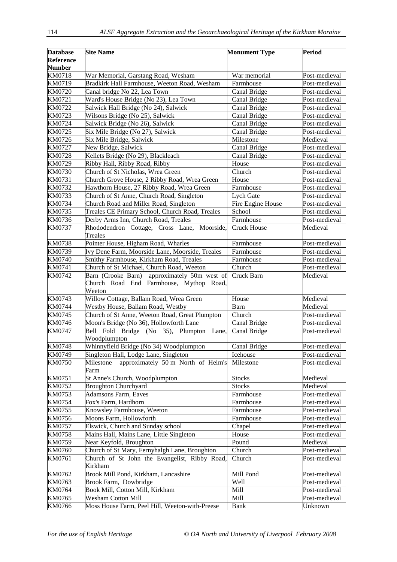| <b>Database</b>                   | <b>Site Name</b>                                                                                  | <b>Monument Type</b>       | <b>Period</b> |
|-----------------------------------|---------------------------------------------------------------------------------------------------|----------------------------|---------------|
| <b>Reference</b><br><b>Number</b> |                                                                                                   |                            |               |
| <b>KM0718</b>                     | War Memorial, Garstang Road, Wesham                                                               | War memorial               | Post-medieval |
| KM0719                            | Bradkirk Hall Farmhouse, Weeton Road, Wesham                                                      | Farmhouse                  | Post-medieval |
| KM0720                            | Canal bridge No 22, Lea Town                                                                      | Canal Bridge               | Post-medieval |
| KM0721                            | Ward's House Bridge (No 23), Lea Town                                                             | Canal Bridge               | Post-medieval |
| KM0722                            | Salwick Hall Bridge (No 24), Salwick                                                              | Canal Bridge               | Post-medieval |
| KM0723                            | Wilsons Bridge (No 25), Salwick                                                                   | Canal Bridge               | Post-medieval |
| KM0724                            | Salwick Bridge (No 26), Salwick                                                                   | Canal Bridge               | Post-medieval |
| KM0725                            | Six Mile Bridge (No 27), Salwick                                                                  | Canal Bridge               | Post-medieval |
| KM0726                            | Six Mile Bridge, Salwick                                                                          | Milestone                  | Medieval      |
| KM0727                            | New Bridge, Salwick                                                                               | Canal Bridge               | Post-medieval |
| <b>KM0728</b>                     | Kellets Bridge (No 29), Blackleach                                                                | Canal Bridge               | Post-medieval |
| KM0729                            | Ribby Hall, Ribby Road, Ribby                                                                     | House                      | Post-medieval |
| KM0730                            | Church of St Nicholas, Wrea Green                                                                 | $\overline{\text{Church}}$ | Post-medieval |
| KM0731                            | Church Grove House, 2 Ribby Road, Wrea Green                                                      | House                      | Post-medieval |
| KM0732                            | Hawthorn House, 27 Ribby Road, Wrea Green                                                         | Farmhouse                  | Post-medieval |
| KM0733                            | Church of St Anne, Church Road, Singleton                                                         | Lych Gate                  | Post-medieval |
| KM0734                            | Church Road and Miller Road, Singleton                                                            | Fire Engine House          | Post-medieval |
| KM0735                            | Treales CE Primary School, Church Road, Treales                                                   | School                     | Post-medieval |
| KM0736                            | Derby Arms Inn, Church Road, Treales                                                              | Farmhouse                  | Post-medieval |
| KM0737                            | Rhododendron Cottage, Cross Lane, Moorside,<br>Treales                                            | <b>Cruck House</b>         | Medieval      |
| <b>KM0738</b>                     | Pointer House, Higham Road, Wharles                                                               | Farmhouse                  | Post-medieval |
| KM0739                            | Ivy Dene Farm, Moorside Lane, Moorside, Treales                                                   | Farmhouse                  | Post-medieval |
| <b>KM0740</b>                     | Smithy Farmhouse, Kirkham Road, Treales                                                           | Farmhouse                  | Post-medieval |
| KM0741                            | Church of St Michael, Church Road, Weeton                                                         | Church                     | Post-medieval |
| KM0742                            | Barn (Crooke Barn) approximately 50m west of<br>Church Road End Farmhouse, Mythop Road,<br>Weeton | Cruck Barn                 | Medieval      |
| KM0743                            | Willow Cottage, Ballam Road, Wrea Green                                                           | House                      | Medieval      |
| <b>KM0744</b>                     | Westby House, Ballam Road, Westby                                                                 | Barn                       | Medieval      |
| KM0745                            | Church of St Anne, Weeton Road, Great Plumpton                                                    | Church                     | Post-medieval |
| KM0746                            | Moon's Bridge (No 36), Hollowforth Lane                                                           | Canal Bridge               | Post-medieval |
| <b>KM0747</b>                     | Bell Fold Bridge (No 35), Plumpton Lane,<br>Woodplumpton                                          | Canal Bridge               | Post-medieval |
| <b>KM0748</b>                     | Whinnyfield Bridge (No 34) Woodplumpton                                                           | Canal Bridge               | Post-medieval |
| KM0749                            | Singleton Hall, Lodge Lane, Singleton                                                             | Icehouse                   | Post-medieval |
| <b>KM0750</b>                     | approximately 50 m North of Helm's<br>Milestone<br>Farm                                           | Milestone                  | Post-medieval |
| KM0751                            | St Anne's Church, Woodplumpton                                                                    | <b>Stocks</b>              | Medieval      |
| KM0752                            | <b>Broughton Churchyard</b>                                                                       | <b>Stocks</b>              | Medieval      |
| KM0753                            | <b>Adamsons Farm, Eaves</b>                                                                       | Farmhouse                  | Post-medieval |
| KM0754                            | Fox's Farm, Hardhorn                                                                              | Farmhouse                  | Post-medieval |
| KM0755                            | Knowsley Farmhouse, Weeton                                                                        | Farmhouse                  | Post-medieval |
| KM0756                            | Moons Farm, Hollowforth                                                                           | Farmhouse                  | Post-medieval |
| KM0757                            | Elswick, Church and Sunday school                                                                 | Chapel                     | Post-medieval |
| <b>KM0758</b>                     | Mains Hall, Mains Lane, Little Singleton                                                          | House                      | Post-medieval |
| KM0759                            | Near Keyfold, Broughton                                                                           | Pound                      | Medieval      |
| KM0760                            | Church of St Mary, Fernyhalgh Lane, Broughton                                                     | Church                     | Post-medieval |
| KM0761                            | Church of St John the Evangelist, Ribby Road,<br>Kirkham                                          | Church                     | Post-medieval |
| KM0762                            | Brook Mill Pond, Kirkham, Lancashire                                                              | Mill Pond                  | Post-medieval |
| KM0763                            | Brook Farm, Dowbridge                                                                             | Well                       | Post-medieval |
| KM0764                            | Book Mill, Cotton Mill, Kirkham                                                                   | Mill                       | Post-medieval |
| KM0765                            | <b>Wesham Cotton Mill</b>                                                                         | Mill                       | Post-medieval |
| KM0766                            | Moss House Farm, Peel Hill, Weeton-with-Preese                                                    | <b>Bank</b>                | Unknown       |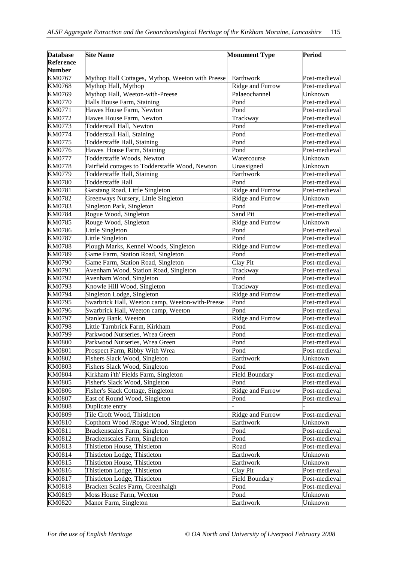| <b>Database</b><br><b>Reference</b> | <b>Site Name</b>                                                        | <b>Monument Type</b>   | Period        |
|-------------------------------------|-------------------------------------------------------------------------|------------------------|---------------|
| <b>Number</b><br>KM0767             |                                                                         | Earthwork              | Post-medieval |
| <b>KM0768</b>                       | Mythop Hall Cottages, Mythop, Weeton with Preese<br>Mythop Hall, Mythop | Ridge and Furrow       | Post-medieval |
| KM0769                              | Mythop Hall, Weeton-with-Preese                                         | Palaeochannel          | Unknown       |
| <b>KM0770</b>                       | Halls House Farm, Staining                                              | Pond                   | Post-medieval |
| KM0771                              | Hawes House Farm, Newton                                                | Pond                   | Post-medieval |
| KM0772                              | Hawes House Farm, Newton                                                | Trackway               | Post-medieval |
| KM0773                              | Todderstall Hall, Newton                                                | Pond                   | Post-medieval |
| <b>KM0774</b>                       | Todderstall Hall, Staining                                              | Pond                   | Post-medieval |
| KM0775                              | Todderstaffe Hall, Staining                                             | Pond                   | Post-medieval |
| KM0776                              | Hawes House Farm, Staining                                              | Pond                   | Post-medieval |
| <b>KM0777</b>                       | Todderstaffe Woods, Newton                                              | Watercourse            | Unknown       |
| <b>KM0778</b>                       | Fairfield cottages to Todderstaffe Wood, Newton                         | Unassigned             | Unknown       |
| KM0779                              | Todderstaffe Hall, Staining                                             | Earthwork              | Post-medieval |
| <b>KM0780</b>                       | Todderstaffe Hall                                                       | Pond                   | Post-medieval |
| KM0781                              | Garstang Road, Little Singleton                                         | Ridge and Furrow       | Post-medieval |
| KM0782                              | Greenways Nursery, Little Singleton                                     | Ridge and Furrow       | Unknown       |
| <b>KM0783</b>                       | Singleton Park, Singleton                                               | Pond                   | Post-medieval |
| <b>KM0784</b>                       | Rogue Wood, Singleton                                                   | Sand Pit               | Post-medieval |
| KM0785                              | Rouge Wood, Singleton                                                   | Ridge and Furrow       | Unknown       |
| KM0786                              | Little Singleton                                                        | Pond                   | Post-medieval |
| <b>KM0787</b>                       | Little Singleton                                                        | Pond                   | Post-medieval |
| <b>KM0788</b>                       | Plough Marks, Kennel Woods, Singleton                                   | Ridge and Furrow       | Post-medieval |
| KM0789                              | Game Farm, Station Road, Singleton                                      | Pond                   | Post-medieval |
| <b>KM0790</b>                       | Game Farm, Station Road, Singleton                                      | $\overline{C}$ lay Pit | Post-medieval |
| KM0791                              | Avenham Wood, Station Road, Singleton                                   | Trackway               | Post-medieval |
| KM0792                              | Avenham Wood, Singleton                                                 | Pond                   | Post-medieval |
| KM0793                              | Knowle Hill Wood, Singleton                                             | Trackway               | Post-medieval |
| KM0794                              | Singleton Lodge, Singleton                                              | Ridge and Furrow       | Post-medieval |
| KM0795                              | Swarbrick Hall, Weeton camp, Weeton-with-Preese                         | Pond                   | Post-medieval |
| KM0796                              | Swarbrick Hall, Weeton camp, Weeton                                     | Pond                   | Post-medieval |
| <b>KM0797</b>                       | Stanley Bank, Weeton                                                    | Ridge and Furrow       | Post-medieval |
| <b>KM0798</b>                       | Little Tarnbrick Farm, Kirkham                                          | Pond                   | Post-medieval |
| KM0799                              | Parkwood Nurseries, Wrea Green                                          | Pond                   | Post-medieval |
| <b>KM0800</b>                       | Parkwood Nurseries, Wrea Green                                          | Pond                   | Post-medieval |
| <b>KM0801</b>                       | Prospect Farm, Ribby With Wrea                                          | Pond                   | Post-medieval |
| <b>KM0802</b>                       | Fishers Slack Wood, Singleton                                           | Earthwork              | Unknown       |
| KM0803                              | Fishers Slack Wood, Singleton                                           | Pond                   | Post-medieval |
| <b>KM0804</b>                       | Kirkham i'th' Fields Farm, Singleton                                    | Field Boundary         | Post-medieval |
| <b>KM0805</b>                       | Fisher's Slack Wood, Singleton                                          | Pond                   | Post-medieval |
| <b>KM0806</b>                       | Fisher's Slack Cottage, Singleton                                       | Ridge and Furrow       | Post-medieval |
| <b>KM0807</b>                       | East of Round Wood, Singleton                                           | Pond                   | Post-medieval |
| <b>KM0808</b>                       | Duplicate entry                                                         |                        |               |
| <b>KM0809</b>                       | Tile Croft Wood, Thistleton                                             | Ridge and Furrow       | Post-medieval |
| KM0810                              | Copthorn Wood /Rogue Wood, Singleton                                    | Earthwork              | Unknown       |
| KM0811                              | Brackenscales Farm, Singleton                                           | Pond                   | Post-medieval |
| KM0812                              | Brackenscales Farm, Singleton                                           | Pond                   | Post-medieval |
| KM0813                              | Thistleton House, Thistleton                                            | Road                   | Post-medieval |
| KM0814                              | Thistleton Lodge, Thistleton                                            | Earthwork              | Unknown       |
| KM0815                              | Thistleton House, Thistleton                                            | Earthwork              | Unknown       |
| KM0816                              | Thistleton Lodge, Thistleton                                            | Clay Pit               | Post-medieval |
| KM0817                              | Thistleton Lodge, Thistleton                                            | Field Boundary         | Post-medieval |
| KM0818                              | Bracken Scales Farm, Greenhalgh                                         | Pond                   | Post-medieval |
| KM0819                              | Moss House Farm, Weeton                                                 | Pond                   | Unknown       |
| KM0820                              | Manor Farm, Singleton                                                   | Earthwork              | Unknown       |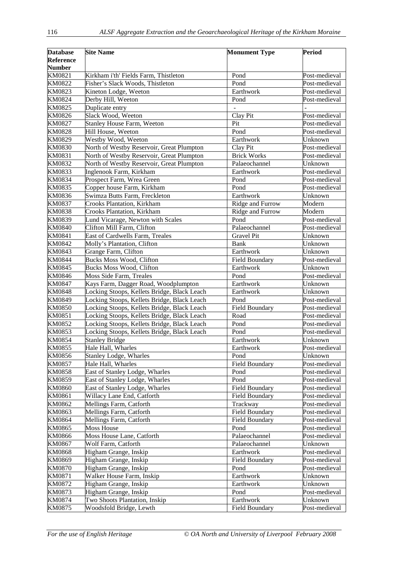| <b>Database</b>  | <b>Site Name</b>                            | <b>Monument Type</b>  | <b>Period</b> |
|------------------|---------------------------------------------|-----------------------|---------------|
| <b>Reference</b> |                                             |                       |               |
| <b>Number</b>    |                                             |                       |               |
| KM0821           | Kirkham i'th' Fields Farm, Thistleton       | Pond                  | Post-medieval |
| KM0822           | Fisher's Slack Woods, Thistleton            | Pond                  | Post-medieval |
| KM0823           | Kineton Lodge, Weeton                       | Earthwork             | Post-medieval |
| KM0824           | Derby Hill, Weeton                          | Pond                  | Post-medieval |
| KM0825           | Duplicate entry                             |                       |               |
| KM0826           | Slack Wood, Weeton                          | Clay Pit              | Post-medieval |
| KM0827           | <b>Stanley House Farm, Weeton</b>           | Pit                   | Post-medieval |
| <b>KM0828</b>    | Hill House, Weeton                          | Pond                  | Post-medieval |
| KM0829           | Westby Wood, Weeton                         | Earthwork             | Unknown       |
| <b>KM0830</b>    | North of Westby Reservoir, Great Plumpton   | Clay Pit              | Post-medieval |
| KM0831           | North of Westby Reservoir, Great Plumpton   | <b>Brick Works</b>    | Post-medieval |
| KM0832           | North of Westby Reservoir, Great Plumpton   | Palaeochannel         | Unknown       |
| KM0833           | Inglenook Farm, Kirkham                     | Earthwork             | Post-medieval |
| KM0834           | Prospect Farm, Wrea Green                   | Pond                  | Post-medieval |
| KM0835           | Copper house Farm, Kirkham                  | Pond                  | Post-medieval |
| KM0836           | Swimza Butts Farm, Freckleton               | Earthwork             | Unknown       |
| <b>KM0837</b>    | Crooks Plantation, Kirkham                  | Ridge and Furrow      | Modern        |
| <b>KM0838</b>    | <b>Crooks Plantation</b> , Kirkham          | Ridge and Furrow      | Modern        |
| KM0839           | Lund Vicarage, Newton with Scales           | Pond                  | Post-medieval |
| <b>KM0840</b>    | Clifton Mill Farm, Clifton                  | Palaeochannel         | Post-medieval |
| KM0841           | East of Cardwells Farm, Treales             | <b>Gravel Pit</b>     | Unknown       |
| <b>KM0842</b>    | Molly's Plantation, Clifton                 | <b>Bank</b>           | Unknown       |
| KM0843           | Grange Farm, Clifton                        | Earthwork             | Unknown       |
| <b>KM0844</b>    | <b>Bucks Moss Wood, Clifton</b>             | Field Boundary        | Post-medieval |
| KM0845           | <b>Bucks Moss Wood, Clifton</b>             | Earthwork             | Unknown       |
| KM0846           | Moss Side Farm, Treales                     | Pond                  | Post-medieval |
| <b>KM0847</b>    | Kays Farm, Dagger Road, Woodplumpton        | Earthwork             | Unknown       |
| <b>KM0848</b>    | Locking Stoops, Kellets Bridge, Black Leach | Earthwork             | Unknown       |
| <b>KM0849</b>    | Locking Stoops, Kellets Bridge, Black Leach | Pond                  | Post-medieval |
| <b>KM0850</b>    | Locking Stoops, Kellets Bridge, Black Leach | Field Boundary        | Post-medieval |
| KM0851           | Locking Stoops, Kellets Bridge, Black Leach | Road                  | Post-medieval |
| KM0852           | Locking Stoops, Kellets Bridge, Black Leach | Pond                  | Post-medieval |
| KM0853           | Locking Stoops, Kellets Bridge, Black Leach | Pond                  | Post-medieval |
| <b>KM0854</b>    | <b>Stanley Bridge</b>                       | Earthwork             | Unknown       |
| KM0855           | Hale Hall, Wharles                          | Earthwork             | Post-medieval |
| KM0856           | Stanley Lodge, Wharles                      | Pond                  | Unknown       |
| <b>KM0857</b>    | Hale Hall, Wharles                          | <b>Field Boundary</b> | Post-medieval |
| <b>KM0858</b>    | East of Stanley Lodge, Wharles              | Pond                  | Post-medieval |
| KM0859           | East of Stanley Lodge, Wharles              | Pond                  | Post-medieval |
| <b>KM0860</b>    | East of Stanley Lodge, Wharles              | <b>Field Boundary</b> | Post-medieval |
| KM0861           | Willacy Lane End, Catforth                  | <b>Field Boundary</b> | Post-medieval |
| KM0862           | Mellings Farm, Catforth                     | Trackway              | Post-medieval |
| KM0863           | Mellings Farm, Catforth                     | <b>Field Boundary</b> | Post-medieval |
| <b>KM0864</b>    | Mellings Farm, Catforth                     | <b>Field Boundary</b> | Post-medieval |
| KM0865           | <b>Moss House</b>                           | Pond                  | Post-medieval |
| <b>KM0866</b>    | Moss House Lane, Catforth                   | Palaeochannel         | Post-medieval |
| <b>KM0867</b>    | Wolf Farm, Catforth                         | Palaeochannel         | Unknown       |
| <b>KM0868</b>    | Higham Grange, Inskip                       | Earthwork             | Post-medieval |
| KM0869           | Higham Grange, Inskip                       | Field Boundary        | Post-medieval |
| <b>KM0870</b>    | Higham Grange, Inskip                       | Pond                  | Post-medieval |
| KM0871           | Walker House Farm, Inskip                   | Earthwork             | Unknown       |
| KM0872           | Higham Grange, Inskip                       | Earthwork             | Unknown       |
| KM0873           | Higham Grange, Inskip                       | Pond                  | Post-medieval |
| <b>KM0874</b>    | Two Shoots Plantation, Inskip               | Earthwork             | Unknown       |
| KM0875           | Woodsfold Bridge, Lewth                     | Field Boundary        | Post-medieval |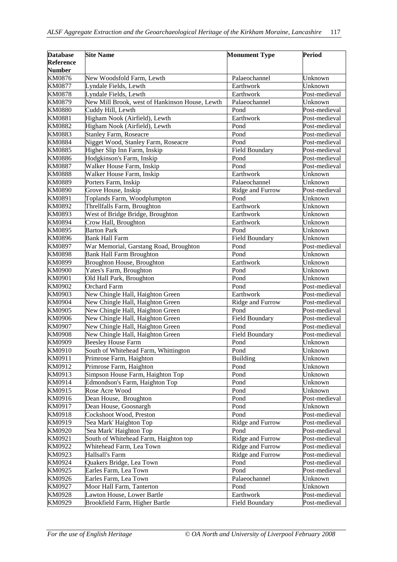| <b>Database</b><br><b>Reference</b><br><b>Number</b> | <b>Site Name</b>                               | <b>Monument Type</b> | <b>Period</b> |
|------------------------------------------------------|------------------------------------------------|----------------------|---------------|
| KM0876                                               | New Woodsfold Farm, Lewth                      | Palaeochannel        | Unknown       |
| <b>KM0877</b>                                        | Lyndale Fields, Lewth                          | Earthwork            | Unknown       |
| <b>KM0878</b>                                        | Lyndale Fields, Lewth                          | Earthwork            | Post-medieval |
| KM0879                                               | New Mill Brook, west of Hankinson House, Lewth | Palaeochannel        | Unknown       |
| <b>KM0880</b>                                        | Cuddy Hill, Lewth                              | Pond                 | Post-medieval |
| KM0881                                               | Higham Nook (Airfield), Lewth                  | Earthwork            | Post-medieval |
| <b>KM0882</b>                                        | Higham Nook (Airfield), Lewth                  | Pond                 | Post-medieval |
| KM0883                                               | <b>Stanley Farm, Roseacre</b>                  | Pond                 | Post-medieval |
| <b>KM0884</b>                                        | Nigget Wood, Stanley Farm, Roseacre            | Pond                 | Post-medieval |
| <b>KM0885</b>                                        | Higher Slip Inn Farm, Inskip                   | Field Boundary       | Post-medieval |
| <b>KM0886</b>                                        | Hodgkinson's Farm, Inskip                      | Pond                 | Post-medieval |
| <b>KM0887</b>                                        | Walker House Farm, Inskip                      | Pond                 | Post-medieval |
| <b>KM0888</b>                                        | Walker House Farm, Inskip                      | Earthwork            | Unknown       |
| <b>KM0889</b>                                        | Porters Farm, Inskip                           | Palaeochannel        | Unknown       |
| <b>KM0890</b>                                        | Grove House, Inskip                            | Ridge and Furrow     | Post-medieval |
| KM0891                                               | Toplands Farm, Woodplumpton                    | Pond                 | Unknown       |
| KM0892                                               | Threllfalls Farm, Broughton                    | Earthwork            | Unknown       |
| KM0893                                               | West of Bridge Bridge, Broughton               | Earthwork            | Unknown       |
| <b>KM0894</b>                                        | Crow Hall, Broughton                           | Earthwork            | Unknown       |
| KM0895                                               | <b>Barton Park</b>                             | Pond                 | Unknown       |
| KM0896                                               | <b>Bank Hall Farm</b>                          | Field Boundary       | Unknown       |
| <b>KM0897</b>                                        | War Memorial, Garstang Road, Broughton         | Pond                 | Post-medieval |
| <b>KM0898</b>                                        | <b>Bank Hall Farm Broughton</b>                | Pond                 | Unknown       |
| KM0899                                               | Broughton House, Broughton                     | Earthwork            | Unknown       |
| <b>KM0900</b>                                        | Yates's Farm, Broughton                        | Pond                 | Unknown       |
| KM0901                                               | Old Hall Park, Broughton                       | Pond                 | Unknown       |
| KM0902                                               | <b>Orchard Farm</b>                            | Pond                 | Post-medieval |
| KM0903                                               | New Chingle Hall, Haighton Green               | Earthwork            | Post-medieval |
| KM0904                                               | New Chingle Hall, Haighton Green               | Ridge and Furrow     | Post-medieval |
| KM0905                                               | New Chingle Hall, Haighton Green               | Pond                 | Post-medieval |
| KM0906                                               | New Chingle Hall, Haighton Green               | Field Boundary       | Post-medieval |
| <b>KM0907</b>                                        | New Chingle Hall, Haighton Green               | Pond                 | Post-medieval |
| <b>KM0908</b>                                        | New Chingle Hall, Haighton Green               | Field Boundary       | Post-medieval |
| KM0909                                               | <b>Beesley House Farm</b>                      | Pond                 | Unknown       |
| KM0910                                               | South of Whitehead Farm, Whittington           | Pond                 | Unknown       |
| KM0911                                               | Primrose Farm, Haighton                        | Building             | Unknown       |
| KM0912                                               | Primrose Farm, Haighton                        | Pond                 | Unknown       |
| KM0913                                               | Simpson House Farm, Haighton Top               | Pond                 | Unknown       |
| KM0914                                               | Edmondson's Farm, Haighton Top                 | Pond                 | Unknown       |
| KM0915                                               | Rose Acre Wood                                 | Pond                 | Unknown       |
| KM0916                                               | Dean House, Broughton                          | Pond                 | Post-medieval |
| KM0917                                               | Dean House, Goosnargh                          | Pond                 | Unknown       |
| KM0918                                               | Cockshoot Wood, Preston                        | Pond                 | Post-medieval |
| KM0919                                               | 'Sea Mark' Haighton Top                        | Ridge and Furrow     | Post-medieval |
| KM0920                                               | 'Sea Mark' Haighton Top                        | Pond                 | Post-medieval |
| KM0921                                               | South of Whitehead Farm, Haighton top          | Ridge and Furrow     | Post-medieval |
| KM0922                                               | Whitehead Farm, Lea Town                       | Ridge and Furrow     | Post-medieval |
| KM0923                                               | Hallsall's Farm                                | Ridge and Furrow     | Post-medieval |
| KM0924                                               | Quakers Bridge, Lea Town                       | Pond                 | Post-medieval |
| KM0925                                               | Earles Farm, Lea Town                          | Pond                 | Post-medieval |
| KM0926                                               | Earles Farm, Lea Town                          | Palaeochannel        | Unknown       |
| KM0927                                               | Moor Hall Farm, Tanterton                      | Pond                 | Unknown       |
| <b>KM0928</b>                                        | Lawton House, Lower Bartle                     | Earthwork            | Post-medieval |
| KM0929                                               | Brookfield Farm, Higher Bartle                 | Field Boundary       | Post-medieval |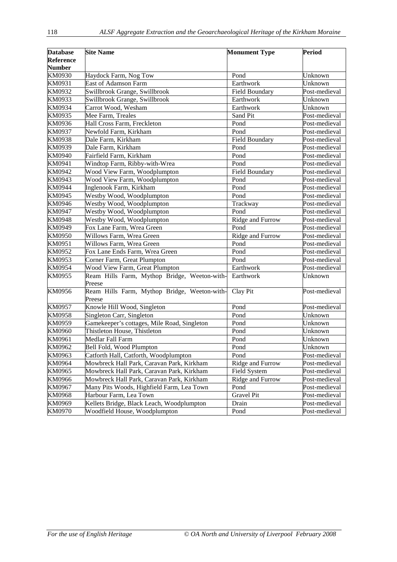| <b>Database</b> | <b>Site Name</b>                             | <b>Monument Type</b>  | <b>Period</b> |
|-----------------|----------------------------------------------|-----------------------|---------------|
| Reference       |                                              |                       |               |
| <b>Number</b>   |                                              |                       |               |
| KM0930          | Haydock Farm, Nog Tow                        | Pond                  | Unknown       |
| KM0931          | East of Adamson Farm                         | Earthwork             | Unknown       |
| KM0932          | Swillbrook Grange, Swillbrook                | Field Boundary        | Post-medieval |
| KM0933          | Swillbrook Grange, Swillbrook                | Earthwork             | Unknown       |
| KM0934          | Carrot Wood, Wesham                          | Earthwork             | Unknown       |
| KM0935          | Mee Farm, Treales                            | Sand Pit              | Post-medieval |
| KM0936          | Hall Cross Farm, Freckleton                  | Pond                  | Post-medieval |
| KM0937          | Newfold Farm, Kirkham                        | Pond                  | Post-medieval |
| <b>KM0938</b>   | Dale Farm, Kirkham                           | <b>Field Boundary</b> | Post-medieval |
| KM0939          | Dale Farm, Kirkham                           | Pond                  | Post-medieval |
| KM0940          | Fairfield Farm, Kirkham                      | Pond                  | Post-medieval |
| KM0941          | Windtop Farm, Ribby-with-Wrea                | Pond                  | Post-medieval |
| KM0942          | Wood View Farm, Woodplumpton                 | <b>Field Boundary</b> | Post-medieval |
| KM0943          | Wood View Farm, Woodplumpton                 | Pond                  | Post-medieval |
| <b>KM0944</b>   | Inglenook Farm, Kirkham                      | Pond                  | Post-medieval |
| KM0945          | Westby Wood, Woodplumpton                    | Pond                  | Post-medieval |
| KM0946          | Westby Wood, Woodplumpton                    | Trackway              | Post-medieval |
| KM0947          | Westby Wood, Woodplumpton                    | Pond                  | Post-medieval |
| <b>KM0948</b>   | Westby Wood, Woodplumpton                    | Ridge and Furrow      | Post-medieval |
| KM0949          | Fox Lane Farm, Wrea Green                    | Pond                  | Post-medieval |
| KM0950          | Willows Farm, Wrea Green                     | Ridge and Furrow      | Post-medieval |
| KM0951          | Willows Farm, Wrea Green                     | Pond                  | Post-medieval |
| KM0952          | Fox Lane Ends Farm, Wrea Green               | Pond                  | Post-medieval |
| KM0953          | Corner Farm, Great Plumpton                  | Pond                  | Post-medieval |
| KM0954          | Wood View Farm, Great Plumpton               | Earthwork             | Post-medieval |
| KM0955          | Ream Hills Farm, Mythop Bridge, Weeton-with- | Earthwork             | Unknown       |
|                 | Preese                                       |                       |               |
| KM0956          | Ream Hills Farm, Mythop Bridge, Weeton-with- | Clay Pit              | Post-medieval |
|                 | Preese                                       |                       |               |
| KM0957          | Knowle Hill Wood, Singleton                  | Pond                  | Post-medieval |
| <b>KM0958</b>   | Singleton Carr, Singleton                    | Pond                  | Unknown       |
| KM0959          | Gamekeeper's cottages, Mile Road, Singleton  | Pond                  | Unknown       |
| KM0960          | Thistleton House, Thistleton                 | Pond                  | Unknown       |
| KM0961          | Medlar Fall Farm                             | Pond                  | Unknown       |
| KM0962          | Bell Fold, Wood Plumpton                     | Pond                  | Unknown       |
| KM0963          | Catforth Hall, Catforth, Woodplumpton        | Pond                  | Post-medieval |
| KM0964          | Mowbreck Hall Park, Caravan Park, Kirkham    | Ridge and Furrow      | Post-medieval |
| KM0965          | Mowbreck Hall Park, Caravan Park, Kirkham    | Field System          | Post-medieval |
| KM0966          | Mowbreck Hall Park, Caravan Park, Kirkham    | Ridge and Furrow      | Post-medieval |
| KM0967          | Many Pits Woods, Highfield Farm, Lea Town    | Pond                  | Post-medieval |
| <b>KM0968</b>   | Harbour Farm, Lea Town                       | Gravel Pit            | Post-medieval |
| KM0969          | Kellets Bridge, Black Leach, Woodplumpton    | Drain                 | Post-medieval |
| KM0970          | Woodfield House, Woodplumpton                | Pond                  | Post-medieval |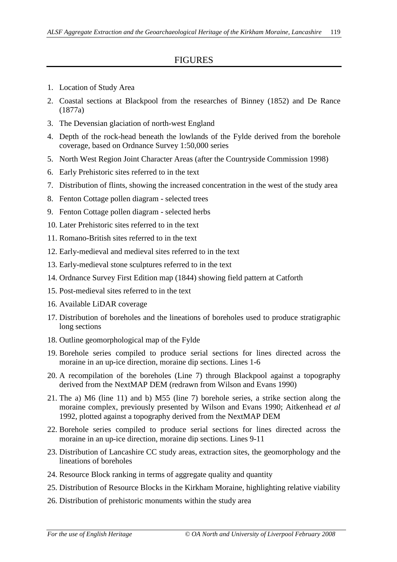## FIGURES

- 1. Location of Study Area
- 2. Coastal sections at Blackpool from the researches of Binney (1852) and De Rance (1877a)
- 3. The Devensian glaciation of north-west England
- 4. Depth of the rock-head beneath the lowlands of the Fylde derived from the borehole coverage, based on Ordnance Survey 1:50,000 series
- 5. North West Region Joint Character Areas (after the Countryside Commission 1998)
- 6. Early Prehistoric sites referred to in the text
- 7. Distribution of flints, showing the increased concentration in the west of the study area
- 8. Fenton Cottage pollen diagram selected trees
- 9. Fenton Cottage pollen diagram selected herbs
- 10. Later Prehistoric sites referred to in the text
- 11. Romano-British sites referred to in the text
- 12. Early-medieval and medieval sites referred to in the text
- 13. Early-medieval stone sculptures referred to in the text
- 14. Ordnance Survey First Edition map (1844) showing field pattern at Catforth
- 15. Post-medieval sites referred to in the text
- 16. Available LiDAR coverage
- 17. Distribution of boreholes and the lineations of boreholes used to produce stratigraphic long sections
- 18. Outline geomorphological map of the Fylde
- 19. Borehole series compiled to produce serial sections for lines directed across the moraine in an up-ice direction, moraine dip sections. Lines 1-6
- 20. A recompilation of the boreholes (Line 7) through Blackpool against a topography derived from the NextMAP DEM (redrawn from Wilson and Evans 1990)
- 21. The a) M6 (line 11) and b) M55 (line 7) borehole series, a strike section along the moraine complex, previously presented by Wilson and Evans 1990; Aitkenhead *et al* 1992, plotted against a topography derived from the NextMAP DEM
- 22. Borehole series compiled to produce serial sections for lines directed across the moraine in an up-ice direction, moraine dip sections. Lines 9-11
- 23. Distribution of Lancashire CC study areas, extraction sites, the geomorphology and the lineations of boreholes
- 24. Resource Block ranking in terms of aggregate quality and quantity
- 25. Distribution of Resource Blocks in the Kirkham Moraine, highlighting relative viability
- 26. Distribution of prehistoric monuments within the study area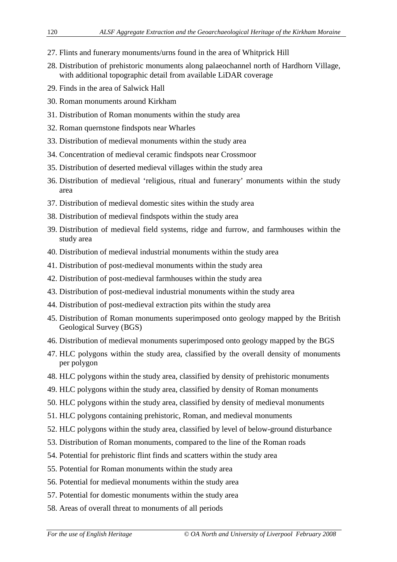- 27. Flints and funerary monuments/urns found in the area of Whitprick Hill
- 28. Distribution of prehistoric monuments along palaeochannel north of Hardhorn Village, with additional topographic detail from available LiDAR coverage
- 29. Finds in the area of Salwick Hall
- 30. Roman monuments around Kirkham
- 31. Distribution of Roman monuments within the study area
- 32. Roman quernstone findspots near Wharles
- 33. Distribution of medieval monuments within the study area
- 34. Concentration of medieval ceramic findspots near Crossmoor
- 35. Distribution of deserted medieval villages within the study area
- 36. Distribution of medieval 'religious, ritual and funerary' monuments within the study area
- 37. Distribution of medieval domestic sites within the study area
- 38. Distribution of medieval findspots within the study area
- 39. Distribution of medieval field systems, ridge and furrow, and farmhouses within the study area
- 40. Distribution of medieval industrial monuments within the study area
- 41. Distribution of post-medieval monuments within the study area
- 42. Distribution of post-medieval farmhouses within the study area
- 43. Distribution of post-medieval industrial monuments within the study area
- 44. Distribution of post-medieval extraction pits within the study area
- 45. Distribution of Roman monuments superimposed onto geology mapped by the British Geological Survey (BGS)
- 46. Distribution of medieval monuments superimposed onto geology mapped by the BGS
- 47. HLC polygons within the study area, classified by the overall density of monuments per polygon
- 48. HLC polygons within the study area, classified by density of prehistoric monuments
- 49. HLC polygons within the study area, classified by density of Roman monuments
- 50. HLC polygons within the study area, classified by density of medieval monuments
- 51. HLC polygons containing prehistoric, Roman, and medieval monuments
- 52. HLC polygons within the study area, classified by level of below-ground disturbance
- 53. Distribution of Roman monuments, compared to the line of the Roman roads
- 54. Potential for prehistoric flint finds and scatters within the study area
- 55. Potential for Roman monuments within the study area
- 56. Potential for medieval monuments within the study area
- 57. Potential for domestic monuments within the study area
- 58. Areas of overall threat to monuments of all periods